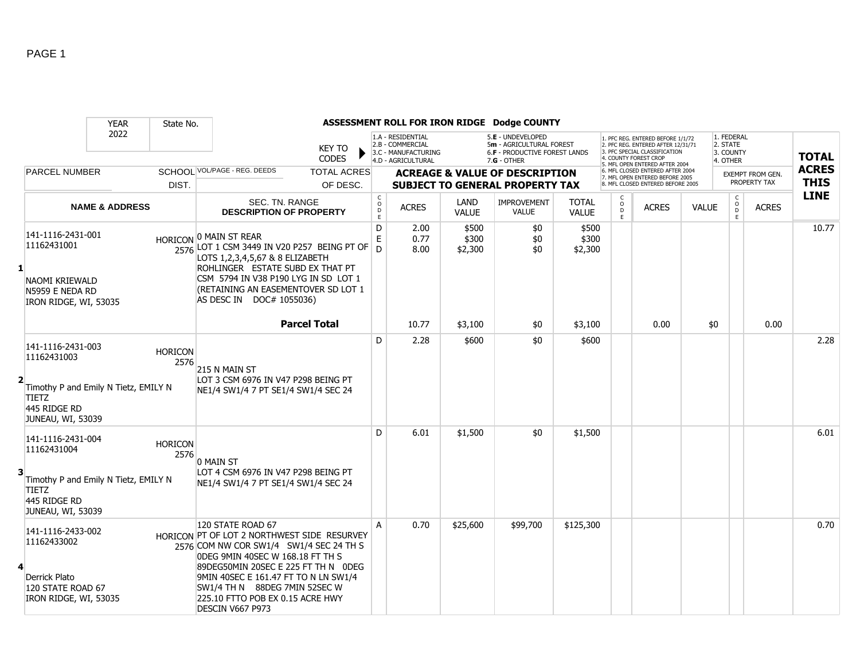|                |                                                                                                                               | <b>YEAR</b>               | State No.              |                                                                                                                                                                                                                                                                                                                         |              |                                                                                    |                           | ASSESSMENT ROLL FOR IRON RIDGE Dodge COUNTY                                                     |                              |                                       |                                                                                                                                                                     |              |                                                 |                                         |                             |
|----------------|-------------------------------------------------------------------------------------------------------------------------------|---------------------------|------------------------|-------------------------------------------------------------------------------------------------------------------------------------------------------------------------------------------------------------------------------------------------------------------------------------------------------------------------|--------------|------------------------------------------------------------------------------------|---------------------------|-------------------------------------------------------------------------------------------------|------------------------------|---------------------------------------|---------------------------------------------------------------------------------------------------------------------------------------------------------------------|--------------|-------------------------------------------------|-----------------------------------------|-----------------------------|
|                |                                                                                                                               | 2022                      |                        | <b>KEY TO</b><br><b>CODES</b>                                                                                                                                                                                                                                                                                           |              | 1.A - RESIDENTIAL<br>2.B - COMMERCIAL<br>3.C - MANUFACTURING<br>4.D - AGRICULTURAL |                           | 5.E - UNDEVELOPED<br>5m - AGRICULTURAL FOREST<br>6.F - PRODUCTIVE FOREST LANDS<br>$7.G - OTHER$ |                              |                                       | 1. PFC REG. ENTERED BEFORE 1/1/72<br>2. PFC REG. ENTERED AFTER 12/31/71<br>3. PFC SPECIAL CLASSIFICATION<br>4. COUNTY FOREST CROP<br>5. MFL OPEN ENTERED AFTER 2004 |              | 1. FEDERAL<br>2. STATE<br>3. COUNTY<br>4. OTHER |                                         | <b>TOTAL</b>                |
|                | <b>PARCEL NUMBER</b>                                                                                                          |                           | DIST.                  | SCHOOL VOL/PAGE - REG. DEEDS<br><b>TOTAL ACRES</b><br>OF DESC.                                                                                                                                                                                                                                                          |              |                                                                                    |                           | <b>ACREAGE &amp; VALUE OF DESCRIPTION</b><br><b>SUBJECT TO GENERAL PROPERTY TAX</b>             |                              |                                       | 6. MFL CLOSED ENTERED AFTER 2004<br>7. MFL OPEN ENTERED BEFORE 2005<br>8. MFL CLOSED ENTERED BEFORE 2005                                                            |              |                                                 | <b>EXEMPT FROM GEN.</b><br>PROPERTY TAX | <b>ACRES</b><br><b>THIS</b> |
|                |                                                                                                                               | <b>NAME &amp; ADDRESS</b> |                        | SEC. TN. RANGE<br><b>DESCRIPTION OF PROPERTY</b>                                                                                                                                                                                                                                                                        |              | C<br>D<br>D<br>E<br><b>ACRES</b>                                                   | LAND<br><b>VALUE</b>      | <b>IMPROVEMENT</b><br><b>VALUE</b>                                                              | <b>TOTAL</b><br><b>VALUE</b> | $\frac{c}{0}$<br>$\overline{D}$<br>F. | <b>ACRES</b>                                                                                                                                                        | <b>VALUE</b> | $\begin{matrix} 0 \\ 0 \\ D \end{matrix}$<br>E  | <b>ACRES</b>                            | <b>LINE</b>                 |
| $\mathbf{1}$   | 141-1116-2431-001<br>11162431001<br>NAOMI KRIEWALD<br>N5959 E NEDA RD<br>IRON RIDGE, WI, 53035                                |                           |                        | HORICON O MAIN ST REAR<br>2576 LOT 1 CSM 3449 IN V20 P257 BEING PT OF<br>LOTS 1,2,3,4,5,67 & 8 ELIZABETH<br>ROHLINGER ESTATE SUBD EX THAT PT<br>CSM 5794 IN V38 P190 LYG IN SD LOT 1<br>(RETAINING AN EASEMENTOVER SD LOT 1<br>AS DESC IN DOC# 1055036)                                                                 | $\mathsf{D}$ | D<br>2.00<br>E<br>0.77<br>8.00                                                     | \$500<br>\$300<br>\$2,300 | \$0<br>\$0<br>\$0                                                                               | \$500<br>\$300<br>\$2,300    |                                       |                                                                                                                                                                     |              |                                                 |                                         | 10.77                       |
|                |                                                                                                                               |                           |                        | <b>Parcel Total</b>                                                                                                                                                                                                                                                                                                     |              | 10.77                                                                              | \$3,100                   | \$0                                                                                             | \$3,100                      |                                       | 0.00                                                                                                                                                                | \$0          |                                                 | 0.00                                    |                             |
| $\overline{2}$ | 141-1116-2431-003<br>11162431003<br>Timothy P and Emily N Tietz, EMILY N<br><b>TIETZ</b><br>445 RIDGE RD<br>JUNEAU, WI, 53039 |                           | <b>HORICON</b><br>2576 | 215 N MAIN ST<br>LOT 3 CSM 6976 IN V47 P298 BEING PT<br>NE1/4 SW1/4 7 PT SE1/4 SW1/4 SEC 24                                                                                                                                                                                                                             |              | D<br>2.28                                                                          | \$600                     | \$0                                                                                             | \$600                        |                                       |                                                                                                                                                                     |              |                                                 |                                         | 2.28                        |
| 3              | 141-1116-2431-004<br>11162431004<br>Timothy P and Emily N Tietz, EMILY N<br><b>TIETZ</b><br>445 RIDGE RD<br>JUNEAU, WI, 53039 |                           | <b>HORICON</b><br>2576 | 0 MAIN ST<br>LOT 4 CSM 6976 IN V47 P298 BEING PT<br>NE1/4 SW1/4 7 PT SE1/4 SW1/4 SEC 24                                                                                                                                                                                                                                 |              | D<br>6.01                                                                          | \$1,500                   | \$0                                                                                             | \$1,500                      |                                       |                                                                                                                                                                     |              |                                                 |                                         | 6.01                        |
| 4              | 141-1116-2433-002<br>11162433002<br>Derrick Plato<br>120 STATE ROAD 67<br>IRON RIDGE, WI, 53035                               |                           |                        | 120 STATE ROAD 67<br>HORICON PT OF LOT 2 NORTHWEST SIDE RESURVEY<br>2576 COM NW COR SW1/4 SW1/4 SEC 24 TH S<br>ODEG 9MIN 40SEC W 168.18 FT TH S<br>89DEG50MIN 20SEC E 225 FT TH N 0DEG<br>9MIN 40SEC E 161.47 FT TO N LN SW1/4<br>SW1/4 TH N 88DEG 7MIN 52SEC W<br>225.10 FTTO POB EX 0.15 ACRE HWY<br>DESCIN V667 P973 |              | 0.70<br>A                                                                          | \$25,600                  | \$99,700                                                                                        | \$125,300                    |                                       |                                                                                                                                                                     |              |                                                 |                                         | 0.70                        |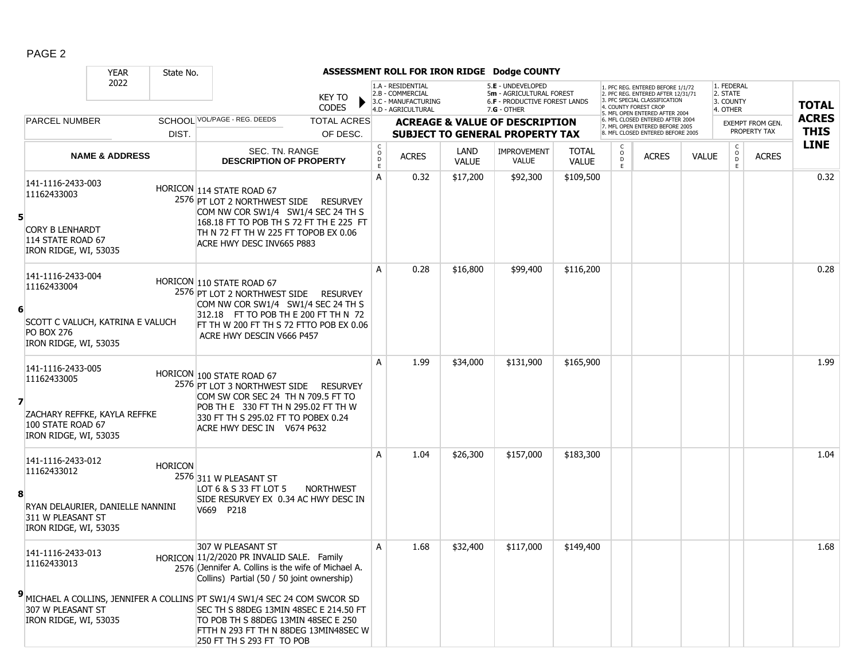|   |                                                                                                                    | <b>YEAR</b>               | State No.      |                                                                                                                                                                                                                                                                                                                                                                                                        |                               |                                                 |                                                                                    |                      | ASSESSMENT ROLL FOR IRON RIDGE Dodge COUNTY                                                            |                              |                    |                                                                                                                                   |              |                                                 |                                         |                             |
|---|--------------------------------------------------------------------------------------------------------------------|---------------------------|----------------|--------------------------------------------------------------------------------------------------------------------------------------------------------------------------------------------------------------------------------------------------------------------------------------------------------------------------------------------------------------------------------------------------------|-------------------------------|-------------------------------------------------|------------------------------------------------------------------------------------|----------------------|--------------------------------------------------------------------------------------------------------|------------------------------|--------------------|-----------------------------------------------------------------------------------------------------------------------------------|--------------|-------------------------------------------------|-----------------------------------------|-----------------------------|
|   |                                                                                                                    | 2022                      |                |                                                                                                                                                                                                                                                                                                                                                                                                        | <b>KEY TO</b><br><b>CODES</b> |                                                 | 1.A - RESIDENTIAL<br>2.B - COMMERCIAL<br>3.C - MANUFACTURING<br>4.D - AGRICULTURAL |                      | 5.E - UNDEVELOPED<br>5m - AGRICULTURAL FOREST<br><b>6.F - PRODUCTIVE FOREST LANDS</b><br>$7.G - OTHER$ |                              |                    | 1. PFC REG. ENTERED BEFORE 1/1/72<br>2. PFC REG. ENTERED AFTER 12/31/71<br>3. PFC SPECIAL CLASSIFICATION<br>1. COUNTY FOREST CROP |              | 1. FEDERAL<br>2. STATE<br>3. COUNTY<br>4. OTHER |                                         | <b>TOTAL</b>                |
|   | <b>PARCEL NUMBER</b>                                                                                               |                           |                | SCHOOL VOL/PAGE - REG. DEEDS                                                                                                                                                                                                                                                                                                                                                                           | <b>TOTAL ACRES</b>            |                                                 |                                                                                    |                      | <b>ACREAGE &amp; VALUE OF DESCRIPTION</b>                                                              |                              |                    | 5. MFL OPEN ENTERED AFTER 2004<br>6. MFL CLOSED ENTERED AFTER 2004<br>7. MFL OPEN ENTERED BEFORE 2005                             |              |                                                 | <b>EXEMPT FROM GEN.</b><br>PROPERTY TAX | <b>ACRES</b><br><b>THIS</b> |
|   |                                                                                                                    |                           | DIST.          |                                                                                                                                                                                                                                                                                                                                                                                                        | OF DESC.                      |                                                 |                                                                                    |                      | <b>SUBJECT TO GENERAL PROPERTY TAX</b>                                                                 |                              |                    | 8. MFL CLOSED ENTERED BEFORE 2005                                                                                                 |              | $\mathsf{C}$                                    |                                         | <b>LINE</b>                 |
|   |                                                                                                                    | <b>NAME &amp; ADDRESS</b> |                | SEC. TN. RANGE<br><b>DESCRIPTION OF PROPERTY</b>                                                                                                                                                                                                                                                                                                                                                       |                               | $\begin{matrix} 0 \\ 0 \\ D \end{matrix}$<br>E. | <b>ACRES</b>                                                                       | LAND<br><b>VALUE</b> | <b>IMPROVEMENT</b><br><b>VALUE</b>                                                                     | <b>TOTAL</b><br><b>VALUE</b> | $\circ$<br>D<br>E. | <b>ACRES</b>                                                                                                                      | <b>VALUE</b> | $\circ$<br>D<br>E                               | <b>ACRES</b>                            |                             |
| 5 | 141-1116-2433-003<br>11162433003<br><b>CORY B LENHARDT</b><br>114 STATE ROAD 67<br>IRON RIDGE, WI, 53035           |                           |                | HORICON 114 STATE ROAD 67<br>2576 PT LOT 2 NORTHWEST SIDE RESURVEY<br>COM NW COR SW1/4 SW1/4 SEC 24 TH S<br>168.18 FT TO POB TH S 72 FT TH E 225 FT<br>TH N 72 FT TH W 225 FT TOPOB EX 0.06<br>ACRE HWY DESC INV665 P883                                                                                                                                                                               |                               | A                                               | 0.32                                                                               | \$17,200             | \$92,300                                                                                               | \$109,500                    |                    |                                                                                                                                   |              |                                                 |                                         | 0.32                        |
| 6 | 141-1116-2433-004<br>11162433004<br>SCOTT C VALUCH, KATRINA E VALUCH<br><b>PO BOX 276</b><br>IRON RIDGE, WI, 53035 |                           |                | HORICON 110 STATE ROAD 67<br>2576 PT LOT 2 NORTHWEST SIDE RESURVEY<br>COM NW COR SW1/4 SW1/4 SEC 24 TH S<br>312.18 FT TO POB TH E 200 FT TH N 72<br>FT TH W 200 FT TH S 72 FTTO POB EX 0.06<br>ACRE HWY DESCIN V666 P457                                                                                                                                                                               |                               | A                                               | 0.28                                                                               | \$16,800             | \$99,400                                                                                               | \$116,200                    |                    |                                                                                                                                   |              |                                                 |                                         | 0.28                        |
| 7 | 141-1116-2433-005<br>11162433005<br>ZACHARY REFFKE, KAYLA REFFKE<br>100 STATE ROAD 67<br>IRON RIDGE, WI, 53035     |                           |                | HORICON 100 STATE ROAD 67<br>2576 PT LOT 3 NORTHWEST SIDE RESURVEY<br>COM SW COR SEC 24 TH N 709.5 FT TO<br>POB TH E 330 FT TH N 295.02 FT TH W<br>330 FT TH S 295.02 FT TO POBEX 0.24<br>ACRE HWY DESC IN V674 P632                                                                                                                                                                                   |                               | A                                               | 1.99                                                                               | \$34,000             | \$131,900                                                                                              | \$165,900                    |                    |                                                                                                                                   |              |                                                 |                                         | 1.99                        |
| 8 | 141-1116-2433-012<br>11162433012<br>RYAN DELAURIER, DANIELLE NANNINI<br>311 W PLEASANT ST<br>IRON RIDGE, WI, 53035 |                           | <b>HORICON</b> | 2576 311 W PLEASANT ST<br>LOT 6 & S 33 FT LOT 5<br>SIDE RESURVEY EX 0.34 AC HWY DESC IN<br>V669 P218                                                                                                                                                                                                                                                                                                   | <b>NORTHWEST</b>              | A                                               | 1.04                                                                               | \$26,300             | \$157,000                                                                                              | \$183,300                    |                    |                                                                                                                                   |              |                                                 |                                         | 1.04                        |
|   | 141-1116-2433-013<br>11162433013<br>307 W PLEASANT ST<br>IRON RIDGE, WI, 53035                                     |                           |                | 307 W PLEASANT ST<br>HORICON 11/2/2020 PR INVALID SALE. Family<br>2576 (Jennifer A. Collins is the wife of Michael A.<br>Collins) Partial (50 / 50 joint ownership)<br>MICHAEL A COLLINS, JENNIFER A COLLINS PT SW1/4 SW1/4 SEC 24 COM SWCOR SD<br>SEC TH S 88DEG 13MIN 48SEC E 214.50 FT<br>TO POB TH S 88DEG 13MIN 48SEC E 250<br>FTTH N 293 FT TH N 88DEG 13MIN48SEC W<br>250 FT TH S 293 FT TO POB |                               | A                                               | 1.68                                                                               | \$32,400             | \$117,000                                                                                              | \$149,400                    |                    |                                                                                                                                   |              |                                                 |                                         | 1.68                        |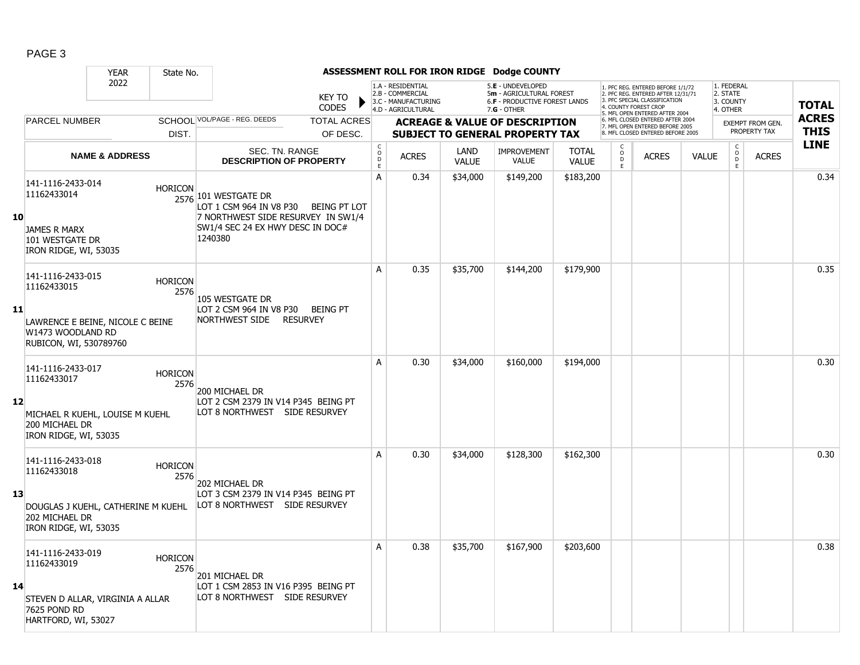|    |                                                                                                     | <b>YEAR</b>               | State No.              |                                                                                                                                                   |                               |                                            |                                                                                    |                      | ASSESSMENT ROLL FOR IRON RIDGE Dodge COUNTY                                                     |                              |                          |                                                                                                                                                                     |              |                                                          |                                         |                             |
|----|-----------------------------------------------------------------------------------------------------|---------------------------|------------------------|---------------------------------------------------------------------------------------------------------------------------------------------------|-------------------------------|--------------------------------------------|------------------------------------------------------------------------------------|----------------------|-------------------------------------------------------------------------------------------------|------------------------------|--------------------------|---------------------------------------------------------------------------------------------------------------------------------------------------------------------|--------------|----------------------------------------------------------|-----------------------------------------|-----------------------------|
|    |                                                                                                     | 2022                      |                        |                                                                                                                                                   | <b>KEY TO</b><br><b>CODES</b> |                                            | 1.A - RESIDENTIAL<br>2.B - COMMERCIAL<br>3.C - MANUFACTURING<br>4.D - AGRICULTURAL |                      | 5.E - UNDEVELOPED<br>5m - AGRICULTURAL FOREST<br>6.F - PRODUCTIVE FOREST LANDS<br>$7.G - OTHER$ |                              |                          | 1. PFC REG. ENTERED BEFORE 1/1/72<br>2. PFC REG. ENTERED AFTER 12/31/71<br>3. PFC SPECIAL CLASSIFICATION<br>4. COUNTY FOREST CROP<br>5. MFL OPEN ENTERED AFTER 2004 |              | 1. FEDERAL<br>2. STATE<br>3. COUNTY<br>4. OTHER          |                                         | <b>TOTAL</b>                |
|    | PARCEL NUMBER                                                                                       |                           |                        | SCHOOL VOL/PAGE - REG. DEEDS                                                                                                                      | <b>TOTAL ACRES</b>            |                                            |                                                                                    |                      | <b>ACREAGE &amp; VALUE OF DESCRIPTION</b>                                                       |                              |                          | 6. MFL CLOSED ENTERED AFTER 2004<br>7. MFL OPEN ENTERED BEFORE 2005<br>8 MFL CLOSED ENTERED BEFORE 2005                                                             |              |                                                          | <b>EXEMPT FROM GEN.</b><br>PROPERTY TAX | <b>ACRES</b><br><b>THIS</b> |
|    |                                                                                                     |                           | DIST.                  |                                                                                                                                                   | OF DESC.                      |                                            |                                                                                    |                      | <b>SUBJECT TO GENERAL PROPERTY TAX</b>                                                          |                              | C                        |                                                                                                                                                                     |              |                                                          |                                         | <b>LINE</b>                 |
|    |                                                                                                     | <b>NAME &amp; ADDRESS</b> |                        | SEC. TN. RANGE<br><b>DESCRIPTION OF PROPERTY</b>                                                                                                  |                               | $\begin{array}{c} C \\ O \\ E \end{array}$ | <b>ACRES</b>                                                                       | LAND<br><b>VALUE</b> | <b>IMPROVEMENT</b><br><b>VALUE</b>                                                              | <b>TOTAL</b><br><b>VALUE</b> | $_{\rm D}^{\rm O}$<br>E. | <b>ACRES</b>                                                                                                                                                        | <b>VALUE</b> | $\begin{matrix} C \\ 0 \\ D \end{matrix}$<br>$\mathsf E$ | <b>ACRES</b>                            |                             |
| 10 | 141-1116-2433-014<br>11162433014<br><b>JAMES R MARX</b><br>101 WESTGATE DR<br>IRON RIDGE, WI, 53035 |                           | <b>HORICON</b>         | 2576 101 WESTGATE DR<br>LOT 1 CSM 964 IN V8 P30 BEING PT LOT<br>7 NORTHWEST SIDE RESURVEY IN SW1/4<br>SW1/4 SEC 24 EX HWY DESC IN DOC#<br>1240380 |                               | A                                          | 0.34                                                                               | \$34,000             | \$149,200                                                                                       | \$183,200                    |                          |                                                                                                                                                                     |              |                                                          |                                         | 0.34                        |
|    | 141-1116-2433-015<br>11162433015                                                                    |                           | <b>HORICON</b><br>2576 | 105 WESTGATE DR                                                                                                                                   |                               | A                                          | 0.35                                                                               | \$35,700             | \$144,200                                                                                       | \$179,900                    |                          |                                                                                                                                                                     |              |                                                          |                                         | 0.35                        |
| 11 | LAWRENCE E BEINE, NICOLE C BEINE<br>W1473 WOODLAND RD<br>RUBICON, WI, 530789760                     |                           |                        | LOT 2 CSM 964 IN V8 P30<br>NORTHWEST SIDE RESURVEY                                                                                                | <b>BEING PT</b>               |                                            |                                                                                    |                      |                                                                                                 |                              |                          |                                                                                                                                                                     |              |                                                          |                                         |                             |
|    | 141-1116-2433-017<br>11162433017                                                                    |                           | <b>HORICON</b><br>2576 | 200 MICHAEL DR                                                                                                                                    |                               | A                                          | 0.30                                                                               | \$34,000             | \$160,000                                                                                       | \$194,000                    |                          |                                                                                                                                                                     |              |                                                          |                                         | 0.30                        |
| 12 | MICHAEL R KUEHL, LOUISE M KUEHL<br>200 MICHAEL DR<br>IRON RIDGE, WI, 53035                          |                           |                        | LOT 2 CSM 2379 IN V14 P345 BEING PT<br>LOT 8 NORTHWEST SIDE RESURVEY                                                                              |                               |                                            |                                                                                    |                      |                                                                                                 |                              |                          |                                                                                                                                                                     |              |                                                          |                                         |                             |
|    | 141-1116-2433-018<br>11162433018                                                                    |                           | <b>HORICON</b><br>2576 | 202 MICHAEL DR                                                                                                                                    |                               | A                                          | 0.30                                                                               | \$34,000             | \$128,300                                                                                       | \$162,300                    |                          |                                                                                                                                                                     |              |                                                          |                                         | 0.30                        |
| 13 | DOUGLAS J KUEHL, CATHERINE M KUEHL<br>202 MICHAEL DR<br>IRON RIDGE, WI, 53035                       |                           |                        | LOT 3 CSM 2379 IN V14 P345 BEING PT<br>LOT 8 NORTHWEST SIDE RESURVEY                                                                              |                               |                                            |                                                                                    |                      |                                                                                                 |                              |                          |                                                                                                                                                                     |              |                                                          |                                         |                             |
| 14 | 141-1116-2433-019<br>11162433019<br>STEVEN D ALLAR, VIRGINIA A ALLAR                                |                           | <b>HORICON</b><br>2576 | 201 MICHAEL DR<br>LOT 1 CSM 2853 IN V16 P395 BEING PT<br>LOT 8 NORTHWEST SIDE RESURVEY                                                            |                               | A                                          | 0.38                                                                               | \$35,700             | \$167,900                                                                                       | \$203,600                    |                          |                                                                                                                                                                     |              |                                                          |                                         | 0.38                        |
|    | 7625 POND RD<br>HARTFORD, WI, 53027                                                                 |                           |                        |                                                                                                                                                   |                               |                                            |                                                                                    |                      |                                                                                                 |                              |                          |                                                                                                                                                                     |              |                                                          |                                         |                             |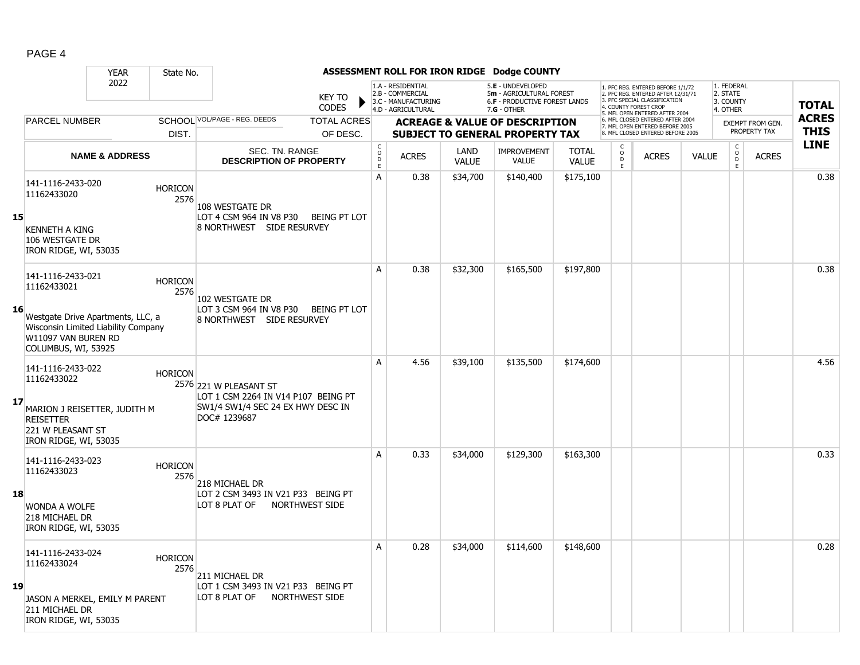|--|--|

|    |                                                                                                                                       | <b>YEAR</b>               | State No.              |                                                                                                                    |                               |                                             |                                                                                    |                      | ASSESSMENT ROLL FOR IRON RIDGE Dodge COUNTY                                                          |                              |                    |                                                                                                                                                                     |              |                                                        |                         |              |
|----|---------------------------------------------------------------------------------------------------------------------------------------|---------------------------|------------------------|--------------------------------------------------------------------------------------------------------------------|-------------------------------|---------------------------------------------|------------------------------------------------------------------------------------|----------------------|------------------------------------------------------------------------------------------------------|------------------------------|--------------------|---------------------------------------------------------------------------------------------------------------------------------------------------------------------|--------------|--------------------------------------------------------|-------------------------|--------------|
|    |                                                                                                                                       | 2022                      |                        |                                                                                                                    | <b>KEY TO</b><br><b>CODES</b> |                                             | 1.A - RESIDENTIAL<br>2.B - COMMERCIAL<br>3.C - MANUFACTURING<br>4.D - AGRICULTURAL |                      | 5.E - UNDEVELOPED<br>5m - AGRICULTURAL FOREST<br><b>6.F - PRODUCTIVE FOREST LANDS</b><br>7.G - OTHER |                              |                    | 1. PFC REG. ENTERED BEFORE 1/1/72<br>2. PFC REG. ENTERED AFTER 12/31/71<br>3. PFC SPECIAL CLASSIFICATION<br>4. COUNTY FOREST CROP<br>5. MFL OPEN ENTERED AFTER 2004 |              | 1. FEDERAL<br>2. STATE<br>3. COUNTY<br>4. OTHER        |                         | <b>TOTAL</b> |
|    | <b>PARCEL NUMBER</b>                                                                                                                  |                           |                        | SCHOOL VOL/PAGE - REG. DEEDS                                                                                       | <b>TOTAL ACRES</b>            |                                             |                                                                                    |                      | <b>ACREAGE &amp; VALUE OF DESCRIPTION</b>                                                            |                              |                    | 6. MFL CLOSED ENTERED AFTER 2004<br>7. MFL OPEN ENTERED BEFORE 2005                                                                                                 |              |                                                        | <b>EXEMPT FROM GEN.</b> | <b>ACRES</b> |
|    |                                                                                                                                       |                           | DIST.                  |                                                                                                                    | OF DESC.                      |                                             |                                                                                    |                      | <b>SUBJECT TO GENERAL PROPERTY TAX</b>                                                               |                              |                    | 8. MFL CLOSED ENTERED BEFORE 2005                                                                                                                                   |              |                                                        | PROPERTY TAX            | <b>THIS</b>  |
|    |                                                                                                                                       | <b>NAME &amp; ADDRESS</b> |                        | SEC. TN. RANGE<br><b>DESCRIPTION OF PROPERTY</b>                                                                   |                               | $\mathsf C$<br>$\circ$<br>$\mathsf D$<br>E. | <b>ACRES</b>                                                                       | LAND<br><b>VALUE</b> | <b>IMPROVEMENT</b><br><b>VALUE</b>                                                                   | <b>TOTAL</b><br><b>VALUE</b> | $\frac{0}{D}$<br>E | <b>ACRES</b>                                                                                                                                                        | <b>VALUE</b> | $\mathsf C$<br>$\overset{\mathsf{O}}{\mathsf{D}}$<br>E | <b>ACRES</b>            | <b>LINE</b>  |
| 15 | 141-1116-2433-020<br>11162433020<br><b>KENNETH A KING</b><br>106 WESTGATE DR                                                          |                           | <b>HORICON</b><br>2576 | 108 WESTGATE DR<br>LOT 4 CSM 964 IN V8 P30<br>8 NORTHWEST SIDE RESURVEY                                            | BEING PT LOT                  | A                                           | 0.38                                                                               | \$34,700             | \$140,400                                                                                            | \$175,100                    |                    |                                                                                                                                                                     |              |                                                        |                         | 0.38         |
|    | IRON RIDGE, WI, 53035<br>141-1116-2433-021                                                                                            |                           | <b>HORICON</b>         |                                                                                                                    |                               | A                                           | 0.38                                                                               | \$32,300             | \$165,500                                                                                            | \$197,800                    |                    |                                                                                                                                                                     |              |                                                        |                         | 0.38         |
| 16 | 11162433021<br>Westgate Drive Apartments, LLC, a<br>Wisconsin Limited Liability Company<br>W11097 VAN BUREN RD<br>COLUMBUS, WI, 53925 |                           | 2576                   | 102 WESTGATE DR<br>LOT 3 CSM 964 IN V8 P30<br>8 NORTHWEST SIDE RESURVEY                                            | <b>BEING PT LOT</b>           |                                             |                                                                                    |                      |                                                                                                      |                              |                    |                                                                                                                                                                     |              |                                                        |                         |              |
| 17 | 141-1116-2433-022<br>11162433022<br>MARION J REISETTER, JUDITH M<br><b>REISETTER</b><br>221 W PLEASANT ST<br>IRON RIDGE, WI, 53035    |                           | <b>HORICON</b>         | 2576 221 W PLEASANT ST<br>LOT 1 CSM 2264 IN V14 P107 BEING PT<br>SW1/4 SW1/4 SEC 24 EX HWY DESC IN<br>DOC# 1239687 |                               | A                                           | 4.56                                                                               | \$39,100             | \$135,500                                                                                            | \$174,600                    |                    |                                                                                                                                                                     |              |                                                        |                         | 4.56         |
| 18 | 141-1116-2433-023<br>11162433023<br><b>WONDA A WOLFE</b><br>218 MICHAEL DR<br>IRON RIDGE, WI, 53035                                   |                           | <b>HORICON</b><br>2576 | 218 MICHAEL DR<br>LOT 2 CSM 3493 IN V21 P33 BEING PT<br>LOT 8 PLAT OF<br><b>NORTHWEST SIDE</b>                     |                               | A                                           | 0.33                                                                               | \$34,000             | \$129,300                                                                                            | \$163,300                    |                    |                                                                                                                                                                     |              |                                                        |                         | 0.33         |
| 19 | 141-1116-2433-024<br>11162433024<br>JASON A MERKEL, EMILY M PARENT<br>211 MICHAEL DR<br>IRON RIDGE, WI, 53035                         |                           | <b>HORICON</b><br>2576 | 211 MICHAEL DR<br>LOT 1 CSM 3493 IN V21 P33 BEING PT<br>NORTHWEST SIDE<br>LOT 8 PLAT OF                            |                               | А                                           | 0.28                                                                               | \$34,000             | \$114,600                                                                                            | \$148,600                    |                    |                                                                                                                                                                     |              |                                                        |                         | 0.28         |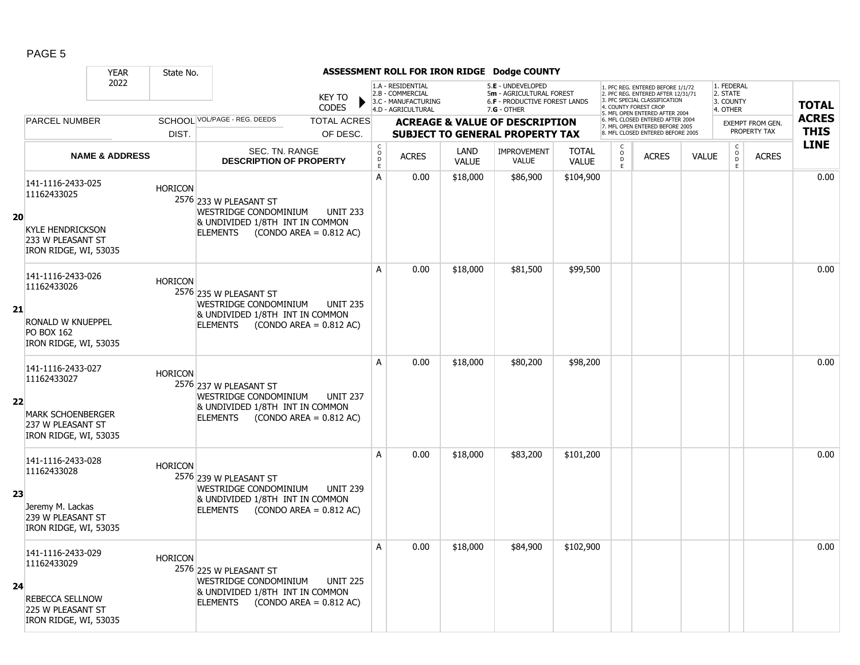|    |                                                                                                            | <b>YEAR</b>               | State No.      |                                                                                                                          |                                              |                                                |                                                                                    |                      | ASSESSMENT ROLL FOR IRON RIDGE Dodge COUNTY                                                     |                       |                                   |                                                                                                                                                                    |              |                                                 |                         |              |
|----|------------------------------------------------------------------------------------------------------------|---------------------------|----------------|--------------------------------------------------------------------------------------------------------------------------|----------------------------------------------|------------------------------------------------|------------------------------------------------------------------------------------|----------------------|-------------------------------------------------------------------------------------------------|-----------------------|-----------------------------------|--------------------------------------------------------------------------------------------------------------------------------------------------------------------|--------------|-------------------------------------------------|-------------------------|--------------|
|    |                                                                                                            | 2022                      |                |                                                                                                                          | <b>KEY TO</b><br><b>CODES</b>                |                                                | 1.A - RESIDENTIAL<br>2.B - COMMERCIAL<br>3.C - MANUFACTURING<br>4.D - AGRICULTURAL |                      | 5.E - UNDEVELOPED<br>5m - AGRICULTURAL FOREST<br>6.F - PRODUCTIVE FOREST LANDS<br>$7.G - OTHER$ |                       |                                   | . PFC REG. ENTERED BEFORE 1/1/72<br>2. PFC REG. ENTERED AFTER 12/31/71<br>3. PFC SPECIAL CLASSIFICATION<br>4. COUNTY FOREST CROP<br>5. MFL OPEN ENTERED AFTER 2004 |              | 1. FEDERAL<br>2. STATE<br>3. COUNTY<br>4. OTHER |                         | <b>TOTAL</b> |
|    | <b>PARCEL NUMBER</b>                                                                                       |                           |                | SCHOOL VOL/PAGE - REG. DEEDS                                                                                             | <b>TOTAL ACRES</b>                           |                                                |                                                                                    |                      | <b>ACREAGE &amp; VALUE OF DESCRIPTION</b>                                                       |                       |                                   | 6. MFL CLOSED ENTERED AFTER 2004<br>7. MFL OPEN ENTERED BEFORE 2005                                                                                                |              |                                                 | <b>EXEMPT FROM GEN.</b> | <b>ACRES</b> |
|    |                                                                                                            |                           | DIST.          |                                                                                                                          | OF DESC.                                     |                                                |                                                                                    |                      | <b>SUBJECT TO GENERAL PROPERTY TAX</b>                                                          |                       |                                   | 8. MFL CLOSED ENTERED BEFORE 2005                                                                                                                                  |              |                                                 | PROPERTY TAX            | <b>THIS</b>  |
|    |                                                                                                            | <b>NAME &amp; ADDRESS</b> |                | SEC. TN. RANGE<br><b>DESCRIPTION OF PROPERTY</b>                                                                         |                                              | $\begin{matrix} 0 \\ 0 \\ D \end{matrix}$<br>E | <b>ACRES</b>                                                                       | LAND<br><b>VALUE</b> | <b>IMPROVEMENT</b><br><b>VALUE</b>                                                              | <b>TOTAL</b><br>VALUE | C<br>$\circ$<br>D<br>$\mathsf{E}$ | <b>ACRES</b>                                                                                                                                                       | <b>VALUE</b> | $\rm _o^C$<br>D<br>E.                           | <b>ACRES</b>            | <b>LINE</b>  |
| 20 | 141-1116-2433-025<br>11162433025<br><b>KYLE HENDRICKSON</b><br>233 W PLEASANT ST<br>IRON RIDGE, WI, 53035  |                           | <b>HORICON</b> | 2576 233 W PLEASANT ST<br>WESTRIDGE CONDOMINIUM<br>& UNDIVIDED 1/8TH INT IN COMMON<br><b>ELEMENTS</b>                    | <b>UNIT 233</b><br>$(CONDO AREA = 0.812 AC)$ | A                                              | 0.00                                                                               | \$18,000             | \$86,900                                                                                        | \$104,900             |                                   |                                                                                                                                                                    |              |                                                 |                         | 0.00         |
| 21 | 141-1116-2433-026<br>11162433026<br>RONALD W KNUEPPEL<br>PO BOX 162<br>IRON RIDGE, WI, 53035               |                           | <b>HORICON</b> | 2576 235 W PLEASANT ST<br>WESTRIDGE CONDOMINIUM<br>& UNDIVIDED 1/8TH INT IN COMMON<br><b>ELEMENTS</b>                    | <b>UNIT 235</b><br>$(CONDO AREA = 0.812 AC)$ | A                                              | 0.00                                                                               | \$18,000             | \$81,500                                                                                        | \$99,500              |                                   |                                                                                                                                                                    |              |                                                 |                         | 0.00         |
| 22 | 141-1116-2433-027<br>11162433027<br><b>MARK SCHOENBERGER</b><br>237 W PLEASANT ST<br>IRON RIDGE, WI, 53035 |                           | <b>HORICON</b> | 2576 237 W PLEASANT ST<br>WESTRIDGE CONDOMINIUM<br>& UNDIVIDED 1/8TH INT IN COMMON<br><b>ELEMENTS</b>                    | <b>UNIT 237</b><br>$(CONDO AREA = 0.812 AC)$ | A                                              | 0.00                                                                               | \$18,000             | \$80,200                                                                                        | \$98,200              |                                   |                                                                                                                                                                    |              |                                                 |                         | 0.00         |
| 23 | 141-1116-2433-028<br>11162433028<br>Jeremy M. Lackas<br>239 W PLEASANT ST<br>IRON RIDGE, WI, 53035         |                           | <b>HORICON</b> | 2576 239 W PLEASANT ST<br>WESTRIDGE CONDOMINIUM<br>& UNDIVIDED 1/8TH INT IN COMMON<br>ELEMENTS (CONDO AREA = $0.812$ AC) | <b>UNIT 239</b>                              | A                                              | 0.00                                                                               | \$18,000             | \$83,200                                                                                        | \$101,200             |                                   |                                                                                                                                                                    |              |                                                 |                         | 0.00         |
| 24 | 141-1116-2433-029<br>11162433029<br>REBECCA SELLNOW<br>225 W PLEASANT ST<br>IRON RIDGE, WI, 53035          |                           | <b>HORICON</b> | 2576 225 W PLEASANT ST<br>WESTRIDGE CONDOMINIUM<br>& UNDIVIDED 1/8TH INT IN COMMON<br><b>ELEMENTS</b>                    | <b>UNIT 225</b><br>$(CONDO AREA = 0.812 AC)$ | A                                              | 0.00                                                                               | \$18,000             | \$84,900                                                                                        | \$102,900             |                                   |                                                                                                                                                                    |              |                                                 |                         | 0.00         |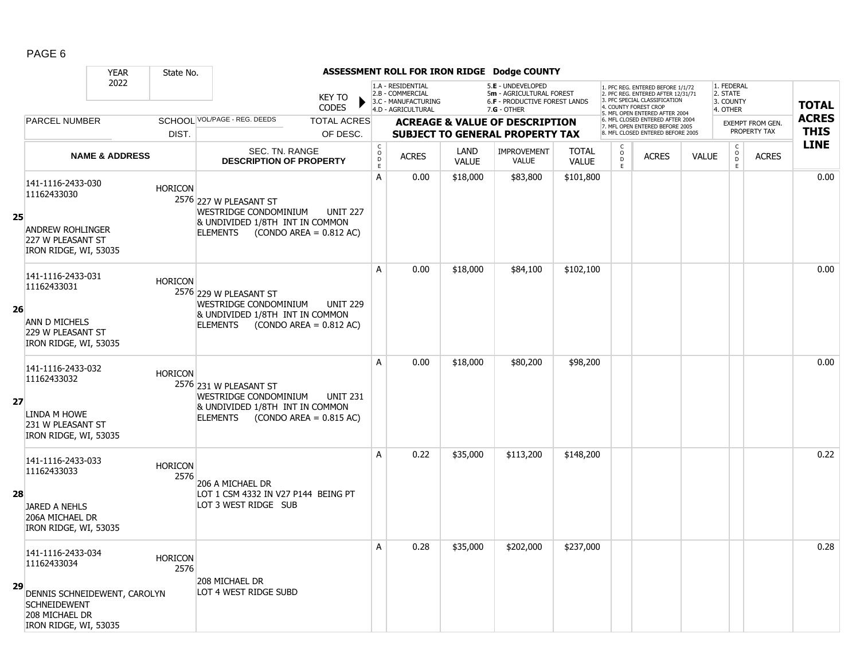|    |                                                                                                                                    | <b>YEAR</b>               | State No.              |                                                                                                       |                                              |                                            |                                                                                    |                      | ASSESSMENT ROLL FOR IRON RIDGE Dodge COUNTY                                                            |                              |                                       |                                                                                                                                                                     |              |                                                 |                         |              |
|----|------------------------------------------------------------------------------------------------------------------------------------|---------------------------|------------------------|-------------------------------------------------------------------------------------------------------|----------------------------------------------|--------------------------------------------|------------------------------------------------------------------------------------|----------------------|--------------------------------------------------------------------------------------------------------|------------------------------|---------------------------------------|---------------------------------------------------------------------------------------------------------------------------------------------------------------------|--------------|-------------------------------------------------|-------------------------|--------------|
|    |                                                                                                                                    | 2022                      |                        |                                                                                                       | <b>KEY TO</b><br>CODES                       |                                            | 1.A - RESIDENTIAL<br>2.B - COMMERCIAL<br>3.C - MANUFACTURING<br>4.D - AGRICULTURAL |                      | 5.E - UNDEVELOPED<br>5m - AGRICULTURAL FOREST<br><b>6.F - PRODUCTIVE FOREST LANDS</b><br>$7.G - OTHER$ |                              |                                       | 1. PFC REG. ENTERED BEFORE 1/1/72<br>2. PFC REG. ENTERED AFTER 12/31/71<br>3. PFC SPECIAL CLASSIFICATION<br>4. COUNTY FOREST CROP<br>5. MFL OPEN ENTERED AFTER 2004 |              | 1. FEDERAL<br>2. STATE<br>3. COUNTY<br>4. OTHER |                         | <b>TOTAL</b> |
|    | <b>PARCEL NUMBER</b>                                                                                                               |                           |                        | SCHOOL VOL/PAGE - REG. DEEDS                                                                          | <b>TOTAL ACRES</b>                           |                                            |                                                                                    |                      | <b>ACREAGE &amp; VALUE OF DESCRIPTION</b>                                                              |                              |                                       | 6. MFL CLOSED ENTERED AFTER 2004<br>7. MFL OPEN ENTERED BEFORE 2005                                                                                                 |              |                                                 | <b>EXEMPT FROM GEN.</b> | <b>ACRES</b> |
|    |                                                                                                                                    |                           | DIST.                  |                                                                                                       | OF DESC.                                     |                                            |                                                                                    |                      | <b>SUBJECT TO GENERAL PROPERTY TAX</b>                                                                 |                              |                                       | 8. MFL CLOSED ENTERED BEFORE 2005                                                                                                                                   |              |                                                 | PROPERTY TAX            | <b>THIS</b>  |
|    |                                                                                                                                    | <b>NAME &amp; ADDRESS</b> |                        | SEC. TN. RANGE<br><b>DESCRIPTION OF PROPERTY</b>                                                      |                                              | $\begin{array}{c} C \\ O \\ E \end{array}$ | <b>ACRES</b>                                                                       | LAND<br><b>VALUE</b> | <b>IMPROVEMENT</b><br>VALUE                                                                            | <b>TOTAL</b><br><b>VALUE</b> | C<br>$\overline{0}$<br>$\mathsf{E}^-$ | <b>ACRES</b>                                                                                                                                                        | <b>VALUE</b> | $\mathsf{C}$<br>$\mathsf O$<br>D<br>E           | <b>ACRES</b>            | <b>LINE</b>  |
| 25 | 141-1116-2433-030<br>11162433030<br><b>ANDREW ROHLINGER</b><br>227 W PLEASANT ST<br>IRON RIDGE, WI, 53035                          |                           | <b>HORICON</b>         | 2576 227 W PLEASANT ST<br>WESTRIDGE CONDOMINIUM<br>& UNDIVIDED 1/8TH INT IN COMMON<br><b>ELEMENTS</b> | <b>UNIT 227</b><br>$(CONDO AREA = 0.812 AC)$ | A                                          | 0.00                                                                               | \$18,000             | \$83,800                                                                                               | \$101,800                    |                                       |                                                                                                                                                                     |              |                                                 |                         | 0.00         |
| 26 | 141-1116-2433-031<br>11162433031<br>ANN D MICHELS<br>229 W PLEASANT ST<br>IRON RIDGE, WI, 53035                                    |                           | <b>HORICON</b>         | 2576 229 W PLEASANT ST<br>WESTRIDGE CONDOMINIUM<br>& UNDIVIDED 1/8TH INT IN COMMON<br><b>ELEMENTS</b> | <b>UNIT 229</b><br>$(CONDO AREA = 0.812 AC)$ | A                                          | 0.00                                                                               | \$18,000             | \$84,100                                                                                               | \$102,100                    |                                       |                                                                                                                                                                     |              |                                                 |                         | 0.00         |
| 27 | 141-1116-2433-032<br>11162433032<br>LINDA M HOWE<br>231 W PLEASANT ST<br>IRON RIDGE, WI, 53035                                     |                           | <b>HORICON</b>         | 2576 231 W PLEASANT ST<br>WESTRIDGE CONDOMINIUM<br>& UNDIVIDED 1/8TH INT IN COMMON<br><b>ELEMENTS</b> | <b>UNIT 231</b><br>$(CONDO AREA = 0.815 AC)$ | A                                          | 0.00                                                                               | \$18,000             | \$80,200                                                                                               | \$98,200                     |                                       |                                                                                                                                                                     |              |                                                 |                         | 0.00         |
| 28 | 141-1116-2433-033<br>11162433033<br><b>JARED A NEHLS</b><br>206A MICHAEL DR<br>IRON RIDGE, WI, 53035                               |                           | <b>HORICON</b><br>2576 | 206 A MICHAEL DR<br>LOT 1 CSM 4332 IN V27 P144 BEING PT<br>LOT 3 WEST RIDGE SUB                       |                                              | A                                          | 0.22                                                                               | \$35,000             | \$113,200                                                                                              | \$148,200                    |                                       |                                                                                                                                                                     |              |                                                 |                         | 0.22         |
| 29 | 141-1116-2433-034<br>11162433034<br>DENNIS SCHNEIDEWENT, CAROLYN<br><b>SCHNEIDEWENT</b><br>208 MICHAEL DR<br>IRON RIDGE, WI, 53035 |                           | <b>HORICON</b><br>2576 | 208 MICHAEL DR<br>LOT 4 WEST RIDGE SUBD                                                               |                                              | A                                          | 0.28                                                                               | \$35,000             | \$202,000                                                                                              | \$237,000                    |                                       |                                                                                                                                                                     |              |                                                 |                         | 0.28         |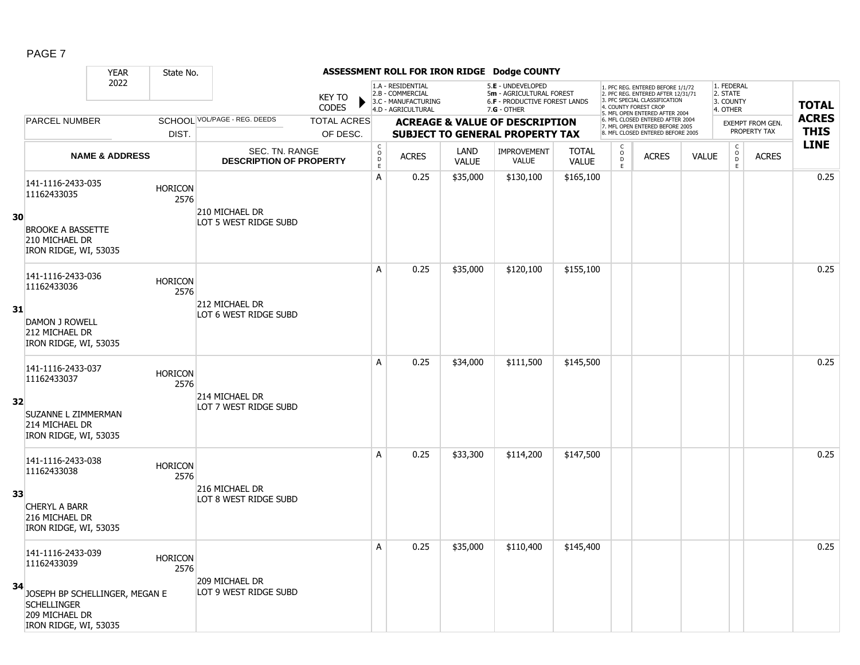|    |                                                                                                 | <b>YEAR</b>               | State No.              |                                                  |                               |                                   |                                                                                    |                      | ASSESSMENT ROLL FOR IRON RIDGE Dodge COUNTY                                                            |                              |                                                          |                                                                                                                                                                     |              |                                                          |                         |              |
|----|-------------------------------------------------------------------------------------------------|---------------------------|------------------------|--------------------------------------------------|-------------------------------|-----------------------------------|------------------------------------------------------------------------------------|----------------------|--------------------------------------------------------------------------------------------------------|------------------------------|----------------------------------------------------------|---------------------------------------------------------------------------------------------------------------------------------------------------------------------|--------------|----------------------------------------------------------|-------------------------|--------------|
|    |                                                                                                 | 2022                      |                        |                                                  | <b>KEY TO</b><br><b>CODES</b> |                                   | 1.A - RESIDENTIAL<br>2.B - COMMERCIAL<br>3.C - MANUFACTURING<br>4.D - AGRICULTURAL |                      | 5.E - UNDEVELOPED<br>5m - AGRICULTURAL FOREST<br><b>6.F - PRODUCTIVE FOREST LANDS</b><br>$7.G - OTHER$ |                              |                                                          | 1. PFC REG. ENTERED BEFORE 1/1/72<br>2. PFC REG. ENTERED AFTER 12/31/71<br>3. PFC SPECIAL CLASSIFICATION<br>4. COUNTY FOREST CROP<br>5. MFL OPEN ENTERED AFTER 2004 |              | 1. FEDERAL<br>2. STATE<br>3. COUNTY<br>4. OTHER          |                         | <b>TOTAL</b> |
|    | <b>PARCEL NUMBER</b>                                                                            |                           |                        | SCHOOL VOL/PAGE - REG. DEEDS                     | <b>TOTAL ACRES</b>            |                                   |                                                                                    |                      | <b>ACREAGE &amp; VALUE OF DESCRIPTION</b>                                                              |                              |                                                          | 6. MFL CLOSED ENTERED AFTER 2004                                                                                                                                    |              |                                                          | <b>EXEMPT FROM GEN.</b> | <b>ACRES</b> |
|    |                                                                                                 |                           | DIST.                  |                                                  | OF DESC.                      |                                   |                                                                                    |                      | <b>SUBJECT TO GENERAL PROPERTY TAX</b>                                                                 |                              |                                                          | 7. MFL OPEN ENTERED BEFORE 2005<br>8. MFL CLOSED ENTERED BEFORE 2005                                                                                                |              |                                                          | PROPERTY TAX            | <b>THIS</b>  |
|    |                                                                                                 | <b>NAME &amp; ADDRESS</b> |                        | SEC. TN. RANGE<br><b>DESCRIPTION OF PROPERTY</b> |                               | $\mathsf{C}$<br>$\circ$<br>D<br>E | <b>ACRES</b>                                                                       | LAND<br><b>VALUE</b> | IMPROVEMENT<br><b>VALUE</b>                                                                            | <b>TOTAL</b><br><b>VALUE</b> | $\begin{matrix} 0 \\ 0 \\ D \end{matrix}$<br>$\mathsf E$ | <b>ACRES</b>                                                                                                                                                        | <b>VALUE</b> | $\begin{matrix} 0 \\ 0 \\ 0 \end{matrix}$<br>$\mathsf E$ | <b>ACRES</b>            | <b>LINE</b>  |
| 30 | 141-1116-2433-035<br>11162433035                                                                |                           | <b>HORICON</b><br>2576 | 210 MICHAEL DR<br>LOT 5 WEST RIDGE SUBD          |                               | А                                 | 0.25                                                                               | \$35,000             | \$130,100                                                                                              | \$165,100                    |                                                          |                                                                                                                                                                     |              |                                                          |                         | 0.25         |
|    | <b>BROOKE A BASSETTE</b><br>210 MICHAEL DR<br>IRON RIDGE, WI, 53035                             |                           |                        |                                                  |                               |                                   |                                                                                    |                      |                                                                                                        |                              |                                                          |                                                                                                                                                                     |              |                                                          |                         |              |
|    | 141-1116-2433-036<br>11162433036                                                                |                           | <b>HORICON</b><br>2576 |                                                  |                               | A                                 | 0.25                                                                               | \$35,000             | \$120,100                                                                                              | \$155,100                    |                                                          |                                                                                                                                                                     |              |                                                          |                         | 0.25         |
| 31 | <b>DAMON J ROWELL</b><br>212 MICHAEL DR<br>IRON RIDGE, WI, 53035                                |                           |                        | 212 MICHAEL DR<br>LOT 6 WEST RIDGE SUBD          |                               |                                   |                                                                                    |                      |                                                                                                        |                              |                                                          |                                                                                                                                                                     |              |                                                          |                         |              |
|    | 141-1116-2433-037<br>11162433037                                                                |                           | <b>HORICON</b><br>2576 | 214 MICHAEL DR                                   |                               | A                                 | 0.25                                                                               | \$34,000             | \$111,500                                                                                              | \$145,500                    |                                                          |                                                                                                                                                                     |              |                                                          |                         | 0.25         |
| 32 | SUZANNE L ZIMMERMAN<br>214 MICHAEL DR<br>IRON RIDGE, WI, 53035                                  |                           |                        | LOT 7 WEST RIDGE SUBD                            |                               |                                   |                                                                                    |                      |                                                                                                        |                              |                                                          |                                                                                                                                                                     |              |                                                          |                         |              |
|    | 141-1116-2433-038<br>11162433038                                                                |                           | <b>HORICON</b><br>2576 |                                                  |                               | A                                 | 0.25                                                                               | \$33,300             | \$114,200                                                                                              | \$147,500                    |                                                          |                                                                                                                                                                     |              |                                                          |                         | 0.25         |
| 33 | <b>CHERYL A BARR</b><br>216 MICHAEL DR<br>IRON RIDGE, WI, 53035                                 |                           |                        | 216 MICHAEL DR<br>LOT 8 WEST RIDGE SUBD          |                               |                                   |                                                                                    |                      |                                                                                                        |                              |                                                          |                                                                                                                                                                     |              |                                                          |                         |              |
|    | 141-1116-2433-039<br>11162433039                                                                |                           | <b>HORICON</b><br>2576 | 209 MICHAEL DR                                   |                               | A                                 | 0.25                                                                               | \$35,000             | \$110,400                                                                                              | \$145,400                    |                                                          |                                                                                                                                                                     |              |                                                          |                         | 0.25         |
| 34 | JOSEPH BP SCHELLINGER, MEGAN E<br><b>SCHELLINGER</b><br>209 MICHAEL DR<br>IRON RIDGE, WI, 53035 |                           |                        | LOT 9 WEST RIDGE SUBD                            |                               |                                   |                                                                                    |                      |                                                                                                        |                              |                                                          |                                                                                                                                                                     |              |                                                          |                         |              |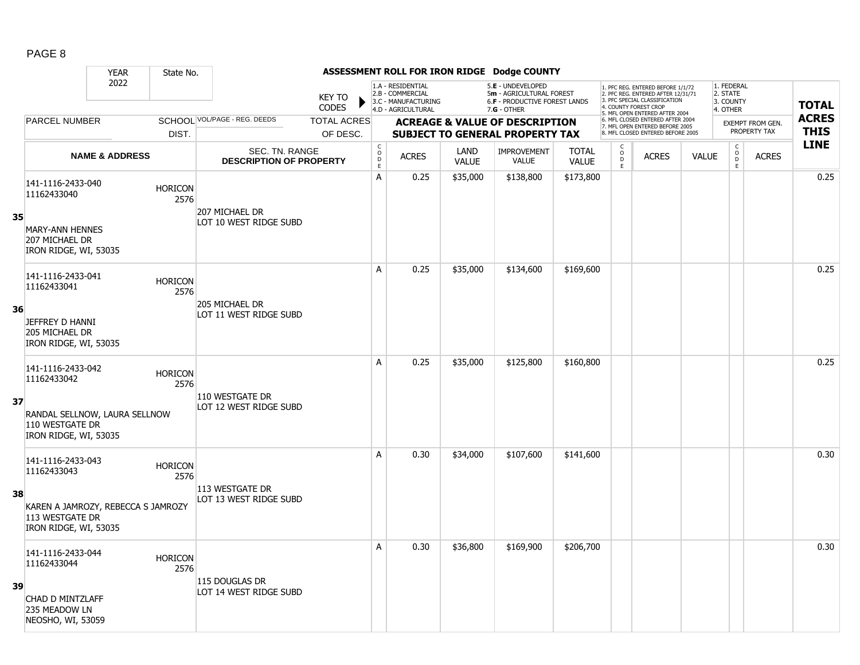|    |                                                                                | <b>YEAR</b>               | State No.              |                                                  |                               |                                            |                                                                                    |                      | ASSESSMENT ROLL FOR IRON RIDGE Dodge COUNTY                                                     |                              |                                                |                                                                                                                                   |              |                                                 |                                         |                             |
|----|--------------------------------------------------------------------------------|---------------------------|------------------------|--------------------------------------------------|-------------------------------|--------------------------------------------|------------------------------------------------------------------------------------|----------------------|-------------------------------------------------------------------------------------------------|------------------------------|------------------------------------------------|-----------------------------------------------------------------------------------------------------------------------------------|--------------|-------------------------------------------------|-----------------------------------------|-----------------------------|
|    |                                                                                | 2022                      |                        |                                                  | <b>KEY TO</b><br><b>CODES</b> |                                            | 1.A - RESIDENTIAL<br>2.B - COMMERCIAL<br>3.C - MANUFACTURING<br>4.D - AGRICULTURAL |                      | 5.E - UNDEVELOPED<br>5m - AGRICULTURAL FOREST<br>6.F - PRODUCTIVE FOREST LANDS<br>$7.G - OTHER$ |                              |                                                | 1. PFC REG. ENTERED BEFORE 1/1/72<br>2. PFC REG. ENTERED AFTER 12/31/71<br>3. PFC SPECIAL CLASSIFICATION<br>4. COUNTY FOREST CROP |              | 1. FEDERAL<br>2. STATE<br>3. COUNTY<br>4. OTHER |                                         | <b>TOTAL</b>                |
|    | <b>PARCEL NUMBER</b>                                                           |                           |                        | SCHOOL VOL/PAGE - REG. DEEDS                     | <b>TOTAL ACRES</b>            |                                            |                                                                                    |                      | <b>ACREAGE &amp; VALUE OF DESCRIPTION</b>                                                       |                              |                                                | 5. MFL OPEN ENTERED AFTER 2004<br>6. MFL CLOSED ENTERED AFTER 2004<br>7. MFL OPEN ENTERED BEFORE 2005                             |              |                                                 | <b>EXEMPT FROM GEN.</b><br>PROPERTY TAX | <b>ACRES</b><br><b>THIS</b> |
|    |                                                                                |                           | DIST.                  |                                                  | OF DESC.                      |                                            |                                                                                    |                      | <b>SUBJECT TO GENERAL PROPERTY TAX</b>                                                          |                              |                                                | 8. MFL CLOSED ENTERED BEFORE 2005                                                                                                 |              |                                                 |                                         |                             |
|    |                                                                                | <b>NAME &amp; ADDRESS</b> |                        | SEC. TN. RANGE<br><b>DESCRIPTION OF PROPERTY</b> |                               | $\begin{array}{c} C \\ O \\ E \end{array}$ | <b>ACRES</b>                                                                       | LAND<br><b>VALUE</b> | <b>IMPROVEMENT</b><br><b>VALUE</b>                                                              | <b>TOTAL</b><br><b>VALUE</b> | $\begin{matrix} 0 \\ 0 \\ 0 \end{matrix}$<br>E | <b>ACRES</b>                                                                                                                      | <b>VALUE</b> | $\mathsf{C}$<br>$\mathsf{O}$<br>D<br>E          | <b>ACRES</b>                            | <b>LINE</b>                 |
|    | 141-1116-2433-040<br>11162433040                                               |                           | <b>HORICON</b><br>2576 |                                                  |                               | A                                          | 0.25                                                                               | \$35,000             | \$138,800                                                                                       | \$173,800                    |                                                |                                                                                                                                   |              |                                                 |                                         | 0.25                        |
| 35 | <b>MARY-ANN HENNES</b><br>207 MICHAEL DR<br>IRON RIDGE, WI, 53035              |                           |                        | 207 MICHAEL DR<br>LOT 10 WEST RIDGE SUBD         |                               |                                            |                                                                                    |                      |                                                                                                 |                              |                                                |                                                                                                                                   |              |                                                 |                                         |                             |
|    | 141-1116-2433-041<br>11162433041                                               |                           | <b>HORICON</b><br>2576 |                                                  |                               | A                                          | 0.25                                                                               | \$35,000             | \$134,600                                                                                       | \$169,600                    |                                                |                                                                                                                                   |              |                                                 |                                         | 0.25                        |
| 36 | <b>JEFFREY D HANNI</b><br>205 MICHAEL DR<br>IRON RIDGE, WI, 53035              |                           |                        | 205 MICHAEL DR<br>LOT 11 WEST RIDGE SUBD         |                               |                                            |                                                                                    |                      |                                                                                                 |                              |                                                |                                                                                                                                   |              |                                                 |                                         |                             |
|    | 141-1116-2433-042<br>11162433042                                               |                           | <b>HORICON</b><br>2576 |                                                  |                               | A                                          | 0.25                                                                               | \$35,000             | \$125,800                                                                                       | \$160,800                    |                                                |                                                                                                                                   |              |                                                 |                                         | 0.25                        |
| 37 | RANDAL SELLNOW, LAURA SELLNOW<br>110 WESTGATE DR<br>IRON RIDGE, WI, 53035      |                           |                        | 110 WESTGATE DR<br>LOT 12 WEST RIDGE SUBD        |                               |                                            |                                                                                    |                      |                                                                                                 |                              |                                                |                                                                                                                                   |              |                                                 |                                         |                             |
|    | 141-1116-2433-043<br>11162433043                                               |                           | <b>HORICON</b><br>2576 |                                                  |                               | A                                          | 0.30                                                                               | \$34,000             | \$107,600                                                                                       | \$141,600                    |                                                |                                                                                                                                   |              |                                                 |                                         | 0.30                        |
| 38 | KAREN A JAMROZY, REBECCA S JAMROZY<br>113 WESTGATE DR<br>IRON RIDGE, WI, 53035 |                           |                        | 113 WESTGATE DR<br>LOT 13 WEST RIDGE SUBD        |                               |                                            |                                                                                    |                      |                                                                                                 |                              |                                                |                                                                                                                                   |              |                                                 |                                         |                             |
|    | 141-1116-2433-044<br>11162433044                                               |                           | <b>HORICON</b><br>2576 | 115 DOUGLAS DR                                   |                               | A                                          | 0.30                                                                               | \$36,800             | \$169,900                                                                                       | \$206,700                    |                                                |                                                                                                                                   |              |                                                 |                                         | 0.30                        |
| 39 | CHAD D MINTZLAFF<br>235 MEADOW LN<br>NEOSHO, WI, 53059                         |                           |                        | LOT 14 WEST RIDGE SUBD                           |                               |                                            |                                                                                    |                      |                                                                                                 |                              |                                                |                                                                                                                                   |              |                                                 |                                         |                             |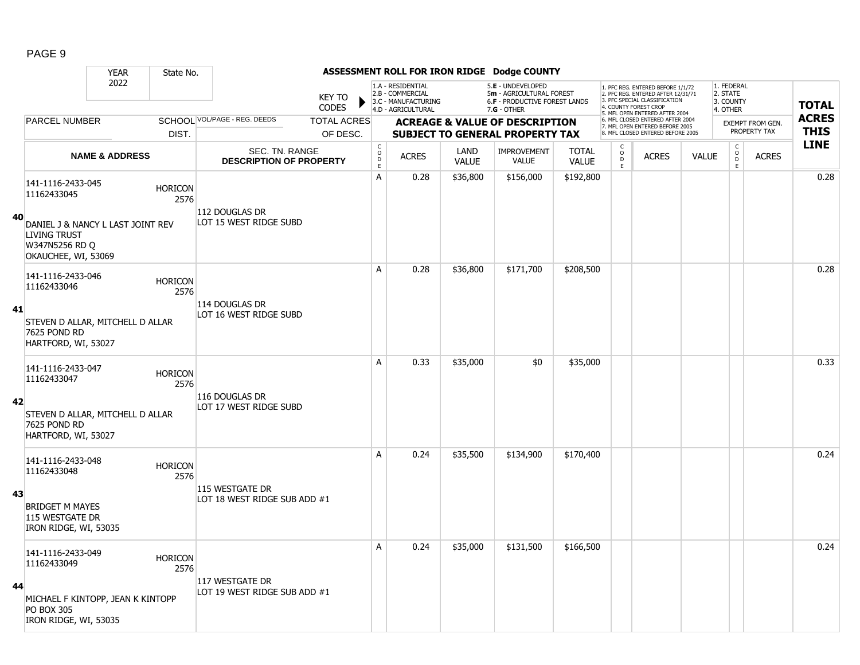|    |                                                                                                                                       | <b>YEAR</b>               | State No.              |                                                  |                                |                                                 |                                                                                    |                      | ASSESSMENT ROLL FOR IRON RIDGE Dodge COUNTY                                                            |                              |                                                          |                                                                                                                                            |              |                                                    |                                  |                             |
|----|---------------------------------------------------------------------------------------------------------------------------------------|---------------------------|------------------------|--------------------------------------------------|--------------------------------|-------------------------------------------------|------------------------------------------------------------------------------------|----------------------|--------------------------------------------------------------------------------------------------------|------------------------------|----------------------------------------------------------|--------------------------------------------------------------------------------------------------------------------------------------------|--------------|----------------------------------------------------|----------------------------------|-----------------------------|
|    |                                                                                                                                       | 2022                      |                        |                                                  | <b>KEY TO</b><br>CODES         |                                                 | 1.A - RESIDENTIAL<br>2.B - COMMERCIAL<br>3.C - MANUFACTURING<br>4.D - AGRICULTURAL |                      | 5.E - UNDEVELOPED<br>5m - AGRICULTURAL FOREST<br><b>6.F - PRODUCTIVE FOREST LANDS</b><br>$7.G - OTHER$ |                              |                                                          | 1. PFC REG. ENTERED BEFORE 1/1/72<br>2. PFC REG. ENTERED AFTER 12/31/71<br>3. PFC SPECIAL CLASSIFICATION<br>4. COUNTY FOREST CROP          |              | 1. FEDERAL<br>2. STATE<br>3. COUNTY<br>4. OTHER    |                                  | <b>TOTAL</b>                |
|    | <b>PARCEL NUMBER</b>                                                                                                                  |                           | DIST.                  | SCHOOL VOL/PAGE - REG. DEEDS                     | <b>TOTAL ACRES</b><br>OF DESC. |                                                 |                                                                                    |                      | <b>ACREAGE &amp; VALUE OF DESCRIPTION</b><br><b>SUBJECT TO GENERAL PROPERTY TAX</b>                    |                              |                                                          | 5. MFL OPEN ENTERED AFTER 2004<br>6. MFL CLOSED ENTERED AFTER 2004<br>7. MFL OPEN ENTERED BEFORE 2005<br>8. MFL CLOSED ENTERED BEFORE 2005 |              |                                                    | EXEMPT FROM GEN.<br>PROPERTY TAX | <b>ACRES</b><br><b>THIS</b> |
|    |                                                                                                                                       | <b>NAME &amp; ADDRESS</b> |                        | SEC. TN. RANGE<br><b>DESCRIPTION OF PROPERTY</b> |                                | $\begin{array}{c} C \\ O \\ D \\ E \end{array}$ | <b>ACRES</b>                                                                       | LAND<br><b>VALUE</b> | <b>IMPROVEMENT</b><br><b>VALUE</b>                                                                     | <b>TOTAL</b><br><b>VALUE</b> | $\begin{smallmatrix} C \\ O \\ D \end{smallmatrix}$<br>E | <b>ACRES</b>                                                                                                                               | <b>VALUE</b> | $\mathsf C$<br>$\overset{\circ}{\mathsf{D}}$<br>E. | <b>ACRES</b>                     | <b>LINE</b>                 |
| 40 | 141-1116-2433-045<br>11162433045<br>DANIEL J & NANCY L LAST JOINT REV<br><b>LIVING TRUST</b><br>W347N5256 RD Q<br>OKAUCHEE, WI, 53069 |                           | <b>HORICON</b><br>2576 | 112 DOUGLAS DR<br>LOT 15 WEST RIDGE SUBD         |                                | A                                               | 0.28                                                                               | \$36,800             | \$156,000                                                                                              | \$192,800                    |                                                          |                                                                                                                                            |              |                                                    |                                  | 0.28                        |
| 41 | 141-1116-2433-046<br>11162433046<br>STEVEN D ALLAR, MITCHELL D ALLAR<br>7625 POND RD<br>HARTFORD, WI, 53027                           |                           | <b>HORICON</b><br>2576 | 114 DOUGLAS DR<br>LOT 16 WEST RIDGE SUBD         |                                | A                                               | 0.28                                                                               | \$36,800             | \$171,700                                                                                              | \$208,500                    |                                                          |                                                                                                                                            |              |                                                    |                                  | 0.28                        |
| 42 | 141-1116-2433-047<br>11162433047<br>STEVEN D ALLAR, MITCHELL D ALLAR<br>7625 POND RD<br>HARTFORD, WI, 53027                           |                           | <b>HORICON</b><br>2576 | 116 DOUGLAS DR<br>LOT 17 WEST RIDGE SUBD         |                                | А                                               | 0.33                                                                               | \$35,000             | \$0                                                                                                    | \$35,000                     |                                                          |                                                                                                                                            |              |                                                    |                                  | 0.33                        |
| 43 | 141-1116-2433-048<br>11162433048<br><b>BRIDGET M MAYES</b><br>115 WESTGATE DR<br>IRON RIDGE, WI, 53035                                |                           | <b>HORICON</b><br>2576 | 115 WESTGATE DR<br>LOT 18 WEST RIDGE SUB ADD #1  |                                | A                                               | 0.24                                                                               | \$35,500             | \$134,900                                                                                              | \$170,400                    |                                                          |                                                                                                                                            |              |                                                    |                                  | 0.24                        |
| 44 | 141-1116-2433-049<br>11162433049<br>MICHAEL F KINTOPP, JEAN K KINTOPP<br><b>PO BOX 305</b><br>IRON RIDGE, WI, 53035                   |                           | <b>HORICON</b><br>2576 | 117 WESTGATE DR<br>LOT 19 WEST RIDGE SUB ADD #1  |                                | A                                               | 0.24                                                                               | \$35,000             | \$131,500                                                                                              | \$166,500                    |                                                          |                                                                                                                                            |              |                                                    |                                  | 0.24                        |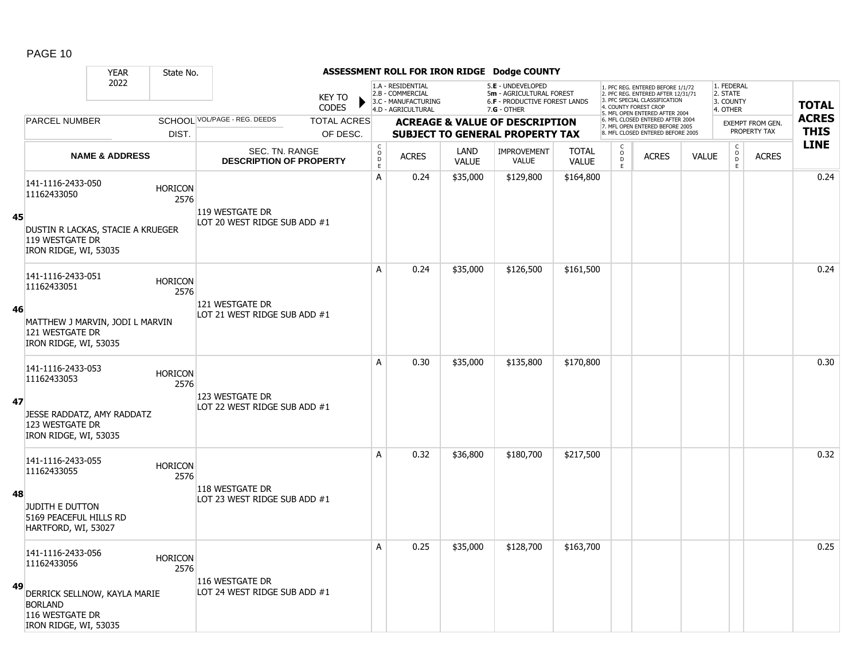|    |                                                                                            | <b>YEAR</b>               | State No.              |                                                  |                                |                                              |                                                                                    |                      | ASSESSMENT ROLL FOR IRON RIDGE Dodge COUNTY                                                            |                              |                              |                                                                                                                                            |              |                                                 |                                         |                             |
|----|--------------------------------------------------------------------------------------------|---------------------------|------------------------|--------------------------------------------------|--------------------------------|----------------------------------------------|------------------------------------------------------------------------------------|----------------------|--------------------------------------------------------------------------------------------------------|------------------------------|------------------------------|--------------------------------------------------------------------------------------------------------------------------------------------|--------------|-------------------------------------------------|-----------------------------------------|-----------------------------|
|    |                                                                                            | 2022                      |                        |                                                  | <b>KEY TO</b><br><b>CODES</b>  |                                              | 1.A - RESIDENTIAL<br>2.B - COMMERCIAL<br>3.C - MANUFACTURING<br>4.D - AGRICULTURAL |                      | 5.E - UNDEVELOPED<br>5m - AGRICULTURAL FOREST<br><b>6.F - PRODUCTIVE FOREST LANDS</b><br>$7.G - OTHER$ |                              |                              | 1. PFC REG. ENTERED BEFORE 1/1/72<br>2. PFC REG. ENTERED AFTER 12/31/71<br>3. PFC SPECIAL CLASSIFICATION<br>4. COUNTY FOREST CROP          |              | 1. FEDERAL<br>2. STATE<br>3. COUNTY<br>4. OTHER |                                         | <b>TOTAL</b>                |
|    | <b>PARCEL NUMBER</b>                                                                       |                           | DIST.                  | SCHOOL VOL/PAGE - REG. DEEDS                     | <b>TOTAL ACRES</b><br>OF DESC. |                                              |                                                                                    |                      | <b>ACREAGE &amp; VALUE OF DESCRIPTION</b><br><b>SUBJECT TO GENERAL PROPERTY TAX</b>                    |                              |                              | 5. MFL OPEN ENTERED AFTER 2004<br>6. MFL CLOSED ENTERED AFTER 2004<br>7. MFL OPEN ENTERED BEFORE 2005<br>8. MFL CLOSED ENTERED BEFORE 2005 |              |                                                 | <b>EXEMPT FROM GEN.</b><br>PROPERTY TAX | <b>ACRES</b><br><b>THIS</b> |
|    |                                                                                            | <b>NAME &amp; ADDRESS</b> |                        | SEC. TN. RANGE<br><b>DESCRIPTION OF PROPERTY</b> |                                | $\begin{array}{c}\nC \\ O \\ E\n\end{array}$ | <b>ACRES</b>                                                                       | LAND<br><b>VALUE</b> | <b>IMPROVEMENT</b><br><b>VALUE</b>                                                                     | <b>TOTAL</b><br><b>VALUE</b> | c<br>$_{\rm D}^{\rm O}$<br>E | <b>ACRES</b>                                                                                                                               | <b>VALUE</b> | $\mathsf C$<br>$_{\rm D}^{\rm O}$<br>E          | <b>ACRES</b>                            | <b>LINE</b>                 |
|    | 141-1116-2433-050<br>11162433050                                                           |                           | <b>HORICON</b><br>2576 | 119 WESTGATE DR                                  |                                | A                                            | 0.24                                                                               | \$35,000             | \$129,800                                                                                              | \$164,800                    |                              |                                                                                                                                            |              |                                                 |                                         | 0.24                        |
| 45 | DUSTIN R LACKAS, STACIE A KRUEGER<br>119 WESTGATE DR<br>IRON RIDGE, WI, 53035              |                           |                        | LOT 20 WEST RIDGE SUB ADD #1                     |                                |                                              |                                                                                    |                      |                                                                                                        |                              |                              |                                                                                                                                            |              |                                                 |                                         |                             |
|    | 141-1116-2433-051<br>11162433051                                                           |                           | <b>HORICON</b><br>2576 |                                                  |                                | A                                            | 0.24                                                                               | \$35,000             | \$126,500                                                                                              | \$161,500                    |                              |                                                                                                                                            |              |                                                 |                                         | 0.24                        |
| 46 | MATTHEW J MARVIN, JODI L MARVIN<br>121 WESTGATE DR<br>IRON RIDGE, WI, 53035                |                           |                        | 121 WESTGATE DR<br>LOT 21 WEST RIDGE SUB ADD #1  |                                |                                              |                                                                                    |                      |                                                                                                        |                              |                              |                                                                                                                                            |              |                                                 |                                         |                             |
|    | 141-1116-2433-053<br>11162433053                                                           |                           | <b>HORICON</b><br>2576 |                                                  |                                | A                                            | 0.30                                                                               | \$35,000             | \$135,800                                                                                              | \$170,800                    |                              |                                                                                                                                            |              |                                                 |                                         | 0.30                        |
| 47 | JESSE RADDATZ, AMY RADDATZ<br>123 WESTGATE DR<br>IRON RIDGE, WI, 53035                     |                           |                        | 123 WESTGATE DR<br>LOT 22 WEST RIDGE SUB ADD #1  |                                |                                              |                                                                                    |                      |                                                                                                        |                              |                              |                                                                                                                                            |              |                                                 |                                         |                             |
|    | 141-1116-2433-055<br>11162433055                                                           |                           | <b>HORICON</b><br>2576 |                                                  |                                | A                                            | 0.32                                                                               | \$36,800             | \$180,700                                                                                              | \$217,500                    |                              |                                                                                                                                            |              |                                                 |                                         | 0.32                        |
| 48 | <b>JUDITH E DUTTON</b><br>5169 PEACEFUL HILLS RD<br>HARTFORD, WI, 53027                    |                           |                        | 118 WESTGATE DR<br>LOT 23 WEST RIDGE SUB ADD #1  |                                |                                              |                                                                                    |                      |                                                                                                        |                              |                              |                                                                                                                                            |              |                                                 |                                         |                             |
|    | 141-1116-2433-056<br>11162433056                                                           |                           | <b>HORICON</b><br>2576 |                                                  |                                | Α                                            | 0.25                                                                               | \$35,000             | \$128,700                                                                                              | \$163,700                    |                              |                                                                                                                                            |              |                                                 |                                         | 0.25                        |
| 49 | DERRICK SELLNOW, KAYLA MARIE<br><b>BORLAND</b><br>116 WESTGATE DR<br>IRON RIDGE, WI, 53035 |                           |                        | 116 WESTGATE DR<br>LOT 24 WEST RIDGE SUB ADD #1  |                                |                                              |                                                                                    |                      |                                                                                                        |                              |                              |                                                                                                                                            |              |                                                 |                                         |                             |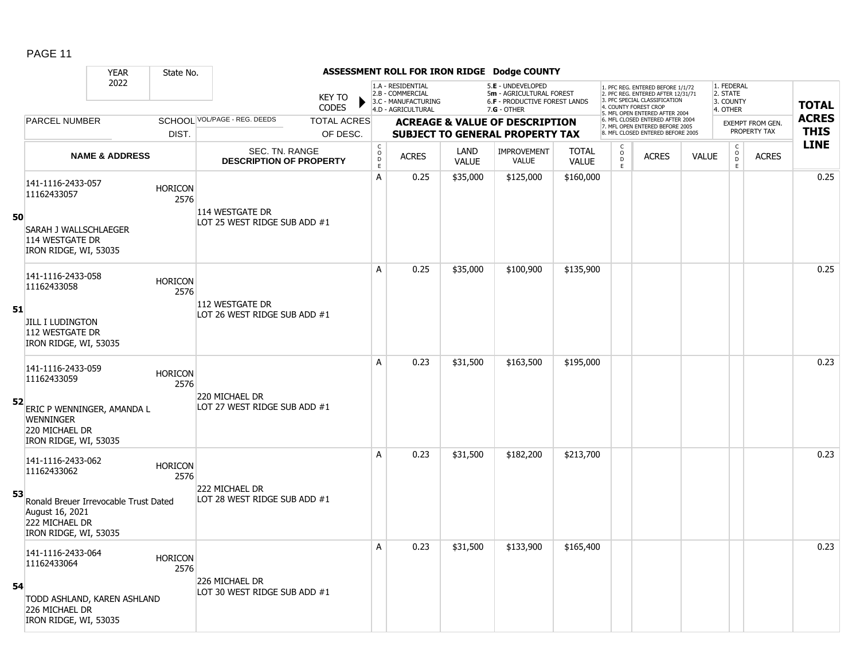|    |                                                                                                     | <b>YEAR</b>               | State No.              |                                                  |                               |                                                          |                                                                                    |                      | ASSESSMENT ROLL FOR IRON RIDGE Dodge COUNTY                                                            |                              |                     |                                                                                                                                                                     |              |                                                 |                                  |                             |
|----|-----------------------------------------------------------------------------------------------------|---------------------------|------------------------|--------------------------------------------------|-------------------------------|----------------------------------------------------------|------------------------------------------------------------------------------------|----------------------|--------------------------------------------------------------------------------------------------------|------------------------------|---------------------|---------------------------------------------------------------------------------------------------------------------------------------------------------------------|--------------|-------------------------------------------------|----------------------------------|-----------------------------|
|    |                                                                                                     | 2022                      |                        |                                                  | <b>KEY TO</b><br><b>CODES</b> |                                                          | 1.A - RESIDENTIAL<br>2.B - COMMERCIAL<br>3.C - MANUFACTURING<br>4.D - AGRICULTURAL |                      | 5.E - UNDEVELOPED<br>5m - AGRICULTURAL FOREST<br><b>6.F - PRODUCTIVE FOREST LANDS</b><br>$7.G - OTHER$ |                              |                     | 1. PFC REG. ENTERED BEFORE 1/1/72<br>2. PFC REG. ENTERED AFTER 12/31/71<br>3. PFC SPECIAL CLASSIFICATION<br>4. COUNTY FOREST CROP<br>5. MFL OPEN ENTERED AFTER 2004 |              | 1. FEDERAL<br>2. STATE<br>3. COUNTY<br>4. OTHER |                                  | <b>TOTAL</b>                |
|    | PARCEL NUMBER                                                                                       |                           |                        | SCHOOL VOL/PAGE - REG. DEEDS                     | <b>TOTAL ACRES</b>            |                                                          |                                                                                    |                      | <b>ACREAGE &amp; VALUE OF DESCRIPTION</b>                                                              |                              |                     | 6. MFL CLOSED ENTERED AFTER 2004<br>7. MFL OPEN ENTERED BEFORE 2005<br>8. MFL CLOSED ENTERED BEFORE 2005                                                            |              |                                                 | EXEMPT FROM GEN.<br>PROPERTY TAX | <b>ACRES</b><br><b>THIS</b> |
|    |                                                                                                     |                           | DIST.                  |                                                  | OF DESC.                      |                                                          |                                                                                    |                      | <b>SUBJECT TO GENERAL PROPERTY TAX</b>                                                                 |                              | C                   |                                                                                                                                                                     |              |                                                 |                                  | <b>LINE</b>                 |
|    |                                                                                                     | <b>NAME &amp; ADDRESS</b> |                        | SEC. TN. RANGE<br><b>DESCRIPTION OF PROPERTY</b> |                               | $\begin{smallmatrix} C \\ O \\ D \end{smallmatrix}$<br>E | <b>ACRES</b>                                                                       | LAND<br><b>VALUE</b> | <b>IMPROVEMENT</b><br><b>VALUE</b>                                                                     | <b>TOTAL</b><br><b>VALUE</b> | $\overline{0}$<br>E | <b>ACRES</b>                                                                                                                                                        | <b>VALUE</b> | $\begin{matrix} C \\ 0 \\ D \end{matrix}$<br>E  | <b>ACRES</b>                     |                             |
|    | 141-1116-2433-057<br>11162433057                                                                    |                           | <b>HORICON</b><br>2576 |                                                  |                               | A                                                        | 0.25                                                                               | \$35,000             | \$125,000                                                                                              | \$160,000                    |                     |                                                                                                                                                                     |              |                                                 |                                  | 0.25                        |
| 50 | SARAH J WALLSCHLAEGER<br>114 WESTGATE DR<br>IRON RIDGE, WI, 53035                                   |                           |                        | 114 WESTGATE DR<br>LOT 25 WEST RIDGE SUB ADD #1  |                               |                                                          |                                                                                    |                      |                                                                                                        |                              |                     |                                                                                                                                                                     |              |                                                 |                                  |                             |
|    | 141-1116-2433-058<br>11162433058                                                                    |                           | <b>HORICON</b><br>2576 |                                                  |                               | A                                                        | 0.25                                                                               | \$35,000             | \$100,900                                                                                              | \$135,900                    |                     |                                                                                                                                                                     |              |                                                 |                                  | 0.25                        |
| 51 | <b>JILL I LUDINGTON</b><br>112 WESTGATE DR<br>IRON RIDGE, WI, 53035                                 |                           |                        | 112 WESTGATE DR<br>LOT 26 WEST RIDGE SUB ADD #1  |                               |                                                          |                                                                                    |                      |                                                                                                        |                              |                     |                                                                                                                                                                     |              |                                                 |                                  |                             |
|    | 141-1116-2433-059<br>11162433059                                                                    |                           | <b>HORICON</b><br>2576 |                                                  |                               | A                                                        | 0.23                                                                               | \$31,500             | \$163,500                                                                                              | \$195,000                    |                     |                                                                                                                                                                     |              |                                                 |                                  | 0.23                        |
| 52 | ERIC P WENNINGER, AMANDA L<br><b>WENNINGER</b><br>220 MICHAEL DR<br>IRON RIDGE, WI, 53035           |                           |                        | 220 MICHAEL DR<br>LOT 27 WEST RIDGE SUB ADD #1   |                               |                                                          |                                                                                    |                      |                                                                                                        |                              |                     |                                                                                                                                                                     |              |                                                 |                                  |                             |
|    | 141-1116-2433-062<br>11162433062                                                                    |                           | <b>HORICON</b><br>2576 |                                                  |                               | A                                                        | 0.23                                                                               | \$31,500             | \$182,200                                                                                              | \$213,700                    |                     |                                                                                                                                                                     |              |                                                 |                                  | 0.23                        |
| 53 | Ronald Breuer Irrevocable Trust Dated<br>August 16, 2021<br>222 MICHAEL DR<br>IRON RIDGE, WI, 53035 |                           |                        | 222 MICHAEL DR<br>LOT 28 WEST RIDGE SUB ADD #1   |                               |                                                          |                                                                                    |                      |                                                                                                        |                              |                     |                                                                                                                                                                     |              |                                                 |                                  |                             |
|    | 141-1116-2433-064<br>11162433064                                                                    |                           | <b>HORICON</b><br>2576 |                                                  |                               | A                                                        | 0.23                                                                               | \$31,500             | \$133,900                                                                                              | \$165,400                    |                     |                                                                                                                                                                     |              |                                                 |                                  | 0.23                        |
| 54 | TODD ASHLAND, KAREN ASHLAND<br>226 MICHAEL DR<br>IRON RIDGE, WI, 53035                              |                           |                        | 226 MICHAEL DR<br>LOT 30 WEST RIDGE SUB ADD #1   |                               |                                                          |                                                                                    |                      |                                                                                                        |                              |                     |                                                                                                                                                                     |              |                                                 |                                  |                             |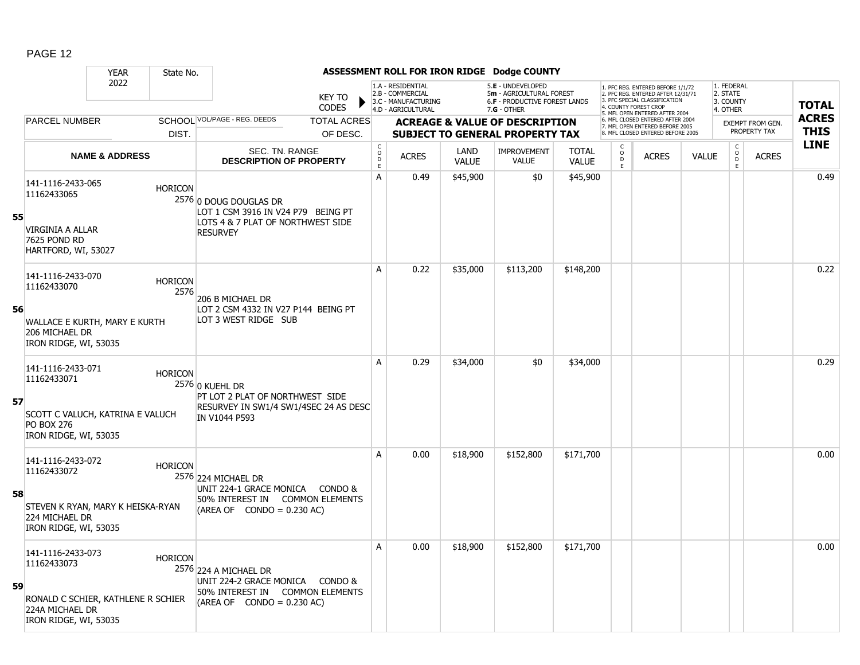|    |                                                                                                                    | <b>YEAR</b>               | State No.              |                                                                                                                             |                               |                                                |                                                                                    |                      | ASSESSMENT ROLL FOR IRON RIDGE Dodge COUNTY                                                          |                              |                                         |                                                                                                                                                                    |              |                                                 |                         |              |
|----|--------------------------------------------------------------------------------------------------------------------|---------------------------|------------------------|-----------------------------------------------------------------------------------------------------------------------------|-------------------------------|------------------------------------------------|------------------------------------------------------------------------------------|----------------------|------------------------------------------------------------------------------------------------------|------------------------------|-----------------------------------------|--------------------------------------------------------------------------------------------------------------------------------------------------------------------|--------------|-------------------------------------------------|-------------------------|--------------|
|    |                                                                                                                    | 2022                      |                        |                                                                                                                             | <b>KEY TO</b><br><b>CODES</b> |                                                | 1.A - RESIDENTIAL<br>2.B - COMMERCIAL<br>3.C - MANUFACTURING<br>4.D - AGRICULTURAL |                      | 5.E - UNDEVELOPED<br>5m - AGRICULTURAL FOREST<br><b>6.F - PRODUCTIVE FOREST LANDS</b><br>7.G - OTHER |                              |                                         | 1. PFC REG. ENTERED BEFORE 1/1/72<br>2. PFC REG. ENTERED AFTER 12/31/71<br>3 PEC SPECIAL CLASSIFICATION<br>4. COUNTY FOREST CROP<br>5. MFL OPEN ENTERED AFTER 2004 |              | 1. FEDERAL<br>2. STATE<br>3. COUNTY<br>4. OTHER |                         | <b>TOTAL</b> |
|    | <b>PARCEL NUMBER</b>                                                                                               |                           |                        | SCHOOL VOL/PAGE - REG. DEEDS                                                                                                | <b>TOTAL ACRES</b>            |                                                |                                                                                    |                      | <b>ACREAGE &amp; VALUE OF DESCRIPTION</b>                                                            |                              |                                         | 6. MFL CLOSED ENTERED AFTER 2004<br>7. MFL OPEN ENTERED BEFORE 2005                                                                                                |              |                                                 | <b>EXEMPT FROM GEN.</b> | <b>ACRES</b> |
|    |                                                                                                                    |                           | DIST.                  |                                                                                                                             | OF DESC.                      |                                                |                                                                                    |                      | <b>SUBJECT TO GENERAL PROPERTY TAX</b>                                                               |                              |                                         | 8. MFL CLOSED ENTERED BEFORE 2005                                                                                                                                  |              |                                                 | PROPERTY TAX            | <b>THIS</b>  |
|    |                                                                                                                    | <b>NAME &amp; ADDRESS</b> |                        | SEC. TN. RANGE<br><b>DESCRIPTION OF PROPERTY</b>                                                                            |                               | $\begin{matrix} 0 \\ 0 \\ D \end{matrix}$<br>E | <b>ACRES</b>                                                                       | LAND<br><b>VALUE</b> | <b>IMPROVEMENT</b><br><b>VALUE</b>                                                                   | <b>TOTAL</b><br><b>VALUE</b> | $\overset{\mathsf{O}}{\mathsf{D}}$<br>E | <b>ACRES</b>                                                                                                                                                       | <b>VALUE</b> | $\begin{matrix} 0 \\ 0 \end{matrix}$<br>E       | <b>ACRES</b>            | <b>LINE</b>  |
| 55 | 141-1116-2433-065<br>11162433065<br><b>VIRGINIA A ALLAR</b><br>7625 POND RD<br>HARTFORD, WI, 53027                 |                           | <b>HORICON</b>         | 2576 0 DOUG DOUGLAS DR<br>LOT 1 CSM 3916 IN V24 P79 BEING PT<br>LOTS 4 & 7 PLAT OF NORTHWEST SIDE<br><b>RESURVEY</b>        |                               | A                                              | 0.49                                                                               | \$45,900             | \$0                                                                                                  | \$45,900                     |                                         |                                                                                                                                                                    |              |                                                 |                         | 0.49         |
| 56 | 141-1116-2433-070<br>11162433070<br>WALLACE E KURTH, MARY E KURTH<br>206 MICHAEL DR<br>IRON RIDGE, WI, 53035       |                           | <b>HORICON</b><br>2576 | 206 B MICHAEL DR<br>LOT 2 CSM 4332 IN V27 P144 BEING PT<br>LOT 3 WEST RIDGE SUB                                             |                               | A                                              | 0.22                                                                               | \$35,000             | \$113,200                                                                                            | \$148,200                    |                                         |                                                                                                                                                                    |              |                                                 |                         | 0.22         |
| 57 | 141-1116-2433-071<br>11162433071<br>SCOTT C VALUCH, KATRINA E VALUCH<br><b>PO BOX 276</b><br>IRON RIDGE, WI, 53035 |                           | <b>HORICON</b>         | 2576 0 KUEHL DR<br>PT LOT 2 PLAT OF NORTHWEST SIDE<br>RESURVEY IN SW1/4 SW1/4SEC 24 AS DESC<br>IN V1044 P593                |                               | A                                              | 0.29                                                                               | \$34,000             | \$0                                                                                                  | \$34,000                     |                                         |                                                                                                                                                                    |              |                                                 |                         | 0.29         |
| 58 | 141-1116-2433-072<br>11162433072<br>STEVEN K RYAN, MARY K HEISKA-RYAN<br>224 MICHAEL DR<br>IRON RIDGE, WI, 53035   |                           | <b>HORICON</b>         | 2576 224 MICHAEL DR<br>UNIT 224-1 GRACE MONICA CONDO &<br>50% INTEREST IN<br>$(AREA OF CONDO = 0.230 AC)$                   | <b>COMMON ELEMENTS</b>        | A                                              | 0.00                                                                               | \$18,900             | \$152,800                                                                                            | \$171,700                    |                                         |                                                                                                                                                                    |              |                                                 |                         | 0.00         |
| 59 | 141-1116-2433-073<br>11162433073<br>RONALD C SCHIER, KATHLENE R SCHIER<br>224A MICHAEL DR<br>IRON RIDGE, WI, 53035 |                           | <b>HORICON</b>         | 2576 224 A MICHAEL DR<br>UNIT 224-2 GRACE MONICA CONDO &<br>50% INTEREST IN COMMON ELEMENTS<br>$(AREA OF CONDO = 0.230 AC)$ |                               | A                                              | 0.00                                                                               | \$18,900             | \$152,800                                                                                            | \$171,700                    |                                         |                                                                                                                                                                    |              |                                                 |                         | 0.00         |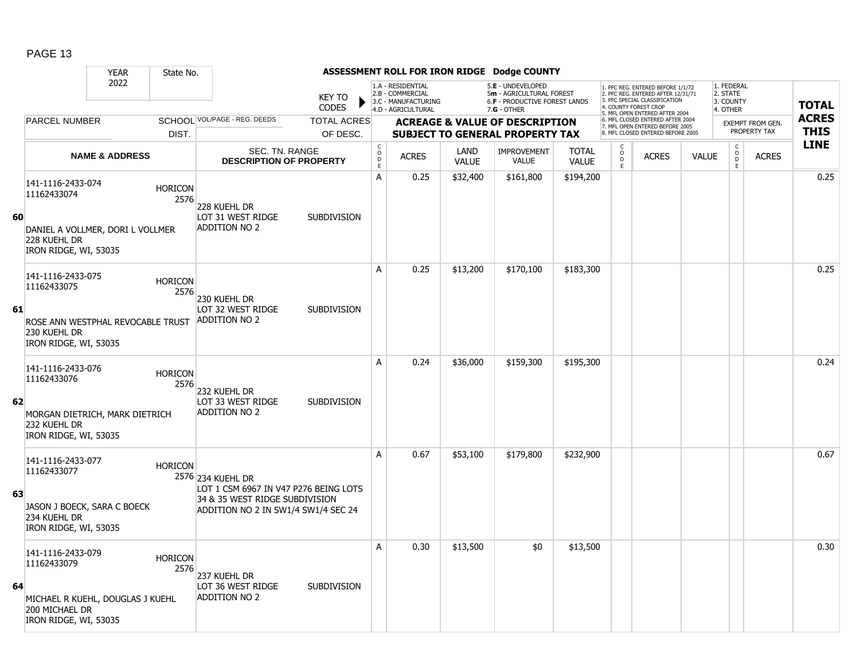|    |                                                                                                                 | <b>YEAR</b>               | State No.              |                                                                                                                                     |                                |                                            |                                                                                    |                      | ASSESSMENT ROLL FOR IRON RIDGE Dodge COUNTY                                                            |                              |                                                   |                                                                                                                                                                     |              |                                                 |                                         |                             |
|----|-----------------------------------------------------------------------------------------------------------------|---------------------------|------------------------|-------------------------------------------------------------------------------------------------------------------------------------|--------------------------------|--------------------------------------------|------------------------------------------------------------------------------------|----------------------|--------------------------------------------------------------------------------------------------------|------------------------------|---------------------------------------------------|---------------------------------------------------------------------------------------------------------------------------------------------------------------------|--------------|-------------------------------------------------|-----------------------------------------|-----------------------------|
|    |                                                                                                                 | 2022                      |                        |                                                                                                                                     | <b>KEY TO</b><br><b>CODES</b>  |                                            | 1.A - RESIDENTIAL<br>2.B - COMMERCIAL<br>3.C - MANUFACTURING<br>4.D - AGRICULTURAL |                      | 5.E - UNDEVELOPED<br>5m - AGRICULTURAL FOREST<br><b>6.F - PRODUCTIVE FOREST LANDS</b><br>$7.G - OTHER$ |                              |                                                   | 1. PFC REG. ENTERED BEFORE 1/1/72<br>2. PFC REG. ENTERED AFTER 12/31/71<br>3. PFC SPECIAL CLASSIFICATION<br>4. COUNTY FOREST CROP<br>5. MFL OPEN ENTERED AFTER 2004 |              | 1. FEDERAL<br>2. STATE<br>3. COUNTY<br>4. OTHER |                                         | <b>TOTAL</b>                |
|    | PARCEL NUMBER                                                                                                   |                           | DIST.                  | SCHOOL VOL/PAGE - REG. DEEDS                                                                                                        | <b>TOTAL ACRES</b><br>OF DESC. |                                            |                                                                                    |                      | <b>ACREAGE &amp; VALUE OF DESCRIPTION</b><br><b>SUBJECT TO GENERAL PROPERTY TAX</b>                    |                              |                                                   | 6. MFL CLOSED ENTERED AFTER 2004<br>7. MFL OPEN ENTERED BEFORE 2005<br>8 MEL CLOSED ENTERED BEEORE 2005                                                             |              |                                                 | <b>EXEMPT FROM GEN.</b><br>PROPERTY TAX | <b>ACRES</b><br><b>THIS</b> |
|    |                                                                                                                 | <b>NAME &amp; ADDRESS</b> |                        | SEC. TN. RANGE<br><b>DESCRIPTION OF PROPERTY</b>                                                                                    |                                | $\begin{array}{c} C \\ O \\ E \end{array}$ | <b>ACRES</b>                                                                       | LAND<br><b>VALUE</b> | <b>IMPROVEMENT</b><br>VALUE                                                                            | <b>TOTAL</b><br><b>VALUE</b> | С<br>$\begin{array}{c}\n0 \\ D \\ E\n\end{array}$ | <b>ACRES</b>                                                                                                                                                        | <b>VALUE</b> | $\mathsf{C}$<br>$_{\rm D}^{\rm O}$<br>E         | <b>ACRES</b>                            | <b>LINE</b>                 |
| 60 | 141-1116-2433-074<br>11162433074<br>DANIEL A VOLLMER, DORI L VOLLMER<br>228 KUEHL DR<br>IRON RIDGE, WI, 53035   |                           | <b>HORICON</b><br>2576 | 228 Kuehl Dr<br>LOT 31 WEST RIDGE<br><b>ADDITION NO 2</b>                                                                           | <b>SUBDIVISION</b>             | A                                          | 0.25                                                                               | \$32,400             | \$161,800                                                                                              | \$194,200                    |                                                   |                                                                                                                                                                     |              |                                                 |                                         | 0.25                        |
| 61 | 141-1116-2433-075<br>11162433075<br>ROSE ANN WESTPHAL REVOCABLE TRUST<br>230 KUEHL DR<br>IRON RIDGE, WI, 53035  |                           | <b>HORICON</b><br>2576 | 230 KUEHL DR<br>LOT 32 WEST RIDGE<br><b>ADDITION NO 2</b>                                                                           | <b>SUBDIVISION</b>             | A                                          | 0.25                                                                               | \$13,200             | \$170,100                                                                                              | \$183,300                    |                                                   |                                                                                                                                                                     |              |                                                 |                                         | 0.25                        |
| 62 | 141-1116-2433-076<br>11162433076<br>MORGAN DIETRICH, MARK DIETRICH<br>232 KUEHL DR<br>IRON RIDGE, WI, 53035     |                           | <b>HORICON</b><br>2576 | 232 KUEHL DR<br>LOT 33 WEST RIDGE<br><b>ADDITION NO 2</b>                                                                           | <b>SUBDIVISION</b>             | A                                          | 0.24                                                                               | \$36,000             | \$159,300                                                                                              | \$195,300                    |                                                   |                                                                                                                                                                     |              |                                                 |                                         | 0.24                        |
| 63 | 141-1116-2433-077<br>11162433077<br>JASON J BOECK, SARA C BOECK<br>234 KUEHL DR<br>IRON RIDGE, WI, 53035        |                           | <b>HORICON</b>         | 2576 234 KUEHL DR<br>LOT 1 CSM 6967 IN V47 P276 BEING LOTS<br>34 & 35 WEST RIDGE SUBDIVISION<br>ADDITION NO 2 IN SW1/4 SW1/4 SEC 24 |                                | A                                          | 0.67                                                                               | \$53,100             | \$179,800                                                                                              | \$232,900                    |                                                   |                                                                                                                                                                     |              |                                                 |                                         | 0.67                        |
| 64 | 141-1116-2433-079<br>11162433079<br>MICHAEL R KUEHL, DOUGLAS J KUEHL<br>200 MICHAEL DR<br>IRON RIDGE, WI, 53035 |                           | <b>HORICON</b><br>2576 | 237 KUEHL DR<br>LOT 36 WEST RIDGE<br><b>ADDITION NO 2</b>                                                                           | <b>SUBDIVISION</b>             | A                                          | 0.30                                                                               | \$13,500             | \$0                                                                                                    | \$13,500                     |                                                   |                                                                                                                                                                     |              |                                                 |                                         | 0.30                        |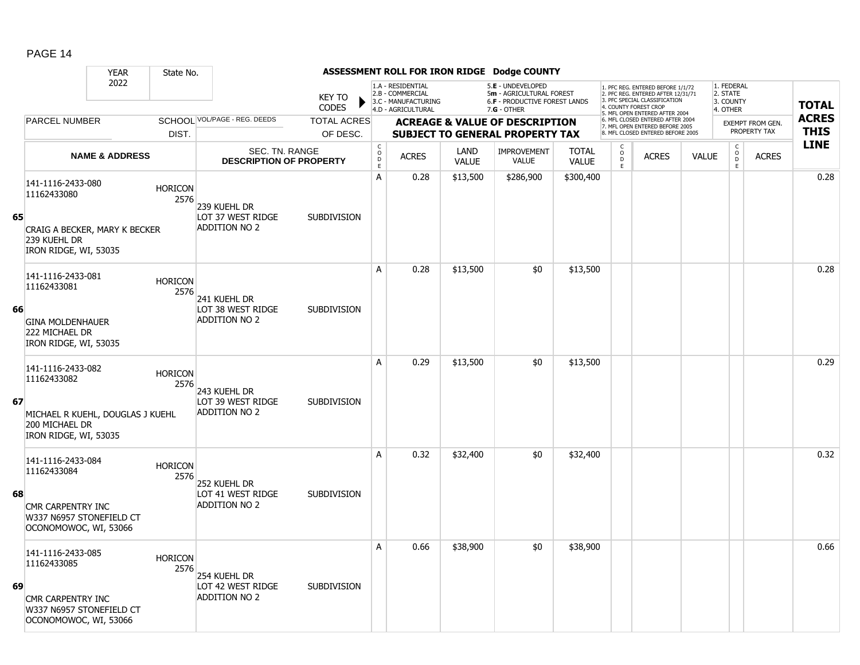|    |                                                                             | <b>YEAR</b>               | State No.              |                                                  |                               |                                            |                                                                                    |                      | ASSESSMENT ROLL FOR IRON RIDGE Dodge COUNTY                                                            |                              |                                              |                                                                                                                                                                     |              |                                                 |                                         |                             |
|----|-----------------------------------------------------------------------------|---------------------------|------------------------|--------------------------------------------------|-------------------------------|--------------------------------------------|------------------------------------------------------------------------------------|----------------------|--------------------------------------------------------------------------------------------------------|------------------------------|----------------------------------------------|---------------------------------------------------------------------------------------------------------------------------------------------------------------------|--------------|-------------------------------------------------|-----------------------------------------|-----------------------------|
|    |                                                                             | 2022                      |                        |                                                  | <b>KEY TO</b><br><b>CODES</b> |                                            | 1.A - RESIDENTIAL<br>2.B - COMMERCIAL<br>3.C - MANUFACTURING<br>4.D - AGRICULTURAL |                      | 5.E - UNDEVELOPED<br>5m - AGRICULTURAL FOREST<br><b>6.F - PRODUCTIVE FOREST LANDS</b><br>$7.G - OTHER$ |                              |                                              | 1. PFC REG. ENTERED BEFORE 1/1/72<br>2. PFC REG. ENTERED AFTER 12/31/71<br>3. PFC SPECIAL CLASSIFICATION<br>4. COUNTY FOREST CROP<br>5. MFL OPEN ENTERED AFTER 2004 |              | 1. FEDERAL<br>2. STATE<br>3. COUNTY<br>4. OTHER |                                         | <b>TOTAL</b>                |
|    | PARCEL NUMBER                                                               |                           |                        | SCHOOL VOL/PAGE - REG. DEEDS                     | <b>TOTAL ACRES</b>            |                                            |                                                                                    |                      | <b>ACREAGE &amp; VALUE OF DESCRIPTION</b>                                                              |                              |                                              | 6. MFL CLOSED ENTERED AFTER 2004<br>7. MFL OPEN ENTERED BEFORE 2005                                                                                                 |              |                                                 | <b>EXEMPT FROM GEN.</b><br>PROPERTY TAX | <b>ACRES</b><br><b>THIS</b> |
|    |                                                                             |                           | DIST.                  |                                                  | OF DESC.                      |                                            |                                                                                    |                      | <b>SUBJECT TO GENERAL PROPERTY TAX</b>                                                                 |                              | C                                            | 8 MEL CLOSED ENTERED BEEORE 2005                                                                                                                                    |              | $\mathsf{C}$                                    |                                         | <b>LINE</b>                 |
|    |                                                                             | <b>NAME &amp; ADDRESS</b> |                        | SEC. TN. RANGE<br><b>DESCRIPTION OF PROPERTY</b> |                               | $\begin{array}{c} C \\ O \\ E \end{array}$ | <b>ACRES</b>                                                                       | LAND<br><b>VALUE</b> | <b>IMPROVEMENT</b><br>VALUE                                                                            | <b>TOTAL</b><br><b>VALUE</b> | $\begin{array}{c}\n0 \\ D \\ E\n\end{array}$ | <b>ACRES</b>                                                                                                                                                        | <b>VALUE</b> | $\mathsf{O}$<br>D<br>E                          | <b>ACRES</b>                            |                             |
|    | 141-1116-2433-080<br>11162433080                                            |                           | <b>HORICON</b><br>2576 | 239 Kuehl Dr                                     |                               | A                                          | 0.28                                                                               | \$13,500             | \$286,900                                                                                              | \$300,400                    |                                              |                                                                                                                                                                     |              |                                                 |                                         | 0.28                        |
| 65 | CRAIG A BECKER, MARY K BECKER<br>239 KUEHL DR<br>IRON RIDGE, WI, 53035      |                           |                        | LOT 37 WEST RIDGE<br><b>ADDITION NO 2</b>        | <b>SUBDIVISION</b>            |                                            |                                                                                    |                      |                                                                                                        |                              |                                              |                                                                                                                                                                     |              |                                                 |                                         |                             |
|    | 141-1116-2433-081<br>11162433081                                            |                           | <b>HORICON</b><br>2576 | 241 KUEHL DR                                     |                               | A                                          | 0.28                                                                               | \$13,500             | \$0                                                                                                    | \$13,500                     |                                              |                                                                                                                                                                     |              |                                                 |                                         | 0.28                        |
| 66 | <b>GINA MOLDENHAUER</b><br>222 MICHAEL DR<br>IRON RIDGE, WI, 53035          |                           |                        | LOT 38 WEST RIDGE<br>ADDITION NO 2               | <b>SUBDIVISION</b>            |                                            |                                                                                    |                      |                                                                                                        |                              |                                              |                                                                                                                                                                     |              |                                                 |                                         |                             |
| 67 | 141-1116-2433-082<br>11162433082                                            |                           | <b>HORICON</b><br>2576 | 243 KUEHL DR<br>LOT 39 WEST RIDGE                | <b>SUBDIVISION</b>            | A                                          | 0.29                                                                               | \$13,500             | \$0                                                                                                    | \$13,500                     |                                              |                                                                                                                                                                     |              |                                                 |                                         | 0.29                        |
|    | MICHAEL R KUEHL, DOUGLAS J KUEHL<br>200 MICHAEL DR<br>IRON RIDGE, WI, 53035 |                           |                        | <b>ADDITION NO 2</b>                             |                               |                                            |                                                                                    |                      |                                                                                                        |                              |                                              |                                                                                                                                                                     |              |                                                 |                                         |                             |
|    | 141-1116-2433-084<br>11162433084                                            |                           | <b>HORICON</b><br>2576 | 252 Kuehl Dr                                     |                               | A                                          | 0.32                                                                               | \$32,400             | \$0                                                                                                    | \$32,400                     |                                              |                                                                                                                                                                     |              |                                                 |                                         | 0.32                        |
| 68 | CMR CARPENTRY INC<br>W337 N6957 STONEFIELD CT<br>OCONOMOWOC, WI, 53066      |                           |                        | LOT 41 WEST RIDGE<br><b>ADDITION NO 2</b>        | <b>SUBDIVISION</b>            |                                            |                                                                                    |                      |                                                                                                        |                              |                                              |                                                                                                                                                                     |              |                                                 |                                         |                             |
|    | 141-1116-2433-085<br>11162433085                                            |                           | <b>HORICON</b><br>2576 | 254 KUEHL DR                                     |                               | А                                          | 0.66                                                                               | \$38,900             | \$0                                                                                                    | \$38,900                     |                                              |                                                                                                                                                                     |              |                                                 |                                         | 0.66                        |
| 69 | CMR CARPENTRY INC<br>W337 N6957 STONEFIELD CT<br>OCONOMOWOC, WI, 53066      |                           |                        | LOT 42 WEST RIDGE<br><b>ADDITION NO 2</b>        | <b>SUBDIVISION</b>            |                                            |                                                                                    |                      |                                                                                                        |                              |                                              |                                                                                                                                                                     |              |                                                 |                                         |                             |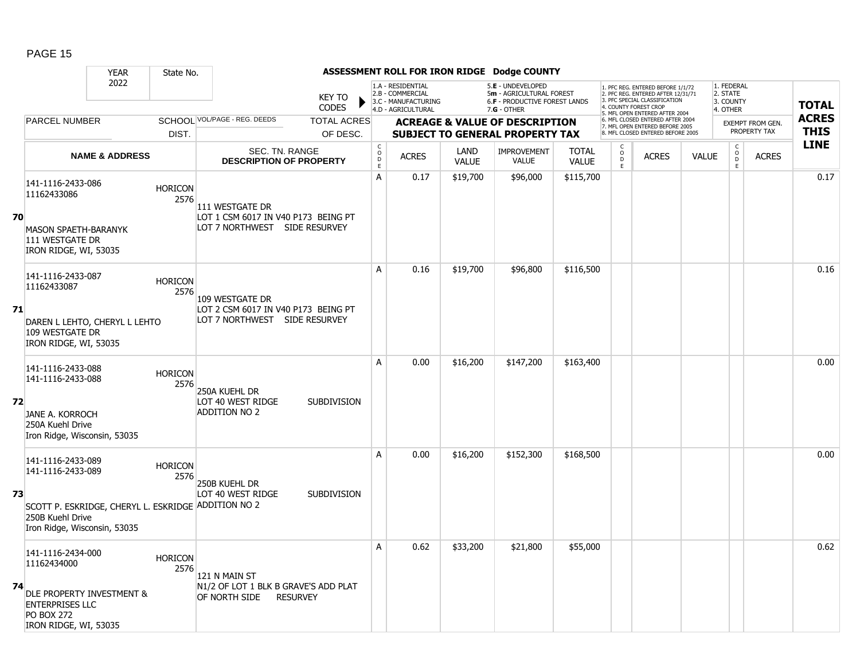|    |                                                                                                   | <b>YEAR</b>               | State No.              |                                                                          |                               |                                            |                                                                                    |                      | ASSESSMENT ROLL FOR IRON RIDGE Dodge COUNTY                                                          |                              |                         |                                                                                                                                                                     |              |                                                          |                                         |                             |
|----|---------------------------------------------------------------------------------------------------|---------------------------|------------------------|--------------------------------------------------------------------------|-------------------------------|--------------------------------------------|------------------------------------------------------------------------------------|----------------------|------------------------------------------------------------------------------------------------------|------------------------------|-------------------------|---------------------------------------------------------------------------------------------------------------------------------------------------------------------|--------------|----------------------------------------------------------|-----------------------------------------|-----------------------------|
|    |                                                                                                   | 2022                      |                        |                                                                          | <b>KEY TO</b><br><b>CODES</b> |                                            | 1.A - RESIDENTIAL<br>2.B - COMMERCIAL<br>3.C - MANUFACTURING<br>4.D - AGRICULTURAL |                      | 5.E - UNDEVELOPED<br>5m - AGRICULTURAL FOREST<br><b>6.F - PRODUCTIVE FOREST LANDS</b><br>7.G - OTHER |                              |                         | 1. PFC REG. ENTERED BEFORE 1/1/72<br>2. PFC REG. ENTERED AFTER 12/31/71<br>3. PFC SPECIAL CLASSIFICATION<br>4. COUNTY FOREST CROP<br>5. MFL OPEN ENTERED AFTER 2004 |              | 1. FEDERAL<br>2. STATE<br>3. COUNTY<br>4. OTHER          |                                         | <b>TOTAL</b>                |
|    | PARCEL NUMBER                                                                                     |                           |                        | SCHOOL VOL/PAGE - REG. DEEDS                                             | <b>TOTAL ACRES</b>            |                                            |                                                                                    |                      | <b>ACREAGE &amp; VALUE OF DESCRIPTION</b>                                                            |                              |                         | 6. MFL CLOSED ENTERED AFTER 2004<br>7. MFL OPEN ENTERED BEFORE 2005                                                                                                 |              |                                                          | <b>EXEMPT FROM GEN.</b><br>PROPERTY TAX | <b>ACRES</b><br><b>THIS</b> |
|    |                                                                                                   |                           | DIST.                  |                                                                          | OF DESC.                      |                                            |                                                                                    |                      | <b>SUBJECT TO GENERAL PROPERTY TAX</b>                                                               |                              |                         | 8 MFL CLOSED ENTERED BEFORE 2005                                                                                                                                    |              |                                                          |                                         | <b>LINE</b>                 |
|    |                                                                                                   | <b>NAME &amp; ADDRESS</b> |                        | SEC. TN. RANGE<br><b>DESCRIPTION OF PROPERTY</b>                         |                               | $\mathsf C$<br>$\circ$<br>$\mathsf D$<br>E | <b>ACRES</b>                                                                       | LAND<br><b>VALUE</b> | <b>IMPROVEMENT</b><br><b>VALUE</b>                                                                   | <b>TOTAL</b><br><b>VALUE</b> | $_{\rm D}^{\rm O}$<br>E | <b>ACRES</b>                                                                                                                                                        | <b>VALUE</b> | $\begin{matrix} 0 \\ 0 \\ 0 \end{matrix}$<br>$\mathsf E$ | <b>ACRES</b>                            |                             |
|    | 141-1116-2433-086<br>11162433086                                                                  |                           | <b>HORICON</b><br>2576 | 111 WESTGATE DR                                                          |                               | A                                          | 0.17                                                                               | \$19,700             | \$96,000                                                                                             | \$115,700                    |                         |                                                                                                                                                                     |              |                                                          |                                         | 0.17                        |
| 70 | <b>MASON SPAETH-BARANYK</b><br>111 WESTGATE DR<br>IRON RIDGE, WI, 53035                           |                           |                        | LOT 1 CSM 6017 IN V40 P173 BEING PT<br>LOT 7 NORTHWEST SIDE RESURVEY     |                               |                                            |                                                                                    |                      |                                                                                                      |                              |                         |                                                                                                                                                                     |              |                                                          |                                         |                             |
|    | 141-1116-2433-087<br>11162433087                                                                  |                           | <b>HORICON</b><br>2576 | 109 WESTGATE DR                                                          |                               | A                                          | 0.16                                                                               | \$19,700             | \$96,800                                                                                             | \$116,500                    |                         |                                                                                                                                                                     |              |                                                          |                                         | 0.16                        |
| 71 | DAREN L LEHTO, CHERYL L LEHTO<br>109 WESTGATE DR<br>IRON RIDGE, WI, 53035                         |                           |                        | LOT 2 CSM 6017 IN V40 P173 BEING PT<br>LOT 7 NORTHWEST SIDE RESURVEY     |                               |                                            |                                                                                    |                      |                                                                                                      |                              |                         |                                                                                                                                                                     |              |                                                          |                                         |                             |
|    | 141-1116-2433-088<br>141-1116-2433-088                                                            |                           | <b>HORICON</b><br>2576 | 250A KUEHL DR                                                            |                               | A                                          | 0.00                                                                               | \$16,200             | \$147,200                                                                                            | \$163,400                    |                         |                                                                                                                                                                     |              |                                                          |                                         | 0.00                        |
| 72 | <b>JANE A. KORROCH</b><br>250A Kuehl Drive<br>Iron Ridge, Wisconsin, 53035                        |                           |                        | LOT 40 WEST RIDGE<br><b>ADDITION NO 2</b>                                | <b>SUBDIVISION</b>            |                                            |                                                                                    |                      |                                                                                                      |                              |                         |                                                                                                                                                                     |              |                                                          |                                         |                             |
|    | 141-1116-2433-089<br>141-1116-2433-089                                                            |                           | <b>HORICON</b><br>2576 | 250B KUEHL DR                                                            |                               | A                                          | 0.00                                                                               | \$16,200             | \$152,300                                                                                            | \$168,500                    |                         |                                                                                                                                                                     |              |                                                          |                                         | 0.00                        |
| 73 | 250B Kuehl Drive<br>Iron Ridge, Wisconsin, 53035                                                  |                           |                        | LOT 40 WEST RIDGE<br>SCOTT P. ESKRIDGE, CHERYL L. ESKRIDGE ADDITION NO 2 | <b>SUBDIVISION</b>            |                                            |                                                                                    |                      |                                                                                                      |                              |                         |                                                                                                                                                                     |              |                                                          |                                         |                             |
|    | 141-1116-2434-000<br>11162434000                                                                  |                           | <b>HORICON</b><br>2576 | 121 N MAIN ST                                                            |                               | A                                          | 0.62                                                                               | \$33,200             | \$21,800                                                                                             | \$55,000                     |                         |                                                                                                                                                                     |              |                                                          |                                         | 0.62                        |
| 74 | DLE PROPERTY INVESTMENT &<br><b>ENTERPRISES LLC</b><br><b>PO BOX 272</b><br>IRON RIDGE, WI, 53035 |                           |                        | N1/2 OF LOT 1 BLK B GRAVE'S ADD PLAT<br>OF NORTH SIDE                    | <b>RESURVEY</b>               |                                            |                                                                                    |                      |                                                                                                      |                              |                         |                                                                                                                                                                     |              |                                                          |                                         |                             |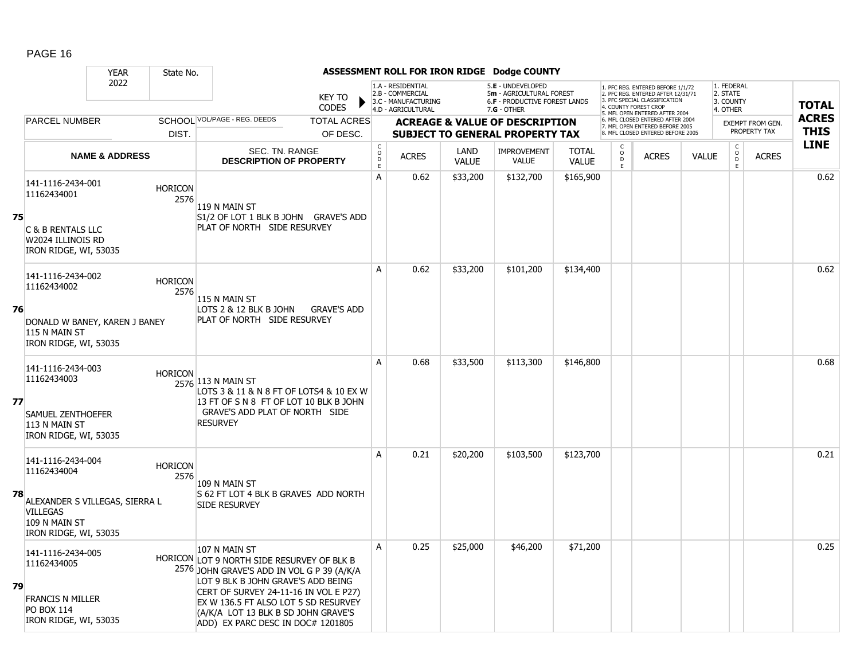|    |                                                                                                                                 | <b>YEAR</b>               | State No.              |                                                                                                                                                                                                                                                                                                              |                                  |                                                                                    |                             | ASSESSMENT ROLL FOR IRON RIDGE Dodge COUNTY                                                   |                              |                                                |                                                                                                                           |              |                                                 |                         |              |
|----|---------------------------------------------------------------------------------------------------------------------------------|---------------------------|------------------------|--------------------------------------------------------------------------------------------------------------------------------------------------------------------------------------------------------------------------------------------------------------------------------------------------------------|----------------------------------|------------------------------------------------------------------------------------|-----------------------------|-----------------------------------------------------------------------------------------------|------------------------------|------------------------------------------------|---------------------------------------------------------------------------------------------------------------------------|--------------|-------------------------------------------------|-------------------------|--------------|
|    |                                                                                                                                 | 2022                      |                        | <b>KEY TO</b><br><b>CODES</b>                                                                                                                                                                                                                                                                                |                                  | 1.A - RESIDENTIAL<br>2.B - COMMERCIAL<br>3.C - MANUFACTURING<br>4.D - AGRICULTURAL |                             | 5.E - UNDEVELOPED<br>5m - AGRICULTURAL FOREST<br>6.F - PRODUCTIVE FOREST LANDS<br>7.G - OTHER |                              |                                                | . PFC REG. ENTERED BEFORE 1/1/72<br>2. PFC REG. ENTERED AFTER 12/31/71<br>PEC SPECIAL CLASSIFICATION<br>COUNTY FOREST CRO |              | 1. FEDERAL<br>2. STATE<br>3. COUNTY<br>4. OTHER |                         | <b>TOTAL</b> |
|    | <b>PARCEL NUMBER</b>                                                                                                            |                           |                        | SCHOOL VOL/PAGE - REG. DEEDS<br><b>TOTAL ACRES</b>                                                                                                                                                                                                                                                           |                                  |                                                                                    |                             | <b>ACREAGE &amp; VALUE OF DESCRIPTION</b>                                                     |                              |                                                | 5. MFL OPEN ENTERED AFTER 2004<br>6. MFL CLOSED ENTERED AFTER 2004<br>7. MFL OPEN ENTERED BEFORE 2005                     |              |                                                 | <b>EXEMPT FROM GEN.</b> | <b>ACRES</b> |
|    |                                                                                                                                 |                           | DIST.                  | OF DESC.                                                                                                                                                                                                                                                                                                     |                                  |                                                                                    |                             | <b>SUBJECT TO GENERAL PROPERTY TAX</b>                                                        |                              |                                                | 8. MFL CLOSED ENTERED BEFORE 2005                                                                                         |              |                                                 | PROPERTY TAX            | <b>THIS</b>  |
|    |                                                                                                                                 | <b>NAME &amp; ADDRESS</b> |                        | SEC. TN. RANGE<br><b>DESCRIPTION OF PROPERTY</b>                                                                                                                                                                                                                                                             | $\mathsf C$<br>$\circ$<br>D<br>E | <b>ACRES</b>                                                                       | <b>LAND</b><br><b>VALUE</b> | <b>IMPROVEMENT</b><br><b>VALUE</b>                                                            | <b>TOTAL</b><br><b>VALUE</b> | $\begin{matrix} 0 \\ 0 \\ 0 \end{matrix}$<br>E | <b>ACRES</b>                                                                                                              | <b>VALUE</b> | $\begin{array}{c} C \\ O \\ D \end{array}$<br>E | <b>ACRES</b>            | <b>LINE</b>  |
| 75 | 141-1116-2434-001<br>11162434001<br>C & B RENTALS LLC<br>W2024 ILLINOIS RD<br>IRON RIDGE, WI, 53035                             |                           | <b>HORICON</b><br>2576 | 119 N MAIN ST<br>S1/2 OF LOT 1 BLK B JOHN GRAVE'S ADD<br>PLAT OF NORTH SIDE RESURVEY                                                                                                                                                                                                                         | A                                | 0.62                                                                               | \$33,200                    | \$132,700                                                                                     | \$165,900                    |                                                |                                                                                                                           |              |                                                 |                         | 0.62         |
| 76 | 141-1116-2434-002<br>11162434002<br>DONALD W BANEY, KAREN J BANEY<br>115 N MAIN ST<br>IRON RIDGE, WI, 53035                     |                           | <b>HORICON</b><br>2576 | 115 N MAIN ST<br>LOTS 2 & 12 BLK B JOHN<br><b>GRAVE'S ADD</b><br>PLAT OF NORTH SIDE RESURVEY                                                                                                                                                                                                                 | А                                | 0.62                                                                               | \$33,200                    | \$101,200                                                                                     | \$134,400                    |                                                |                                                                                                                           |              |                                                 |                         | 0.62         |
| 77 | 141-1116-2434-003<br>11162434003<br><b>SAMUEL ZENTHOEFER</b><br>113 N MAIN ST<br>IRON RIDGE, WI, 53035                          |                           | <b>HORICON</b>         | 2576 113 N MAIN ST<br>LOTS 3 & 11 & N 8 FT OF LOTS4 & 10 EX W<br>13 FT OF S N 8 FT OF LOT 10 BLK B JOHN<br>GRAVE'S ADD PLAT OF NORTH SIDE<br><b>RESURVEY</b>                                                                                                                                                 | A                                | 0.68                                                                               | \$33,500                    | \$113,300                                                                                     | \$146,800                    |                                                |                                                                                                                           |              |                                                 |                         | 0.68         |
| 78 | 141-1116-2434-004<br>11162434004<br>ALEXANDER S VILLEGAS, SIERRA L<br><b>VILLEGAS</b><br>109 N MAIN ST<br>IRON RIDGE, WI, 53035 |                           | <b>HORICON</b><br>2576 | 109 N MAIN ST<br>S 62 FT LOT 4 BLK B GRAVES ADD NORTH<br>SIDE RESURVEY                                                                                                                                                                                                                                       | A                                | 0.21                                                                               | \$20,200                    | \$103,500                                                                                     | \$123,700                    |                                                |                                                                                                                           |              |                                                 |                         | 0.21         |
| 79 | 141-1116-2434-005<br>11162434005<br><b>FRANCIS N MILLER</b><br><b>PO BOX 114</b><br>IRON RIDGE, WI, 53035                       |                           |                        | 107 N MAIN ST<br>HORICON LOT 9 NORTH SIDE RESURVEY OF BLK B<br>2576 JOHN GRAVE'S ADD IN VOL G P 39 (A/K/A<br>LOT 9 BLK B JOHN GRAVE'S ADD BEING<br>CERT OF SURVEY 24-11-16 IN VOL E P27)<br>EX W 136.5 FT ALSO LOT 5 SD RESURVEY<br>(A/K/A LOT 13 BLK B SD JOHN GRAVE'S<br>ADD) EX PARC DESC IN DOC# 1201805 | A                                | 0.25                                                                               | \$25,000                    | \$46,200                                                                                      | \$71,200                     |                                                |                                                                                                                           |              |                                                 |                         | 0.25         |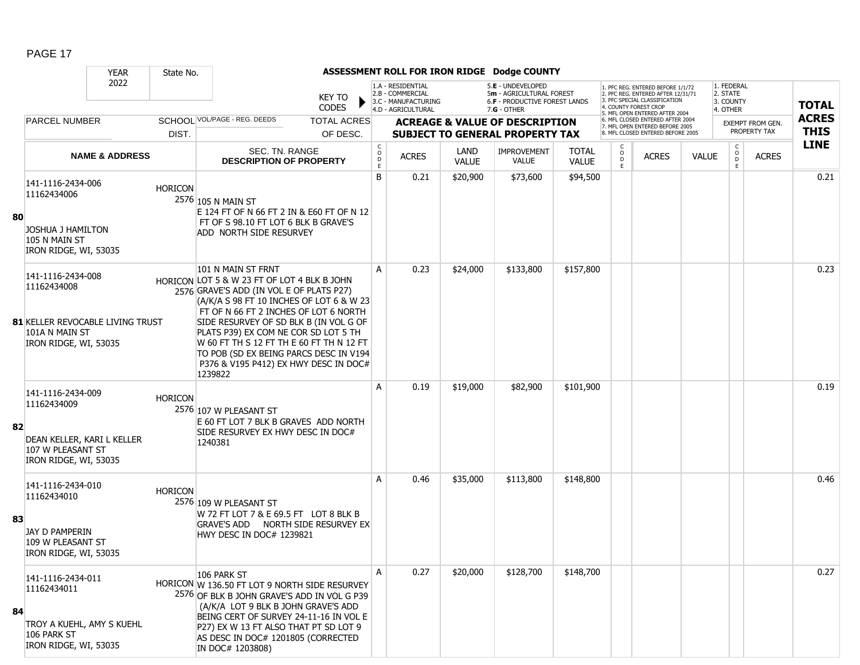|    |                                                                                                                 | <b>YEAR</b>               | State No.      |                                                                                                                                                                                                                                                                                                                                                                                                                                |                                                |                                                                                    |                      | ASSESSMENT ROLL FOR IRON RIDGE Dodge COUNTY                                                            |                              |                             |                                                                                                                                   |              |                                                 |                         |              |
|----|-----------------------------------------------------------------------------------------------------------------|---------------------------|----------------|--------------------------------------------------------------------------------------------------------------------------------------------------------------------------------------------------------------------------------------------------------------------------------------------------------------------------------------------------------------------------------------------------------------------------------|------------------------------------------------|------------------------------------------------------------------------------------|----------------------|--------------------------------------------------------------------------------------------------------|------------------------------|-----------------------------|-----------------------------------------------------------------------------------------------------------------------------------|--------------|-------------------------------------------------|-------------------------|--------------|
|    |                                                                                                                 | 2022                      |                | <b>KEY TO</b><br>CODES                                                                                                                                                                                                                                                                                                                                                                                                         |                                                | 1.A - RESIDENTIAL<br>2.B - COMMERCIAL<br>3.C - MANUFACTURING<br>4.D - AGRICULTURAL |                      | 5.E - UNDEVELOPED<br>5m - AGRICULTURAL FOREST<br><b>6.F - PRODUCTIVE FOREST LANDS</b><br>$7.G - OTHER$ |                              |                             | 1. PFC REG. ENTERED BEFORE 1/1/72<br>2. PFC REG. ENTERED AFTER 12/31/71<br>3. PFC SPECIAL CLASSIFICATION<br>4. COUNTY FOREST CROP |              | 1. FEDERAL<br>2. STATE<br>3. COUNTY<br>4. OTHER |                         | <b>TOTAL</b> |
|    | <b>PARCEL NUMBER</b>                                                                                            |                           |                | SCHOOL VOL/PAGE - REG. DEEDS<br><b>TOTAL ACRES</b>                                                                                                                                                                                                                                                                                                                                                                             |                                                |                                                                                    |                      | <b>ACREAGE &amp; VALUE OF DESCRIPTION</b>                                                              |                              |                             | 5. MFL OPEN ENTERED AFTER 2004<br>6. MFL CLOSED ENTERED AFTER 2004                                                                |              |                                                 | <b>EXEMPT FROM GEN.</b> | <b>ACRES</b> |
|    |                                                                                                                 |                           | DIST.          | OF DESC.                                                                                                                                                                                                                                                                                                                                                                                                                       |                                                |                                                                                    |                      | <b>SUBJECT TO GENERAL PROPERTY TAX</b>                                                                 |                              |                             | 7. MFL OPEN ENTERED BEFORE 2005<br>8. MFL CLOSED ENTERED BEFORE 2005                                                              |              |                                                 | PROPERTY TAX            | <b>THIS</b>  |
|    |                                                                                                                 | <b>NAME &amp; ADDRESS</b> |                | SEC. TN. RANGE<br><b>DESCRIPTION OF PROPERTY</b>                                                                                                                                                                                                                                                                                                                                                                               | $\begin{matrix} 0 \\ 0 \\ 0 \end{matrix}$<br>E | <b>ACRES</b>                                                                       | LAND<br><b>VALUE</b> | <b>IMPROVEMENT</b><br><b>VALUE</b>                                                                     | <b>TOTAL</b><br><b>VALUE</b> | C<br>$\mathsf{o}$<br>D<br>E | <b>ACRES</b>                                                                                                                      | <b>VALUE</b> | $\mathsf{C}$<br>$_{\rm D}^{\rm O}$<br>E         | <b>ACRES</b>            | <b>LINE</b>  |
| 80 | 141-1116-2434-006<br>11162434006<br><b>JOSHUA J HAMILTON</b><br>105 N MAIN ST<br>IRON RIDGE, WI, 53035          |                           | <b>HORICON</b> | 2576 105 N MAIN ST<br>E 124 FT OF N 66 FT 2 IN & E60 FT OF N 12<br>FT OF S 98.10 FT LOT 6 BLK B GRAVE'S<br>ADD NORTH SIDE RESURVEY                                                                                                                                                                                                                                                                                             | B                                              | 0.21                                                                               | \$20,900             | \$73,600                                                                                               | \$94,500                     |                             |                                                                                                                                   |              |                                                 |                         | 0.21         |
|    | 141-1116-2434-008<br>11162434008<br>81 KELLER REVOCABLE LIVING TRUST<br>101A N MAIN ST<br>IRON RIDGE, WI, 53035 |                           |                | 101 N MAIN ST FRNT<br>HORICON LOT 5 & W 23 FT OF LOT 4 BLK B JOHN<br>2576 GRAVE'S ADD (IN VOL E OF PLATS P27)<br>(A/K/A S 98 FT 10 INCHES OF LOT 6 & W 23<br>FT OF N 66 FT 2 INCHES OF LOT 6 NORTH<br>SIDE RESURVEY OF SD BLK B (IN VOL G OF<br>PLATS P39) EX COM NE COR SD LOT 5 TH<br>W 60 FT TH S 12 FT TH E 60 FT TH N 12 FT<br>TO POB (SD EX BEING PARCS DESC IN V194<br>P376 & V195 P412) EX HWY DESC IN DOC#<br>1239822 | A                                              | 0.23                                                                               | \$24,000             | \$133,800                                                                                              | \$157,800                    |                             |                                                                                                                                   |              |                                                 |                         | 0.23         |
| 82 | 141-1116-2434-009<br>11162434009<br>DEAN KELLER, KARI L KELLER<br>107 W PLEASANT ST<br>IRON RIDGE, WI, 53035    |                           | <b>HORICON</b> | 2576 107 W PLEASANT ST<br>E 60 FT LOT 7 BLK B GRAVES ADD NORTH<br>SIDE RESURVEY EX HWY DESC IN DOC#<br>1240381                                                                                                                                                                                                                                                                                                                 | A                                              | 0.19                                                                               | \$19,000             | \$82,900                                                                                               | \$101,900                    |                             |                                                                                                                                   |              |                                                 |                         | 0.19         |
| 83 | 141-1116-2434-010<br>11162434010<br>JAY D PAMPERIN<br>109 W PLEASANT ST<br>IRON RIDGE, WI, 53035                |                           | <b>HORICON</b> | 2576 109 W PLEASANT ST<br>W 72 FT LOT 7 & E 69.5 FT LOT 8 BLK B<br>GRAVE'S ADD NORTH SIDE RESURVEY EX<br>HWY DESC IN DOC# 1239821                                                                                                                                                                                                                                                                                              | A                                              | 0.46                                                                               | \$35,000             | \$113,800                                                                                              | \$148,800                    |                             |                                                                                                                                   |              |                                                 |                         | 0.46         |
| 84 | 141-1116-2434-011<br>11162434011<br>TROY A KUEHL, AMY S KUEHL<br>106 PARK ST<br>IRON RIDGE, WI, 53035           |                           |                | 106 PARK ST<br>HORICON W 136.50 FT LOT 9 NORTH SIDE RESURVEY<br>2576 OF BLK B JOHN GRAVE'S ADD IN VOL G P39<br>(A/K/A LOT 9 BLK B JOHN GRAVE'S ADD<br>BEING CERT OF SURVEY 24-11-16 IN VOL E<br>P27) EX W 13 FT ALSO THAT PT SD LOT 9<br>AS DESC IN DOC# 1201805 (CORRECTED<br>IN DOC# 1203808)                                                                                                                                | А                                              | 0.27                                                                               | \$20,000             | \$128,700                                                                                              | \$148,700                    |                             |                                                                                                                                   |              |                                                 |                         | 0.27         |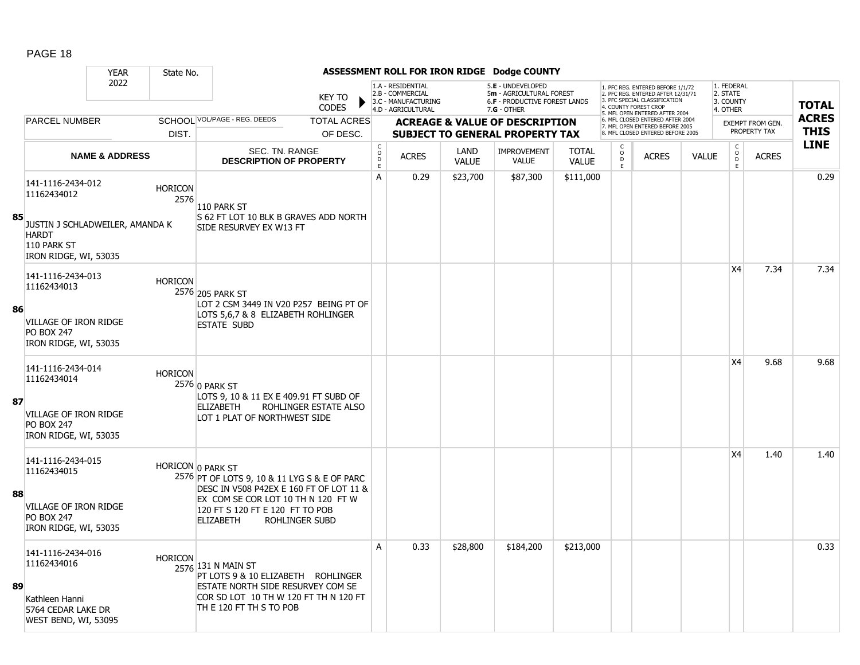|    |                                                                                                                             | <b>YEAR</b>               | State No.              |                                                                                                                                                                                                           |                               |                             |                                                                                    |                             | ASSESSMENT ROLL FOR IRON RIDGE Dodge COUNTY                                                          |                              |                               |                                                                                                                                                                |              |                                                          |                                         |                             |
|----|-----------------------------------------------------------------------------------------------------------------------------|---------------------------|------------------------|-----------------------------------------------------------------------------------------------------------------------------------------------------------------------------------------------------------|-------------------------------|-----------------------------|------------------------------------------------------------------------------------|-----------------------------|------------------------------------------------------------------------------------------------------|------------------------------|-------------------------------|----------------------------------------------------------------------------------------------------------------------------------------------------------------|--------------|----------------------------------------------------------|-----------------------------------------|-----------------------------|
|    |                                                                                                                             | 2022                      |                        |                                                                                                                                                                                                           | <b>KEY TO</b><br><b>CODES</b> |                             | 1.A - RESIDENTIAL<br>2.B - COMMERCIAL<br>3.C - MANUFACTURING<br>4.D - AGRICULTURAL |                             | 5.E - UNDEVELOPED<br>5m - AGRICULTURAL FOREST<br><b>6.F - PRODUCTIVE FOREST LANDS</b><br>7.G - OTHER |                              |                               | 1. PFC REG. ENTERED BEFORE 1/1/72<br>2. PFC REG. ENTERED AFTER 12/31/71<br>3 PEC SPECIAL CLASSIFICATION<br>COUNTY FOREST CRO<br>5. MFL OPEN ENTERED AFTER 2004 |              | 1. FEDERAL<br>2. STATE<br>3. COUNTY<br>4. OTHER          |                                         | <b>TOTAL</b>                |
|    | <b>PARCEL NUMBER</b>                                                                                                        |                           |                        | SCHOOL VOL/PAGE - REG. DEEDS                                                                                                                                                                              | <b>TOTAL ACRES</b>            |                             |                                                                                    |                             | <b>ACREAGE &amp; VALUE OF DESCRIPTION</b>                                                            |                              |                               | 6. MFL CLOSED ENTERED AFTER 2004<br>7. MFL OPEN ENTERED BEFORE 2005                                                                                            |              |                                                          | <b>EXEMPT FROM GEN.</b><br>PROPERTY TAX | <b>ACRES</b><br><b>THIS</b> |
|    |                                                                                                                             |                           | DIST.                  |                                                                                                                                                                                                           | OF DESC.                      | $\mathsf{C}$                |                                                                                    |                             | <b>SUBJECT TO GENERAL PROPERTY TAX</b>                                                               |                              |                               | 8. MFL CLOSED ENTERED BEFORE 2005                                                                                                                              |              |                                                          |                                         | <b>LINE</b>                 |
|    |                                                                                                                             | <b>NAME &amp; ADDRESS</b> |                        | SEC. TN. RANGE<br><b>DESCRIPTION OF PROPERTY</b>                                                                                                                                                          |                               | $\circ$<br>$\mathsf D$<br>E | <b>ACRES</b>                                                                       | <b>LAND</b><br><b>VALUE</b> | <b>IMPROVEMENT</b><br><b>VALUE</b>                                                                   | <b>TOTAL</b><br><b>VALUE</b> | $\overline{0}$<br>$\mathsf F$ | <b>ACRES</b>                                                                                                                                                   | <b>VALUE</b> | $\begin{matrix} 0 \\ 0 \\ D \end{matrix}$<br>$\mathsf E$ | <b>ACRES</b>                            |                             |
| 85 | 141-1116-2434-012<br>11162434012<br>JUSTIN J SCHLADWEILER, AMANDA K<br><b>HARDT</b><br>110 PARK ST<br>IRON RIDGE, WI, 53035 |                           | <b>HORICON</b><br>2576 | 110 PARK ST<br>S 62 FT LOT 10 BLK B GRAVES ADD NORTH<br>SIDE RESURVEY EX W13 FT                                                                                                                           |                               | A                           | 0.29                                                                               | \$23,700                    | \$87,300                                                                                             | \$111,000                    |                               |                                                                                                                                                                |              |                                                          |                                         | 0.29                        |
| 86 | 141-1116-2434-013<br>11162434013<br>VILLAGE OF IRON RIDGE<br><b>PO BOX 247</b><br>IRON RIDGE, WI, 53035                     |                           | <b>HORICON</b>         | 2576 205 PARK ST<br>LOT 2 CSM 3449 IN V20 P257 BEING PT OF<br>LOTS 5,6,7 & 8 ELIZABETH ROHLINGER<br><b>ESTATE SUBD</b>                                                                                    |                               |                             |                                                                                    |                             |                                                                                                      |                              |                               |                                                                                                                                                                |              | X <sub>4</sub>                                           | 7.34                                    | 7.34                        |
| 87 | 141-1116-2434-014<br>11162434014<br>VILLAGE OF IRON RIDGE<br><b>PO BOX 247</b><br>IRON RIDGE, WI, 53035                     |                           | <b>HORICON</b>         | 2576 0 PARK ST<br>LOTS 9, 10 & 11 EX E 409.91 FT SUBD OF<br><b>ELIZABETH</b><br>LOT 1 PLAT OF NORTHWEST SIDE                                                                                              | ROHLINGER ESTATE ALSO         |                             |                                                                                    |                             |                                                                                                      |                              |                               |                                                                                                                                                                |              | X <sub>4</sub>                                           | 9.68                                    | 9.68                        |
| 88 | 141-1116-2434-015<br>11162434015<br>VILLAGE OF IRON RIDGE<br><b>PO BOX 247</b><br>IRON RIDGE, WI, 53035                     |                           |                        | HORICON 0 PARK ST<br>2576 PT OF LOTS 9, 10 & 11 LYG S & E OF PARC<br>DESC IN V508 P42EX E 160 FT OF LOT 11 &<br>EX COM SE COR LOT 10 TH N 120 FT W<br>120 FT S 120 FT E 120 FT TO POB<br><b>ELIZABETH</b> | <b>ROHLINGER SUBD</b>         |                             |                                                                                    |                             |                                                                                                      |                              |                               |                                                                                                                                                                |              | <b>X4</b>                                                | 1.40                                    | 1.40                        |
| 89 | 141-1116-2434-016<br>11162434016<br>Kathleen Hanni<br>5764 CEDAR LAKE DR<br>WEST BEND, WI, 53095                            |                           | <b>HORICON</b>         | 2576 131 N MAIN ST<br>PT LOTS 9 & 10 ELIZABETH ROHLINGER<br>ESTATE NORTH SIDE RESURVEY COM SE<br>COR SD LOT 10 TH W 120 FT TH N 120 FT<br>TH E 120 FT TH S TO POB                                         |                               | A                           | 0.33                                                                               | \$28,800                    | \$184,200                                                                                            | \$213,000                    |                               |                                                                                                                                                                |              |                                                          |                                         | 0.33                        |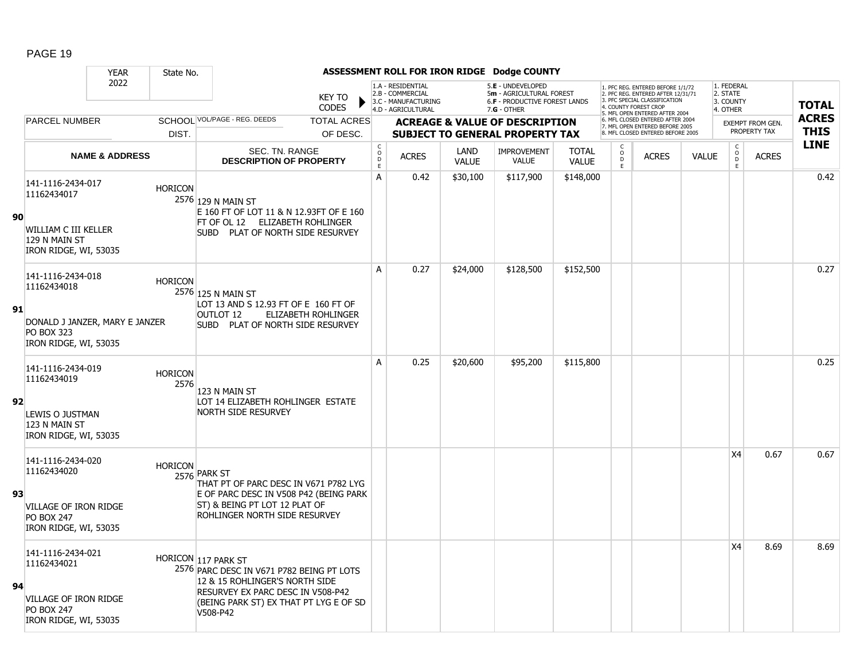|    |                                                                                                                  | <b>YEAR</b>               | State No.              |                                                                                                                                                                                               |                               |                                             |                                                                                    |                      | ASSESSMENT ROLL FOR IRON RIDGE Dodge COUNTY                                                            |                              |                     |                                                                                                                                                  |              |                                                 |                         |                            |
|----|------------------------------------------------------------------------------------------------------------------|---------------------------|------------------------|-----------------------------------------------------------------------------------------------------------------------------------------------------------------------------------------------|-------------------------------|---------------------------------------------|------------------------------------------------------------------------------------|----------------------|--------------------------------------------------------------------------------------------------------|------------------------------|---------------------|--------------------------------------------------------------------------------------------------------------------------------------------------|--------------|-------------------------------------------------|-------------------------|----------------------------|
|    |                                                                                                                  | 2022                      |                        |                                                                                                                                                                                               | <b>KEY TO</b><br><b>CODES</b> |                                             | 1.A - RESIDENTIAL<br>2.B - COMMERCIAL<br>3.C - MANUFACTURING<br>4.D - AGRICULTURAL |                      | 5.E - UNDEVELOPED<br>5m - AGRICULTURAL FOREST<br><b>6.F - PRODUCTIVE FOREST LANDS</b><br>$7.G - OTHER$ |                              |                     | 1. PFC REG. ENTERED BEFORE 1/1/72<br>2. PFC REG. ENTERED AFTER 12/31/71<br><b>3 PEC SPECIAL CLASSIFICATION</b><br>5. MFL OPEN ENTERED AFTER 2004 |              | 1. FEDERAL<br>2. STATE<br>3. COUNTY<br>4. OTHER |                         | <b>TOTAL</b>               |
|    | <b>PARCEL NUMBER</b>                                                                                             |                           |                        | SCHOOL VOL/PAGE - REG. DEEDS                                                                                                                                                                  | <b>TOTAL ACRES</b>            |                                             |                                                                                    |                      | <b>ACREAGE &amp; VALUE OF DESCRIPTION</b>                                                              |                              |                     | 6. MFL CLOSED ENTERED AFTER 2004<br>7. MFL OPEN ENTERED BEFORE 2005                                                                              |              |                                                 | <b>EXEMPT FROM GEN.</b> | <b>ACRES</b>               |
|    |                                                                                                                  |                           | DIST.                  |                                                                                                                                                                                               | OF DESC.                      |                                             |                                                                                    |                      | <b>SUBJECT TO GENERAL PROPERTY TAX</b>                                                                 |                              |                     | 8. MFL CLOSED ENTERED BEFORE 2005                                                                                                                |              |                                                 | PROPERTY TAX            | <b>THIS</b><br><b>LINE</b> |
|    |                                                                                                                  | <b>NAME &amp; ADDRESS</b> |                        | SEC. TN. RANGE<br><b>DESCRIPTION OF PROPERTY</b>                                                                                                                                              |                               | $\mathsf{C}$<br>$\circ$<br>$\mathsf D$<br>E | <b>ACRES</b>                                                                       | LAND<br><b>VALUE</b> | <b>IMPROVEMENT</b><br><b>VALUE</b>                                                                     | <b>TOTAL</b><br><b>VALUE</b> | $\overline{0}$<br>E | <b>ACRES</b>                                                                                                                                     | <b>VALUE</b> | $\begin{matrix} 0 \\ 0 \\ 0 \end{matrix}$<br>E  | <b>ACRES</b>            |                            |
| 90 | 141-1116-2434-017<br>11162434017<br>WILLIAM C III KELLER<br>129 N MAIN ST<br>IRON RIDGE, WI, 53035               |                           | <b>HORICON</b>         | 2576 129 N MAIN ST<br>E 160 FT OF LOT 11 & N 12.93FT OF E 160<br>FT OF OL 12 ELIZABETH ROHLINGER<br>SUBD PLAT OF NORTH SIDE RESURVEY                                                          |                               | A                                           | 0.42                                                                               | \$30,100             | \$117,900                                                                                              | \$148,000                    |                     |                                                                                                                                                  |              |                                                 |                         | 0.42                       |
| 91 | 141-1116-2434-018<br>11162434018<br>DONALD J JANZER, MARY E JANZER<br><b>PO BOX 323</b><br>IRON RIDGE, WI, 53035 |                           | <b>HORICON</b>         | 2576 125 N MAIN ST<br>LOT 13 AND S 12.93 FT OF E 160 FT OF<br>OUTLOT 12<br>SUBD PLAT OF NORTH SIDE RESURVEY                                                                                   | ELIZABETH ROHLINGER           | A                                           | 0.27                                                                               | \$24,000             | \$128,500                                                                                              | \$152,500                    |                     |                                                                                                                                                  |              |                                                 |                         | 0.27                       |
| 92 | 141-1116-2434-019<br>11162434019<br>LEWIS O JUSTMAN<br>123 N MAIN ST<br>IRON RIDGE, WI, 53035                    |                           | <b>HORICON</b><br>2576 | 123 N MAIN ST<br>LOT 14 ELIZABETH ROHLINGER ESTATE<br><b>NORTH SIDE RESURVEY</b>                                                                                                              |                               | A                                           | 0.25                                                                               | \$20,600             | \$95,200                                                                                               | \$115,800                    |                     |                                                                                                                                                  |              |                                                 |                         | 0.25                       |
| 93 | 141-1116-2434-020<br>11162434020<br>VILLAGE OF IRON RIDGE<br><b>PO BOX 247</b><br>IRON RIDGE, WI, 53035          |                           | <b>HORICON</b>         | 2576 PARK ST<br>THAT PT OF PARC DESC IN V671 P782 LYG<br>E OF PARC DESC IN V508 P42 (BEING PARK)<br>ST) & BEING PT LOT 12 PLAT OF<br>ROHLINGER NORTH SIDE RESURVEY                            |                               |                                             |                                                                                    |                      |                                                                                                        |                              |                     |                                                                                                                                                  |              | X4                                              | 0.67                    | 0.67                       |
| 94 | 141-1116-2434-021<br>11162434021<br>VILLAGE OF IRON RIDGE<br><b>PO BOX 247</b><br>IRON RIDGE, WI, 53035          |                           |                        | HORICON 117 PARK ST<br>2576 PARC DESC IN V671 P782 BEING PT LOTS<br>12 & 15 ROHLINGER'S NORTH SIDE<br>RESURVEY EX PARC DESC IN V508-P42<br>(BEING PARK ST) EX THAT PT LYG E OF SD<br>V508-P42 |                               |                                             |                                                                                    |                      |                                                                                                        |                              |                     |                                                                                                                                                  |              | X4                                              | 8.69                    | 8.69                       |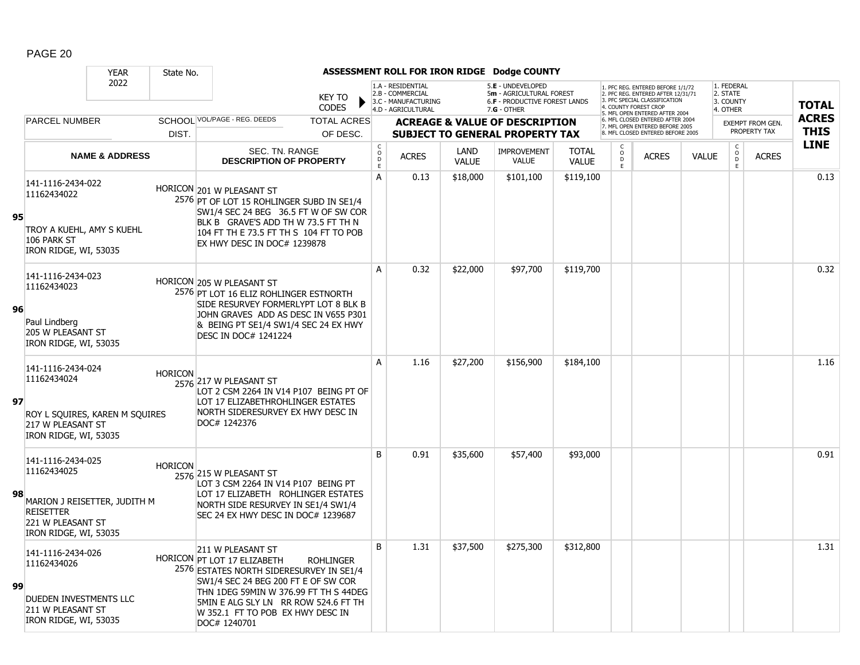|    |                                                                                                                                    | <b>YEAR</b>               | State No.      |                                                                                                                                                                                                                                                                          |                                |                                                 |                                                                                    |                      | ASSESSMENT ROLL FOR IRON RIDGE Dodge COUNTY                                                            |                              |                      |                                                                                                                                                                    |              |                                                 |                                         |                             |
|----|------------------------------------------------------------------------------------------------------------------------------------|---------------------------|----------------|--------------------------------------------------------------------------------------------------------------------------------------------------------------------------------------------------------------------------------------------------------------------------|--------------------------------|-------------------------------------------------|------------------------------------------------------------------------------------|----------------------|--------------------------------------------------------------------------------------------------------|------------------------------|----------------------|--------------------------------------------------------------------------------------------------------------------------------------------------------------------|--------------|-------------------------------------------------|-----------------------------------------|-----------------------------|
|    |                                                                                                                                    | 2022                      |                |                                                                                                                                                                                                                                                                          | <b>KEY TO</b><br><b>CODES</b>  |                                                 | 1.A - RESIDENTIAL<br>2.B - COMMERCIAL<br>3.C - MANUFACTURING<br>4.D - AGRICULTURAL |                      | 5.E - UNDEVELOPED<br>5m - AGRICULTURAL FOREST<br><b>6.F - PRODUCTIVE FOREST LANDS</b><br>$7.G - OTHER$ |                              |                      | 1. PFC REG. ENTERED BEFORE 1/1/72<br>2. PFC REG. ENTERED AFTER 12/31/71<br>3 PEC SPECIAL CLASSIFICATION<br>4. COUNTY FOREST CROP<br>5. MFL OPEN ENTERED AFTER 2004 |              | 1. FEDERAL<br>2. STATE<br>3. COUNTY<br>4. OTHER |                                         | <b>TOTAL</b>                |
|    | <b>PARCEL NUMBER</b>                                                                                                               |                           | DIST.          | SCHOOL VOL/PAGE - REG. DEEDS                                                                                                                                                                                                                                             | <b>TOTAL ACRES</b><br>OF DESC. |                                                 |                                                                                    |                      | <b>ACREAGE &amp; VALUE OF DESCRIPTION</b><br><b>SUBJECT TO GENERAL PROPERTY TAX</b>                    |                              |                      | 6. MFL CLOSED ENTERED AFTER 2004<br>7. MFL OPEN ENTERED BEFORE 2005<br>8. MFL CLOSED ENTERED BEFORE 2005                                                           |              |                                                 | <b>EXEMPT FROM GEN.</b><br>PROPERTY TAX | <b>ACRES</b><br><b>THIS</b> |
|    |                                                                                                                                    | <b>NAME &amp; ADDRESS</b> |                | SEC. TN. RANGE<br><b>DESCRIPTION OF PROPERTY</b>                                                                                                                                                                                                                         |                                | $\begin{array}{c} C \\ O \\ D \end{array}$<br>E | <b>ACRES</b>                                                                       | LAND<br><b>VALUE</b> | <b>IMPROVEMENT</b><br><b>VALUE</b>                                                                     | <b>TOTAL</b><br><b>VALUE</b> | $\overline{0}$<br>F. | <b>ACRES</b>                                                                                                                                                       | <b>VALUE</b> | $\begin{matrix} 0 \\ 0 \end{matrix}$<br>E       | <b>ACRES</b>                            | <b>LINE</b>                 |
| 95 | 141-1116-2434-022<br>11162434022<br>TROY A KUEHL, AMY S KUEHL<br>106 PARK ST<br>IRON RIDGE, WI, 53035                              |                           |                | HORICON 201 W PLEASANT ST<br>2576 PT OF LOT 15 ROHLINGER SUBD IN SE1/4<br>SW1/4 SEC 24 BEG 36.5 FT W OF SW COR<br>BLK B GRAVE'S ADD TH W 73.5 FT TH N<br>104 FT TH E 73.5 FT TH S 104 FT TO POB<br>EX HWY DESC IN DOC# 1239878                                           |                                | A                                               | 0.13                                                                               | \$18,000             | \$101,100                                                                                              | \$119,100                    |                      |                                                                                                                                                                    |              |                                                 |                                         | 0.13                        |
| 96 | 141-1116-2434-023<br>11162434023<br>Paul Lindberg<br><b>205 W PLEASANT ST</b><br>IRON RIDGE, WI, 53035                             |                           |                | HORICON 205 W PLEASANT ST<br>2576 PT LOT 16 ELIZ ROHLINGER ESTNORTH<br>SIDE RESURVEY FORMERLYPT LOT 8 BLK B<br>JOHN GRAVES ADD AS DESC IN V655 P301<br>& BEING PT SE1/4 SW1/4 SEC 24 EX HWY<br>DESC IN DOC# 1241224                                                      |                                | A                                               | 0.32                                                                               | \$22,000             | \$97,700                                                                                               | \$119,700                    |                      |                                                                                                                                                                    |              |                                                 |                                         | 0.32                        |
| 97 | 141-1116-2434-024<br>11162434024<br>ROY L SQUIRES, KAREN M SQUIRES<br>217 W PLEASANT ST<br>IRON RIDGE, WI, 53035                   |                           | <b>HORICON</b> | 2576 217 W PLEASANT ST<br>LOT 2 CSM 2264 IN V14 P107 BEING PT OF<br>LOT 17 ELIZABETHROHLINGER ESTATES<br>NORTH SIDERESURVEY EX HWY DESC IN<br>DOC# 1242376                                                                                                               |                                | A                                               | 1.16                                                                               | \$27,200             | \$156,900                                                                                              | \$184,100                    |                      |                                                                                                                                                                    |              |                                                 |                                         | 1.16                        |
| 98 | 141-1116-2434-025<br>11162434025<br>MARION J REISETTER, JUDITH M<br><b>REISETTER</b><br>221 W PLEASANT ST<br>IRON RIDGE, WI, 53035 |                           | <b>HORICON</b> | 2576 215 W PLEASANT ST<br>LOT 3 CSM 2264 IN V14 P107 BEING PT<br>LOT 17 ELIZABETH ROHLINGER ESTATES<br>NORTH SIDE RESURVEY IN SE1/4 SW1/4<br>SEC 24 EX HWY DESC IN DOC# 1239687                                                                                          |                                | B                                               | 0.91                                                                               | \$35,600             | \$57,400                                                                                               | \$93,000                     |                      |                                                                                                                                                                    |              |                                                 |                                         | 0.91                        |
| 99 | 141-1116-2434-026<br>11162434026<br>DUEDEN INVESTMENTS LLC<br>211 W PLEASANT ST<br>IRON RIDGE, WI, 53035                           |                           |                | 211 W PLEASANT ST<br>HORICON PT LOT 17 ELIZABETH<br>2576 ESTATES NORTH SIDERESURVEY IN SE1/4<br>SW1/4 SEC 24 BEG 200 FT E OF SW COR<br>THN 1DEG 59MIN W 376.99 FT TH S 44DEG<br>5MIN E ALG SLY LN RR ROW 524.6 FT TH<br>W 352.1 FT TO POB EX HWY DESC IN<br>DOC# 1240701 | <b>ROHLINGER</b>               | B                                               | 1.31                                                                               | \$37,500             | \$275,300                                                                                              | \$312,800                    |                      |                                                                                                                                                                    |              |                                                 |                                         | 1.31                        |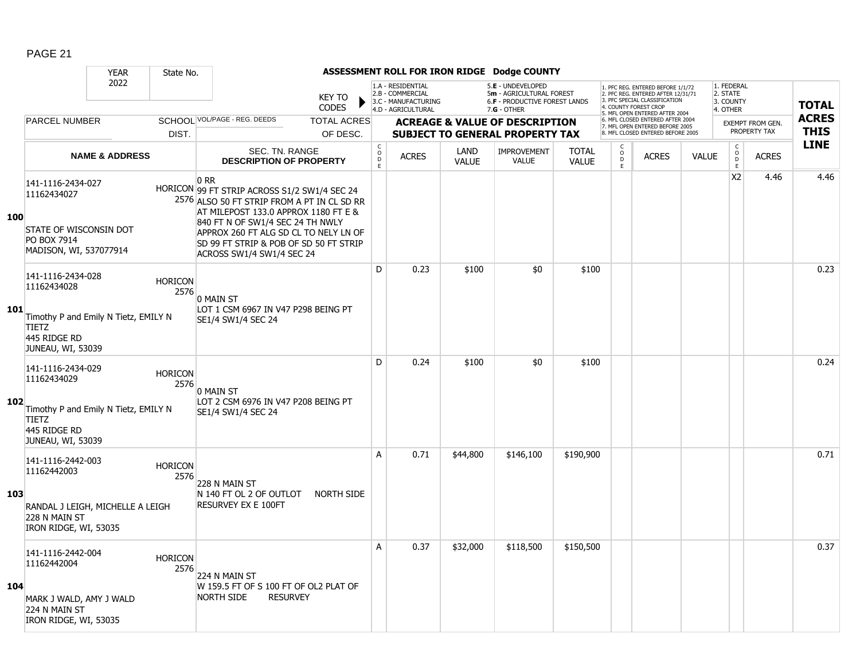|     |                                                                                                                               | <b>YEAR</b>               | State No.              |                                                                                                                                                                                                                                                                                                 |                                |                                     |                                                                                    |                      | ASSESSMENT ROLL FOR IRON RIDGE Dodge COUNTY                                                     |                              |                     |                                                                                                                                            |              |                                                 |                                         |                             |
|-----|-------------------------------------------------------------------------------------------------------------------------------|---------------------------|------------------------|-------------------------------------------------------------------------------------------------------------------------------------------------------------------------------------------------------------------------------------------------------------------------------------------------|--------------------------------|-------------------------------------|------------------------------------------------------------------------------------|----------------------|-------------------------------------------------------------------------------------------------|------------------------------|---------------------|--------------------------------------------------------------------------------------------------------------------------------------------|--------------|-------------------------------------------------|-----------------------------------------|-----------------------------|
|     |                                                                                                                               | 2022                      |                        |                                                                                                                                                                                                                                                                                                 | <b>KEY TO</b><br><b>CODES</b>  |                                     | 1.A - RESIDENTIAL<br>2.B - COMMERCIAL<br>3.C - MANUFACTURING<br>4.D - AGRICULTURAL |                      | 5.E - UNDEVELOPED<br>5m - AGRICULTURAL FOREST<br>6.F - PRODUCTIVE FOREST LANDS<br>$7.G - OTHER$ |                              |                     | 1. PFC REG. ENTERED BEFORE 1/1/72<br>2. PFC REG. ENTERED AFTER 12/31/71<br>3. PFC SPECIAL CLASSIFICATION<br>COUNTY FOREST CROP             |              | 1. FEDERAL<br>2. STATE<br>3. COUNTY<br>4. OTHER |                                         | <b>TOTAL</b>                |
|     | <b>PARCEL NUMBER</b>                                                                                                          |                           | DIST.                  | SCHOOL VOL/PAGE - REG. DEEDS                                                                                                                                                                                                                                                                    | <b>TOTAL ACRES</b><br>OF DESC. |                                     |                                                                                    |                      | <b>ACREAGE &amp; VALUE OF DESCRIPTION</b><br><b>SUBJECT TO GENERAL PROPERTY TAX</b>             |                              |                     | 5. MFL OPEN ENTERED AFTER 2004<br>6. MFL CLOSED ENTERED AFTER 2004<br>7. MFL OPEN ENTERED BEFORE 2005<br>8. MFL CLOSED ENTERED BEFORE 2005 |              |                                                 | <b>EXEMPT FROM GEN.</b><br>PROPERTY TAX | <b>ACRES</b><br><b>THIS</b> |
|     |                                                                                                                               | <b>NAME &amp; ADDRESS</b> |                        | SEC. TN. RANGE<br><b>DESCRIPTION OF PROPERTY</b>                                                                                                                                                                                                                                                |                                | $\mathsf C$<br>$\overline{0}$<br>F. | <b>ACRES</b>                                                                       | LAND<br><b>VALUE</b> | <b>IMPROVEMENT</b><br><b>VALUE</b>                                                              | <b>TOTAL</b><br><b>VALUE</b> | $\overline{0}$<br>E | <b>ACRES</b>                                                                                                                               | <b>VALUE</b> | $\mathsf{C}$<br>$\overline{0}$<br>E             | <b>ACRES</b>                            | <b>LINE</b>                 |
| 100 | 141-1116-2434-027<br>11162434027<br>STATE OF WISCONSIN DOT<br>PO BOX 7914<br>MADISON, WI, 537077914                           |                           |                        | 0 RR<br>HORICON 99 FT STRIP ACROSS S1/2 SW1/4 SEC 24<br>2576 ALSO 50 FT STRIP FROM A PT IN CL SD RR<br>AT MILEPOST 133.0 APPROX 1180 FT E &<br>840 FT N OF SW1/4 SEC 24 TH NWLY<br>APPROX 260 FT ALG SD CL TO NELY LN OF<br>SD 99 FT STRIP & POB OF SD 50 FT STRIP<br>ACROSS SW1/4 SW1/4 SEC 24 |                                |                                     |                                                                                    |                      |                                                                                                 |                              |                     |                                                                                                                                            |              | X <sub>2</sub>                                  | 4.46                                    | 4.46                        |
| 101 | 141-1116-2434-028<br>11162434028<br>Timothy P and Emily N Tietz, EMILY N<br><b>TIETZ</b><br>445 RIDGE RD<br>JUNEAU, WI, 53039 |                           | <b>HORICON</b><br>2576 | 0 MAIN ST<br>LOT 1 CSM 6967 IN V47 P298 BEING PT<br>SE1/4 SW1/4 SEC 24                                                                                                                                                                                                                          |                                | D                                   | 0.23                                                                               | \$100                | \$0                                                                                             | \$100                        |                     |                                                                                                                                            |              |                                                 |                                         | 0.23                        |
| 102 | 141-1116-2434-029<br>11162434029<br>Timothy P and Emily N Tietz, EMILY N<br><b>TIETZ</b><br>445 RIDGE RD<br>JUNEAU, WI, 53039 |                           | <b>HORICON</b><br>2576 | 0 MAIN ST<br>LOT 2 CSM 6976 IN V47 P208 BEING PT<br>SE1/4 SW1/4 SEC 24                                                                                                                                                                                                                          |                                | D                                   | 0.24                                                                               | \$100                | \$0                                                                                             | \$100                        |                     |                                                                                                                                            |              |                                                 |                                         | 0.24                        |
| 103 | 141-1116-2442-003<br>11162442003<br>RANDAL J LEIGH, MICHELLE A LEIGH<br>228 N MAIN ST<br>IRON RIDGE, WI, 53035                |                           | <b>HORICON</b><br>2576 | 228 N MAIN ST<br>N 140 FT OL 2 OF OUTLOT<br><b>RESURVEY EX E 100FT</b>                                                                                                                                                                                                                          | <b>NORTH SIDE</b>              | A                                   | 0.71                                                                               | \$44,800             | \$146,100                                                                                       | \$190,900                    |                     |                                                                                                                                            |              |                                                 |                                         | 0.71                        |
| 104 | 141-1116-2442-004<br>11162442004<br>MARK J WALD, AMY J WALD<br>224 N MAIN ST<br>IRON RIDGE, WI, 53035                         |                           | <b>HORICON</b><br>2576 | 224 N MAIN ST<br>W 159.5 FT OF S 100 FT OF OL2 PLAT OF<br><b>NORTH SIDE</b>                                                                                                                                                                                                                     | <b>RESURVEY</b>                | A                                   | 0.37                                                                               | \$32,000             | \$118,500                                                                                       | \$150,500                    |                     |                                                                                                                                            |              |                                                 |                                         | 0.37                        |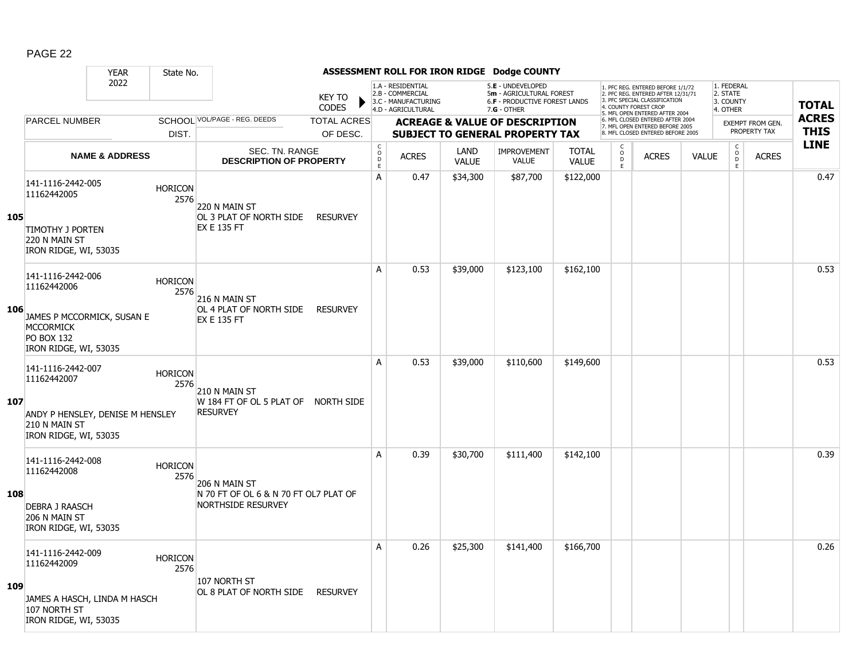|     |                                                                                                                                  | <b>YEAR</b>               | State No.              |                                                                                     |                                |                                  |                                                                                    |                      | ASSESSMENT ROLL FOR IRON RIDGE Dodge COUNTY                                                            |                              |                                           |                                                                                                                                                                     |              |                                                 |                                         |                             |
|-----|----------------------------------------------------------------------------------------------------------------------------------|---------------------------|------------------------|-------------------------------------------------------------------------------------|--------------------------------|----------------------------------|------------------------------------------------------------------------------------|----------------------|--------------------------------------------------------------------------------------------------------|------------------------------|-------------------------------------------|---------------------------------------------------------------------------------------------------------------------------------------------------------------------|--------------|-------------------------------------------------|-----------------------------------------|-----------------------------|
|     |                                                                                                                                  | 2022                      |                        |                                                                                     | <b>KEY TO</b><br><b>CODES</b>  |                                  | 1.A - RESIDENTIAL<br>2.B - COMMERCIAL<br>3.C - MANUFACTURING<br>4.D - AGRICULTURAL |                      | 5.E - UNDEVELOPED<br>5m - AGRICULTURAL FOREST<br><b>6.F - PRODUCTIVE FOREST LANDS</b><br>$7.G - OTHER$ |                              |                                           | 1. PFC REG. ENTERED BEFORE 1/1/72<br>2. PFC REG. ENTERED AFTER 12/31/71<br>3. PFC SPECIAL CLASSIFICATION<br>4. COUNTY FOREST CROP<br>5. MFL OPEN ENTERED AFTER 2004 |              | 1. FEDERAL<br>2. STATE<br>3. COUNTY<br>4. OTHER |                                         | <b>TOTAL</b>                |
|     | <b>PARCEL NUMBER</b>                                                                                                             |                           | DIST.                  | SCHOOL VOL/PAGE - REG. DEEDS                                                        | <b>TOTAL ACRES</b><br>OF DESC. |                                  |                                                                                    |                      | <b>ACREAGE &amp; VALUE OF DESCRIPTION</b>                                                              |                              |                                           | 6. MFL CLOSED ENTERED AFTER 2004<br>7. MFL OPEN ENTERED BEFORE 2005<br>8. MFL CLOSED ENTERED BEFORE 2005                                                            |              |                                                 | <b>EXEMPT FROM GEN.</b><br>PROPERTY TAX | <b>ACRES</b><br><b>THIS</b> |
|     |                                                                                                                                  | <b>NAME &amp; ADDRESS</b> |                        | <b>SEC. TN. RANGE</b><br><b>DESCRIPTION OF PROPERTY</b>                             |                                | C<br>$\mathsf{O}$<br>$\mathsf D$ | <b>ACRES</b>                                                                       | LAND<br><b>VALUE</b> | <b>SUBJECT TO GENERAL PROPERTY TAX</b><br><b>IMPROVEMENT</b><br>VALUE                                  | <b>TOTAL</b><br><b>VALUE</b> | $\begin{matrix} 0 \\ 0 \\ D \end{matrix}$ | <b>ACRES</b>                                                                                                                                                        | <b>VALUE</b> | $\begin{matrix} 0 \\ 0 \\ D \end{matrix}$       | <b>ACRES</b>                            | <b>LINE</b>                 |
| 105 | 141-1116-2442-005<br>11162442005<br><b>TIMOTHY J PORTEN</b><br>220 N MAIN ST<br>IRON RIDGE, WI, 53035                            |                           | <b>HORICON</b><br>2576 | 220 N MAIN ST<br>OL 3 PLAT OF NORTH SIDE<br><b>EX E 135 FT</b>                      | <b>RESURVEY</b>                | E<br>A                           | 0.47                                                                               | \$34,300             | \$87,700                                                                                               | \$122,000                    | E.                                        |                                                                                                                                                                     |              | E                                               |                                         | 0.47                        |
| 106 | 141-1116-2442-006<br>11162442006<br>JAMES P MCCORMICK, SUSAN E<br><b>MCCORMICK</b><br><b>PO BOX 132</b><br>IRON RIDGE, WI, 53035 |                           | <b>HORICON</b><br>2576 | 216 N MAIN ST<br>OL 4 PLAT OF NORTH SIDE<br><b>EX E 135 FT</b>                      | <b>RESURVEY</b>                | A                                | 0.53                                                                               | \$39,000             | \$123,100                                                                                              | \$162,100                    |                                           |                                                                                                                                                                     |              |                                                 |                                         | 0.53                        |
| 107 | 141-1116-2442-007<br>11162442007<br>ANDY P HENSLEY, DENISE M HENSLEY<br>210 N MAIN ST<br>IRON RIDGE, WI, 53035                   |                           | <b>HORICON</b><br>2576 | 210 N MAIN ST<br>W 184 FT OF OL 5 PLAT OF NORTH SIDE<br><b>RESURVEY</b>             |                                | A                                | 0.53                                                                               | \$39,000             | \$110,600                                                                                              | \$149,600                    |                                           |                                                                                                                                                                     |              |                                                 |                                         | 0.53                        |
| 108 | 141-1116-2442-008<br>11162442008<br><b>DEBRA J RAASCH</b><br>206 N MAIN ST<br>IRON RIDGE, WI, 53035                              |                           | <b>HORICON</b><br>2576 | 206 N MAIN ST<br>N 70 FT OF OL 6 & N 70 FT OL7 PLAT OF<br><b>NORTHSIDE RESURVEY</b> |                                | А                                | 0.39                                                                               | \$30,700             | \$111,400                                                                                              | \$142,100                    |                                           |                                                                                                                                                                     |              |                                                 |                                         | 0.39                        |
| 109 | 141-1116-2442-009<br>11162442009<br>JAMES A HASCH, LINDA M HASCH<br>107 NORTH ST<br>IRON RIDGE, WI, 53035                        |                           | <b>HORICON</b><br>2576 | 107 NORTH ST<br>OL 8 PLAT OF NORTH SIDE                                             | <b>RESURVEY</b>                | A                                | 0.26                                                                               | \$25,300             | \$141,400                                                                                              | \$166,700                    |                                           |                                                                                                                                                                     |              |                                                 |                                         | 0.26                        |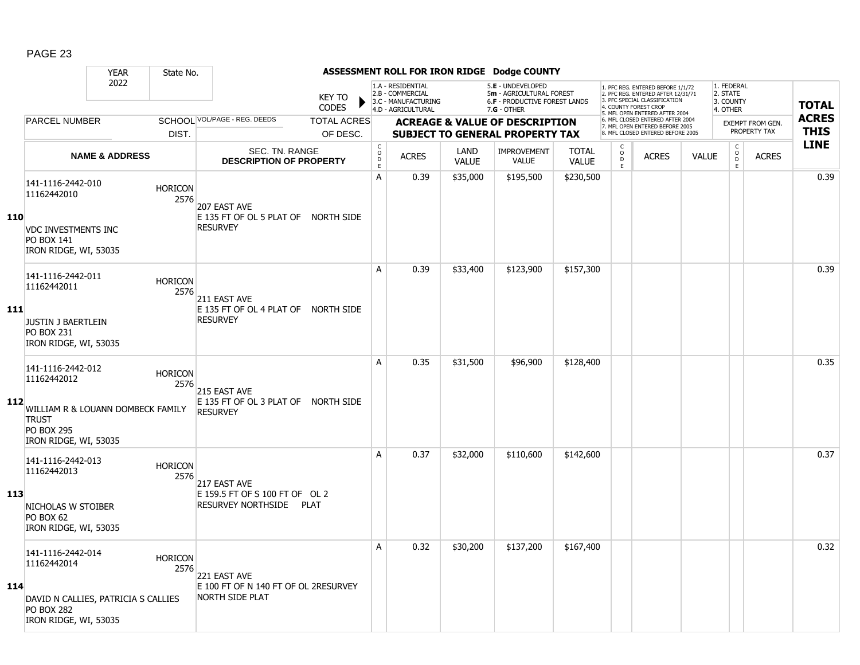|     |                                                                                                            | <b>YEAR</b>               | State No.              |                                                                                |                                |                                        |                                                                                    |                      | ASSESSMENT ROLL FOR IRON RIDGE Dodge COUNTY                                                          |                              |                                        |                                                                                                                                            |              |                                                 |                                         |                             |
|-----|------------------------------------------------------------------------------------------------------------|---------------------------|------------------------|--------------------------------------------------------------------------------|--------------------------------|----------------------------------------|------------------------------------------------------------------------------------|----------------------|------------------------------------------------------------------------------------------------------|------------------------------|----------------------------------------|--------------------------------------------------------------------------------------------------------------------------------------------|--------------|-------------------------------------------------|-----------------------------------------|-----------------------------|
|     |                                                                                                            | 2022                      |                        |                                                                                | <b>KEY TO</b><br><b>CODES</b>  |                                        | 1.A - RESIDENTIAL<br>2.B - COMMERCIAL<br>3.C - MANUFACTURING<br>4.D - AGRICULTURAL |                      | 5.E - UNDEVELOPED<br>5m - AGRICULTURAL FOREST<br><b>6.F - PRODUCTIVE FOREST LANDS</b><br>7.G - OTHER |                              | 4. COUNTY FOREST CROP                  | 1. PFC REG. ENTERED BEFORE 1/1/72<br>2. PFC REG. ENTERED AFTER 12/31/71<br>3. PFC SPECIAL CLASSIFICATION<br>5. MFL OPEN ENTERED AFTER 2004 |              | 1. FEDERAL<br>2. STATE<br>3. COUNTY<br>4. OTHER |                                         | <b>TOTAL</b>                |
|     | PARCEL NUMBER                                                                                              |                           | DIST.                  | SCHOOL VOL/PAGE - REG. DEEDS                                                   | <b>TOTAL ACRES</b><br>OF DESC. |                                        |                                                                                    |                      | <b>ACREAGE &amp; VALUE OF DESCRIPTION</b><br><b>SUBJECT TO GENERAL PROPERTY TAX</b>                  |                              |                                        | 6. MFL CLOSED ENTERED AFTER 2004<br>7. MFL OPEN ENTERED BEFORE 2005<br>8. MFL CLOSED ENTERED BEFORE 2005                                   |              |                                                 | <b>EXEMPT FROM GEN.</b><br>PROPERTY TAX | <b>ACRES</b><br><b>THIS</b> |
|     |                                                                                                            | <b>NAME &amp; ADDRESS</b> |                        | <b>SEC. TN. RANGE</b><br><b>DESCRIPTION OF PROPERTY</b>                        |                                | $_{\rm o}^{\rm c}$<br>$\mathsf D$<br>E | <b>ACRES</b>                                                                       | LAND<br><b>VALUE</b> | <b>IMPROVEMENT</b><br>VALUE                                                                          | <b>TOTAL</b><br><b>VALUE</b> | $\mathsf C$<br>$_{\rm D}^{\rm O}$<br>E | <b>ACRES</b>                                                                                                                               | <b>VALUE</b> | $\begin{matrix} 0 \\ 0 \\ 0 \end{matrix}$<br>E  | <b>ACRES</b>                            | <b>LINE</b>                 |
| 110 | 141-1116-2442-010<br>11162442010                                                                           |                           | <b>HORICON</b><br>2576 | 207 EAST AVE                                                                   |                                | A                                      | 0.39                                                                               | \$35,000             | \$195,500                                                                                            | \$230,500                    |                                        |                                                                                                                                            |              |                                                 |                                         | 0.39                        |
|     | <b>VDC INVESTMENTS INC</b><br><b>PO BOX 141</b><br>IRON RIDGE, WI, 53035                                   |                           |                        | E 135 FT OF OL 5 PLAT OF NORTH SIDE<br><b>RESURVEY</b>                         |                                |                                        |                                                                                    |                      |                                                                                                      |                              |                                        |                                                                                                                                            |              |                                                 |                                         |                             |
|     | 141-1116-2442-011<br>11162442011                                                                           |                           | <b>HORICON</b><br>2576 | 211 EAST AVE                                                                   |                                | A                                      | 0.39                                                                               | \$33,400             | \$123,900                                                                                            | \$157,300                    |                                        |                                                                                                                                            |              |                                                 |                                         | 0.39                        |
| 111 | JUSTIN J BAERTLEIN<br><b>PO BOX 231</b><br>IRON RIDGE, WI, 53035                                           |                           |                        | E 135 FT OF OL 4 PLAT OF NORTH SIDE<br><b>RESURVEY</b>                         |                                |                                        |                                                                                    |                      |                                                                                                      |                              |                                        |                                                                                                                                            |              |                                                 |                                         |                             |
| 112 | 141-1116-2442-012<br>11162442012<br>WILLIAM R & LOUANN DOMBECK FAMILY<br><b>TRUST</b><br><b>PO BOX 295</b> |                           | <b>HORICON</b><br>2576 | 215 EAST AVE<br>E 135 FT OF OL 3 PLAT OF NORTH SIDE<br><b>RESURVEY</b>         |                                | A                                      | 0.35                                                                               | \$31,500             | \$96,900                                                                                             | \$128,400                    |                                        |                                                                                                                                            |              |                                                 |                                         | 0.35                        |
| 113 | IRON RIDGE, WI, 53035<br>141-1116-2442-013<br>11162442013<br>NICHOLAS W STOIBER                            |                           | <b>HORICON</b><br>2576 | 217 EAST AVE<br>E 159.5 FT OF S 100 FT OF OL 2<br>RESURVEY NORTHSIDE           | <b>PLAT</b>                    | A                                      | 0.37                                                                               | \$32,000             | \$110,600                                                                                            | \$142,600                    |                                        |                                                                                                                                            |              |                                                 |                                         | 0.37                        |
|     | PO BOX 62<br>IRON RIDGE, WI, 53035<br>141-1116-2442-014                                                    |                           | <b>HORICON</b>         |                                                                                |                                | A                                      | 0.32                                                                               | \$30,200             | \$137,200                                                                                            | \$167,400                    |                                        |                                                                                                                                            |              |                                                 |                                         | 0.32                        |
| 114 | 11162442014<br>DAVID N CALLIES, PATRICIA S CALLIES<br><b>PO BOX 282</b><br>IRON RIDGE, WI, 53035           |                           | 2576                   | 221 EAST AVE<br>E 100 FT OF N 140 FT OF OL 2RESURVEY<br><b>NORTH SIDE PLAT</b> |                                |                                        |                                                                                    |                      |                                                                                                      |                              |                                        |                                                                                                                                            |              |                                                 |                                         |                             |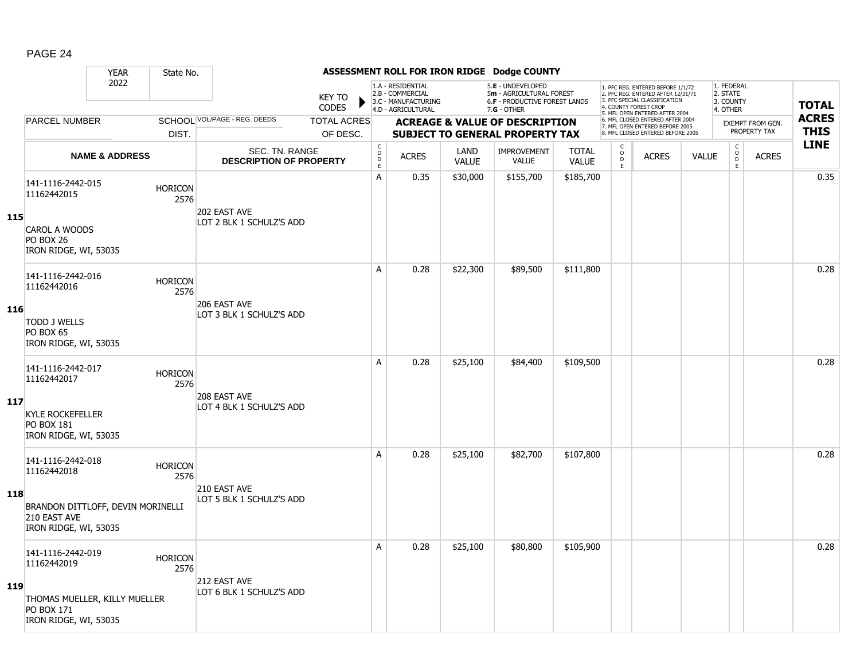|     |                                                                                                                 | <b>YEAR</b>               | State No.              |                                                  |                                |                                     |                                                                                    |                      | ASSESSMENT ROLL FOR IRON RIDGE Dodge COUNTY                                                            |                              |                              |                                                                                                                                                                     |              |                                                 |                                         |                             |
|-----|-----------------------------------------------------------------------------------------------------------------|---------------------------|------------------------|--------------------------------------------------|--------------------------------|-------------------------------------|------------------------------------------------------------------------------------|----------------------|--------------------------------------------------------------------------------------------------------|------------------------------|------------------------------|---------------------------------------------------------------------------------------------------------------------------------------------------------------------|--------------|-------------------------------------------------|-----------------------------------------|-----------------------------|
|     |                                                                                                                 | 2022                      |                        |                                                  | <b>KEY TO</b><br><b>CODES</b>  |                                     | 1.A - RESIDENTIAL<br>2.B - COMMERCIAL<br>3.C - MANUFACTURING<br>4.D - AGRICULTURAL |                      | 5.E - UNDEVELOPED<br>5m - AGRICULTURAL FOREST<br><b>6.F - PRODUCTIVE FOREST LANDS</b><br>$7.G - OTHER$ |                              |                              | 1. PFC REG. ENTERED BEFORE 1/1/72<br>2. PFC REG. ENTERED AFTER 12/31/71<br>3. PFC SPECIAL CLASSIFICATION<br>4. COUNTY FOREST CROP<br>5. MFL OPEN ENTERED AFTER 2004 |              | 1. FEDERAL<br>2. STATE<br>3. COUNTY<br>4. OTHER |                                         | <b>TOTAL</b>                |
|     | PARCEL NUMBER                                                                                                   |                           | DIST.                  | SCHOOL VOL/PAGE - REG. DEEDS                     | <b>TOTAL ACRES</b><br>OF DESC. |                                     |                                                                                    |                      | <b>ACREAGE &amp; VALUE OF DESCRIPTION</b><br><b>SUBJECT TO GENERAL PROPERTY TAX</b>                    |                              |                              | 6. MFL CLOSED ENTERED AFTER 2004<br>7. MFL OPEN ENTERED BEFORE 2005<br>8. MFL CLOSED ENTERED BEFORE 2005                                                            |              |                                                 | <b>EXEMPT FROM GEN.</b><br>PROPERTY TAX | <b>ACRES</b><br><b>THIS</b> |
|     |                                                                                                                 | <b>NAME &amp; ADDRESS</b> |                        | SEC. TN. RANGE<br><b>DESCRIPTION OF PROPERTY</b> |                                | $\mathsf{C}$<br>$\overline{0}$<br>E | <b>ACRES</b>                                                                       | LAND<br><b>VALUE</b> | <b>IMPROVEMENT</b><br>VALUE                                                                            | <b>TOTAL</b><br><b>VALUE</b> | C<br>$_{\rm D}^{\rm O}$<br>E | <b>ACRES</b>                                                                                                                                                        | <b>VALUE</b> | $\mathsf{C}$<br>$_{\rm D}^{\rm O}$<br>E         | <b>ACRES</b>                            | <b>LINE</b>                 |
| 115 | 141-1116-2442-015<br>11162442015<br>CAROL A WOODS<br><b>PO BOX 26</b>                                           |                           | <b>HORICON</b><br>2576 | 202 EAST AVE<br>LOT 2 BLK 1 SCHULZ'S ADD         |                                | А                                   | 0.35                                                                               | \$30,000             | \$155,700                                                                                              | \$185,700                    |                              |                                                                                                                                                                     |              |                                                 |                                         | 0.35                        |
|     | IRON RIDGE, WI, 53035<br>141-1116-2442-016<br>11162442016                                                       |                           | <b>HORICON</b><br>2576 | 206 EAST AVE                                     |                                | A                                   | 0.28                                                                               | \$22,300             | \$89,500                                                                                               | \$111,800                    |                              |                                                                                                                                                                     |              |                                                 |                                         | 0.28                        |
| 116 | <b>TODD J WELLS</b><br>PO BOX 65<br>IRON RIDGE, WI, 53035                                                       |                           |                        | LOT 3 BLK 1 SCHULZ'S ADD                         |                                |                                     |                                                                                    |                      |                                                                                                        |                              |                              |                                                                                                                                                                     |              |                                                 |                                         |                             |
| 117 | 141-1116-2442-017<br>11162442017<br><b>KYLE ROCKEFELLER</b><br><b>PO BOX 181</b><br>IRON RIDGE, WI, 53035       |                           | <b>HORICON</b><br>2576 | 208 EAST AVE<br>LOT 4 BLK 1 SCHULZ'S ADD         |                                | A                                   | 0.28                                                                               | \$25,100             | \$84,400                                                                                               | \$109,500                    |                              |                                                                                                                                                                     |              |                                                 |                                         | 0.28                        |
| 118 | 141-1116-2442-018<br>11162442018<br>BRANDON DITTLOFF, DEVIN MORINELLI<br>210 EAST AVE<br>IRON RIDGE, WI, 53035  |                           | <b>HORICON</b><br>2576 | 210 EAST AVE<br>LOT 5 BLK 1 SCHULZ'S ADD         |                                | A                                   | 0.28                                                                               | \$25,100             | \$82,700                                                                                               | \$107,800                    |                              |                                                                                                                                                                     |              |                                                 |                                         | 0.28                        |
| 119 | 141-1116-2442-019<br>11162442019<br>THOMAS MUELLER, KILLY MUELLER<br><b>PO BOX 171</b><br>IRON RIDGE, WI, 53035 |                           | <b>HORICON</b><br>2576 | 212 EAST AVE<br>LOT 6 BLK 1 SCHULZ'S ADD         |                                | A                                   | 0.28                                                                               | \$25,100             | \$80,800                                                                                               | \$105,900                    |                              |                                                                                                                                                                     |              |                                                 |                                         | 0.28                        |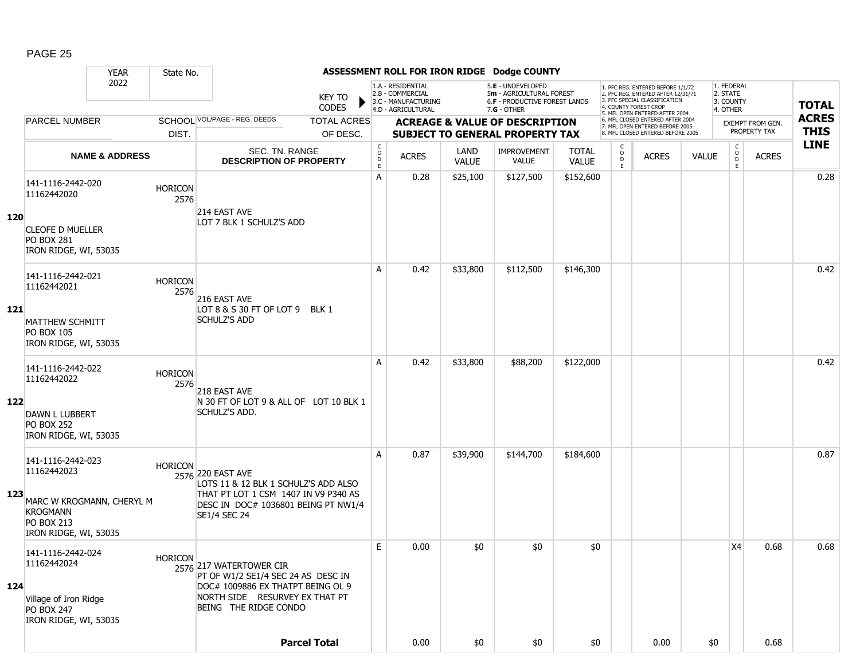|     |                                                                                                                                | <b>YEAR</b>               | State No.              |                                                                                                                                                                 |                                       |                                                              |                      | ASSESSMENT ROLL FOR IRON RIDGE Dodge COUNTY                                    |                              |                                                 |                                                                                                          |              |                                        |                  |              |
|-----|--------------------------------------------------------------------------------------------------------------------------------|---------------------------|------------------------|-----------------------------------------------------------------------------------------------------------------------------------------------------------------|---------------------------------------|--------------------------------------------------------------|----------------------|--------------------------------------------------------------------------------|------------------------------|-------------------------------------------------|----------------------------------------------------------------------------------------------------------|--------------|----------------------------------------|------------------|--------------|
|     |                                                                                                                                | 2022                      |                        | KEY TO                                                                                                                                                          |                                       | 1.A - RESIDENTIAL<br>2.B - COMMERCIAL<br>3.C - MANUFACTURING |                      | 5.E - UNDEVELOPED<br>5m - AGRICULTURAL FOREST<br>6.F - PRODUCTIVE FOREST LANDS |                              |                                                 | 1. PFC REG. ENTERED BEFORE 1/1/72<br>2. PFC REG. ENTERED AFTER 12/31/71<br>3. PFC SPECIAL CLASSIFICATION |              | 1. FEDERAL<br>2. STATE<br>3. COUNTY    |                  | <b>TOTAL</b> |
|     |                                                                                                                                |                           |                        | <b>CODES</b>                                                                                                                                                    |                                       | 4.D - AGRICULTURAL                                           |                      | $7.G - OTHER$                                                                  |                              |                                                 | 4. COUNTY FOREST CROF<br>5. MFL OPEN ENTERED AFTER 2004                                                  |              | 4. OTHER                               |                  |              |
|     | <b>PARCEL NUMBER</b>                                                                                                           |                           |                        | SCHOOL VOL/PAGE - REG. DEEDS<br><b>TOTAL ACRES</b>                                                                                                              |                                       |                                                              |                      | <b>ACREAGE &amp; VALUE OF DESCRIPTION</b>                                      |                              |                                                 | 6. MFL CLOSED ENTERED AFTER 2004<br>7. MFL OPEN ENTERED BEFORE 2005                                      |              |                                        | EXEMPT FROM GEN. | <b>ACRES</b> |
|     |                                                                                                                                |                           | DIST.                  | OF DESC.                                                                                                                                                        |                                       |                                                              |                      | <b>SUBJECT TO GENERAL PROPERTY TAX</b>                                         |                              |                                                 | 8. MFL CLOSED ENTERED BEFORE 2005                                                                        |              |                                        | PROPERTY TAX     | <b>THIS</b>  |
|     |                                                                                                                                | <b>NAME &amp; ADDRESS</b> |                        | SEC. TN. RANGE<br><b>DESCRIPTION OF PROPERTY</b>                                                                                                                | C<br>$\mathsf{o}$<br>$\mathsf D$<br>E | <b>ACRES</b>                                                 | LAND<br><b>VALUE</b> | IMPROVEMENT<br><b>VALUE</b>                                                    | <b>TOTAL</b><br><b>VALUE</b> | $\begin{matrix} 0 \\ 0 \\ D \end{matrix}$<br>E. | <b>ACRES</b>                                                                                             | <b>VALUE</b> | $\mathsf{C}$<br>$\mathsf{o}$<br>D<br>E | <b>ACRES</b>     | <b>LINE</b>  |
| 120 | 141-1116-2442-020<br>11162442020<br><b>CLEOFE D MUELLER</b><br><b>PO BOX 281</b>                                               |                           | <b>HORICON</b><br>2576 | 214 EAST AVE<br>LOT 7 BLK 1 SCHULZ'S ADD                                                                                                                        | Α                                     | 0.28                                                         | \$25,100             | \$127,500                                                                      | \$152,600                    |                                                 |                                                                                                          |              |                                        |                  | 0.28         |
|     | IRON RIDGE, WI, 53035<br>141-1116-2442-021                                                                                     |                           |                        |                                                                                                                                                                 | Α                                     | 0.42                                                         | \$33,800             | \$112,500                                                                      | \$146,300                    |                                                 |                                                                                                          |              |                                        |                  | 0.42         |
| 121 | 11162442021<br>MATTHEW SCHMITT<br><b>PO BOX 105</b><br>IRON RIDGE, WI, 53035                                                   |                           | <b>HORICON</b><br>2576 | 216 EAST AVE<br>LOT 8 & S 30 FT OF LOT 9 BLK 1<br><b>SCHULZ'S ADD</b>                                                                                           |                                       |                                                              |                      |                                                                                |                              |                                                 |                                                                                                          |              |                                        |                  |              |
| 122 | 141-1116-2442-022<br>11162442022<br><b>DAWN L LUBBERT</b><br><b>PO BOX 252</b><br>IRON RIDGE, WI, 53035                        |                           | <b>HORICON</b><br>2576 | 218 EAST AVE<br>N 30 FT OF LOT 9 & ALL OF LOT 10 BLK 1<br>SCHULZ'S ADD.                                                                                         | A                                     | 0.42                                                         | \$33,800             | \$88,200                                                                       | \$122,000                    |                                                 |                                                                                                          |              |                                        |                  | 0.42         |
| 123 | 141-1116-2442-023<br>11162442023<br>MARC W KROGMANN, CHERYL M<br><b>KROGMANN</b><br><b>PO BOX 213</b><br>IRON RIDGE, WI, 53035 |                           | <b>HORICON</b>         | 2576 220 EAST AVE<br>LOTS 11 & 12 BLK 1 SCHULZ'S ADD ALSO<br>THAT PT LOT 1 CSM 1407 IN V9 P340 AS<br>DESC IN DOC# 1036801 BEING PT NW1/4<br><b>SE1/4 SEC 24</b> | A                                     | 0.87                                                         | \$39,900             | \$144,700                                                                      | \$184,600                    |                                                 |                                                                                                          |              |                                        |                  | 0.87         |
| 124 | 141-1116-2442-024<br>11162442024<br>Village of Iron Ridge<br><b>PO BOX 247</b><br>IRON RIDGE, WI, 53035                        |                           | <b>HORICON</b>         | 2576 217 WATERTOWER CIR<br>PT OF W1/2 SE1/4 SEC 24 AS DESC IN<br>DOC# 1009886 EX THATPT BEING OL 9<br>NORTH SIDE RESURVEY EX THAT PT<br>BEING THE RIDGE CONDO   | E                                     | 0.00                                                         | \$0                  | \$0                                                                            | \$0                          |                                                 |                                                                                                          |              | X4                                     | 0.68             | 0.68         |
|     |                                                                                                                                |                           |                        | <b>Parcel Total</b>                                                                                                                                             |                                       | 0.00                                                         | \$0                  | \$0                                                                            | \$0                          |                                                 | 0.00                                                                                                     | \$0          |                                        | 0.68             |              |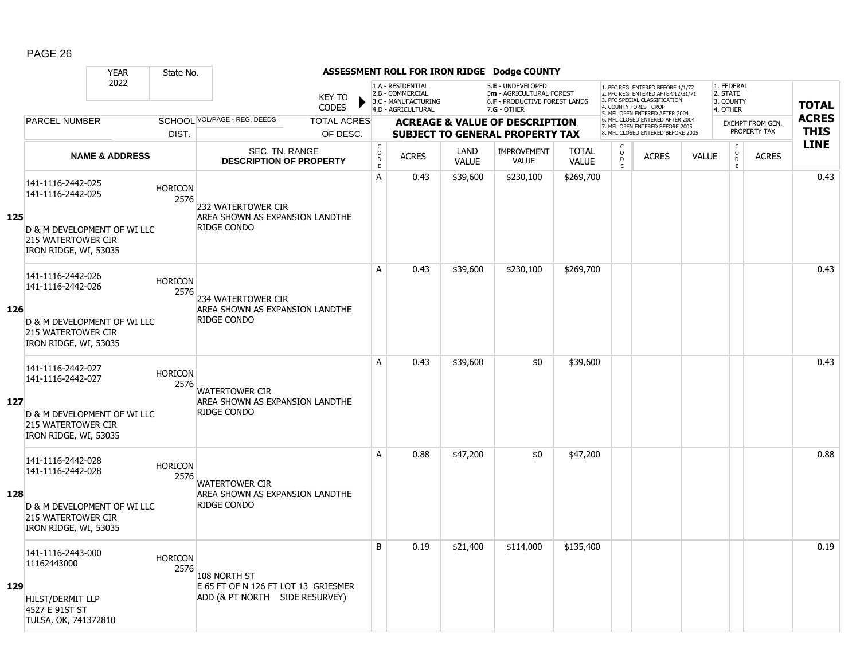|     |                                                                   | <b>YEAR</b>                 | State No.              |                                                                       |                               |                                       |                                                                                    |                      | ASSESSMENT ROLL FOR IRON RIDGE Dodge COUNTY                                                            |                              |                                                 |                                                                                                          |              |                                                 |                         |              |
|-----|-------------------------------------------------------------------|-----------------------------|------------------------|-----------------------------------------------------------------------|-------------------------------|---------------------------------------|------------------------------------------------------------------------------------|----------------------|--------------------------------------------------------------------------------------------------------|------------------------------|-------------------------------------------------|----------------------------------------------------------------------------------------------------------|--------------|-------------------------------------------------|-------------------------|--------------|
|     |                                                                   | 2022                        |                        |                                                                       | <b>KEY TO</b><br><b>CODES</b> |                                       | 1.A - RESIDENTIAL<br>2.B - COMMERCIAL<br>3.C - MANUFACTURING<br>4.D - AGRICULTURAL |                      | 5.E - UNDEVELOPED<br>5m - AGRICULTURAL FOREST<br><b>6.F - PRODUCTIVE FOREST LANDS</b><br>$7.G - OTHER$ |                              | 4. COUNTY FOREST CROP                           | 1. PFC REG. ENTERED BEFORE 1/1/72<br>2. PFC REG. ENTERED AFTER 12/31/71<br>3. PFC SPECIAL CLASSIFICATION |              | 1. FEDERAL<br>2. STATE<br>3. COUNTY<br>4. OTHER |                         | <b>TOTAL</b> |
|     | <b>PARCEL NUMBER</b>                                              |                             |                        | SCHOOL VOL/PAGE - REG. DEEDS                                          | <b>TOTAL ACRES</b>            |                                       |                                                                                    |                      | <b>ACREAGE &amp; VALUE OF DESCRIPTION</b>                                                              |                              |                                                 | 5. MFL OPEN ENTERED AFTER 2004<br>6. MFL CLOSED ENTERED AFTER 2004<br>7. MFL OPEN ENTERED BEFORE 2005    |              |                                                 | <b>EXEMPT FROM GEN.</b> | <b>ACRES</b> |
|     |                                                                   |                             | DIST.                  |                                                                       | OF DESC.                      |                                       |                                                                                    |                      | <b>SUBJECT TO GENERAL PROPERTY TAX</b>                                                                 |                              |                                                 | 8. MFL CLOSED ENTERED BEFORE 2005                                                                        |              |                                                 | PROPERTY TAX            | <b>THIS</b>  |
|     |                                                                   | <b>NAME &amp; ADDRESS</b>   |                        | <b>SEC. TN. RANGE</b><br><b>DESCRIPTION OF PROPERTY</b>               |                               | C<br>$\mathsf{O}$<br>$\mathsf D$<br>E | <b>ACRES</b>                                                                       | LAND<br><b>VALUE</b> | <b>IMPROVEMENT</b><br><b>VALUE</b>                                                                     | <b>TOTAL</b><br><b>VALUE</b> | $\begin{matrix} 0 \\ 0 \\ D \end{matrix}$<br>E. | <b>ACRES</b>                                                                                             | <b>VALUE</b> | $\begin{matrix} 0 \\ 0 \\ 0 \end{matrix}$<br>E  | <b>ACRES</b>            | <b>LINE</b>  |
| 125 | 141-1116-2442-025<br>141-1116-2442-025                            |                             | <b>HORICON</b><br>2576 | 232 WATERTOWER CIR<br>AREA SHOWN AS EXPANSION LANDTHE                 |                               | A                                     | 0.43                                                                               | \$39,600             | \$230,100                                                                                              | \$269,700                    |                                                 |                                                                                                          |              |                                                 |                         | 0.43         |
|     | <b>215 WATERTOWER CIR</b><br>IRON RIDGE, WI, 53035                | D & M DEVELOPMENT OF WI LLC |                        | <b>RIDGE CONDO</b>                                                    |                               |                                       |                                                                                    |                      |                                                                                                        |                              |                                                 |                                                                                                          |              |                                                 |                         |              |
|     | 141-1116-2442-026<br>141-1116-2442-026                            |                             | <b>HORICON</b><br>2576 | 234 WATERTOWER CIR                                                    |                               | A                                     | 0.43                                                                               | \$39,600             | \$230,100                                                                                              | \$269,700                    |                                                 |                                                                                                          |              |                                                 |                         | 0.43         |
| 126 | 215 WATERTOWER CIR<br>IRON RIDGE, WI, 53035                       | D & M DEVELOPMENT OF WI LLC |                        | AREA SHOWN AS EXPANSION LANDTHE<br>RIDGE CONDO                        |                               |                                       |                                                                                    |                      |                                                                                                        |                              |                                                 |                                                                                                          |              |                                                 |                         |              |
|     | 141-1116-2442-027<br>141-1116-2442-027                            |                             | <b>HORICON</b><br>2576 | <b>WATERTOWER CIR</b>                                                 |                               | Α                                     | 0.43                                                                               | \$39,600             | \$0                                                                                                    | \$39,600                     |                                                 |                                                                                                          |              |                                                 |                         | 0.43         |
| 127 | <b>215 WATERTOWER CIR</b><br>IRON RIDGE, WI, 53035                | D & M DEVELOPMENT OF WI LLC |                        | AREA SHOWN AS EXPANSION LANDTHE<br><b>RIDGE CONDO</b>                 |                               |                                       |                                                                                    |                      |                                                                                                        |                              |                                                 |                                                                                                          |              |                                                 |                         |              |
|     | 141-1116-2442-028<br>141-1116-2442-028                            |                             | <b>HORICON</b><br>2576 | <b>WATERTOWER CIR</b>                                                 |                               | А                                     | 0.88                                                                               | \$47,200             | \$0                                                                                                    | \$47,200                     |                                                 |                                                                                                          |              |                                                 |                         | 0.88         |
| 128 | <b>215 WATERTOWER CIR</b><br>IRON RIDGE, WI, 53035                | D & M DEVELOPMENT OF WI LLC |                        | AREA SHOWN AS EXPANSION LANDTHE<br><b>RIDGE CONDO</b>                 |                               |                                       |                                                                                    |                      |                                                                                                        |                              |                                                 |                                                                                                          |              |                                                 |                         |              |
|     | 141-1116-2443-000<br>11162443000                                  |                             | <b>HORICON</b><br>2576 | 108 NORTH ST                                                          |                               | B                                     | 0.19                                                                               | \$21,400             | \$114,000                                                                                              | \$135,400                    |                                                 |                                                                                                          |              |                                                 |                         | 0.19         |
| 129 | <b>HILST/DERMIT LLP</b><br>4527 E 91ST ST<br>TULSA, OK, 741372810 |                             |                        | E 65 FT OF N 126 FT LOT 13 GRIESMER<br>ADD (& PT NORTH SIDE RESURVEY) |                               |                                       |                                                                                    |                      |                                                                                                        |                              |                                                 |                                                                                                          |              |                                                 |                         |              |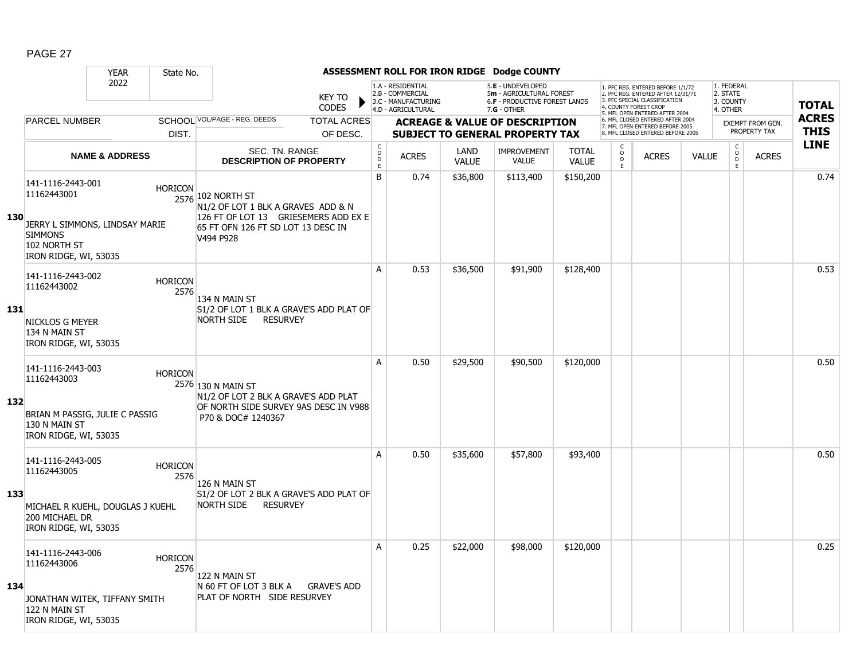|     |                                                                                                                               | <b>YEAR</b>               | State No.              |                                                                                                                                                    |                                |                                                           |                                                                                    |                      | ASSESSMENT ROLL FOR IRON RIDGE Dodge COUNTY                                                            |                              |                                                   |                                                                                                                                                                     |              |                                                 |                                         |                             |
|-----|-------------------------------------------------------------------------------------------------------------------------------|---------------------------|------------------------|----------------------------------------------------------------------------------------------------------------------------------------------------|--------------------------------|-----------------------------------------------------------|------------------------------------------------------------------------------------|----------------------|--------------------------------------------------------------------------------------------------------|------------------------------|---------------------------------------------------|---------------------------------------------------------------------------------------------------------------------------------------------------------------------|--------------|-------------------------------------------------|-----------------------------------------|-----------------------------|
|     |                                                                                                                               | 2022                      |                        |                                                                                                                                                    | <b>KEY TO</b><br><b>CODES</b>  |                                                           | 1.A - RESIDENTIAL<br>2.B - COMMERCIAL<br>3.C - MANUFACTURING<br>4.D - AGRICULTURAL |                      | 5.E - UNDEVELOPED<br>5m - AGRICULTURAL FOREST<br><b>6.F - PRODUCTIVE FOREST LANDS</b><br>$7.G - OTHER$ |                              |                                                   | 1. PFC REG. ENTERED BEFORE 1/1/72<br>2. PFC REG. ENTERED AFTER 12/31/71<br>3. PFC SPECIAL CLASSIFICATION<br>4. COUNTY FOREST CROP<br>5. MFL OPEN ENTERED AFTER 2004 |              | 1. FEDERAL<br>2. STATE<br>3. COUNTY<br>4. OTHER |                                         | <b>TOTAL</b>                |
|     | <b>PARCEL NUMBER</b>                                                                                                          |                           | DIST.                  | SCHOOL VOL/PAGE - REG. DEEDS                                                                                                                       | <b>TOTAL ACRES</b><br>OF DESC. |                                                           |                                                                                    |                      | <b>ACREAGE &amp; VALUE OF DESCRIPTION</b><br><b>SUBJECT TO GENERAL PROPERTY TAX</b>                    |                              |                                                   | 6. MFL CLOSED ENTERED AFTER 2004<br>7. MFL OPEN ENTERED BEFORE 2005<br>8. MFL CLOSED ENTERED BEFORE 2005                                                            |              |                                                 | <b>EXEMPT FROM GEN.</b><br>PROPERTY TAX | <b>ACRES</b><br><b>THIS</b> |
|     |                                                                                                                               | <b>NAME &amp; ADDRESS</b> |                        | <b>SEC. TN. RANGE</b><br><b>DESCRIPTION OF PROPERTY</b>                                                                                            |                                | $\mathsf C$<br>$\mathsf{O}$<br>$\mathsf D$<br>$\mathsf E$ | <b>ACRES</b>                                                                       | LAND<br><b>VALUE</b> | <b>IMPROVEMENT</b><br><b>VALUE</b>                                                                     | <b>TOTAL</b><br><b>VALUE</b> | $\begin{array}{c}\nC \\ O \\ D \\ E\n\end{array}$ | <b>ACRES</b>                                                                                                                                                        | <b>VALUE</b> | $\begin{array}{c} C \\ O \\ E \end{array}$      | <b>ACRES</b>                            | <b>LINE</b>                 |
| 130 | 141-1116-2443-001<br>11162443001<br>JERRY L SIMMONS, LINDSAY MARIE<br><b>SIMMONS</b><br>102 NORTH ST<br>IRON RIDGE, WI, 53035 |                           | <b>HORICON</b>         | 2576 102 NORTH ST<br>N1/2 OF LOT 1 BLK A GRAVES ADD & N<br>126 FT OF LOT 13 GRIESEMERS ADD EX E<br>65 FT OFN 126 FT SD LOT 13 DESC IN<br>V494 P928 |                                | B                                                         | 0.74                                                                               | \$36,800             | \$113,400                                                                                              | \$150,200                    |                                                   |                                                                                                                                                                     |              |                                                 |                                         | 0.74                        |
| 131 | 141-1116-2443-002<br>11162443002<br><b>NICKLOS G MEYER</b><br>134 N MAIN ST<br>IRON RIDGE, WI, 53035                          |                           | <b>HORICON</b><br>2576 | 134 N MAIN ST<br>S1/2 OF LOT 1 BLK A GRAVE'S ADD PLAT OF<br><b>RESURVEY</b><br>NORTH SIDE                                                          |                                | A                                                         | 0.53                                                                               | \$36,500             | \$91,900                                                                                               | \$128,400                    |                                                   |                                                                                                                                                                     |              |                                                 |                                         | 0.53                        |
| 132 | 141-1116-2443-003<br>11162443003<br>BRIAN M PASSIG, JULIE C PASSIG<br>130 N MAIN ST<br>IRON RIDGE, WI, 53035                  |                           | <b>HORICON</b>         | 2576 130 N MAIN ST<br>N1/2 OF LOT 2 BLK A GRAVE'S ADD PLAT<br>OF NORTH SIDE SURVEY 9AS DESC IN V988<br>P70 & DOC# 1240367                          |                                | A                                                         | 0.50                                                                               | \$29,500             | \$90,500                                                                                               | \$120,000                    |                                                   |                                                                                                                                                                     |              |                                                 |                                         | 0.50                        |
| 133 | 141-1116-2443-005<br>11162443005<br>MICHAEL R KUEHL, DOUGLAS J KUEHL<br>200 MICHAEL DR<br>IRON RIDGE, WI, 53035               |                           | <b>HORICON</b><br>2576 | 126 N MAIN ST<br>S1/2 OF LOT 2 BLK A GRAVE'S ADD PLAT OF<br><b>RESURVEY</b><br>NORTH SIDE                                                          |                                | A                                                         | 0.50                                                                               | \$35,600             | \$57,800                                                                                               | \$93,400                     |                                                   |                                                                                                                                                                     |              |                                                 |                                         | 0.50                        |
| 134 | 141-1116-2443-006<br>11162443006<br>JONATHAN WITEK, TIFFANY SMITH<br>122 N MAIN ST<br>IRON RIDGE, WI, 53035                   |                           | <b>HORICON</b><br>2576 | 122 N MAIN ST<br>N 60 FT OF LOT 3 BLK A<br>PLAT OF NORTH SIDE RESURVEY                                                                             | <b>GRAVE'S ADD</b>             | A                                                         | 0.25                                                                               | \$22,000             | \$98,000                                                                                               | \$120,000                    |                                                   |                                                                                                                                                                     |              |                                                 |                                         | 0.25                        |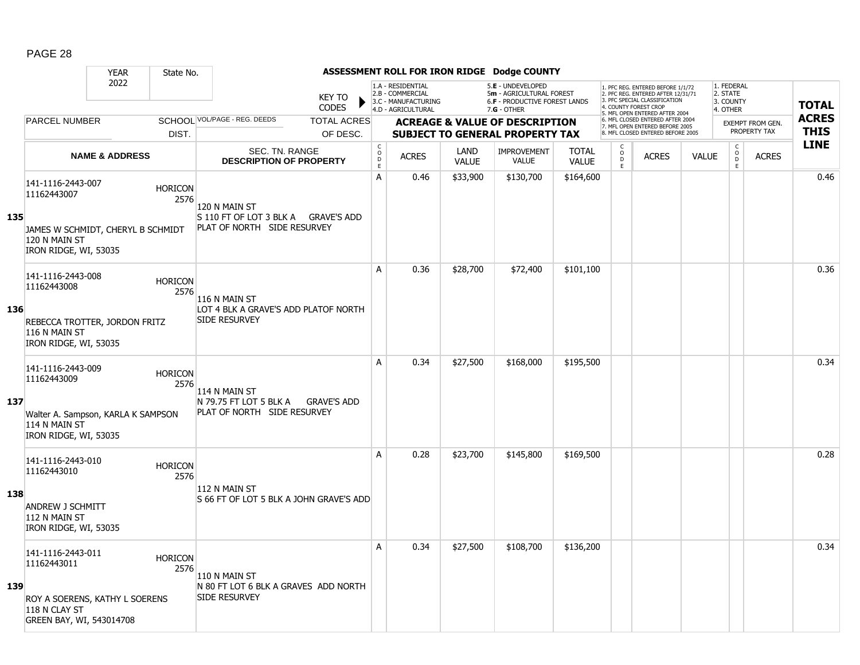|     |                                                                              | <b>YEAR</b>               | State No.              |                                                              |                                |                                                  |                                                                                    |                      | ASSESSMENT ROLL FOR IRON RIDGE Dodge COUNTY                                                     |                              |                                                 |                                                                                                                                            |              |                                                 |                                         |                             |
|-----|------------------------------------------------------------------------------|---------------------------|------------------------|--------------------------------------------------------------|--------------------------------|--------------------------------------------------|------------------------------------------------------------------------------------|----------------------|-------------------------------------------------------------------------------------------------|------------------------------|-------------------------------------------------|--------------------------------------------------------------------------------------------------------------------------------------------|--------------|-------------------------------------------------|-----------------------------------------|-----------------------------|
|     |                                                                              | 2022                      |                        |                                                              | <b>KEY TO</b><br><b>CODES</b>  |                                                  | 1.A - RESIDENTIAL<br>2.B - COMMERCIAL<br>3.C - MANUFACTURING<br>4.D - AGRICULTURAL |                      | 5.E - UNDEVELOPED<br>5m - AGRICULTURAL FOREST<br>6.F - PRODUCTIVE FOREST LANDS<br>$7.G - OTHER$ |                              | 4. COUNTY FOREST CROP                           | 1. PFC REG. ENTERED BEFORE 1/1/72<br>2. PFC REG. ENTERED AFTER 12/31/71<br>3. PFC SPECIAL CLASSIFICATION<br>5. MFL OPEN ENTERED AFTER 2004 |              | 1. FEDERAL<br>2. STATE<br>3. COUNTY<br>4. OTHER |                                         | <b>TOTAL</b>                |
|     | PARCEL NUMBER                                                                |                           | DIST.                  | SCHOOL VOL/PAGE - REG. DEEDS                                 | <b>TOTAL ACRES</b><br>OF DESC. |                                                  |                                                                                    |                      | <b>ACREAGE &amp; VALUE OF DESCRIPTION</b><br><b>SUBJECT TO GENERAL PROPERTY TAX</b>             |                              |                                                 | 6. MFL CLOSED ENTERED AFTER 2004<br>7. MFL OPEN ENTERED BEFORE 2005<br>8. MFL CLOSED ENTERED BEFORE 2005                                   |              |                                                 | <b>EXEMPT FROM GEN.</b><br>PROPERTY TAX | <b>ACRES</b><br><b>THIS</b> |
|     |                                                                              | <b>NAME &amp; ADDRESS</b> |                        | SEC. TN. RANGE<br><b>DESCRIPTION OF PROPERTY</b>             |                                | $_{\rm o}^{\rm c}$<br>$\mathsf D$<br>$\mathsf E$ | <b>ACRES</b>                                                                       | LAND<br><b>VALUE</b> | <b>IMPROVEMENT</b><br>VALUE                                                                     | <b>TOTAL</b><br><b>VALUE</b> | $\begin{matrix} 0 \\ 0 \\ 0 \end{matrix}$<br>E. | <b>ACRES</b>                                                                                                                               | <b>VALUE</b> | $\begin{matrix} 0 \\ 0 \\ D \end{matrix}$<br>E  | <b>ACRES</b>                            | <b>LINE</b>                 |
| 135 | 141-1116-2443-007<br>11162443007                                             |                           | <b>HORICON</b><br>2576 | 120 N MAIN ST<br>S 110 FT OF LOT 3 BLK A GRAVE'S ADD         |                                | A                                                | 0.46                                                                               | \$33,900             | \$130,700                                                                                       | \$164,600                    |                                                 |                                                                                                                                            |              |                                                 |                                         | 0.46                        |
|     | JAMES W SCHMIDT, CHERYL B SCHMIDT<br>120 N MAIN ST<br>IRON RIDGE, WI, 53035  |                           |                        | PLAT OF NORTH SIDE RESURVEY                                  |                                |                                                  |                                                                                    |                      |                                                                                                 |                              |                                                 |                                                                                                                                            |              |                                                 |                                         |                             |
|     | 141-1116-2443-008<br>11162443008                                             |                           | <b>HORICON</b><br>2576 | 116 N MAIN ST                                                |                                | A                                                | 0.36                                                                               | \$28,700             | \$72,400                                                                                        | \$101,100                    |                                                 |                                                                                                                                            |              |                                                 |                                         | 0.36                        |
| 136 | REBECCA TROTTER, JORDON FRITZ<br>116 N MAIN ST<br>IRON RIDGE, WI, 53035      |                           |                        | LOT 4 BLK A GRAVE'S ADD PLATOF NORTH<br>SIDE RESURVEY        |                                |                                                  |                                                                                    |                      |                                                                                                 |                              |                                                 |                                                                                                                                            |              |                                                 |                                         |                             |
| 137 | 141-1116-2443-009<br>11162443009                                             |                           | <b>HORICON</b><br>2576 | 114 N MAIN ST<br>N 79.75 FT LOT 5 BLK A                      | <b>GRAVE'S ADD</b>             | A                                                | 0.34                                                                               | \$27,500             | \$168,000                                                                                       | \$195,500                    |                                                 |                                                                                                                                            |              |                                                 |                                         | 0.34                        |
|     | Walter A. Sampson, KARLA K SAMPSON<br>114 N MAIN ST<br>IRON RIDGE, WI, 53035 |                           |                        | PLAT OF NORTH SIDE RESURVEY                                  |                                |                                                  |                                                                                    |                      |                                                                                                 |                              |                                                 |                                                                                                                                            |              |                                                 |                                         |                             |
|     | 141-1116-2443-010<br>11162443010                                             |                           | <b>HORICON</b><br>2576 | 112 N MAIN ST                                                |                                | A                                                | 0.28                                                                               | \$23,700             | \$145,800                                                                                       | \$169,500                    |                                                 |                                                                                                                                            |              |                                                 |                                         | 0.28                        |
| 138 | ANDREW J SCHMITT<br>112 N MAIN ST<br>IRON RIDGE, WI, 53035                   |                           |                        | S 66 FT OF LOT 5 BLK A JOHN GRAVE'S ADD                      |                                |                                                  |                                                                                    |                      |                                                                                                 |                              |                                                 |                                                                                                                                            |              |                                                 |                                         |                             |
|     | 141-1116-2443-011<br>11162443011                                             |                           | <b>HORICON</b><br>2576 | 110 N MAIN ST                                                |                                | A                                                | 0.34                                                                               | \$27,500             | \$108,700                                                                                       | \$136,200                    |                                                 |                                                                                                                                            |              |                                                 |                                         | 0.34                        |
| 139 | ROY A SOERENS, KATHY L SOERENS<br>118 N CLAY ST<br>GREEN BAY, WI, 543014708  |                           |                        | N 80 FT LOT 6 BLK A GRAVES ADD NORTH<br><b>SIDE RESURVEY</b> |                                |                                                  |                                                                                    |                      |                                                                                                 |                              |                                                 |                                                                                                                                            |              |                                                 |                                         |                             |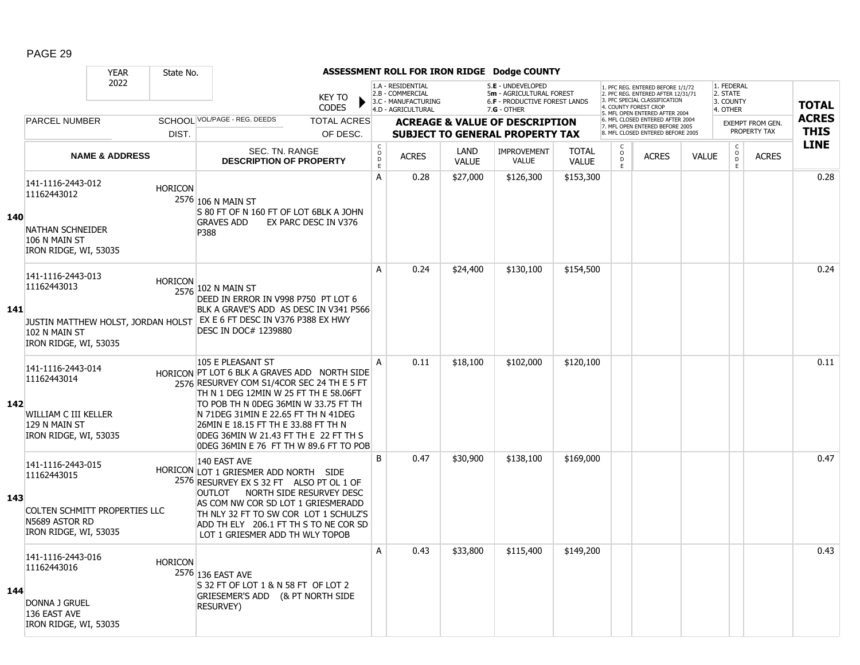|     |                                                                                                                  | <b>YEAR</b>               | State No.      |                                                                                                                                                                                                                                                                                                                                                                   |                               |                                            |                                                                                    |                      | ASSESSMENT ROLL FOR IRON RIDGE Dodge COUNTY                                                            |                              |                           |                                                                                                                                                                     |              |                                                 |                  |              |
|-----|------------------------------------------------------------------------------------------------------------------|---------------------------|----------------|-------------------------------------------------------------------------------------------------------------------------------------------------------------------------------------------------------------------------------------------------------------------------------------------------------------------------------------------------------------------|-------------------------------|--------------------------------------------|------------------------------------------------------------------------------------|----------------------|--------------------------------------------------------------------------------------------------------|------------------------------|---------------------------|---------------------------------------------------------------------------------------------------------------------------------------------------------------------|--------------|-------------------------------------------------|------------------|--------------|
|     |                                                                                                                  | 2022                      |                |                                                                                                                                                                                                                                                                                                                                                                   | <b>KEY TO</b><br><b>CODES</b> |                                            | 1.A - RESIDENTIAL<br>2.B - COMMERCIAL<br>3.C - MANUFACTURING<br>4.D - AGRICULTURAL |                      | 5.E - UNDEVELOPED<br>5m - AGRICULTURAL FOREST<br><b>6.F - PRODUCTIVE FOREST LANDS</b><br>$7.G - OTHER$ |                              |                           | 1. PFC REG. ENTERED BEFORE 1/1/72<br>2. PFC REG. ENTERED AFTER 12/31/71<br>3. PFC SPECIAL CLASSIFICATION<br>4. COUNTY FOREST CROP<br>5. MFL OPEN ENTERED AFTER 2004 |              | 1. FEDERAL<br>2. STATE<br>3. COUNTY<br>4. OTHER |                  | <b>TOTAL</b> |
|     | <b>PARCEL NUMBER</b>                                                                                             |                           |                | SCHOOL VOL/PAGE - REG. DEEDS                                                                                                                                                                                                                                                                                                                                      | <b>TOTAL ACRES</b>            |                                            |                                                                                    |                      | <b>ACREAGE &amp; VALUE OF DESCRIPTION</b>                                                              |                              |                           | 6. MFL CLOSED ENTERED AFTER 2004<br>7. MFL OPEN ENTERED BEFORE 2005                                                                                                 |              |                                                 | EXEMPT FROM GEN. | <b>ACRES</b> |
|     |                                                                                                                  |                           | DIST.          |                                                                                                                                                                                                                                                                                                                                                                   | OF DESC.                      |                                            |                                                                                    |                      | <b>SUBJECT TO GENERAL PROPERTY TAX</b>                                                                 |                              |                           | 8. MFL CLOSED ENTERED BEFORE 2005                                                                                                                                   |              |                                                 | PROPERTY TAX     | <b>THIS</b>  |
|     |                                                                                                                  | <b>NAME &amp; ADDRESS</b> |                | SEC. TN. RANGE<br><b>DESCRIPTION OF PROPERTY</b>                                                                                                                                                                                                                                                                                                                  |                               | $\mathsf C$<br>$\circ$<br>D<br>$\mathsf E$ | <b>ACRES</b>                                                                       | LAND<br><b>VALUE</b> | <b>IMPROVEMENT</b><br><b>VALUE</b>                                                                     | <b>TOTAL</b><br><b>VALUE</b> | C<br>$\overline{0}$<br>E. | <b>ACRES</b>                                                                                                                                                        | <b>VALUE</b> | $\begin{matrix} 0 \\ 0 \\ 0 \end{matrix}$<br>E  | <b>ACRES</b>     | <b>LINE</b>  |
| 140 | 141-1116-2443-012<br>11162443012<br><b>NATHAN SCHNEIDER</b><br>106 N MAIN ST<br>IRON RIDGE, WI, 53035            |                           | <b>HORICON</b> | 2576 106 N MAIN ST<br>S 80 FT OF N 160 FT OF LOT 6BLK A JOHN<br><b>GRAVES ADD</b><br>P388                                                                                                                                                                                                                                                                         | EX PARC DESC IN V376          | A                                          | 0.28                                                                               | \$27,000             | \$126,300                                                                                              | \$153,300                    |                           |                                                                                                                                                                     |              |                                                 |                  | 0.28         |
| 141 | 141-1116-2443-013<br>11162443013<br>JUSTIN MATTHEW HOLST, JORDAN HOLST<br>102 N MAIN ST<br>IRON RIDGE, WI, 53035 |                           | <b>HORICON</b> | 2576 102 N MAIN ST<br>DEED IN ERROR IN V998 P750 PT LOT 6<br>BLK A GRAVE'S ADD AS DESC IN V341 P566<br>EX E 6 FT DESC IN V376 P388 EX HWY<br>DESC IN DOC# 1239880                                                                                                                                                                                                 |                               | Α                                          | 0.24                                                                               | \$24,400             | \$130,100                                                                                              | \$154,500                    |                           |                                                                                                                                                                     |              |                                                 |                  | 0.24         |
| 142 | 141-1116-2443-014<br>11162443014<br>WILLIAM C III KELLER<br>129 N MAIN ST<br>IRON RIDGE, WI, 53035               |                           |                | 105 E PLEASANT ST<br>HORICON PT LOT 6 BLK A GRAVES ADD NORTH SIDE<br>2576 RESURVEY COM S1/4COR SEC 24 TH E 5 FT<br>TH N 1 DEG 12MIN W 25 FT TH E 58.06FT<br>TO POB TH N ODEG 36MIN W 33.75 FT TH<br>N 71DEG 31MIN E 22.65 FT TH N 41DEG<br>26MIN E 18.15 FT TH E 33.88 FT TH N<br>ODEG 36MIN W 21.43 FT TH E 22 FT TH S<br>ODEG 36MIN E 76 FT TH W 89.6 FT TO POB |                               | A                                          | 0.11                                                                               | \$18,100             | \$102,000                                                                                              | \$120,100                    |                           |                                                                                                                                                                     |              |                                                 |                  | 0.11         |
| 143 | 141-1116-2443-015<br>11162443015<br>COLTEN SCHMITT PROPERTIES LLC<br>N5689 ASTOR RD<br>IRON RIDGE, WI, 53035     |                           |                | 140 EAST AVE<br>HORICON LOT 1 GRIESMER ADD NORTH SIDE<br>2576 RESURVEY EX S 32 FT ALSO PT OL 1 OF<br>OUTLOT NORTH SIDE RESURVEY DESC<br>AS COM NW COR SD LOT 1 GRIESMERADD<br>TH NLY 32 FT TO SW COR LOT 1 SCHULZ'S<br>ADD TH ELY 206.1 FT TH S TO NE COR SD<br>LOT 1 GRIESMER ADD TH WLY TOPOB                                                                   |                               | B                                          | 0.47                                                                               | \$30,900             | \$138,100                                                                                              | \$169,000                    |                           |                                                                                                                                                                     |              |                                                 |                  | 0.47         |
| 144 | 141-1116-2443-016<br>11162443016<br>DONNA J GRUEL<br>136 EAST AVE<br>IRON RIDGE, WI, 53035                       |                           | <b>HORICON</b> | 2576 136 EAST AVE<br>S 32 FT OF LOT 1 & N 58 FT OF LOT 2<br>GRIESEMER'S ADD (& PT NORTH SIDE<br>RESURVEY)                                                                                                                                                                                                                                                         |                               | A                                          | 0.43                                                                               | \$33,800             | \$115,400                                                                                              | \$149,200                    |                           |                                                                                                                                                                     |              |                                                 |                  | 0.43         |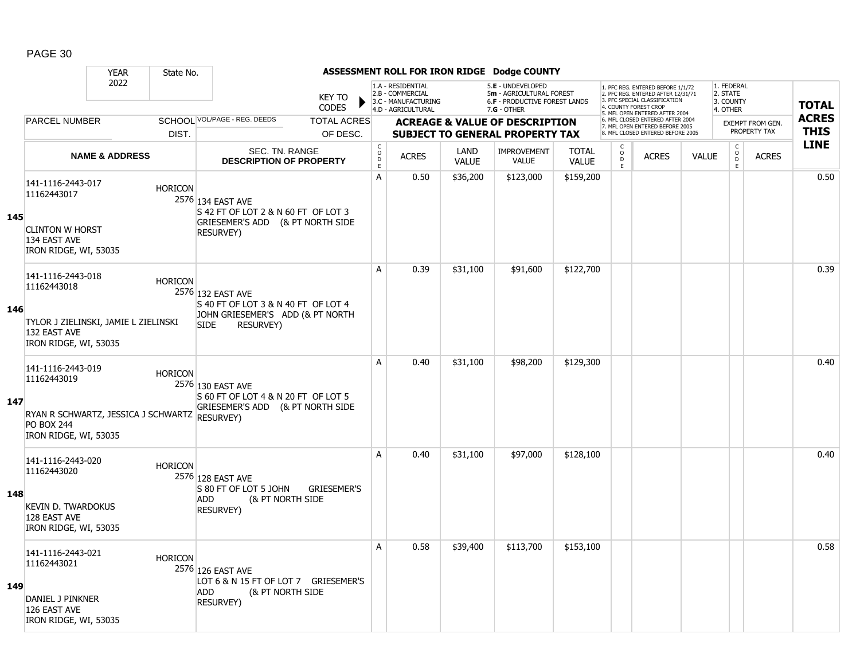|     |                                                                                                                                 | <b>YEAR</b>               | State No.      |                                                                                                                                 |                               |                                     |                                                                                    |                      | ASSESSMENT ROLL FOR IRON RIDGE Dodge COUNTY                                                          |                              |                                                |                                                                                                                                            |              |                                                 |                                         |                             |
|-----|---------------------------------------------------------------------------------------------------------------------------------|---------------------------|----------------|---------------------------------------------------------------------------------------------------------------------------------|-------------------------------|-------------------------------------|------------------------------------------------------------------------------------|----------------------|------------------------------------------------------------------------------------------------------|------------------------------|------------------------------------------------|--------------------------------------------------------------------------------------------------------------------------------------------|--------------|-------------------------------------------------|-----------------------------------------|-----------------------------|
|     |                                                                                                                                 | 2022                      |                |                                                                                                                                 | <b>KEY TO</b><br><b>CODES</b> |                                     | 1.A - RESIDENTIAL<br>2.B - COMMERCIAL<br>3.C - MANUFACTURING<br>4.D - AGRICULTURAL |                      | 5.E - UNDEVELOPED<br>5m - AGRICULTURAL FOREST<br><b>6.F - PRODUCTIVE FOREST LANDS</b><br>7.G - OTHER |                              | 4. COUNTY FOREST CROP                          | 1. PFC REG. ENTERED BEFORE 1/1/72<br>2. PFC REG. ENTERED AFTER 12/31/71<br>3. PFC SPECIAL CLASSIFICATION<br>5. MFL OPEN ENTERED AFTER 2004 |              | 1. FEDERAL<br>2. STATE<br>3. COUNTY<br>4. OTHER |                                         | <b>TOTAL</b>                |
|     | <b>PARCEL NUMBER</b>                                                                                                            |                           |                | SCHOOL VOL/PAGE - REG. DEEDS                                                                                                    | <b>TOTAL ACRES</b>            |                                     |                                                                                    |                      | <b>ACREAGE &amp; VALUE OF DESCRIPTION</b>                                                            |                              |                                                | 6. MFL CLOSED ENTERED AFTER 2004<br>7. MFL OPEN ENTERED BEFORE 2005                                                                        |              |                                                 | <b>EXEMPT FROM GEN.</b><br>PROPERTY TAX | <b>ACRES</b><br><b>THIS</b> |
|     |                                                                                                                                 |                           | DIST.          |                                                                                                                                 | OF DESC.                      |                                     |                                                                                    |                      | <b>SUBJECT TO GENERAL PROPERTY TAX</b>                                                               |                              |                                                | 8. MFL CLOSED ENTERED BEFORE 2005                                                                                                          |              |                                                 |                                         | <b>LINE</b>                 |
|     |                                                                                                                                 | <b>NAME &amp; ADDRESS</b> |                | <b>SEC. TN. RANGE</b><br><b>DESCRIPTION OF PROPERTY</b>                                                                         |                               | $_{\rm o}^{\rm c}$<br>$\frac{D}{E}$ | <b>ACRES</b>                                                                       | LAND<br><b>VALUE</b> | IMPROVEMENT<br><b>VALUE</b>                                                                          | <b>TOTAL</b><br><b>VALUE</b> | $\begin{matrix} 0 \\ 0 \\ D \end{matrix}$<br>E | <b>ACRES</b>                                                                                                                               | <b>VALUE</b> | $\begin{matrix} 0 \\ 0 \\ 0 \end{matrix}$<br>E  | <b>ACRES</b>                            |                             |
| 145 | 141-1116-2443-017<br>11162443017<br><b>CLINTON W HORST</b><br>134 EAST AVE<br>IRON RIDGE, WI, 53035                             |                           | <b>HORICON</b> | 2576 134 EAST AVE<br>S42 FT OF LOT 2 & N 60 FT OF LOT 3<br>GRIESEMER'S ADD (& PT NORTH SIDE<br><b>RESURVEY)</b>                 |                               | A                                   | 0.50                                                                               | \$36,200             | \$123,000                                                                                            | \$159,200                    |                                                |                                                                                                                                            |              |                                                 |                                         | 0.50                        |
| 146 | 141-1116-2443-018<br>11162443018<br>TYLOR J ZIELINSKI, JAMIE L ZIELINSKI<br>132 EAST AVE<br>IRON RIDGE, WI, 53035               |                           | <b>HORICON</b> | 2576 132 EAST AVE<br>S 40 FT OF LOT 3 & N 40 FT OF LOT 4<br>JOHN GRIESEMER'S ADD (& PT NORTH<br><b>SIDE</b><br><b>RESURVEY)</b> |                               | A                                   | 0.39                                                                               | \$31,100             | \$91,600                                                                                             | \$122,700                    |                                                |                                                                                                                                            |              |                                                 |                                         | 0.39                        |
| 147 | 141-1116-2443-019<br>11162443019<br>RYAN R SCHWARTZ, JESSICA J SCHWARTZ RESURVEY)<br><b>PO BOX 244</b><br>IRON RIDGE, WI, 53035 |                           | <b>HORICON</b> | 2576 130 EAST AVE<br>S 60 FT OF LOT 4 & N 20 FT OF LOT 5<br>GRIESEMER'S ADD (& PT NORTH SIDE                                    |                               | A                                   | 0.40                                                                               | \$31,100             | \$98,200                                                                                             | \$129,300                    |                                                |                                                                                                                                            |              |                                                 |                                         | 0.40                        |
| 148 | 141-1116-2443-020<br>11162443020<br><b>KEVIN D. TWARDOKUS</b><br>128 EAST AVE<br>IRON RIDGE, WI, 53035                          |                           | <b>HORICON</b> | 2576 128 EAST AVE<br>S 80 FT OF LOT 5 JOHN<br>(& PT NORTH SIDE<br><b>ADD</b><br><b>RESURVEY)</b>                                | <b>GRIESEMER'S</b>            | A                                   | 0.40                                                                               | \$31,100             | \$97,000                                                                                             | \$128,100                    |                                                |                                                                                                                                            |              |                                                 |                                         | 0.40                        |
| 149 | 141-1116-2443-021<br>11162443021<br>DANIEL J PINKNER<br>126 EAST AVE<br>IRON RIDGE, WI, 53035                                   |                           | <b>HORICON</b> | 2576 126 EAST AVE<br>LOT 6 & N 15 FT OF LOT 7 GRIESEMER'S<br>(& PT NORTH SIDE<br><b>ADD</b><br><b>RESURVEY)</b>                 |                               | A                                   | 0.58                                                                               | \$39,400             | \$113,700                                                                                            | \$153,100                    |                                                |                                                                                                                                            |              |                                                 |                                         | 0.58                        |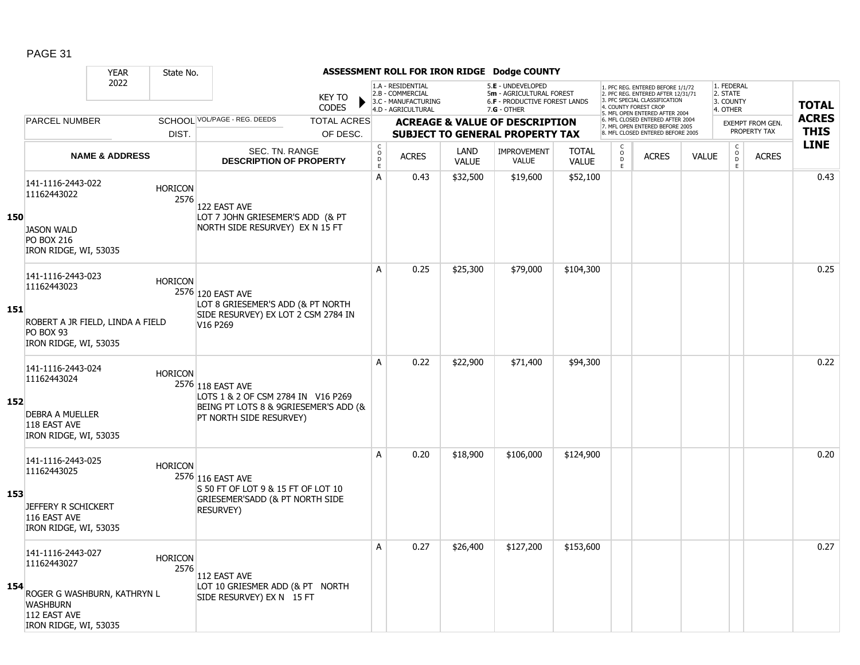|     |                                                                                                     | <b>YEAR</b>                      | State No.              |                                                                                                                             |                                |                                   |                                                                                    |                      | ASSESSMENT ROLL FOR IRON RIDGE Dodge COUNTY                                                            |                              |                                         |                                                                                                                                                                     |              |                                                 |                                         |                             |
|-----|-----------------------------------------------------------------------------------------------------|----------------------------------|------------------------|-----------------------------------------------------------------------------------------------------------------------------|--------------------------------|-----------------------------------|------------------------------------------------------------------------------------|----------------------|--------------------------------------------------------------------------------------------------------|------------------------------|-----------------------------------------|---------------------------------------------------------------------------------------------------------------------------------------------------------------------|--------------|-------------------------------------------------|-----------------------------------------|-----------------------------|
|     |                                                                                                     | 2022                             |                        |                                                                                                                             | <b>KEY TO</b><br><b>CODES</b>  |                                   | 1.A - RESIDENTIAL<br>2.B - COMMERCIAL<br>3.C - MANUFACTURING<br>4.D - AGRICULTURAL |                      | 5.E - UNDEVELOPED<br>5m - AGRICULTURAL FOREST<br><b>6.F - PRODUCTIVE FOREST LANDS</b><br>$7.G - OTHER$ |                              |                                         | 1. PFC REG. ENTERED BEFORE 1/1/72<br>2. PFC REG. ENTERED AFTER 12/31/71<br>3. PFC SPECIAL CLASSIFICATION<br>4. COUNTY FOREST CROP<br>5. MFL OPEN ENTERED AFTER 2004 |              | 1. FEDERAL<br>2. STATE<br>3. COUNTY<br>4. OTHER |                                         | <b>TOTAL</b>                |
|     | <b>PARCEL NUMBER</b>                                                                                |                                  | DIST.                  | SCHOOL VOL/PAGE - REG. DEEDS                                                                                                | <b>TOTAL ACRES</b><br>OF DESC. |                                   |                                                                                    |                      | <b>ACREAGE &amp; VALUE OF DESCRIPTION</b><br><b>SUBJECT TO GENERAL PROPERTY TAX</b>                    |                              |                                         | 6. MFL CLOSED ENTERED AFTER 2004<br>7. MFL OPEN ENTERED BEFORE 2005<br>8. MFL CLOSED ENTERED BEFORE 2005                                                            |              |                                                 | <b>EXEMPT FROM GEN.</b><br>PROPERTY TAX | <b>ACRES</b><br><b>THIS</b> |
|     |                                                                                                     | <b>NAME &amp; ADDRESS</b>        |                        | SEC. TN. RANGE<br><b>DESCRIPTION OF PROPERTY</b>                                                                            |                                | $_{\rm o}^{\rm c}$<br>$\mathsf D$ | <b>ACRES</b>                                                                       | LAND<br><b>VALUE</b> | <b>IMPROVEMENT</b><br><b>VALUE</b>                                                                     | <b>TOTAL</b><br><b>VALUE</b> | C<br>$\overset{\mathsf{O}}{\mathsf{D}}$ | <b>ACRES</b>                                                                                                                                                        | <b>VALUE</b> | $\begin{matrix} 0 \\ 0 \\ 0 \end{matrix}$       | <b>ACRES</b>                            | <b>LINE</b>                 |
| 150 | 141-1116-2443-022<br>11162443022                                                                    |                                  | <b>HORICON</b><br>2576 | 122 EAST AVE<br>LOT 7 JOHN GRIESEMER'S ADD (& PT                                                                            |                                | E<br>А                            | 0.43                                                                               | \$32,500             | \$19,600                                                                                               | \$52,100                     | E                                       |                                                                                                                                                                     |              | E                                               |                                         | 0.43                        |
|     | <b>JASON WALD</b><br><b>PO BOX 216</b><br>IRON RIDGE, WI, 53035                                     |                                  |                        | NORTH SIDE RESURVEY) EX N 15 FT                                                                                             |                                |                                   |                                                                                    |                      |                                                                                                        |                              |                                         |                                                                                                                                                                     |              |                                                 |                                         |                             |
|     | 141-1116-2443-023<br>11162443023                                                                    |                                  | <b>HORICON</b>         | 2576 120 EAST AVE<br>LOT 8 GRIESEMER'S ADD (& PT NORTH                                                                      |                                | A                                 | 0.25                                                                               | \$25,300             | \$79,000                                                                                               | \$104,300                    |                                         |                                                                                                                                                                     |              |                                                 |                                         | 0.25                        |
| 151 | PO BOX 93<br>IRON RIDGE, WI, 53035                                                                  | ROBERT A JR FIELD, LINDA A FIELD |                        | SIDE RESURVEY) EX LOT 2 CSM 2784 IN<br>V16 P269                                                                             |                                |                                   |                                                                                    |                      |                                                                                                        |                              |                                         |                                                                                                                                                                     |              |                                                 |                                         |                             |
| 152 | 141-1116-2443-024<br>11162443024<br><b>DEBRA A MUELLER</b><br>118 EAST AVE<br>IRON RIDGE, WI, 53035 |                                  | <b>HORICON</b>         | 2576 118 EAST AVE<br>LOTS 1 & 2 OF CSM 2784 IN V16 P269<br>BEING PT LOTS 8 & 9GRIESEMER'S ADD (&<br>PT NORTH SIDE RESURVEY) |                                | A                                 | 0.22                                                                               | \$22,900             | \$71,400                                                                                               | \$94,300                     |                                         |                                                                                                                                                                     |              |                                                 |                                         | 0.22                        |
| 153 | 141-1116-2443-025<br>11162443025<br>JEFFERY R SCHICKERT<br>116 EAST AVE<br>IRON RIDGE, WI, 53035    |                                  | <b>HORICON</b>         | 2576 116 EAST AVE<br>S 50 FT OF LOT 9 & 15 FT OF LOT 10<br>GRIESEMER'SADD (& PT NORTH SIDE<br><b>RESURVEY)</b>              |                                | A                                 | 0.20                                                                               | \$18,900             | \$106,000                                                                                              | \$124,900                    |                                         |                                                                                                                                                                     |              |                                                 |                                         | 0.20                        |
| 154 | 141-1116-2443-027<br>11162443027<br><b>WASHBURN</b><br>112 EAST AVE<br>IRON RIDGE, WI, 53035        | ROGER G WASHBURN, KATHRYN L      | <b>HORICON</b><br>2576 | 112 EAST AVE<br>LOT 10 GRIESMER ADD (& PT NORTH<br>SIDE RESURVEY) EX N 15 FT                                                |                                | Α                                 | 0.27                                                                               | \$26,400             | \$127,200                                                                                              | \$153,600                    |                                         |                                                                                                                                                                     |              |                                                 |                                         | 0.27                        |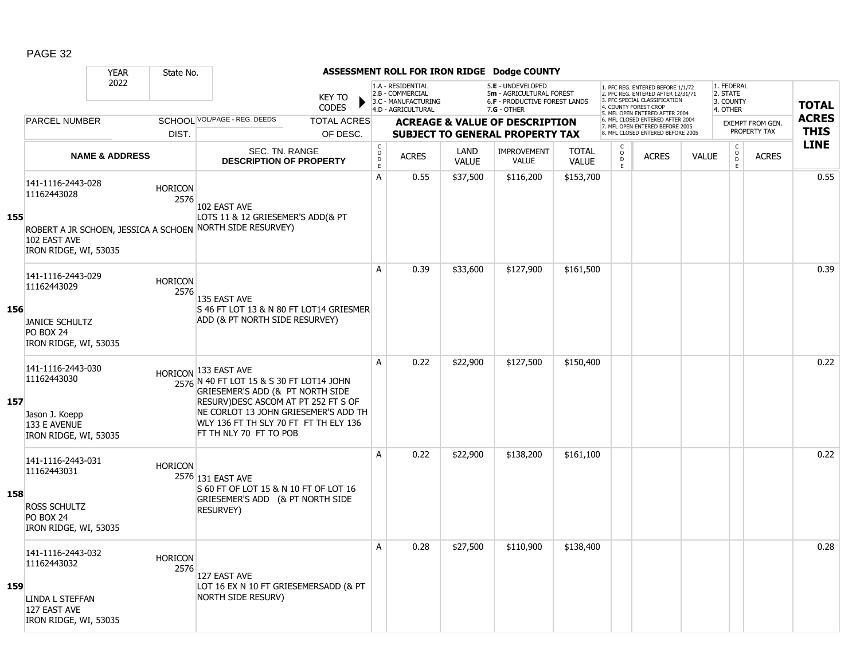|     |                                                             | <b>YEAR</b>               | State No.              |                                                                                                                                                                                      |                                        |                                                                                    |                      | ASSESSMENT ROLL FOR IRON RIDGE Dodge COUNTY                                                            |                              |                                                 |                                                                                                                                                                     |              |                                                 |                         |              |
|-----|-------------------------------------------------------------|---------------------------|------------------------|--------------------------------------------------------------------------------------------------------------------------------------------------------------------------------------|----------------------------------------|------------------------------------------------------------------------------------|----------------------|--------------------------------------------------------------------------------------------------------|------------------------------|-------------------------------------------------|---------------------------------------------------------------------------------------------------------------------------------------------------------------------|--------------|-------------------------------------------------|-------------------------|--------------|
|     |                                                             | 2022                      |                        | <b>KEY TO</b><br><b>CODES</b>                                                                                                                                                        |                                        | 1.A - RESIDENTIAL<br>2.B - COMMERCIAL<br>3.C - MANUFACTURING<br>4.D - AGRICULTURAL |                      | 5.E - UNDEVELOPED<br>5m - AGRICULTURAL FOREST<br><b>6.F - PRODUCTIVE FOREST LANDS</b><br>$7.G - OTHER$ |                              |                                                 | 1. PFC REG. ENTERED BEFORE 1/1/72<br>2. PFC REG. ENTERED AFTER 12/31/71<br>3. PFC SPECIAL CLASSIFICATION<br>4. COUNTY FOREST CROP<br>5. MFL OPEN ENTERED AFTER 2004 |              | 1. FEDERAL<br>2. STATE<br>3. COUNTY<br>4. OTHER |                         | <b>TOTAL</b> |
|     | <b>PARCEL NUMBER</b>                                        |                           |                        | SCHOOL VOL/PAGE - REG. DEEDS<br><b>TOTAL ACRES</b>                                                                                                                                   |                                        |                                                                                    |                      | <b>ACREAGE &amp; VALUE OF DESCRIPTION</b>                                                              |                              |                                                 | 6. MFL CLOSED ENTERED AFTER 2004<br>7. MFL OPEN ENTERED BEFORE 2005                                                                                                 |              |                                                 | <b>EXEMPT FROM GEN.</b> | <b>ACRES</b> |
|     |                                                             |                           | DIST.                  | OF DESC.                                                                                                                                                                             |                                        |                                                                                    |                      | <b>SUBJECT TO GENERAL PROPERTY TAX</b>                                                                 |                              |                                                 | 8. MFL CLOSED ENTERED BEFORE 2005                                                                                                                                   |              |                                                 | PROPERTY TAX            | <b>THIS</b>  |
|     |                                                             | <b>NAME &amp; ADDRESS</b> |                        | <b>SEC. TN. RANGE</b><br><b>DESCRIPTION OF PROPERTY</b>                                                                                                                              | $_{\rm o}^{\rm c}$<br>$\mathsf D$<br>E | <b>ACRES</b>                                                                       | LAND<br><b>VALUE</b> | <b>IMPROVEMENT</b><br>VALUE                                                                            | <b>TOTAL</b><br><b>VALUE</b> | $\begin{matrix} 0 \\ 0 \\ D \end{matrix}$<br>E. | <b>ACRES</b>                                                                                                                                                        | <b>VALUE</b> | $\begin{matrix} 0 \\ 0 \\ 0 \end{matrix}$<br>E  | <b>ACRES</b>            | <b>LINE</b>  |
| 155 | 141-1116-2443-028<br>11162443028                            |                           | <b>HORICON</b><br>2576 | 102 EAST AVE<br>LOTS 11 & 12 GRIESEMER'S ADD(& PT                                                                                                                                    | А                                      | 0.55                                                                               | \$37,500             | \$116,200                                                                                              | \$153,700                    |                                                 |                                                                                                                                                                     |              |                                                 |                         | 0.55         |
|     | 102 EAST AVE<br>IRON RIDGE, WI, 53035                       |                           |                        | ROBERT A JR SCHOEN, JESSICA A SCHOEN NORTH SIDE RESURVEY)                                                                                                                            |                                        |                                                                                    |                      |                                                                                                        |                              |                                                 |                                                                                                                                                                     |              |                                                 |                         |              |
|     | 141-1116-2443-029<br>11162443029                            |                           | <b>HORICON</b><br>2576 | 135 EAST AVE                                                                                                                                                                         | A                                      | 0.39                                                                               | \$33,600             | \$127,900                                                                                              | \$161,500                    |                                                 |                                                                                                                                                                     |              |                                                 |                         | 0.39         |
| 156 | <b>JANICE SCHULTZ</b><br>PO BOX 24<br>IRON RIDGE, WI, 53035 |                           |                        | S 46 FT LOT 13 & N 80 FT LOT14 GRIESMER<br>ADD (& PT NORTH SIDE RESURVEY)                                                                                                            |                                        |                                                                                    |                      |                                                                                                        |                              |                                                 |                                                                                                                                                                     |              |                                                 |                         |              |
| 157 | 141-1116-2443-030<br>11162443030                            |                           |                        | HORICON 133 EAST AVE<br>2576 N 40 FT LOT 15 & S 30 FT LOT14 JOHN<br>GRIESEMER'S ADD (& PT NORTH SIDE<br>RESURV) DESC ASCOM AT PT 252 FT S OF<br>NE CORLOT 13 JOHN GRIESEMER'S ADD TH | A                                      | 0.22                                                                               | \$22,900             | \$127,500                                                                                              | \$150,400                    |                                                 |                                                                                                                                                                     |              |                                                 |                         | 0.22         |
|     | Jason J. Koepp<br>133 E AVENUE<br>IRON RIDGE, WI, 53035     |                           |                        | WLY 136 FT TH SLY 70 FT FT TH ELY 136<br>FT TH NLY 70 FT TO POB                                                                                                                      |                                        |                                                                                    |                      |                                                                                                        |                              |                                                 |                                                                                                                                                                     |              |                                                 |                         |              |
|     | 141-1116-2443-031<br>11162443031                            |                           | <b>HORICON</b>         | 2576 131 EAST AVE<br>S 60 FT OF LOT 15 & N 10 FT OF LOT 16                                                                                                                           | A                                      | 0.22                                                                               | \$22,900             | \$138,200                                                                                              | \$161,100                    |                                                 |                                                                                                                                                                     |              |                                                 |                         | 0.22         |
| 158 | <b>ROSS SCHULTZ</b><br>PO BOX 24<br>IRON RIDGE, WI, 53035   |                           |                        | GRIESEMER'S ADD (& PT NORTH SIDE<br><b>RESURVEY)</b>                                                                                                                                 |                                        |                                                                                    |                      |                                                                                                        |                              |                                                 |                                                                                                                                                                     |              |                                                 |                         |              |
|     | 141-1116-2443-032<br>11162443032                            |                           | <b>HORICON</b><br>2576 | 127 EAST AVE                                                                                                                                                                         | A                                      | 0.28                                                                               | \$27,500             | \$110,900                                                                                              | \$138,400                    |                                                 |                                                                                                                                                                     |              |                                                 |                         | 0.28         |
| 159 | LINDA L STEFFAN<br>127 EAST AVE<br>IRON RIDGE, WI, 53035    |                           |                        | LOT 16 EX N 10 FT GRIESEMERSADD (& PT<br>NORTH SIDE RESURV)                                                                                                                          |                                        |                                                                                    |                      |                                                                                                        |                              |                                                 |                                                                                                                                                                     |              |                                                 |                         |              |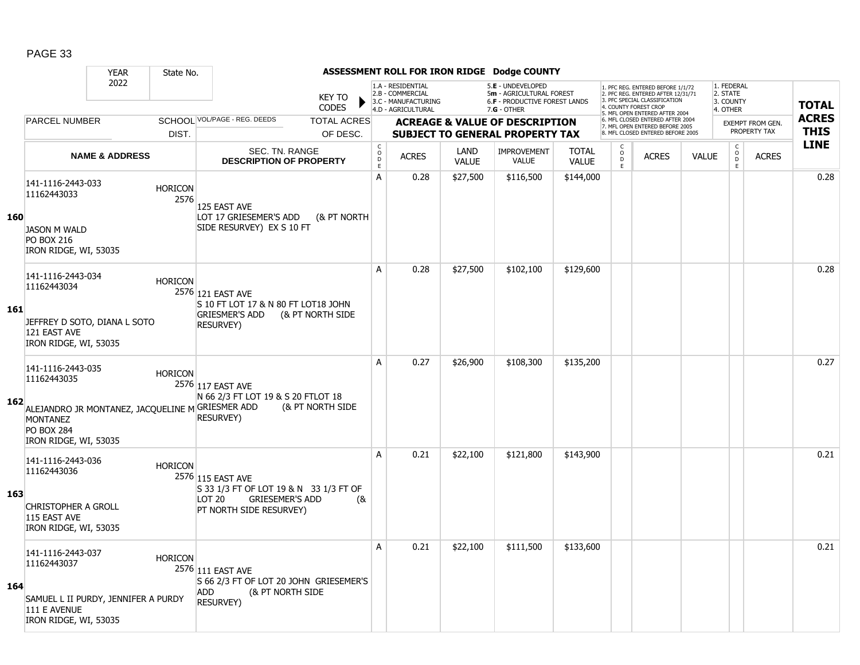|     |                                                                                                                                                       | <b>YEAR</b>               | State No.              |                                                                                                                            |     |                                                |                                                                                    |                             | ASSESSMENT ROLL FOR IRON RIDGE Dodge COUNTY                                                            |                              |                                     |                                                                                                                                  |              |                                                 |                         |              |
|-----|-------------------------------------------------------------------------------------------------------------------------------------------------------|---------------------------|------------------------|----------------------------------------------------------------------------------------------------------------------------|-----|------------------------------------------------|------------------------------------------------------------------------------------|-----------------------------|--------------------------------------------------------------------------------------------------------|------------------------------|-------------------------------------|----------------------------------------------------------------------------------------------------------------------------------|--------------|-------------------------------------------------|-------------------------|--------------|
|     |                                                                                                                                                       | 2022                      |                        | <b>KEY TO</b><br><b>CODES</b>                                                                                              |     |                                                | 1.A - RESIDENTIAL<br>2.B - COMMERCIAL<br>3.C - MANUFACTURING<br>4.D - AGRICULTURAL |                             | 5.E - UNDEVELOPED<br>5m - AGRICULTURAL FOREST<br><b>6.F - PRODUCTIVE FOREST LANDS</b><br>$7.G - OTHER$ |                              |                                     | 1. PFC REG. ENTERED BEFORE 1/1/72<br>2. PFC REG. ENTERED AFTER 12/31/71<br>3 PEC SPECIAL CLASSIFICATION<br>4. COUNTY FOREST CROP |              | 1. FEDERAL<br>2. STATE<br>3. COUNTY<br>4. OTHER |                         | <b>TOTAL</b> |
|     | <b>PARCEL NUMBER</b>                                                                                                                                  |                           |                        | SCHOOL VOL/PAGE - REG. DEEDS<br><b>TOTAL ACRES</b>                                                                         |     |                                                |                                                                                    |                             | <b>ACREAGE &amp; VALUE OF DESCRIPTION</b>                                                              |                              |                                     | 5. MFL OPEN ENTERED AFTER 2004<br>6. MFL CLOSED ENTERED AFTER 2004<br>7. MFL OPEN ENTERED BEFORE 2005                            |              |                                                 | <b>EXEMPT FROM GEN.</b> | <b>ACRES</b> |
|     |                                                                                                                                                       |                           | DIST.                  | OF DESC.                                                                                                                   |     |                                                |                                                                                    |                             | <b>SUBJECT TO GENERAL PROPERTY TAX</b>                                                                 |                              |                                     | 8. MFL CLOSED ENTERED BEFORE 2005                                                                                                |              |                                                 | PROPERTY TAX            | <b>THIS</b>  |
|     |                                                                                                                                                       | <b>NAME &amp; ADDRESS</b> |                        | SEC. TN. RANGE<br><b>DESCRIPTION OF PROPERTY</b>                                                                           |     | $\begin{matrix} 0 \\ 0 \\ D \end{matrix}$<br>E | <b>ACRES</b>                                                                       | <b>LAND</b><br><b>VALUE</b> | <b>IMPROVEMENT</b><br><b>VALUE</b>                                                                     | <b>TOTAL</b><br><b>VALUE</b> | C<br>$\overset{\mathsf{O}}{D}$<br>E | <b>ACRES</b>                                                                                                                     | <b>VALUE</b> | $\begin{matrix} 0 \\ 0 \\ 0 \end{matrix}$<br>E. | <b>ACRES</b>            | <b>LINE</b>  |
|     | 141-1116-2443-033<br>11162443033                                                                                                                      |                           | <b>HORICON</b><br>2576 | 125 EAST AVE                                                                                                               |     | A                                              | 0.28                                                                               | \$27,500                    | \$116,500                                                                                              | \$144,000                    |                                     |                                                                                                                                  |              |                                                 |                         | 0.28         |
| 160 | <b>JASON M WALD</b><br><b>PO BOX 216</b><br>IRON RIDGE, WI, 53035                                                                                     |                           |                        | LOT 17 GRIESEMER'S ADD<br>(& PT NORTH<br>SIDE RESURVEY) EX S 10 FT                                                         |     |                                                |                                                                                    |                             |                                                                                                        |                              |                                     |                                                                                                                                  |              |                                                 |                         |              |
|     | 141-1116-2443-034<br>11162443034                                                                                                                      |                           | <b>HORICON</b>         | 2576 121 EAST AVE<br>S 10 FT LOT 17 & N 80 FT LOT18 JOHN                                                                   |     | A                                              | 0.28                                                                               | \$27,500                    | \$102,100                                                                                              | \$129,600                    |                                     |                                                                                                                                  |              |                                                 |                         | 0.28         |
| 161 | JEFFREY D SOTO, DIANA L SOTO<br>121 EAST AVE<br>IRON RIDGE, WI, 53035                                                                                 |                           |                        | <b>GRIESMER'S ADD</b><br>(& PT NORTH SIDE<br><b>RESURVEY)</b>                                                              |     |                                                |                                                                                    |                             |                                                                                                        |                              |                                     |                                                                                                                                  |              |                                                 |                         |              |
| 162 | 141-1116-2443-035<br>11162443035<br>ALEJANDRO JR MONTANEZ, JACQUELINE M GRIESMER ADD<br><b>MONTANEZ</b><br><b>PO BOX 284</b><br>IRON RIDGE, WI, 53035 |                           | <b>HORICON</b>         | 2576 117 EAST AVE<br>N 66 2/3 FT LOT 19 & S 20 FTLOT 18<br>(& PT NORTH SIDE<br><b>RESURVEY)</b>                            |     | A                                              | 0.27                                                                               | \$26,900                    | \$108,300                                                                                              | \$135,200                    |                                     |                                                                                                                                  |              |                                                 |                         | 0.27         |
| 163 | 141-1116-2443-036<br>11162443036<br><b>CHRISTOPHER A GROLL</b><br>115 EAST AVE<br>IRON RIDGE, WI, 53035                                               |                           | <b>HORICON</b>         | 2576 115 EAST AVE<br>S 33 1/3 FT OF LOT 19 & N 33 1/3 FT OF<br><b>GRIESEMER'S ADD</b><br>LOT 20<br>PT NORTH SIDE RESURVEY) | (8) | A                                              | 0.21                                                                               | \$22,100                    | \$121,800                                                                                              | \$143,900                    |                                     |                                                                                                                                  |              |                                                 |                         | 0.21         |
| 164 | 141-1116-2443-037<br>11162443037<br>SAMUEL L II PURDY, JENNIFER A PURDY<br>111 E AVENUE<br>IRON RIDGE, WI, 53035                                      |                           | <b>HORICON</b>         | 2576 111 EAST AVE<br>S 66 2/3 FT OF LOT 20 JOHN GRIESEMER'S<br><b>ADD</b><br>(& PT NORTH SIDE<br><b>RESURVEY)</b>          |     | A                                              | 0.21                                                                               | \$22,100                    | \$111,500                                                                                              | \$133,600                    |                                     |                                                                                                                                  |              |                                                 |                         | 0.21         |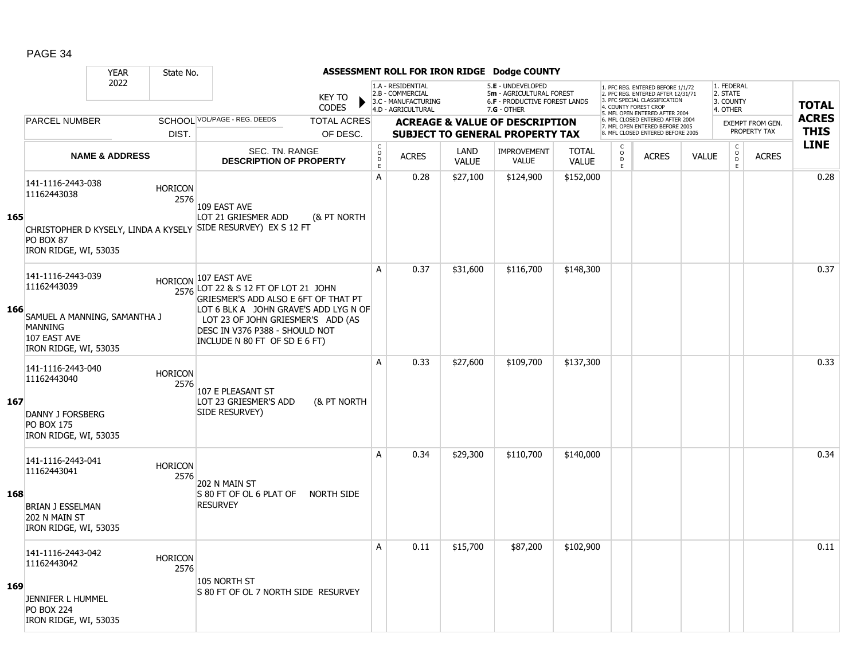|     |                                                                                         | <b>YEAR</b>               | State No.              |                                                                                                                                               |                                            |                                                                                    |                      | ASSESSMENT ROLL FOR IRON RIDGE Dodge COUNTY                                                          |                              |                                                   |                                                                                                                                   |              |                                                      |                         |              |
|-----|-----------------------------------------------------------------------------------------|---------------------------|------------------------|-----------------------------------------------------------------------------------------------------------------------------------------------|--------------------------------------------|------------------------------------------------------------------------------------|----------------------|------------------------------------------------------------------------------------------------------|------------------------------|---------------------------------------------------|-----------------------------------------------------------------------------------------------------------------------------------|--------------|------------------------------------------------------|-------------------------|--------------|
|     |                                                                                         | 2022                      |                        | <b>KEY TO</b><br><b>CODES</b>                                                                                                                 |                                            | 1.A - RESIDENTIAL<br>2.B - COMMERCIAL<br>3.C - MANUFACTURING<br>4.D - AGRICULTURAL |                      | 5.E - UNDEVELOPED<br>5m - AGRICULTURAL FOREST<br><b>6.F - PRODUCTIVE FOREST LANDS</b><br>7.G - OTHER |                              |                                                   | 1. PFC REG. ENTERED BEFORE 1/1/72<br>2. PFC REG. ENTERED AFTER 12/31/71<br>3. PFC SPECIAL CLASSIFICATION<br>4. COUNTY FOREST CROP |              | 1. FEDERAL<br>2. STATE<br>3. COUNTY<br>4. OTHER      |                         | <b>TOTAL</b> |
|     | <b>PARCEL NUMBER</b>                                                                    |                           |                        | SCHOOL VOL/PAGE - REG. DEEDS<br><b>TOTAL ACRES</b>                                                                                            |                                            |                                                                                    |                      | <b>ACREAGE &amp; VALUE OF DESCRIPTION</b>                                                            |                              |                                                   | 5. MFL OPEN ENTERED AFTER 2004<br>6. MFL CLOSED ENTERED AFTER 2004<br>7. MFL OPEN ENTERED BEFORE 2005                             |              |                                                      | <b>EXEMPT FROM GEN.</b> | <b>ACRES</b> |
|     |                                                                                         |                           | DIST.                  | OF DESC.                                                                                                                                      |                                            |                                                                                    |                      | <b>SUBJECT TO GENERAL PROPERTY TAX</b>                                                               |                              |                                                   | 8. MFL CLOSED ENTERED BEFORE 2005                                                                                                 |              |                                                      | PROPERTY TAX            | <b>THIS</b>  |
|     |                                                                                         | <b>NAME &amp; ADDRESS</b> |                        | <b>SEC. TN. RANGE</b><br><b>DESCRIPTION OF PROPERTY</b>                                                                                       | $\begin{array}{c} C \\ 0 \\ E \end{array}$ | <b>ACRES</b>                                                                       | LAND<br><b>VALUE</b> | <b>IMPROVEMENT</b><br><b>VALUE</b>                                                                   | <b>TOTAL</b><br><b>VALUE</b> | $\begin{array}{c}\nC \\ O \\ D \\ E\n\end{array}$ | <b>ACRES</b>                                                                                                                      | <b>VALUE</b> | $\begin{smallmatrix} C\ O\ D \end{smallmatrix}$<br>E | <b>ACRES</b>            | <b>LINE</b>  |
| 165 | 141-1116-2443-038<br>11162443038                                                        |                           | <b>HORICON</b><br>2576 | 109 EAST AVE                                                                                                                                  | A                                          | 0.28                                                                               | \$27,100             | \$124,900                                                                                            | \$152,000                    |                                                   |                                                                                                                                   |              |                                                      |                         | 0.28         |
|     | <b>PO BOX 87</b><br>IRON RIDGE, WI, 53035                                               |                           |                        | LOT 21 GRIESMER ADD<br>(& PT NORTH<br>CHRISTOPHER D KYSELY, LINDA A KYSELY SIDE RESURVEY) EX S 12 FT                                          |                                            |                                                                                    |                      |                                                                                                      |                              |                                                   |                                                                                                                                   |              |                                                      |                         |              |
|     | 141-1116-2443-039<br>11162443039                                                        |                           |                        | HORICON 107 EAST AVE<br>2576 LOT 22 & S 12 FT OF LOT 21 JOHN<br>GRIESMER'S ADD ALSO E 6FT OF THAT PT                                          | A                                          | 0.37                                                                               | \$31,600             | \$116,700                                                                                            | \$148,300                    |                                                   |                                                                                                                                   |              |                                                      |                         | 0.37         |
| 166 | SAMUEL A MANNING, SAMANTHA J<br><b>MANNING</b><br>107 EAST AVE<br>IRON RIDGE, WI, 53035 |                           |                        | LOT 6 BLK A JOHN GRAVE'S ADD LYG N OF<br>LOT 23 OF JOHN GRIESMER'S ADD (AS<br>DESC IN V376 P388 - SHOULD NOT<br>INCLUDE N 80 FT OF SD E 6 FT) |                                            |                                                                                    |                      |                                                                                                      |                              |                                                   |                                                                                                                                   |              |                                                      |                         |              |
| 167 | 141-1116-2443-040<br>11162443040                                                        |                           | <b>HORICON</b><br>2576 | 107 E PLEASANT ST<br>LOT 23 GRIESMER'S ADD<br>(& PT NORTH                                                                                     | A                                          | 0.33                                                                               | \$27,600             | \$109,700                                                                                            | \$137,300                    |                                                   |                                                                                                                                   |              |                                                      |                         | 0.33         |
|     | <b>DANNY J FORSBERG</b><br><b>PO BOX 175</b><br>IRON RIDGE, WI, 53035                   |                           |                        | SIDE RESURVEY)                                                                                                                                |                                            |                                                                                    |                      |                                                                                                      |                              |                                                   |                                                                                                                                   |              |                                                      |                         |              |
|     | 141-1116-2443-041<br>11162443041                                                        |                           | <b>HORICON</b><br>2576 | 202 N MAIN ST                                                                                                                                 | $\overline{A}$                             | 0.34                                                                               | \$29,300             | \$110,700                                                                                            | \$140,000                    |                                                   |                                                                                                                                   |              |                                                      |                         | 0.34         |
| 168 | <b>BRIAN J ESSELMAN</b><br>202 N MAIN ST<br>IRON RIDGE, WI, 53035                       |                           |                        | S 80 FT OF OL 6 PLAT OF<br>NORTH SIDE<br><b>RESURVEY</b>                                                                                      |                                            |                                                                                    |                      |                                                                                                      |                              |                                                   |                                                                                                                                   |              |                                                      |                         |              |
|     | 141-1116-2443-042<br>11162443042                                                        |                           | <b>HORICON</b><br>2576 | 105 NORTH ST                                                                                                                                  | A                                          | 0.11                                                                               | \$15,700             | \$87,200                                                                                             | \$102,900                    |                                                   |                                                                                                                                   |              |                                                      |                         | 0.11         |
| 169 | JENNIFER L HUMMEL<br><b>PO BOX 224</b><br>IRON RIDGE, WI, 53035                         |                           |                        | IS 80 FT OF OL 7 NORTH SIDE RESURVEY                                                                                                          |                                            |                                                                                    |                      |                                                                                                      |                              |                                                   |                                                                                                                                   |              |                                                      |                         |              |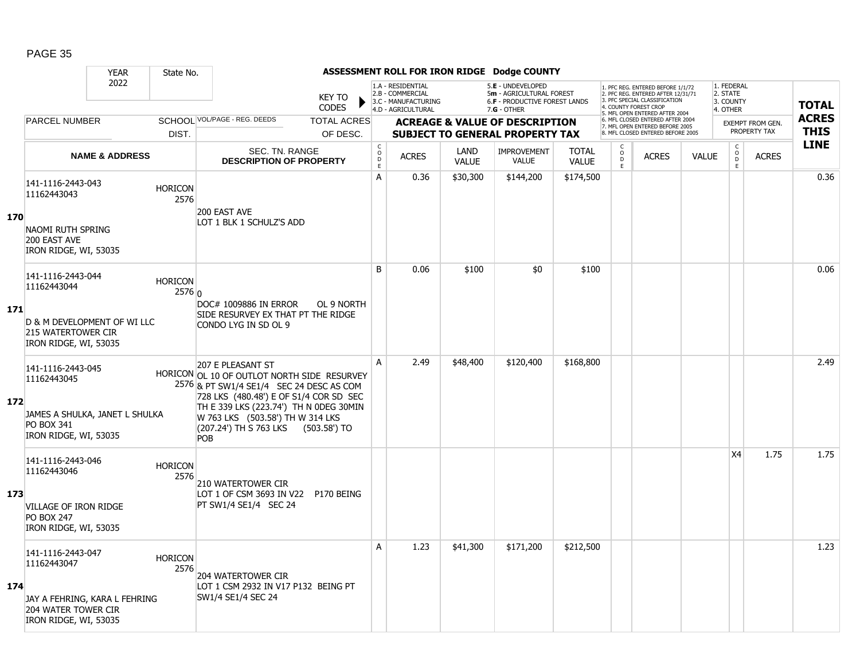|     |                                                                                                                          | <b>YEAR</b>               | State No.                |                                                                                                                                                                                                                                                                                           |                               |                                                 |                                                                                    |                      | ASSESSMENT ROLL FOR IRON RIDGE Dodge COUNTY                                                            |                              |                                |                                                                                                                                            |              |                                                  |                                  |                             |
|-----|--------------------------------------------------------------------------------------------------------------------------|---------------------------|--------------------------|-------------------------------------------------------------------------------------------------------------------------------------------------------------------------------------------------------------------------------------------------------------------------------------------|-------------------------------|-------------------------------------------------|------------------------------------------------------------------------------------|----------------------|--------------------------------------------------------------------------------------------------------|------------------------------|--------------------------------|--------------------------------------------------------------------------------------------------------------------------------------------|--------------|--------------------------------------------------|----------------------------------|-----------------------------|
|     |                                                                                                                          | 2022                      |                          |                                                                                                                                                                                                                                                                                           | <b>KEY TO</b><br><b>CODES</b> |                                                 | 1.A - RESIDENTIAL<br>2.B - COMMERCIAL<br>3.C - MANUFACTURING<br>4.D - AGRICULTURAL |                      | 5.E - UNDEVELOPED<br>5m - AGRICULTURAL FOREST<br><b>6.F - PRODUCTIVE FOREST LANDS</b><br>$7.G - OTHER$ |                              |                                | 1. PFC REG. ENTERED BEFORE 1/1/72<br>2. PFC REG. ENTERED AFTER 12/31/71<br>3. PFC SPECIAL CLASSIFICATION<br>4. COUNTY FOREST CROP          |              | 1. FEDERAL<br>2. STATE<br>3. COUNTY<br>4. OTHER  |                                  | <b>TOTAL</b>                |
|     | <b>PARCEL NUMBER</b>                                                                                                     |                           |                          | SCHOOL VOL/PAGE - REG. DEEDS                                                                                                                                                                                                                                                              | <b>TOTAL ACRES</b>            |                                                 |                                                                                    |                      | <b>ACREAGE &amp; VALUE OF DESCRIPTION</b>                                                              |                              |                                | 5. MFL OPEN ENTERED AFTER 2004<br>6. MFL CLOSED ENTERED AFTER 2004<br>7. MFL OPEN ENTERED BEFORE 2005<br>8. MFL CLOSED ENTERED BEFORE 2005 |              |                                                  | EXEMPT FROM GEN.<br>PROPERTY TAX | <b>ACRES</b><br><b>THIS</b> |
|     |                                                                                                                          |                           | DIST.                    |                                                                                                                                                                                                                                                                                           | OF DESC.                      |                                                 |                                                                                    |                      | <b>SUBJECT TO GENERAL PROPERTY TAX</b>                                                                 |                              | C                              |                                                                                                                                            |              |                                                  |                                  | <b>LINE</b>                 |
|     |                                                                                                                          | <b>NAME &amp; ADDRESS</b> |                          | SEC. TN. RANGE<br><b>DESCRIPTION OF PROPERTY</b>                                                                                                                                                                                                                                          |                               | $\begin{array}{c} C \\ O \\ D \end{array}$<br>E | <b>ACRES</b>                                                                       | LAND<br><b>VALUE</b> | <b>IMPROVEMENT</b><br><b>VALUE</b>                                                                     | <b>TOTAL</b><br><b>VALUE</b> | $\circ$<br>$\overline{D}$<br>E | <b>ACRES</b>                                                                                                                               | <b>VALUE</b> | $\begin{array}{c} C \\ O \\ D \end{array}$<br>F. | <b>ACRES</b>                     |                             |
|     | 141-1116-2443-043<br>11162443043                                                                                         |                           | <b>HORICON</b><br>2576   |                                                                                                                                                                                                                                                                                           |                               | А                                               | 0.36                                                                               | \$30,300             | \$144,200                                                                                              | \$174,500                    |                                |                                                                                                                                            |              |                                                  |                                  | 0.36                        |
| 170 | NAOMI RUTH SPRING<br>200 EAST AVE<br>IRON RIDGE, WI, 53035                                                               |                           |                          | 200 EAST AVE<br>LOT 1 BLK 1 SCHULZ'S ADD                                                                                                                                                                                                                                                  |                               |                                                 |                                                                                    |                      |                                                                                                        |                              |                                |                                                                                                                                            |              |                                                  |                                  |                             |
|     | 141-1116-2443-044<br>11162443044                                                                                         |                           | <b>HORICON</b><br>2576 0 |                                                                                                                                                                                                                                                                                           |                               | B                                               | 0.06                                                                               | \$100                | \$0                                                                                                    | \$100                        |                                |                                                                                                                                            |              |                                                  |                                  | 0.06                        |
| 171 | D & M DEVELOPMENT OF WI LLC<br>215 WATERTOWER CIR<br>IRON RIDGE, WI, 53035                                               |                           |                          | DOC# 1009886 IN ERROR<br>SIDE RESURVEY EX THAT PT THE RIDGE<br>CONDO LYG IN SD OL 9                                                                                                                                                                                                       | OL 9 NORTH                    |                                                 |                                                                                    |                      |                                                                                                        |                              |                                |                                                                                                                                            |              |                                                  |                                  |                             |
| 172 | 141-1116-2443-045<br>11162443045<br>JAMES A SHULKA, JANET L SHULKA<br><b>PO BOX 341</b><br>IRON RIDGE, WI, 53035         |                           |                          | 207 E PLEASANT ST<br>HORICON OL 10 OF OUTLOT NORTH SIDE RESURVEY<br>2576 & PT SW1/4 SE1/4 SEC 24 DESC AS COM<br>728 LKS (480.48') E OF S1/4 COR SD SEC<br>TH E 339 LKS (223.74') TH N ODEG 30MIN<br>W 763 LKS (503.58') TH W 314 LKS<br>(207.24') TH S 763 LKS (503.58') TO<br><b>POB</b> |                               | A                                               | 2.49                                                                               | \$48,400             | \$120,400                                                                                              | \$168,800                    |                                |                                                                                                                                            |              |                                                  |                                  | 2.49                        |
| 173 | 141-1116-2443-046<br>11162443046<br><b>VILLAGE OF IRON RIDGE</b><br><b>PO BOX 247</b><br>IRON RIDGE, WI, 53035           |                           | <b>HORICON</b><br>2576   | 210 WATERTOWER CIR<br>LOT 1 OF CSM 3693 IN V22 P170 BEING<br>PT SW1/4 SE1/4 SEC 24                                                                                                                                                                                                        |                               |                                                 |                                                                                    |                      |                                                                                                        |                              |                                |                                                                                                                                            |              | <b>X4</b>                                        | 1.75                             | 1.75                        |
| 174 | 141-1116-2443-047<br>11162443047<br>JAY A FEHRING, KARA L FEHRING<br><b>204 WATER TOWER CIR</b><br>IRON RIDGE, WI, 53035 |                           | <b>HORICON</b><br>2576   | 204 WATERTOWER CIR<br>LOT 1 CSM 2932 IN V17 P132 BEING PT<br>SW1/4 SE1/4 SEC 24                                                                                                                                                                                                           |                               | A                                               | 1.23                                                                               | \$41,300             | \$171,200                                                                                              | \$212,500                    |                                |                                                                                                                                            |              |                                                  |                                  | 1.23                        |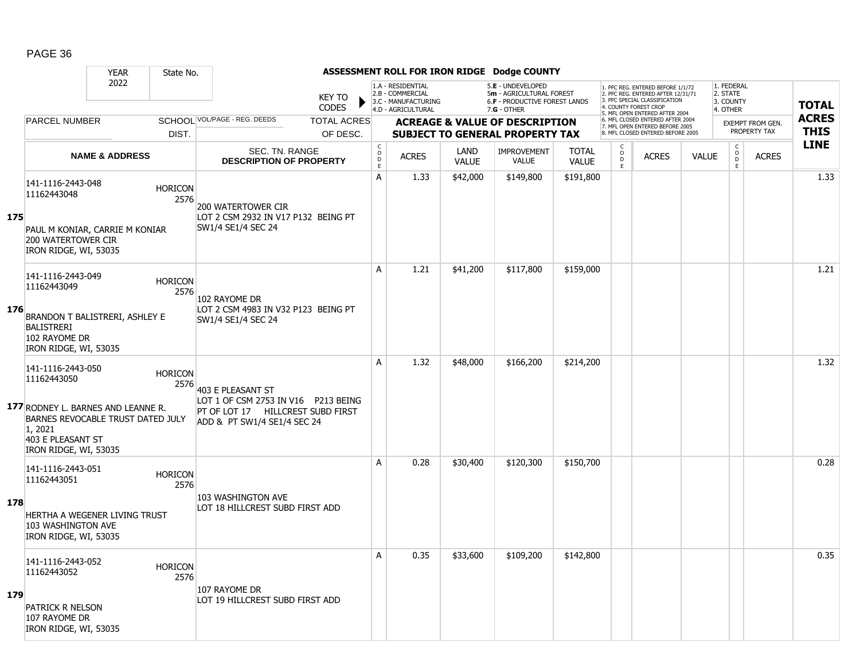|     |                                                                                                                                                                      | <b>YEAR</b>                                          | State No.                                                                       | ASSESSMENT ROLL FOR IRON RIDGE Dodge COUNTY                                                                                  |                    |                                                         |                                                                                    |                                                                                                 |                                    |                              |                                                                                                                                        |              |              |                                                 |              |                                             |
|-----|----------------------------------------------------------------------------------------------------------------------------------------------------------------------|------------------------------------------------------|---------------------------------------------------------------------------------|------------------------------------------------------------------------------------------------------------------------------|--------------------|---------------------------------------------------------|------------------------------------------------------------------------------------|-------------------------------------------------------------------------------------------------|------------------------------------|------------------------------|----------------------------------------------------------------------------------------------------------------------------------------|--------------|--------------|-------------------------------------------------|--------------|---------------------------------------------|
|     |                                                                                                                                                                      | 2022                                                 |                                                                                 | <b>KEY TO</b><br><b>CODES</b>                                                                                                |                    |                                                         | 1.A - RESIDENTIAL<br>2.B - COMMERCIAL<br>3.C - MANUFACTURING<br>4.D - AGRICULTURAL | 5.E - UNDEVELOPED<br>5m - AGRICULTURAL FOREST<br>6.F - PRODUCTIVE FOREST LANDS<br>$7.G - OTHER$ |                                    |                              | 1. PFC REG. ENTERED BEFORE 1/1/72<br>2. PFC REG. ENTERED AFTER 12/31/71<br>3. PFC SPECIAL CLASSIFICATION<br>. COUNTY FOREST CROP       |              |              | 1. FEDERAL<br>2. STATE<br>3. COUNTY<br>4. OTHER |              | <b>TOTAL</b><br><b>ACRES</b><br><b>THIS</b> |
|     |                                                                                                                                                                      | SCHOOL VOL/PAGE - REG. DEEDS<br><b>PARCEL NUMBER</b> |                                                                                 |                                                                                                                              | <b>TOTAL ACRES</b> |                                                         | <b>ACREAGE &amp; VALUE OF DESCRIPTION</b>                                          |                                                                                                 |                                    |                              | MFL OPEN ENTERED AFTER 2004<br>6. MFL CLOSED ENTERED AFTER 2004<br>7. MFL OPEN ENTERED BEFORE 2005<br>8 MFL CLOSED ENTERED BEFORE 2005 |              |              | <b>EXEMPT FROM GEN.</b><br>PROPERTY TAX         |              |                                             |
|     |                                                                                                                                                                      | DIST.<br><b>NAME &amp; ADDRESS</b>                   |                                                                                 |                                                                                                                              | OF DESC.           |                                                         |                                                                                    | <b>SUBJECT TO GENERAL PROPERTY TAX</b>                                                          |                                    |                              |                                                                                                                                        |              |              |                                                 |              |                                             |
|     |                                                                                                                                                                      |                                                      |                                                                                 | SEC. TN. RANGE<br><b>DESCRIPTION OF PROPERTY</b>                                                                             |                    | $\begin{smallmatrix} C\\O\\O\\D \end{smallmatrix}$<br>E | <b>ACRES</b>                                                                       | <b>LAND</b><br><b>VALUE</b>                                                                     | <b>IMPROVEMENT</b><br><b>VALUE</b> | <b>TOTAL</b><br><b>VALUE</b> | C<br>$\overline{0}$<br>E                                                                                                               | <b>ACRES</b> | <b>VALUE</b> | $\mathsf{C}$<br>$\overline{D}$<br>E             | <b>ACRES</b> | <b>LINE</b>                                 |
|     | 141-1116-2443-048<br><b>HORICON</b><br>11162443048<br>2576                                                                                                           |                                                      | 200 WATERTOWER CIR<br>LOT 2 CSM 2932 IN V17 P132 BEING PT<br>SW1/4 SE1/4 SEC 24 |                                                                                                                              | А                  | 1.33                                                    | \$42,000                                                                           | \$149,800                                                                                       | \$191,800                          |                              |                                                                                                                                        |              |              |                                                 | 1.33         |                                             |
| 175 | PAUL M KONIAR, CARRIE M KONIAR<br>200 WATERTOWER CIR<br>IRON RIDGE, WI, 53035                                                                                        |                                                      |                                                                                 |                                                                                                                              |                    |                                                         |                                                                                    |                                                                                                 |                                    |                              |                                                                                                                                        |              |              |                                                 |              |                                             |
| 176 | 141-1116-2443-049<br>11162443049<br>BRANDON T BALISTRERI, ASHLEY E<br><b>BALISTRERI</b>                                                                              |                                                      | <b>HORICON</b><br>2576                                                          | 102 RAYOME DR<br>LOT 2 CSM 4983 IN V32 P123 BEING PT<br>SW1/4 SE1/4 SEC 24                                                   |                    | A                                                       | 1.21                                                                               | \$41,200                                                                                        | \$117,800                          | \$159,000                    |                                                                                                                                        |              |              |                                                 |              | 1.21                                        |
|     | 102 RAYOME DR                                                                                                                                                        | IRON RIDGE, WI, 53035                                |                                                                                 |                                                                                                                              |                    |                                                         |                                                                                    |                                                                                                 |                                    |                              |                                                                                                                                        |              |              |                                                 |              |                                             |
|     | 141-1116-2443-050<br>11162443050<br>177 RODNEY L. BARNES AND LEANNE R.<br>BARNES REVOCABLE TRUST DATED JULY<br>1, 2021<br>403 E PLEASANT ST<br>IRON RIDGE, WI, 53035 |                                                      | <b>HORICON</b><br>2576                                                          | 403 E PLEASANT ST<br>LOT 1 OF CSM 2753 IN V16 P213 BEING<br>PT OF LOT 17 HILLCREST SUBD FIRST<br>ADD & PT SW1/4 SE1/4 SEC 24 |                    | A                                                       | 1.32                                                                               | \$48,000                                                                                        | \$166,200                          | \$214,200                    |                                                                                                                                        |              |              |                                                 |              | 1.32                                        |
| 178 | 141-1116-2443-051<br>11162443051<br>HERTHA A WEGENER LIVING TRUST<br>103 WASHINGTON AVE<br>IRON RIDGE, WI, 53035                                                     |                                                      | <b>HORICON</b><br>2576                                                          | 103 WASHINGTON AVE<br>LOT 18 HILLCREST SUBD FIRST ADD                                                                        |                    | А                                                       | 0.28                                                                               | \$30,400                                                                                        | \$120,300                          | \$150,700                    |                                                                                                                                        |              |              |                                                 |              | 0.28                                        |
| 179 | 141-1116-2443-052<br>11162443052<br><b>PATRICK R NELSON</b><br>107 RAYOME DR<br>IRON RIDGE, WI, 53035                                                                |                                                      | <b>HORICON</b><br>2576                                                          | 107 RAYOME DR<br>LOT 19 HILLCREST SUBD FIRST ADD                                                                             |                    | Α                                                       | 0.35                                                                               | \$33,600                                                                                        | \$109,200                          | \$142,800                    |                                                                                                                                        |              |              |                                                 |              | 0.35                                        |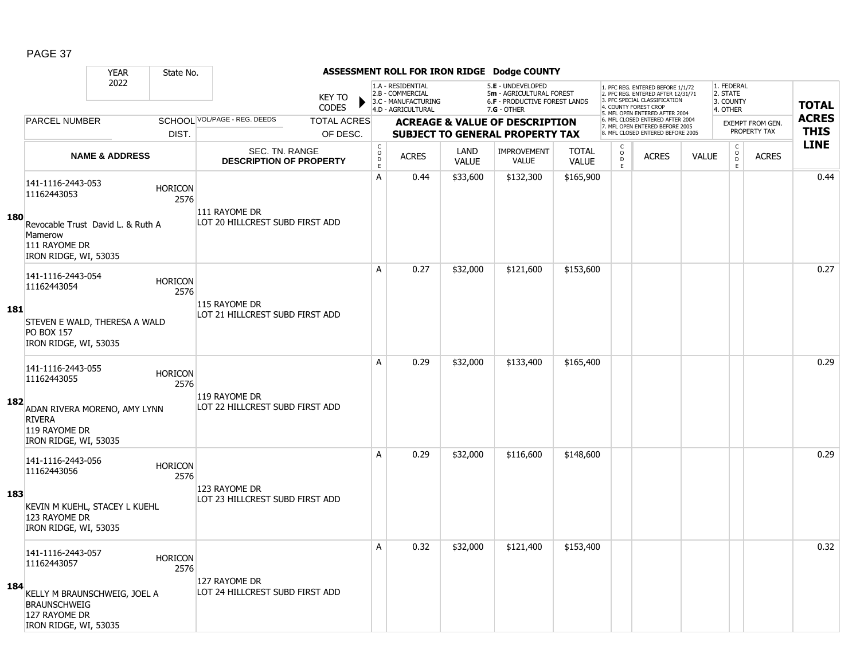|     |                                                                                               | <b>YEAR</b>               | State No.              |                                                  |                               |                                             |                                                                                    |                      | ASSESSMENT ROLL FOR IRON RIDGE Dodge COUNTY                                                   |                              |                                     |                                                                                                                                   |              |                                                 |                         |              |
|-----|-----------------------------------------------------------------------------------------------|---------------------------|------------------------|--------------------------------------------------|-------------------------------|---------------------------------------------|------------------------------------------------------------------------------------|----------------------|-----------------------------------------------------------------------------------------------|------------------------------|-------------------------------------|-----------------------------------------------------------------------------------------------------------------------------------|--------------|-------------------------------------------------|-------------------------|--------------|
|     |                                                                                               | 2022                      |                        |                                                  | <b>KEY TO</b><br><b>CODES</b> |                                             | 1.A - RESIDENTIAL<br>2.B - COMMERCIAL<br>3.C - MANUFACTURING<br>4.D - AGRICULTURAL |                      | 5.E - UNDEVELOPED<br>5m - AGRICULTURAL FOREST<br>6.F - PRODUCTIVE FOREST LANDS<br>7.G - OTHER |                              |                                     | 1. PFC REG. ENTERED BEFORE 1/1/72<br>2. PFC REG. ENTERED AFTER 12/31/71<br>3. PFC SPECIAL CLASSIFICATION<br>4. COUNTY FOREST CROP |              | 1. FEDERAL<br>2. STATE<br>3. COUNTY<br>4. OTHER |                         | <b>TOTAL</b> |
|     | <b>PARCEL NUMBER</b>                                                                          |                           |                        | SCHOOL VOL/PAGE - REG. DEEDS                     | <b>TOTAL ACRES</b>            |                                             |                                                                                    |                      | <b>ACREAGE &amp; VALUE OF DESCRIPTION</b>                                                     |                              |                                     | 5. MFL OPEN ENTERED AFTER 2004<br>6. MFL CLOSED ENTERED AFTER 2004                                                                |              |                                                 | <b>EXEMPT FROM GEN.</b> | <b>ACRES</b> |
|     |                                                                                               |                           | DIST.                  |                                                  | OF DESC.                      |                                             |                                                                                    |                      | <b>SUBJECT TO GENERAL PROPERTY TAX</b>                                                        |                              |                                     | 7. MFL OPEN ENTERED BEFORE 2005<br>8. MFL CLOSED ENTERED BEFORE 2005                                                              |              |                                                 | PROPERTY TAX            | <b>THIS</b>  |
|     |                                                                                               | <b>NAME &amp; ADDRESS</b> |                        | SEC. TN. RANGE<br><b>DESCRIPTION OF PROPERTY</b> |                               | $\mathsf{C}$<br>$\circ$<br>D<br>$\mathsf E$ | <b>ACRES</b>                                                                       | LAND<br><b>VALUE</b> | <b>IMPROVEMENT</b><br><b>VALUE</b>                                                            | <b>TOTAL</b><br><b>VALUE</b> | $\mathsf{C}$<br>$\overline{0}$<br>E | <b>ACRES</b>                                                                                                                      | <b>VALUE</b> | $\mathsf C$<br>$\overline{0}$<br>E              | <b>ACRES</b>            | <b>LINE</b>  |
| 180 | 141-1116-2443-053<br>11162443053                                                              |                           | <b>HORICON</b><br>2576 | 111 RAYOME DR                                    |                               | A                                           | 0.44                                                                               | \$33,600             | \$132,300                                                                                     | \$165,900                    |                                     |                                                                                                                                   |              |                                                 |                         | 0.44         |
|     | Revocable Trust David L. & Ruth A<br>Mamerow<br>111 RAYOME DR<br>IRON RIDGE, WI, 53035        |                           |                        | LOT 20 HILLCREST SUBD FIRST ADD                  |                               |                                             |                                                                                    |                      |                                                                                               |                              |                                     |                                                                                                                                   |              |                                                 |                         |              |
|     | 141-1116-2443-054<br>11162443054                                                              |                           | <b>HORICON</b><br>2576 | 115 RAYOME DR                                    |                               | A                                           | 0.27                                                                               | \$32,000             | \$121,600                                                                                     | \$153,600                    |                                     |                                                                                                                                   |              |                                                 |                         | 0.27         |
| 181 | STEVEN E WALD, THERESA A WALD<br><b>PO BOX 157</b><br>IRON RIDGE, WI, 53035                   |                           |                        | LOT 21 HILLCREST SUBD FIRST ADD                  |                               |                                             |                                                                                    |                      |                                                                                               |                              |                                     |                                                                                                                                   |              |                                                 |                         |              |
| 182 | 141-1116-2443-055<br>11162443055                                                              |                           | <b>HORICON</b><br>2576 | 119 RAYOME DR<br>LOT 22 HILLCREST SUBD FIRST ADD |                               | A                                           | 0.29                                                                               | \$32,000             | \$133,400                                                                                     | \$165,400                    |                                     |                                                                                                                                   |              |                                                 |                         | 0.29         |
|     | ADAN RIVERA MORENO, AMY LYNN<br><b>RIVERA</b><br>119 RAYOME DR<br>IRON RIDGE, WI, 53035       |                           |                        |                                                  |                               |                                             |                                                                                    |                      |                                                                                               |                              |                                     |                                                                                                                                   |              |                                                 |                         |              |
|     | 141-1116-2443-056<br>11162443056                                                              |                           | <b>HORICON</b><br>2576 |                                                  |                               | A                                           | 0.29                                                                               | \$32,000             | \$116,600                                                                                     | \$148,600                    |                                     |                                                                                                                                   |              |                                                 |                         | 0.29         |
| 183 | KEVIN M KUEHL, STACEY L KUEHL<br>123 RAYOME DR<br>IRON RIDGE, WI, 53035                       |                           |                        | 123 RAYOME DR<br>LOT 23 HILLCREST SUBD FIRST ADD |                               |                                             |                                                                                    |                      |                                                                                               |                              |                                     |                                                                                                                                   |              |                                                 |                         |              |
|     | 141-1116-2443-057<br>11162443057                                                              |                           | <b>HORICON</b><br>2576 | 127 RAYOME DR                                    |                               | A                                           | 0.32                                                                               | \$32,000             | \$121,400                                                                                     | \$153,400                    |                                     |                                                                                                                                   |              |                                                 |                         | 0.32         |
| 184 | KELLY M BRAUNSCHWEIG, JOEL A<br><b>BRAUNSCHWEIG</b><br>127 RAYOME DR<br>IRON RIDGE, WI, 53035 |                           |                        | LOT 24 HILLCREST SUBD FIRST ADD                  |                               |                                             |                                                                                    |                      |                                                                                               |                              |                                     |                                                                                                                                   |              |                                                 |                         |              |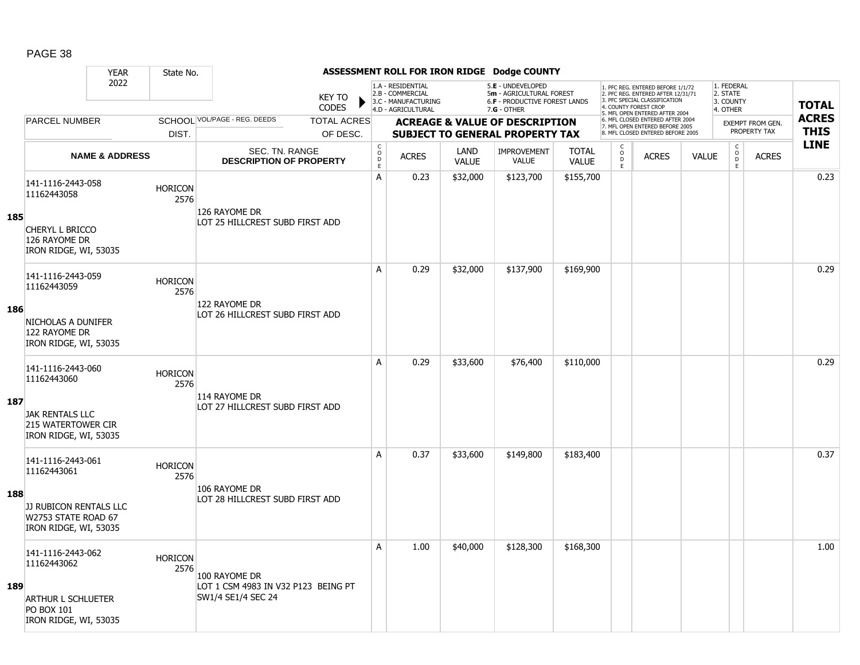|     |                                                                              | <b>YEAR</b>               | State No.              |                                                      |                               |                                     |                                                                                    |                      | ASSESSMENT ROLL FOR IRON RIDGE Dodge COUNTY                                                          |                              |                                   |                                                                                                                                   |              |                                                 |                  |              |
|-----|------------------------------------------------------------------------------|---------------------------|------------------------|------------------------------------------------------|-------------------------------|-------------------------------------|------------------------------------------------------------------------------------|----------------------|------------------------------------------------------------------------------------------------------|------------------------------|-----------------------------------|-----------------------------------------------------------------------------------------------------------------------------------|--------------|-------------------------------------------------|------------------|--------------|
|     |                                                                              | 2022                      |                        |                                                      | <b>KEY TO</b><br><b>CODES</b> |                                     | 1.A - RESIDENTIAL<br>2.B - COMMERCIAL<br>3.C - MANUFACTURING<br>4.D - AGRICULTURAL |                      | 5.E - UNDEVELOPED<br>5m - AGRICULTURAL FOREST<br><b>6.F - PRODUCTIVE FOREST LANDS</b><br>7.G - OTHER |                              |                                   | 1. PFC REG. ENTERED BEFORE 1/1/72<br>2. PFC REG. ENTERED AFTER 12/31/71<br>3. PFC SPECIAL CLASSIFICATION<br>4. COUNTY FOREST CROP |              | 1. FEDERAL<br>2. STATE<br>3. COUNTY<br>4. OTHER |                  | <b>TOTAL</b> |
|     | <b>PARCEL NUMBER</b>                                                         |                           |                        | SCHOOL VOL/PAGE - REG. DEEDS                         | <b>TOTAL ACRES</b>            |                                     |                                                                                    |                      | <b>ACREAGE &amp; VALUE OF DESCRIPTION</b>                                                            |                              |                                   | 5. MFL OPEN ENTERED AFTER 2004<br>6. MFL CLOSED ENTERED AFTER 2004                                                                |              |                                                 | EXEMPT FROM GEN. | <b>ACRES</b> |
|     |                                                                              |                           | DIST.                  |                                                      | OF DESC.                      |                                     |                                                                                    |                      | <b>SUBJECT TO GENERAL PROPERTY TAX</b>                                                               |                              |                                   | 7. MFL OPEN ENTERED BEFORE 2005<br>8. MFL CLOSED ENTERED BEFORE 2005                                                              |              |                                                 | PROPERTY TAX     | <b>THIS</b>  |
|     |                                                                              | <b>NAME &amp; ADDRESS</b> |                        | SEC. TN. RANGE<br><b>DESCRIPTION OF PROPERTY</b>     |                               | $_{\rm o}^{\rm c}$<br>$\frac{D}{E}$ | <b>ACRES</b>                                                                       | LAND<br><b>VALUE</b> | <b>IMPROVEMENT</b><br><b>VALUE</b>                                                                   | <b>TOTAL</b><br><b>VALUE</b> | $\frac{c}{0}$<br>D<br>$\mathsf E$ | <b>ACRES</b>                                                                                                                      | <b>VALUE</b> | $_{\rm o}^{\rm c}$<br>D<br>E                    | <b>ACRES</b>     | <b>LINE</b>  |
| 185 | 141-1116-2443-058<br>11162443058                                             |                           | <b>HORICON</b><br>2576 | 126 RAYOME DR<br>LOT 25 HILLCREST SUBD FIRST ADD     |                               | A                                   | 0.23                                                                               | \$32,000             | \$123,700                                                                                            | \$155,700                    |                                   |                                                                                                                                   |              |                                                 |                  | 0.23         |
|     | CHERYL L BRICCO<br>126 RAYOME DR<br>IRON RIDGE, WI, 53035                    |                           |                        |                                                      |                               |                                     |                                                                                    |                      |                                                                                                      |                              |                                   |                                                                                                                                   |              |                                                 |                  |              |
|     | 141-1116-2443-059<br>11162443059                                             |                           | <b>HORICON</b><br>2576 |                                                      |                               | A                                   | 0.29                                                                               | \$32,000             | \$137,900                                                                                            | \$169,900                    |                                   |                                                                                                                                   |              |                                                 |                  | 0.29         |
| 186 | NICHOLAS A DUNIFER<br>122 RAYOME DR<br>IRON RIDGE, WI, 53035                 |                           |                        | 122 RAYOME DR<br>LOT 26 HILLCREST SUBD FIRST ADD     |                               |                                     |                                                                                    |                      |                                                                                                      |                              |                                   |                                                                                                                                   |              |                                                 |                  |              |
|     | 141-1116-2443-060<br>11162443060                                             |                           | <b>HORICON</b><br>2576 | 114 RAYOME DR                                        |                               | A                                   | 0.29                                                                               | \$33,600             | \$76,400                                                                                             | \$110,000                    |                                   |                                                                                                                                   |              |                                                 |                  | 0.29         |
| 187 | <b>JAK RENTALS LLC</b><br><b>215 WATERTOWER CIR</b><br>IRON RIDGE, WI, 53035 |                           |                        | LOT 27 HILLCREST SUBD FIRST ADD                      |                               |                                     |                                                                                    |                      |                                                                                                      |                              |                                   |                                                                                                                                   |              |                                                 |                  |              |
|     | 141-1116-2443-061<br>11162443061                                             |                           | <b>HORICON</b><br>2576 | 106 RAYOME DR                                        |                               | Α                                   | 0.37                                                                               | \$33,600             | \$149,800                                                                                            | \$183,400                    |                                   |                                                                                                                                   |              |                                                 |                  | 0.37         |
| 188 | JJ RUBICON RENTALS LLC<br>W2753 STATE ROAD 67<br>IRON RIDGE, WI, 53035       |                           |                        | LOT 28 HILLCREST SUBD FIRST ADD                      |                               |                                     |                                                                                    |                      |                                                                                                      |                              |                                   |                                                                                                                                   |              |                                                 |                  |              |
| 189 | 141-1116-2443-062<br>11162443062                                             |                           | <b>HORICON</b><br>2576 | 100 RAYOME DR<br>LOT 1 CSM 4983 IN V32 P123 BEING PT |                               | Α                                   | 1.00                                                                               | \$40,000             | \$128,300                                                                                            | \$168,300                    |                                   |                                                                                                                                   |              |                                                 |                  | 1.00         |
|     | <b>ARTHUR L SCHLUETER</b><br>PO BOX 101<br>IRON RIDGE, WI, 53035             |                           |                        | SW1/4 SE1/4 SEC 24                                   |                               |                                     |                                                                                    |                      |                                                                                                      |                              |                                   |                                                                                                                                   |              |                                                 |                  |              |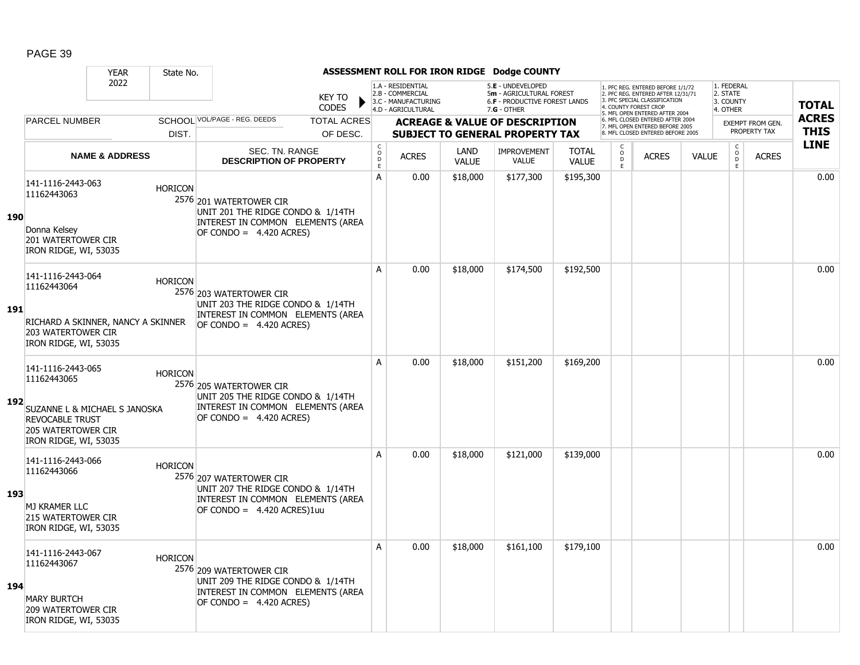|            |                                                                                                                  | <b>YEAR</b>                                          | State No. |                                                                                                                                 |                               |                                        |                                                                                    |                      | ASSESSMENT ROLL FOR IRON RIDGE Dodge COUNTY                                                          |                              |                                                 |                                                                                                                                   |              |                                                 |                         |                            |
|------------|------------------------------------------------------------------------------------------------------------------|------------------------------------------------------|-----------|---------------------------------------------------------------------------------------------------------------------------------|-------------------------------|----------------------------------------|------------------------------------------------------------------------------------|----------------------|------------------------------------------------------------------------------------------------------|------------------------------|-------------------------------------------------|-----------------------------------------------------------------------------------------------------------------------------------|--------------|-------------------------------------------------|-------------------------|----------------------------|
|            | 2022<br><b>PARCEL NUMBER</b>                                                                                     |                                                      |           |                                                                                                                                 | <b>KEY TO</b><br><b>CODES</b> |                                        | 1.A - RESIDENTIAL<br>2.B - COMMERCIAL<br>3.C - MANUFACTURING<br>4.D - AGRICULTURAL |                      | 5.E - UNDEVELOPED<br>5m - AGRICULTURAL FOREST<br><b>6.F - PRODUCTIVE FOREST LANDS</b><br>7.G - OTHER |                              |                                                 | 1. PFC REG. ENTERED BEFORE 1/1/72<br>2. PFC REG. ENTERED AFTER 12/31/71<br>3. PFC SPECIAL CLASSIFICATION<br>4. COUNTY FOREST CROP |              | 1. FEDERAL<br>2. STATE<br>3. COUNTY<br>4. OTHER |                         | <b>TOTAL</b>               |
|            |                                                                                                                  |                                                      |           | SCHOOL VOL/PAGE - REG. DEEDS                                                                                                    | <b>TOTAL ACRES</b>            |                                        |                                                                                    |                      | <b>ACREAGE &amp; VALUE OF DESCRIPTION</b>                                                            |                              |                                                 | 5. MFL OPEN ENTERED AFTER 2004<br>6. MFL CLOSED ENTERED AFTER 2004<br>7. MFL OPEN ENTERED BEFORE 2005                             |              |                                                 | <b>EXEMPT FROM GEN.</b> | <b>ACRES</b>               |
|            |                                                                                                                  | DIST.                                                |           |                                                                                                                                 | OF DESC.                      |                                        |                                                                                    |                      | <b>SUBJECT TO GENERAL PROPERTY TAX</b>                                                               |                              |                                                 | 8. MFL CLOSED ENTERED BEFORE 2005                                                                                                 |              |                                                 | PROPERTY TAX            | <b>THIS</b><br><b>LINE</b> |
|            |                                                                                                                  | <b>NAME &amp; ADDRESS</b>                            |           | <b>SEC. TN. RANGE</b><br><b>DESCRIPTION OF PROPERTY</b>                                                                         |                               | $_{\rm o}^{\rm c}$<br>$\mathsf D$<br>E | <b>ACRES</b>                                                                       | LAND<br><b>VALUE</b> | <b>IMPROVEMENT</b><br><b>VALUE</b>                                                                   | <b>TOTAL</b><br><b>VALUE</b> | $\begin{matrix} 0 \\ 0 \\ D \end{matrix}$<br>E. | <b>ACRES</b>                                                                                                                      | <b>VALUE</b> | $\begin{matrix} 0 \\ 0 \\ 0 \end{matrix}$<br>E  | <b>ACRES</b>            |                            |
| <b>190</b> | 141-1116-2443-063<br>11162443063<br>Donna Kelsey<br><b>201 WATERTOWER CIR</b><br>IRON RIDGE, WI, 53035           | <b>HORICON</b>                                       |           | 2576 201 WATERTOWER CIR<br>UNIT 201 THE RIDGE CONDO & 1/14TH<br>INTEREST IN COMMON ELEMENTS (AREA<br>OF CONDO = $4.420$ ACRES)  |                               | A                                      | 0.00                                                                               | \$18,000             | \$177,300                                                                                            | \$195,300                    |                                                 |                                                                                                                                   |              |                                                 |                         | 0.00                       |
| <b>191</b> | 141-1116-2443-064<br>11162443064<br><b>203 WATERTOWER CIR</b><br>IRON RIDGE, WI, 53035                           | <b>HORICON</b><br>RICHARD A SKINNER, NANCY A SKINNER |           | 2576 203 WATERTOWER CIR<br>UNIT 203 THE RIDGE CONDO & 1/14TH<br>INTEREST IN COMMON ELEMENTS (AREA<br>$OF CONDO = 4.420 ACRES)$  |                               | A                                      | 0.00                                                                               | \$18,000             | \$174,500                                                                                            | \$192,500                    |                                                 |                                                                                                                                   |              |                                                 |                         | 0.00                       |
| 192        | 141-1116-2443-065<br>11162443065<br><b>REVOCABLE TRUST</b><br><b>205 WATERTOWER CIR</b><br>IRON RIDGE, WI, 53035 | <b>HORICON</b><br>SUZANNE L & MICHAEL S JANOSKA      |           | 2576 205 WATERTOWER CIR<br>UNIT 205 THE RIDGE CONDO & 1/14TH<br>INTEREST IN COMMON ELEMENTS (AREA<br>OF CONDO = $4.420$ ACRES)  |                               | A                                      | 0.00                                                                               | \$18,000             | \$151,200                                                                                            | \$169,200                    |                                                 |                                                                                                                                   |              |                                                 |                         | 0.00                       |
| 193        | 141-1116-2443-066<br>11162443066<br><b>MJ KRAMER LLC</b><br>215 WATERTOWER CIR<br>IRON RIDGE, WI, 53035          | <b>HORICON</b>                                       |           | 2576 207 WATERTOWER CIR<br>UNIT 207 THE RIDGE CONDO & 1/14TH<br>INTEREST IN COMMON ELEMENTS (AREA<br>OF CONDO = 4.420 ACRES)1uu |                               | A                                      | 0.00                                                                               | \$18,000             | \$121,000                                                                                            | \$139,000                    |                                                 |                                                                                                                                   |              |                                                 |                         | 0.00                       |
| 194        | 141-1116-2443-067<br>11162443067<br><b>MARY BURTCH</b><br><b>209 WATERTOWER CIR</b><br>IRON RIDGE, WI, 53035     | <b>HORICON</b>                                       |           | 2576 209 WATERTOWER CIR<br>UNIT 209 THE RIDGE CONDO & 1/14TH<br>INTEREST IN COMMON ELEMENTS (AREA<br>OF CONDO = $4.420$ ACRES)  |                               | A                                      | 0.00                                                                               | \$18,000             | \$161,100                                                                                            | \$179,100                    |                                                 |                                                                                                                                   |              |                                                 |                         | 0.00                       |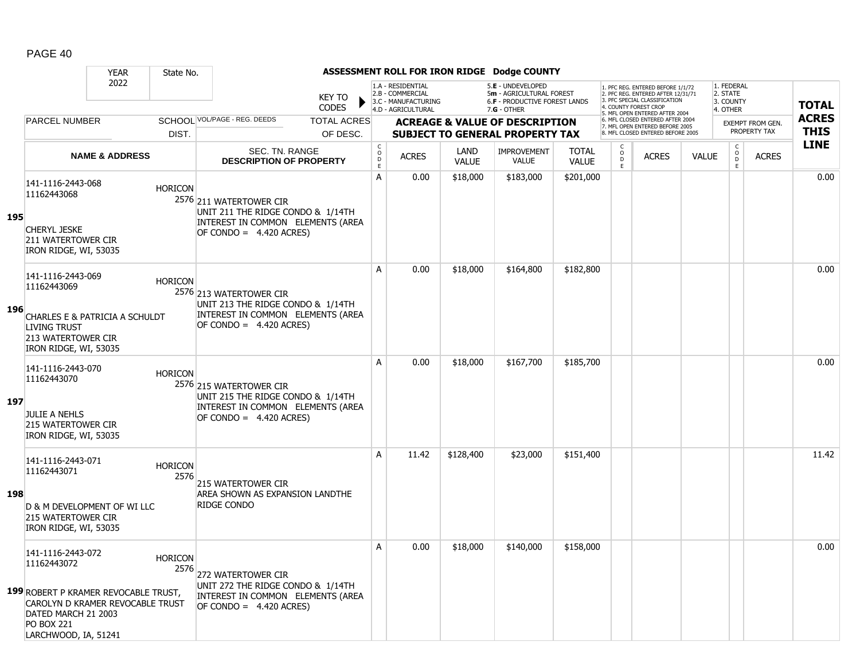|     |                                                                                                               | <b>YEAR</b><br>State No.                                                            |                                                                                                                                           |                        |                                                          |                                                                                    |                      | ASSESSMENT ROLL FOR IRON RIDGE Dodge COUNTY                                                     |                              |                          |                                                                                                                                   |              |                                                 |                         |              |
|-----|---------------------------------------------------------------------------------------------------------------|-------------------------------------------------------------------------------------|-------------------------------------------------------------------------------------------------------------------------------------------|------------------------|----------------------------------------------------------|------------------------------------------------------------------------------------|----------------------|-------------------------------------------------------------------------------------------------|------------------------------|--------------------------|-----------------------------------------------------------------------------------------------------------------------------------|--------------|-------------------------------------------------|-------------------------|--------------|
|     |                                                                                                               | 2022                                                                                |                                                                                                                                           | KEY TO<br><b>CODES</b> |                                                          | 1.A - RESIDENTIAL<br>2.B - COMMERCIAL<br>3.C - MANUFACTURING<br>4.D - AGRICULTURAL |                      | 5.E - UNDEVELOPED<br>5m - AGRICULTURAL FOREST<br>6.F - PRODUCTIVE FOREST LANDS<br>$7.G - OTHER$ |                              |                          | 1. PFC REG. ENTERED BEFORE 1/1/72<br>2. PFC REG. ENTERED AFTER 12/31/71<br>3. PFC SPECIAL CLASSIFICATION<br>4. COUNTY FOREST CROP |              | 1. FEDERAL<br>2. STATE<br>3. COUNTY<br>4. OTHER |                         | <b>TOTAL</b> |
|     | <b>PARCEL NUMBER</b>                                                                                          |                                                                                     | SCHOOL VOL/PAGE - REG. DEEDS                                                                                                              | <b>TOTAL ACRES</b>     |                                                          |                                                                                    |                      | <b>ACREAGE &amp; VALUE OF DESCRIPTION</b>                                                       |                              |                          | 5. MFL OPEN ENTERED AFTER 2004<br>6. MFL CLOSED ENTERED AFTER 2004                                                                |              |                                                 | <b>EXEMPT FROM GEN.</b> | <b>ACRES</b> |
|     |                                                                                                               | DIST.                                                                               |                                                                                                                                           | OF DESC.               |                                                          |                                                                                    |                      | <b>SUBJECT TO GENERAL PROPERTY TAX</b>                                                          |                              |                          | 7. MFL OPEN ENTERED BEFORE 2005<br>8. MFL CLOSED ENTERED BEFORE 2005                                                              |              |                                                 | PROPERTY TAX            | <b>THIS</b>  |
|     |                                                                                                               | <b>NAME &amp; ADDRESS</b>                                                           | SEC. TN. RANGE<br><b>DESCRIPTION OF PROPERTY</b>                                                                                          |                        | $\begin{matrix} 0 \\ 0 \\ 0 \end{matrix}$<br>$\mathsf E$ | <b>ACRES</b>                                                                       | LAND<br><b>VALUE</b> | <b>IMPROVEMENT</b><br><b>VALUE</b>                                                              | <b>TOTAL</b><br><b>VALUE</b> | C<br>$\overline{0}$<br>E | <b>ACRES</b>                                                                                                                      | <b>VALUE</b> | $\mathsf{C}$<br>$\overline{0}$<br>E             | <b>ACRES</b>            | <b>LINE</b>  |
| 195 | 141-1116-2443-068<br>11162443068<br><b>CHERYL JESKE</b><br><b>211 WATERTOWER CIR</b><br>IRON RIDGE, WI, 53035 | <b>HORICON</b>                                                                      | 2576 211 WATERTOWER CIR<br>UNIT 211 THE RIDGE CONDO & 1/14TH<br>INTEREST IN COMMON ELEMENTS (AREA<br>$OF CONDO = 4.420 ACRES)$            |                        | A                                                        | 0.00                                                                               | \$18,000             | \$183,000                                                                                       | \$201,000                    |                          |                                                                                                                                   |              |                                                 |                         | 0.00         |
| 196 | 141-1116-2443-069<br>11162443069<br><b>LIVING TRUST</b><br>213 WATERTOWER CIR<br>IRON RIDGE, WI, 53035        | <b>HORICON</b><br>CHARLES E & PATRICIA A SCHULDT                                    | 2576 213 WATERTOWER CIR<br>UNIT 213 THE RIDGE CONDO & 1/14TH<br>INTEREST IN COMMON ELEMENTS (AREA<br>$\overline{OP}$ CONDO = 4.420 ACRES) |                        | A                                                        | 0.00                                                                               | \$18,000             | \$164,800                                                                                       | \$182,800                    |                          |                                                                                                                                   |              |                                                 |                         | 0.00         |
| 197 | 141-1116-2443-070<br>11162443070<br><b>JULIE A NEHLS</b><br>215 WATERTOWER CIR<br>IRON RIDGE, WI, 53035       | <b>HORICON</b>                                                                      | 2576 215 WATERTOWER CIR<br>UNIT 215 THE RIDGE CONDO & 1/14TH<br>INTEREST IN COMMON ELEMENTS (AREA<br>$OF CONDO = 4.420 ACRES)$            |                        | A                                                        | 0.00                                                                               | \$18,000             | \$167,700                                                                                       | \$185,700                    |                          |                                                                                                                                   |              |                                                 |                         | 0.00         |
| 198 | 141-1116-2443-071<br>11162443071<br>215 WATERTOWER CIR<br>IRON RIDGE, WI, 53035                               | <b>HORICON</b><br>D & M DEVELOPMENT OF WI LLC                                       | 2576<br>215 WATERTOWER CIR<br>AREA SHOWN AS EXPANSION LANDTHE<br>RIDGE CONDO                                                              |                        | A                                                        | 11.42                                                                              | \$128,400            | \$23,000                                                                                        | \$151,400                    |                          |                                                                                                                                   |              |                                                 |                         | 11.42        |
|     | 141-1116-2443-072<br>11162443072<br>DATED MARCH 21 2003<br><b>PO BOX 221</b><br>LARCHWOOD, IA, 51241          | Horicon<br>199 ROBERT P KRAMER REVOCABLE TRUST,<br>CAROLYN D KRAMER REVOCABLE TRUST | 2576 272 WATERTOWER CIR<br>UNIT 272 THE RIDGE CONDO & 1/14TH<br>INTEREST IN COMMON ELEMENTS (AREA<br>OF CONDO = $4.420$ ACRES)            |                        | А                                                        | 0.00                                                                               | \$18,000             | \$140,000                                                                                       | \$158,000                    |                          |                                                                                                                                   |              |                                                 |                         | 0.00         |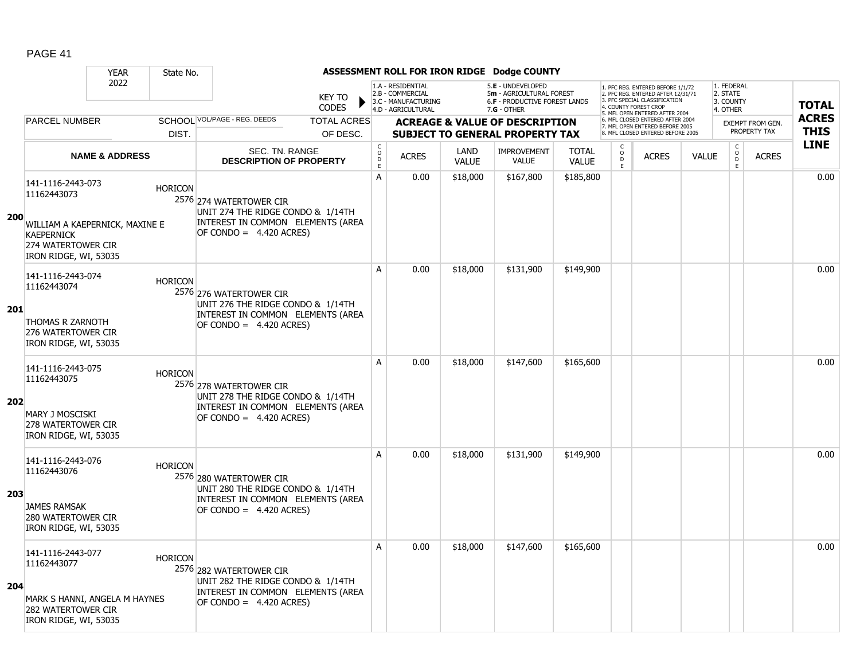|            | <b>YEAR</b>                                                                                                             | State No.      |                                                                                                                                |                                     |                                                                                    |                      | ASSESSMENT ROLL FOR IRON RIDGE Dodge COUNTY                                                            |                              |                                                   |                                                                                                                                   |              |                                                 |                         |              |
|------------|-------------------------------------------------------------------------------------------------------------------------|----------------|--------------------------------------------------------------------------------------------------------------------------------|-------------------------------------|------------------------------------------------------------------------------------|----------------------|--------------------------------------------------------------------------------------------------------|------------------------------|---------------------------------------------------|-----------------------------------------------------------------------------------------------------------------------------------|--------------|-------------------------------------------------|-------------------------|--------------|
|            | 2022                                                                                                                    |                | <b>KEY TO</b><br><b>CODES</b>                                                                                                  |                                     | 1.A - RESIDENTIAL<br>2.B - COMMERCIAL<br>3.C - MANUFACTURING<br>4.D - AGRICULTURAL |                      | 5.E - UNDEVELOPED<br>5m - AGRICULTURAL FOREST<br><b>6.F - PRODUCTIVE FOREST LANDS</b><br>$7.G - OTHER$ |                              |                                                   | 1. PFC REG. ENTERED BEFORE 1/1/72<br>2. PFC REG. ENTERED AFTER 12/31/71<br>3. PFC SPECIAL CLASSIFICATION<br>4. COUNTY FOREST CROP |              | 1. FEDERAL<br>2. STATE<br>3. COUNTY<br>4. OTHER |                         | <b>TOTAL</b> |
|            | <b>PARCEL NUMBER</b>                                                                                                    |                | SCHOOL VOL/PAGE - REG. DEEDS<br><b>TOTAL ACRES</b>                                                                             |                                     |                                                                                    |                      | <b>ACREAGE &amp; VALUE OF DESCRIPTION</b>                                                              |                              |                                                   | 5. MFL OPEN ENTERED AFTER 2004<br>6. MFL CLOSED ENTERED AFTER 2004                                                                |              |                                                 | <b>EXEMPT FROM GEN.</b> | <b>ACRES</b> |
|            |                                                                                                                         | DIST.          | OF DESC.                                                                                                                       |                                     |                                                                                    |                      | <b>SUBJECT TO GENERAL PROPERTY TAX</b>                                                                 |                              |                                                   | 7. MFL OPEN ENTERED BEFORE 2005<br>8. MFL CLOSED ENTERED BEFORE 2005                                                              |              |                                                 | PROPERTY TAX            | <b>THIS</b>  |
|            | <b>NAME &amp; ADDRESS</b>                                                                                               |                | <b>SEC. TN. RANGE</b><br><b>DESCRIPTION OF PROPERTY</b>                                                                        | $_{\rm o}^{\rm c}$<br>$\frac{D}{E}$ | <b>ACRES</b>                                                                       | LAND<br><b>VALUE</b> | <b>IMPROVEMENT</b><br><b>VALUE</b>                                                                     | <b>TOTAL</b><br><b>VALUE</b> | $\begin{array}{c}\nC \\ O \\ D \\ E\n\end{array}$ | <b>ACRES</b>                                                                                                                      | <b>VALUE</b> | $\begin{matrix} C \\ O \\ D \end{matrix}$<br>E  | <b>ACRES</b>            | <b>LINE</b>  |
| <b>200</b> | 141-1116-2443-073<br>11162443073<br>WILLIAM A KAEPERNICK, MAXINE E                                                      | <b>HORICON</b> | 2576 274 WATERTOWER CIR<br>UNIT 274 THE RIDGE CONDO & 1/14TH<br>INTEREST IN COMMON ELEMENTS (AREA                              | $\overline{A}$                      | 0.00                                                                               | \$18,000             | \$167,800                                                                                              | \$185,800                    |                                                   |                                                                                                                                   |              |                                                 |                         | 0.00         |
|            | <b>KAEPERNICK</b><br>274 WATERTOWER CIR<br>IRON RIDGE, WI, 53035                                                        |                | OF CONDO = $4.420$ ACRES)                                                                                                      |                                     |                                                                                    |                      |                                                                                                        |                              |                                                   |                                                                                                                                   |              |                                                 |                         |              |
| 201        | 141-1116-2443-074<br>11162443074<br>THOMAS R ZARNOTH<br>276 WATERTOWER CIR<br>IRON RIDGE, WI, 53035                     | <b>HORICON</b> | 2576 276 WATERTOWER CIR<br>UNIT 276 THE RIDGE CONDO & 1/14TH<br>INTEREST IN COMMON ELEMENTS (AREA<br>OF CONDO = $4.420$ ACRES) | A                                   | 0.00                                                                               | \$18,000             | \$131,900                                                                                              | \$149,900                    |                                                   |                                                                                                                                   |              |                                                 |                         | 0.00         |
| 202        | 141-1116-2443-075<br>11162443075<br><b>MARY J MOSCISKI</b><br>278 WATERTOWER CIR<br>IRON RIDGE, WI, 53035               | <b>HORICON</b> | 2576 278 WATERTOWER CIR<br>UNIT 278 THE RIDGE CONDO & 1/14TH<br>INTEREST IN COMMON ELEMENTS (AREA<br>OF CONDO = $4.420$ ACRES) | A                                   | 0.00                                                                               | \$18,000             | \$147,600                                                                                              | \$165,600                    |                                                   |                                                                                                                                   |              |                                                 |                         | 0.00         |
| 203        | 141-1116-2443-076<br>11162443076<br><b>JAMES RAMSAK</b><br>280 WATERTOWER CIR<br>IRON RIDGE, WI, 53035                  | <b>HORICON</b> | 2576 280 WATERTOWER CIR<br>UNIT 280 THE RIDGE CONDO & 1/14TH<br>INTEREST IN COMMON ELEMENTS (AREA<br>OF CONDO = $4.420$ ACRES) | A                                   | 0.00                                                                               | \$18,000             | \$131,900                                                                                              | \$149,900                    |                                                   |                                                                                                                                   |              |                                                 |                         | 0.00         |
| 204        | 141-1116-2443-077<br>11162443077<br>MARK S HANNI, ANGELA M HAYNES<br><b>282 WATERTOWER CIR</b><br>IRON RIDGE, WI, 53035 | <b>HORICON</b> | 2576 282 WATERTOWER CIR<br>UNIT 282 THE RIDGE CONDO & 1/14TH<br>INTEREST IN COMMON ELEMENTS (AREA<br>OF CONDO = $4.420$ ACRES) | A                                   | 0.00                                                                               | \$18,000             | \$147,600                                                                                              | \$165,600                    |                                                   |                                                                                                                                   |              |                                                 |                         | 0.00         |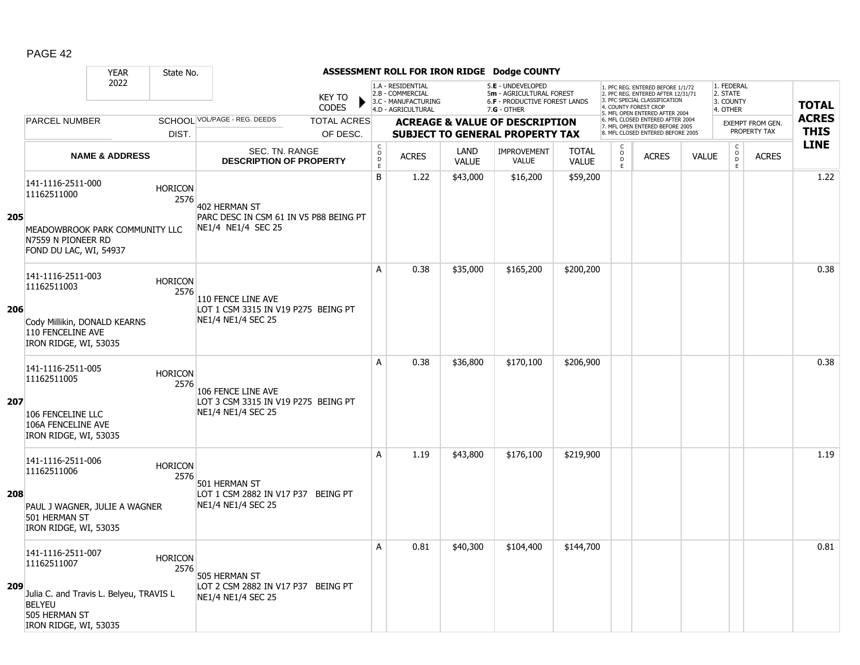|     |                                                                                                    | <b>YEAR</b>               | State No.              |                                                              |                               |                                     |                                                                                    |                      | ASSESSMENT ROLL FOR IRON RIDGE Dodge COUNTY                                                     |                              |                                            |                                                                                                                                                                     |              |                                                 |                         |              |
|-----|----------------------------------------------------------------------------------------------------|---------------------------|------------------------|--------------------------------------------------------------|-------------------------------|-------------------------------------|------------------------------------------------------------------------------------|----------------------|-------------------------------------------------------------------------------------------------|------------------------------|--------------------------------------------|---------------------------------------------------------------------------------------------------------------------------------------------------------------------|--------------|-------------------------------------------------|-------------------------|--------------|
|     |                                                                                                    | 2022                      |                        |                                                              | <b>KEY TO</b><br><b>CODES</b> |                                     | 1.A - RESIDENTIAL<br>2.B - COMMERCIAL<br>3.C - MANUFACTURING<br>4.D - AGRICULTURAL |                      | 5.E - UNDEVELOPED<br>5m - AGRICULTURAL FOREST<br>6.F - PRODUCTIVE FOREST LANDS<br>$7.G - OTHER$ |                              |                                            | 1. PFC REG. ENTERED BEFORE 1/1/72<br>2. PFC REG. ENTERED AFTER 12/31/71<br>3. PFC SPECIAL CLASSIFICATION<br>4. COUNTY FOREST CROP<br>5. MFL OPEN ENTERED AFTER 2004 |              | 1. FEDERAL<br>2. STATE<br>3. COUNTY<br>4. OTHER |                         | <b>TOTAL</b> |
|     | <b>PARCEL NUMBER</b>                                                                               |                           |                        | SCHOOL VOL/PAGE - REG. DEEDS                                 | <b>TOTAL ACRES</b>            |                                     |                                                                                    |                      | <b>ACREAGE &amp; VALUE OF DESCRIPTION</b>                                                       |                              |                                            | 6. MFL CLOSED ENTERED AFTER 2004<br>7. MFL OPEN ENTERED BEFORE 2005                                                                                                 |              |                                                 | <b>EXEMPT FROM GEN.</b> | <b>ACRES</b> |
|     |                                                                                                    |                           | DIST.                  |                                                              | OF DESC.                      |                                     |                                                                                    |                      | <b>SUBJECT TO GENERAL PROPERTY TAX</b>                                                          |                              |                                            | 8. MFL CLOSED ENTERED BEFORE 2005                                                                                                                                   |              |                                                 | PROPERTY TAX            | <b>THIS</b>  |
|     |                                                                                                    | <b>NAME &amp; ADDRESS</b> |                        | SEC. TN. RANGE<br><b>DESCRIPTION OF PROPERTY</b>             |                               | $_{\rm o}^{\rm c}$<br>$\frac{D}{E}$ | <b>ACRES</b>                                                                       | LAND<br><b>VALUE</b> | <b>IMPROVEMENT</b><br><b>VALUE</b>                                                              | <b>TOTAL</b><br><b>VALUE</b> | $\begin{array}{c} C \\ 0 \\ E \end{array}$ | <b>ACRES</b>                                                                                                                                                        | <b>VALUE</b> | $\begin{array}{c} C \\ O \\ E \end{array}$      | <b>ACRES</b>            | <b>LINE</b>  |
|     | 141-1116-2511-000<br>11162511000                                                                   |                           | <b>HORICON</b><br>2576 | 402 HERMAN ST                                                |                               | B                                   | 1.22                                                                               | \$43,000             | \$16,200                                                                                        | \$59,200                     |                                            |                                                                                                                                                                     |              |                                                 |                         | 1.22         |
| 205 | MEADOWBROOK PARK COMMUNITY LLC<br>N7559 N PIONEER RD<br>FOND DU LAC, WI, 54937                     |                           |                        | PARC DESC IN CSM 61 IN V5 P88 BEING PT<br>NE1/4 NE1/4 SEC 25 |                               |                                     |                                                                                    |                      |                                                                                                 |                              |                                            |                                                                                                                                                                     |              |                                                 |                         |              |
|     | 141-1116-2511-003<br>11162511003                                                                   |                           | <b>HORICON</b><br>2576 | 110 FENCE LINE AVE                                           |                               | A                                   | 0.38                                                                               | \$35,000             | \$165,200                                                                                       | \$200,200                    |                                            |                                                                                                                                                                     |              |                                                 |                         | 0.38         |
| 206 | Cody Millikin, DONALD KEARNS<br>110 FENCELINE AVE<br>IRON RIDGE, WI, 53035                         |                           |                        | LOT 1 CSM 3315 IN V19 P275 BEING PT<br>NE1/4 NE1/4 SEC 25    |                               |                                     |                                                                                    |                      |                                                                                                 |                              |                                            |                                                                                                                                                                     |              |                                                 |                         |              |
| 207 | 141-1116-2511-005<br>11162511005                                                                   |                           | <b>HORICON</b><br>2576 | 106 FENCE LINE AVE<br>LOT 3 CSM 3315 IN V19 P275 BEING PT    |                               | A                                   | 0.38                                                                               | \$36,800             | \$170,100                                                                                       | \$206,900                    |                                            |                                                                                                                                                                     |              |                                                 |                         | 0.38         |
|     | 106 FENCELINE LLC<br>106A FENCELINE AVE<br>IRON RIDGE, WI, 53035                                   |                           |                        | NE1/4 NE1/4 SEC 25                                           |                               |                                     |                                                                                    |                      |                                                                                                 |                              |                                            |                                                                                                                                                                     |              |                                                 |                         |              |
|     | 141-1116-2511-006<br>11162511006                                                                   |                           | <b>HORICON</b><br>2576 | 501 HERMAN ST                                                |                               | A                                   | 1.19                                                                               | \$43,800             | \$176,100                                                                                       | \$219,900                    |                                            |                                                                                                                                                                     |              |                                                 |                         | 1.19         |
| 208 | PAUL J WAGNER, JULIE A WAGNER<br>501 HERMAN ST<br>IRON RIDGE, WI, 53035                            |                           |                        | LOT 1 CSM 2882 IN V17 P37 BEING PT<br>NE1/4 NE1/4 SEC 25     |                               |                                     |                                                                                    |                      |                                                                                                 |                              |                                            |                                                                                                                                                                     |              |                                                 |                         |              |
|     | 141-1116-2511-007<br>11162511007                                                                   |                           | <b>HORICON</b><br>2576 | 505 HERMAN ST                                                |                               | Α                                   | 0.81                                                                               | \$40,300             | \$104,400                                                                                       | \$144,700                    |                                            |                                                                                                                                                                     |              |                                                 |                         | 0.81         |
| 209 | Julia C. and Travis L. Belyeu, TRAVIS L<br><b>BELYEU</b><br>505 HERMAN ST<br>IRON RIDGE, WI, 53035 |                           |                        | LOT 2 CSM 2882 IN V17 P37 BEING PT<br>NE1/4 NE1/4 SEC 25     |                               |                                     |                                                                                    |                      |                                                                                                 |                              |                                            |                                                                                                                                                                     |              |                                                 |                         |              |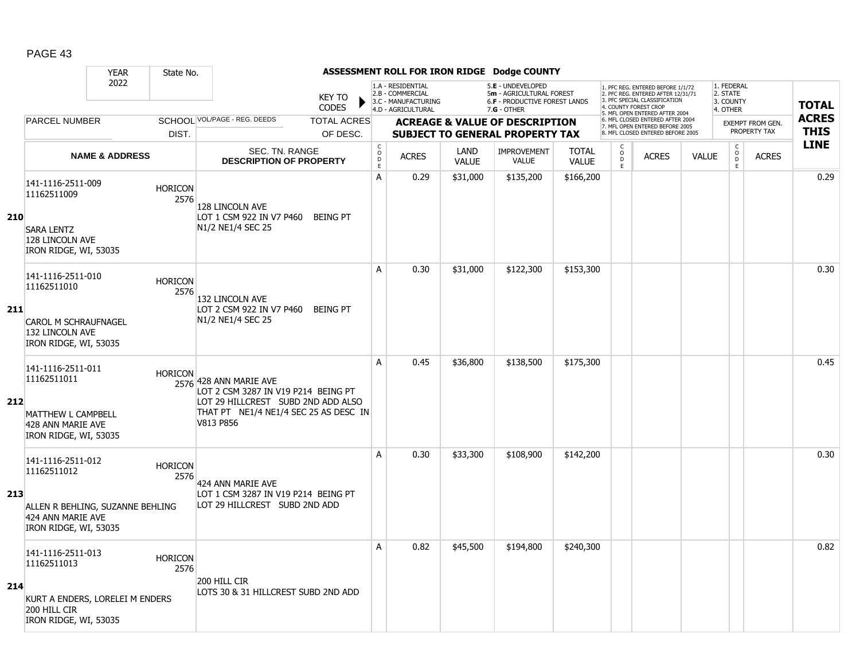|     |                                                                                | <b>YEAR</b>               | State No.              |                                                                                          |                               |                    |                                                                                    |              | ASSESSMENT ROLL FOR IRON RIDGE Dodge COUNTY                                                     |              |                                           |                                                                                                                                            |              |                                                 |                                         |                             |
|-----|--------------------------------------------------------------------------------|---------------------------|------------------------|------------------------------------------------------------------------------------------|-------------------------------|--------------------|------------------------------------------------------------------------------------|--------------|-------------------------------------------------------------------------------------------------|--------------|-------------------------------------------|--------------------------------------------------------------------------------------------------------------------------------------------|--------------|-------------------------------------------------|-----------------------------------------|-----------------------------|
|     | 2022<br><b>PARCEL NUMBER</b>                                                   |                           |                        |                                                                                          | <b>KEY TO</b><br><b>CODES</b> |                    | 1.A - RESIDENTIAL<br>2.B - COMMERCIAL<br>3.C - MANUFACTURING<br>4.D - AGRICULTURAL |              | 5.E - UNDEVELOPED<br>5m - AGRICULTURAL FOREST<br>6.F - PRODUCTIVE FOREST LANDS<br>$7.G - OTHER$ |              | 4. COUNTY FOREST CROP                     | 1. PFC REG. ENTERED BEFORE 1/1/72<br>2. PFC REG. ENTERED AFTER 12/31/71<br>3. PFC SPECIAL CLASSIFICATION<br>5. MFL OPEN ENTERED AFTER 2004 |              | 1. FEDERAL<br>2. STATE<br>3. COUNTY<br>4. OTHER |                                         | <b>TOTAL</b>                |
|     |                                                                                |                           |                        | SCHOOL VOL/PAGE - REG. DEEDS                                                             | <b>TOTAL ACRES</b>            |                    |                                                                                    |              | <b>ACREAGE &amp; VALUE OF DESCRIPTION</b>                                                       |              |                                           | 6. MFL CLOSED ENTERED AFTER 2004<br>7. MFL OPEN ENTERED BEFORE 2005<br>8. MFL CLOSED ENTERED BEFORE 2005                                   |              |                                                 | <b>EXEMPT FROM GEN.</b><br>PROPERTY TAX | <b>ACRES</b><br><b>THIS</b> |
|     |                                                                                |                           | DIST.                  | <b>SEC. TN. RANGE</b>                                                                    | OF DESC.                      | $_{\rm o}^{\rm c}$ |                                                                                    | LAND         | <b>SUBJECT TO GENERAL PROPERTY TAX</b><br><b>IMPROVEMENT</b>                                    | <b>TOTAL</b> | $\begin{matrix} 0 \\ 0 \\ D \end{matrix}$ |                                                                                                                                            |              | $\begin{matrix} 0 \\ 0 \\ 0 \end{matrix}$       |                                         | <b>LINE</b>                 |
|     |                                                                                | <b>NAME &amp; ADDRESS</b> |                        | <b>DESCRIPTION OF PROPERTY</b>                                                           |                               | $\mathsf D$<br>E   | <b>ACRES</b>                                                                       | <b>VALUE</b> | VALUE                                                                                           | <b>VALUE</b> | E                                         | <b>ACRES</b>                                                                                                                               | <b>VALUE</b> | E                                               | <b>ACRES</b>                            |                             |
|     | 141-1116-2511-009<br>11162511009                                               |                           | <b>HORICON</b><br>2576 | 128 LINCOLN AVE                                                                          |                               | A                  | 0.29                                                                               | \$31,000     | \$135,200                                                                                       | \$166,200    |                                           |                                                                                                                                            |              |                                                 |                                         | 0.29                        |
| 210 | <b>SARA LENTZ</b><br>128 LINCOLN AVE<br>IRON RIDGE, WI, 53035                  |                           |                        | LOT 1 CSM 922 IN V7 P460<br>N1/2 NE1/4 SEC 25                                            | <b>BEING PT</b>               |                    |                                                                                    |              |                                                                                                 |              |                                           |                                                                                                                                            |              |                                                 |                                         |                             |
|     | 141-1116-2511-010<br>11162511010                                               |                           | <b>HORICON</b><br>2576 | 132 LINCOLN AVE                                                                          |                               | A                  | 0.30                                                                               | \$31,000     | \$122,300                                                                                       | \$153,300    |                                           |                                                                                                                                            |              |                                                 |                                         | 0.30                        |
| 211 | <b>CAROL M SCHRAUFNAGEL</b><br>132 LINCOLN AVE<br>IRON RIDGE, WI, 53035        |                           |                        | LOT 2 CSM 922 IN V7 P460<br>N1/2 NE1/4 SEC 25                                            | <b>BEING PT</b>               |                    |                                                                                    |              |                                                                                                 |              |                                           |                                                                                                                                            |              |                                                 |                                         |                             |
| 212 | 141-1116-2511-011<br>11162511011                                               |                           | <b>HORICON</b>         | 2576 428 ANN MARIE AVE<br>LOT 2 CSM 3287 IN V19 P214 BEING PT                            |                               | A                  | 0.45                                                                               | \$36,800     | \$138,500                                                                                       | \$175,300    |                                           |                                                                                                                                            |              |                                                 |                                         | 0.45                        |
|     | MATTHEW L CAMPBELL<br>428 ANN MARIE AVE<br>IRON RIDGE, WI, 53035               |                           |                        | LOT 29 HILLCREST SUBD 2ND ADD ALSO<br>THAT PT NE1/4 NE1/4 SEC 25 AS DESC IN<br>V813 P856 |                               |                    |                                                                                    |              |                                                                                                 |              |                                           |                                                                                                                                            |              |                                                 |                                         |                             |
|     | 141-1116-2511-012<br>11162511012                                               |                           | <b>HORICON</b><br>2576 | 424 ANN MARIE AVE                                                                        |                               | A                  | 0.30                                                                               | \$33,300     | \$108,900                                                                                       | \$142,200    |                                           |                                                                                                                                            |              |                                                 |                                         | 0.30                        |
| 213 | ALLEN R BEHLING, SUZANNE BEHLING<br>424 ANN MARIE AVE<br>IRON RIDGE, WI, 53035 |                           |                        | LOT 1 CSM 3287 IN V19 P214 BEING PT<br>LOT 29 HILLCREST SUBD 2ND ADD                     |                               |                    |                                                                                    |              |                                                                                                 |              |                                           |                                                                                                                                            |              |                                                 |                                         |                             |
|     | 141-1116-2511-013<br>11162511013                                               |                           | <b>HORICON</b><br>2576 |                                                                                          |                               | A                  | 0.82                                                                               | \$45,500     | \$194,800                                                                                       | \$240,300    |                                           |                                                                                                                                            |              |                                                 |                                         | 0.82                        |
| 214 | KURT A ENDERS, LORELEI M ENDERS<br>200 HILL CIR<br>IRON RIDGE, WI, 53035       |                           |                        | 200 HILL CIR<br>LOTS 30 & 31 HILLCREST SUBD 2ND ADD                                      |                               |                    |                                                                                    |              |                                                                                                 |              |                                           |                                                                                                                                            |              |                                                 |                                         |                             |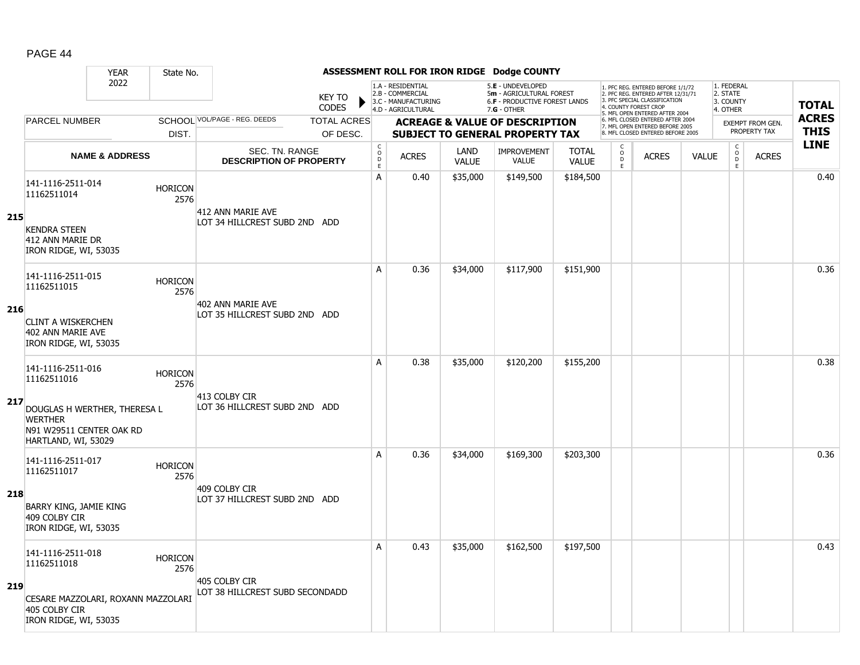|     | <b>YEAR</b>                                                                                       | State No.              |                                                    |                    |                                     |                                                                                    |                      | ASSESSMENT ROLL FOR IRON RIDGE Dodge COUNTY                                                          |                              |                                                |                                                                                                                                   |              |                                                          |                         |              |
|-----|---------------------------------------------------------------------------------------------------|------------------------|----------------------------------------------------|--------------------|-------------------------------------|------------------------------------------------------------------------------------|----------------------|------------------------------------------------------------------------------------------------------|------------------------------|------------------------------------------------|-----------------------------------------------------------------------------------------------------------------------------------|--------------|----------------------------------------------------------|-------------------------|--------------|
|     | 2022                                                                                              |                        | <b>KEY TO</b><br><b>CODES</b>                      |                    |                                     | 1.A - RESIDENTIAL<br>2.B - COMMERCIAL<br>3.C - MANUFACTURING<br>4.D - AGRICULTURAL |                      | 5.E - UNDEVELOPED<br>5m - AGRICULTURAL FOREST<br><b>6.F - PRODUCTIVE FOREST LANDS</b><br>7.G - OTHER |                              |                                                | 1. PFC REG. ENTERED BEFORE 1/1/72<br>2. PFC REG. ENTERED AFTER 12/31/71<br>3. PFC SPECIAL CLASSIFICATION<br>4. COUNTY FOREST CROP |              | 1. FEDERAL<br>2. STATE<br>3. COUNTY<br>4. OTHER          |                         | <b>TOTAL</b> |
|     | <b>PARCEL NUMBER</b>                                                                              |                        | SCHOOL VOL/PAGE - REG. DEEDS                       | <b>TOTAL ACRES</b> |                                     |                                                                                    |                      | <b>ACREAGE &amp; VALUE OF DESCRIPTION</b>                                                            |                              |                                                | 5. MFL OPEN ENTERED AFTER 2004<br>6. MFL CLOSED ENTERED AFTER 2004                                                                |              |                                                          | <b>EXEMPT FROM GEN.</b> | <b>ACRES</b> |
|     |                                                                                                   | DIST.                  |                                                    | OF DESC.           |                                     |                                                                                    |                      | <b>SUBJECT TO GENERAL PROPERTY TAX</b>                                                               |                              |                                                | 7. MFL OPEN ENTERED BEFORE 2005<br>8. MFL CLOSED ENTERED BEFORE 2005                                                              |              |                                                          | PROPERTY TAX            | <b>THIS</b>  |
|     | <b>NAME &amp; ADDRESS</b>                                                                         |                        | SEC. TN. RANGE<br><b>DESCRIPTION OF PROPERTY</b>   |                    | $_{\rm o}^{\rm c}$<br>$\frac{D}{E}$ | <b>ACRES</b>                                                                       | LAND<br><b>VALUE</b> | <b>IMPROVEMENT</b><br><b>VALUE</b>                                                                   | <b>TOTAL</b><br><b>VALUE</b> | $\begin{matrix} 0 \\ 0 \\ D \end{matrix}$<br>E | <b>ACRES</b>                                                                                                                      | <b>VALUE</b> | $\begin{matrix} 0 \\ 0 \\ 0 \end{matrix}$<br>$\mathsf E$ | <b>ACRES</b>            | <b>LINE</b>  |
| 215 | 141-1116-2511-014<br>11162511014                                                                  | <b>HORICON</b><br>2576 | 412 ANN MARIE AVE<br>LOT 34 HILLCREST SUBD 2ND ADD |                    | A                                   | 0.40                                                                               | \$35,000             | \$149,500                                                                                            | \$184,500                    |                                                |                                                                                                                                   |              |                                                          |                         | 0.40         |
|     | <b>KENDRA STEEN</b><br>412 ANN MARIE DR<br>IRON RIDGE, WI, 53035                                  |                        |                                                    |                    |                                     |                                                                                    |                      |                                                                                                      |                              |                                                |                                                                                                                                   |              |                                                          |                         |              |
|     | 141-1116-2511-015<br>11162511015                                                                  | <b>HORICON</b><br>2576 |                                                    |                    | A                                   | 0.36                                                                               | \$34,000             | \$117,900                                                                                            | \$151,900                    |                                                |                                                                                                                                   |              |                                                          |                         | 0.36         |
| 216 | <b>CLINT A WISKERCHEN</b><br>402 ANN MARIE AVE<br>IRON RIDGE, WI, 53035                           |                        | 402 ANN MARIE AVE<br>LOT 35 HILLCREST SUBD 2ND ADD |                    |                                     |                                                                                    |                      |                                                                                                      |                              |                                                |                                                                                                                                   |              |                                                          |                         |              |
|     | 141-1116-2511-016<br>11162511016                                                                  | <b>HORICON</b><br>2576 | 413 COLBY CIR                                      |                    | A                                   | 0.38                                                                               | \$35,000             | \$120,200                                                                                            | \$155,200                    |                                                |                                                                                                                                   |              |                                                          |                         | 0.38         |
| 217 | DOUGLAS H WERTHER, THERESA L<br><b>WERTHER</b><br>N91 W29511 CENTER OAK RD<br>HARTLAND, WI, 53029 |                        | LOT 36 HILLCREST SUBD 2ND ADD                      |                    |                                     |                                                                                    |                      |                                                                                                      |                              |                                                |                                                                                                                                   |              |                                                          |                         |              |
|     | 141-1116-2511-017<br>11162511017                                                                  | <b>HORICON</b><br>2576 |                                                    |                    | А                                   | 0.36                                                                               | \$34,000             | \$169,300                                                                                            | \$203,300                    |                                                |                                                                                                                                   |              |                                                          |                         | 0.36         |
| 218 | BARRY KING, JAMIE KING<br>409 COLBY CIR<br>IRON RIDGE, WI, 53035                                  |                        | 409 COLBY CIR<br>LOT 37 HILLCREST SUBD 2ND ADD     |                    |                                     |                                                                                    |                      |                                                                                                      |                              |                                                |                                                                                                                                   |              |                                                          |                         |              |
|     | 141-1116-2511-018<br>11162511018                                                                  | <b>HORICON</b><br>2576 | 405 COLBY CIR                                      |                    | Α                                   | 0.43                                                                               | \$35,000             | \$162,500                                                                                            | \$197,500                    |                                                |                                                                                                                                   |              |                                                          |                         | 0.43         |
| 219 | CESARE MAZZOLARI, ROXANN MAZZOLARI<br>405 COLBY CIR<br>IRON RIDGE, WI, 53035                      |                        | LOT 38 HILLCREST SUBD SECONDADD                    |                    |                                     |                                                                                    |                      |                                                                                                      |                              |                                                |                                                                                                                                   |              |                                                          |                         |              |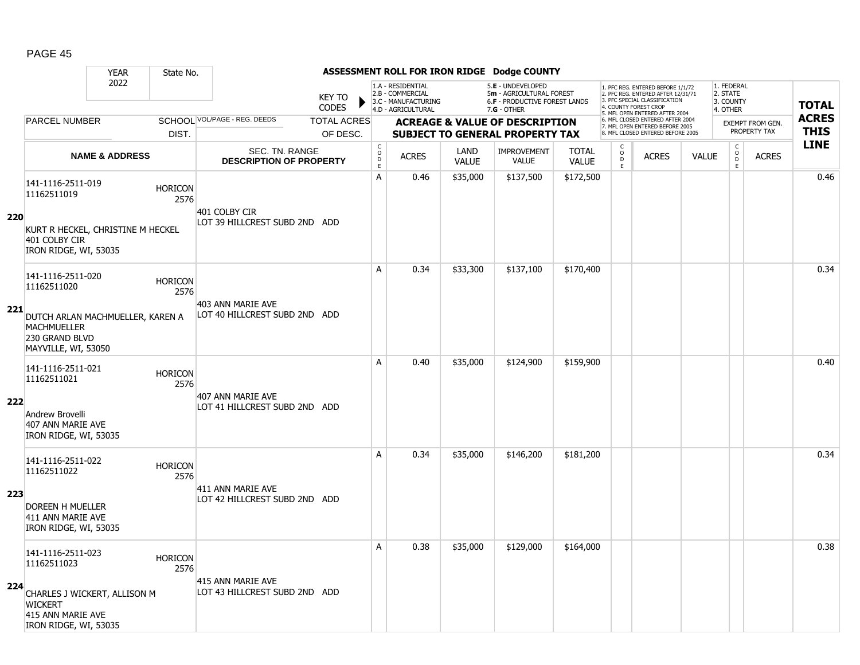|     |                                                                                                 | <b>YEAR</b>               | State No.              |                                                    |                               |                                                 |                                                                                    |                      | ASSESSMENT ROLL FOR IRON RIDGE Dodge COUNTY                                                            |                              |                                                        |                                                                                                                                                                     |              |                                                          |                         |              |
|-----|-------------------------------------------------------------------------------------------------|---------------------------|------------------------|----------------------------------------------------|-------------------------------|-------------------------------------------------|------------------------------------------------------------------------------------|----------------------|--------------------------------------------------------------------------------------------------------|------------------------------|--------------------------------------------------------|---------------------------------------------------------------------------------------------------------------------------------------------------------------------|--------------|----------------------------------------------------------|-------------------------|--------------|
|     |                                                                                                 | 2022                      |                        |                                                    | <b>KEY TO</b><br><b>CODES</b> |                                                 | 1.A - RESIDENTIAL<br>2.B - COMMERCIAL<br>3.C - MANUFACTURING<br>4.D - AGRICULTURAL |                      | 5.E - UNDEVELOPED<br>5m - AGRICULTURAL FOREST<br><b>6.F - PRODUCTIVE FOREST LANDS</b><br>$7.G - OTHER$ |                              |                                                        | 1. PFC REG. ENTERED BEFORE 1/1/72<br>2. PFC REG. ENTERED AFTER 12/31/71<br>3. PFC SPECIAL CLASSIFICATION<br>4. COUNTY FOREST CROP<br>5. MFL OPEN ENTERED AFTER 2004 |              | 1. FEDERAL<br>2. STATE<br>3. COUNTY<br>4. OTHER          |                         | <b>TOTAL</b> |
|     | <b>PARCEL NUMBER</b>                                                                            |                           |                        | SCHOOL VOL/PAGE - REG. DEEDS                       | <b>TOTAL ACRES</b>            |                                                 |                                                                                    |                      | <b>ACREAGE &amp; VALUE OF DESCRIPTION</b>                                                              |                              |                                                        | 6. MFL CLOSED ENTERED AFTER 2004<br>7. MFL OPEN ENTERED BEFORE 2005                                                                                                 |              |                                                          | <b>EXEMPT FROM GEN.</b> | <b>ACRES</b> |
|     |                                                                                                 |                           | DIST.                  |                                                    | OF DESC.                      |                                                 |                                                                                    |                      | <b>SUBJECT TO GENERAL PROPERTY TAX</b>                                                                 |                              |                                                        | 8. MFL CLOSED ENTERED BEFORE 2005                                                                                                                                   |              |                                                          | PROPERTY TAX            | <b>THIS</b>  |
|     |                                                                                                 | <b>NAME &amp; ADDRESS</b> |                        | SEC. TN. RANGE<br><b>DESCRIPTION OF PROPERTY</b>   |                               | $_{\rm o}^{\rm c}$<br>$\mathsf{D}_{\mathsf{E}}$ | <b>ACRES</b>                                                                       | LAND<br><b>VALUE</b> | <b>IMPROVEMENT</b><br><b>VALUE</b>                                                                     | <b>TOTAL</b><br><b>VALUE</b> | $\begin{matrix} 0 \\ 0 \\ D \end{matrix}$<br>$\bar{E}$ | <b>ACRES</b>                                                                                                                                                        | <b>VALUE</b> | $\begin{matrix} 0 \\ 0 \\ 0 \end{matrix}$<br>$\mathsf E$ | <b>ACRES</b>            | <b>LINE</b>  |
|     | 141-1116-2511-019<br>11162511019                                                                |                           | <b>HORICON</b><br>2576 | 401 COLBY CIR                                      |                               | А                                               | 0.46                                                                               | \$35,000             | \$137,500                                                                                              | \$172,500                    |                                                        |                                                                                                                                                                     |              |                                                          |                         | 0.46         |
| 220 | KURT R HECKEL, CHRISTINE M HECKEL<br>401 COLBY CIR<br>IRON RIDGE, WI, 53035                     |                           |                        | LOT 39 HILLCREST SUBD 2ND ADD                      |                               |                                                 |                                                                                    |                      |                                                                                                        |                              |                                                        |                                                                                                                                                                     |              |                                                          |                         |              |
|     | 141-1116-2511-020<br>11162511020                                                                |                           | <b>HORICON</b><br>2576 |                                                    |                               | A                                               | 0.34                                                                               | \$33,300             | \$137,100                                                                                              | \$170,400                    |                                                        |                                                                                                                                                                     |              |                                                          |                         | 0.34         |
| 221 | DUTCH ARLAN MACHMUELLER, KAREN A<br><b>MACHMUELLER</b><br>230 GRAND BLVD<br>MAYVILLE, WI, 53050 |                           |                        | 403 ANN MARIE AVE<br>LOT 40 HILLCREST SUBD 2ND ADD |                               |                                                 |                                                                                    |                      |                                                                                                        |                              |                                                        |                                                                                                                                                                     |              |                                                          |                         |              |
|     | 141-1116-2511-021<br>11162511021                                                                |                           | <b>HORICON</b><br>2576 | 407 ANN MARIE AVE                                  |                               | A                                               | 0.40                                                                               | \$35,000             | \$124,900                                                                                              | \$159,900                    |                                                        |                                                                                                                                                                     |              |                                                          |                         | 0.40         |
| 222 | Andrew Brovelli<br>407 ANN MARIE AVE<br>IRON RIDGE, WI, 53035                                   |                           |                        | LOT 41 HILLCREST SUBD 2ND ADD                      |                               |                                                 |                                                                                    |                      |                                                                                                        |                              |                                                        |                                                                                                                                                                     |              |                                                          |                         |              |
|     | 141-1116-2511-022<br>11162511022                                                                |                           | <b>HORICON</b><br>2576 |                                                    |                               | A                                               | 0.34                                                                               | \$35,000             | \$146,200                                                                                              | \$181,200                    |                                                        |                                                                                                                                                                     |              |                                                          |                         | 0.34         |
| 223 | <b>DOREEN H MUELLER</b><br>411 ANN MARIE AVE<br>IRON RIDGE, WI, 53035                           |                           |                        | 411 ANN MARIE AVE<br>LOT 42 HILLCREST SUBD 2ND ADD |                               |                                                 |                                                                                    |                      |                                                                                                        |                              |                                                        |                                                                                                                                                                     |              |                                                          |                         |              |
|     | 141-1116-2511-023<br>11162511023                                                                |                           | <b>HORICON</b><br>2576 |                                                    |                               | A                                               | 0.38                                                                               | \$35,000             | \$129,000                                                                                              | \$164,000                    |                                                        |                                                                                                                                                                     |              |                                                          |                         | 0.38         |
| 224 | CHARLES J WICKERT, ALLISON M<br><b>WICKERT</b><br>415 ANN MARIE AVE<br>IRON RIDGE, WI, 53035    |                           |                        | 415 ANN MARIE AVE<br>LOT 43 HILLCREST SUBD 2ND ADD |                               |                                                 |                                                                                    |                      |                                                                                                        |                              |                                                        |                                                                                                                                                                     |              |                                                          |                         |              |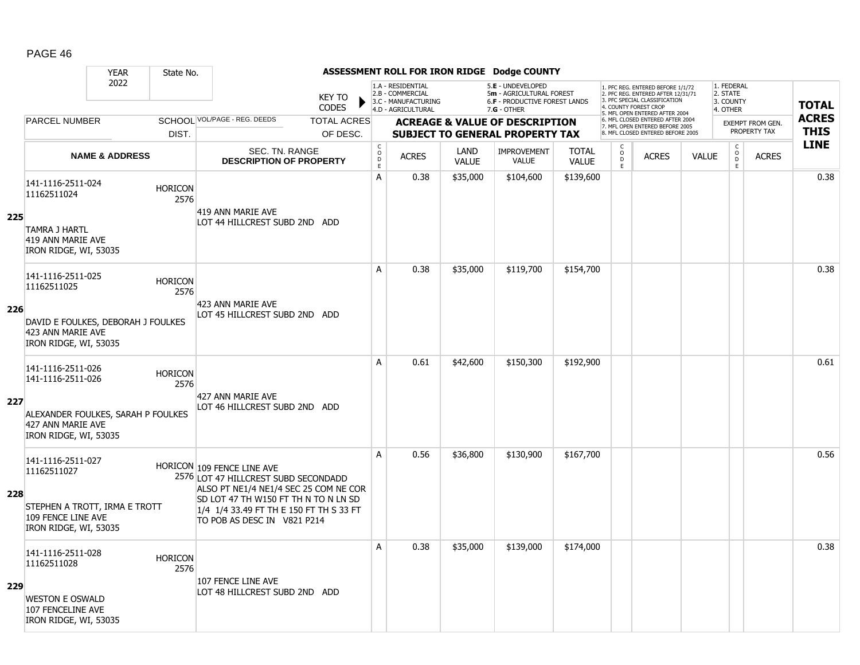|     |                                                                      | <b>YEAR</b>                        | State No.              |                                                                                                                |                                        |                                                                                    |                      | ASSESSMENT ROLL FOR IRON RIDGE Dodge COUNTY                                                     |                              |                                                 |                                                                                                                                                                     |              |                                                 |                  |              |
|-----|----------------------------------------------------------------------|------------------------------------|------------------------|----------------------------------------------------------------------------------------------------------------|----------------------------------------|------------------------------------------------------------------------------------|----------------------|-------------------------------------------------------------------------------------------------|------------------------------|-------------------------------------------------|---------------------------------------------------------------------------------------------------------------------------------------------------------------------|--------------|-------------------------------------------------|------------------|--------------|
|     |                                                                      | 2022                               |                        | <b>KEY TO</b><br><b>CODES</b>                                                                                  |                                        | 1.A - RESIDENTIAL<br>2.B - COMMERCIAL<br>3.C - MANUFACTURING<br>4.D - AGRICULTURAL |                      | 5.E - UNDEVELOPED<br>5m - AGRICULTURAL FOREST<br>6.F - PRODUCTIVE FOREST LANDS<br>$7.G - OTHER$ |                              |                                                 | 1. PFC REG. ENTERED BEFORE 1/1/72<br>2. PFC REG. ENTERED AFTER 12/31/71<br>3. PFC SPECIAL CLASSIFICATION<br>4. COUNTY FOREST CROP<br>5. MFL OPEN ENTERED AFTER 2004 |              | 1. FEDERAL<br>2. STATE<br>3. COUNTY<br>4. OTHER |                  | <b>TOTAL</b> |
|     | <b>PARCEL NUMBER</b>                                                 |                                    |                        | SCHOOL VOL/PAGE - REG. DEEDS<br><b>TOTAL ACRES</b>                                                             |                                        |                                                                                    |                      | <b>ACREAGE &amp; VALUE OF DESCRIPTION</b>                                                       |                              |                                                 | 6. MFL CLOSED ENTERED AFTER 2004<br>7. MFL OPEN ENTERED BEFORE 2005                                                                                                 |              |                                                 | EXEMPT FROM GEN. | <b>ACRES</b> |
|     |                                                                      |                                    | DIST.                  | OF DESC.                                                                                                       |                                        |                                                                                    |                      | <b>SUBJECT TO GENERAL PROPERTY TAX</b>                                                          |                              |                                                 | 8. MFL CLOSED ENTERED BEFORE 2005                                                                                                                                   |              |                                                 | PROPERTY TAX     | <b>THIS</b>  |
|     |                                                                      | <b>NAME &amp; ADDRESS</b>          |                        | <b>SEC. TN. RANGE</b><br><b>DESCRIPTION OF PROPERTY</b>                                                        | $_{\rm o}^{\rm c}$<br>$\mathsf D$<br>E | <b>ACRES</b>                                                                       | LAND<br><b>VALUE</b> | <b>IMPROVEMENT</b><br>VALUE                                                                     | <b>TOTAL</b><br><b>VALUE</b> | $\begin{matrix} 0 \\ 0 \\ D \end{matrix}$<br>E. | <b>ACRES</b>                                                                                                                                                        | <b>VALUE</b> | $\begin{matrix} 0 \\ 0 \end{matrix}$<br>E       | <b>ACRES</b>     | <b>LINE</b>  |
| 225 | 141-1116-2511-024<br>11162511024                                     |                                    | <b>HORICON</b><br>2576 | 419 ANN MARIE AVE                                                                                              | А                                      | 0.38                                                                               | \$35,000             | \$104,600                                                                                       | \$139,600                    |                                                 |                                                                                                                                                                     |              |                                                 |                  | 0.38         |
|     | <b>TAMRA J HARTL</b><br>419 ANN MARIE AVE<br>IRON RIDGE, WI, 53035   |                                    |                        | LOT 44 HILLCREST SUBD 2ND ADD                                                                                  |                                        |                                                                                    |                      |                                                                                                 |                              |                                                 |                                                                                                                                                                     |              |                                                 |                  |              |
|     | 141-1116-2511-025<br>11162511025                                     |                                    | <b>HORICON</b><br>2576 | 423 ANN MARIE AVE                                                                                              | A                                      | 0.38                                                                               | \$35,000             | \$119,700                                                                                       | \$154,700                    |                                                 |                                                                                                                                                                     |              |                                                 |                  | 0.38         |
| 226 | 423 ANN MARIE AVE<br>IRON RIDGE, WI, 53035                           | DAVID E FOULKES, DEBORAH J FOULKES |                        | LOT 45 HILLCREST SUBD 2ND ADD                                                                                  |                                        |                                                                                    |                      |                                                                                                 |                              |                                                 |                                                                                                                                                                     |              |                                                 |                  |              |
|     | 141-1116-2511-026<br>141-1116-2511-026                               |                                    | <b>HORICON</b><br>2576 |                                                                                                                | A                                      | 0.61                                                                               | \$42,600             | \$150,300                                                                                       | \$192,900                    |                                                 |                                                                                                                                                                     |              |                                                 |                  | 0.61         |
| 227 | 427 ANN MARIE AVE<br>IRON RIDGE, WI, 53035                           | ALEXANDER FOULKES, SARAH P FOULKES |                        | 427 ANN MARIE AVE<br>LOT 46 HILLCREST SUBD 2ND ADD                                                             |                                        |                                                                                    |                      |                                                                                                 |                              |                                                 |                                                                                                                                                                     |              |                                                 |                  |              |
| 228 | 141-1116-2511-027<br>11162511027                                     |                                    |                        | HORICON 109 FENCE LINE AVE<br>2576 LOT 47 HILLCREST SUBD SECONDADD<br>ALSO PT NE1/4 NE1/4 SEC 25 COM NE COR    | A                                      | 0.56                                                                               | \$36,800             | \$130,900                                                                                       | \$167,700                    |                                                 |                                                                                                                                                                     |              |                                                 |                  | 0.56         |
|     | 109 FENCE LINE AVE<br>IRON RIDGE, WI, 53035                          | STEPHEN A TROTT, IRMA E TROTT      |                        | SD LOT 47 TH W150 FT TH N TO N LN SD<br>1/4 1/4 33.49 FT TH E 150 FT TH S 33 FT<br>TO POB AS DESC IN V821 P214 |                                        |                                                                                    |                      |                                                                                                 |                              |                                                 |                                                                                                                                                                     |              |                                                 |                  |              |
|     | 141-1116-2511-028<br>11162511028                                     |                                    | <b>HORICON</b><br>2576 | 107 FENCE LINE AVE                                                                                             | A                                      | 0.38                                                                               | \$35,000             | \$139,000                                                                                       | \$174,000                    |                                                 |                                                                                                                                                                     |              |                                                 |                  | 0.38         |
| 229 | <b>WESTON E OSWALD</b><br>107 FENCELINE AVE<br>IRON RIDGE, WI, 53035 |                                    |                        | LOT 48 HILLCREST SUBD 2ND ADD                                                                                  |                                        |                                                                                    |                      |                                                                                                 |                              |                                                 |                                                                                                                                                                     |              |                                                 |                  |              |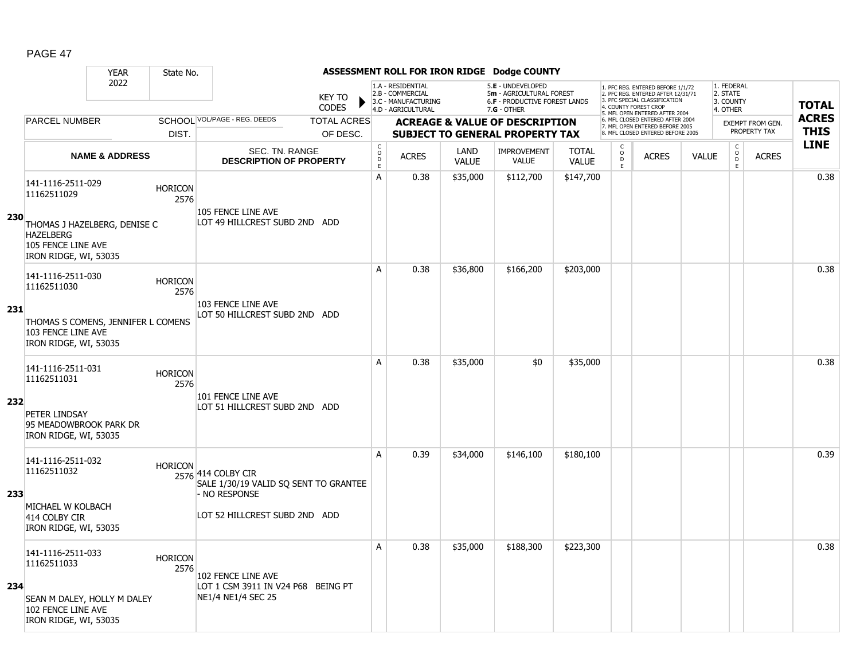|            |                                                                                                                                                | <b>YEAR</b>               | State No.              |                                                                                                               |                               |                             |                                                                                    |                      | ASSESSMENT ROLL FOR IRON RIDGE Dodge COUNTY                                                   |                              |                                            |                                                                                                                                   |              |                                                 |                         |              |
|------------|------------------------------------------------------------------------------------------------------------------------------------------------|---------------------------|------------------------|---------------------------------------------------------------------------------------------------------------|-------------------------------|-----------------------------|------------------------------------------------------------------------------------|----------------------|-----------------------------------------------------------------------------------------------|------------------------------|--------------------------------------------|-----------------------------------------------------------------------------------------------------------------------------------|--------------|-------------------------------------------------|-------------------------|--------------|
|            |                                                                                                                                                | 2022                      |                        |                                                                                                               | <b>KEY TO</b><br><b>CODES</b> |                             | 1.A - RESIDENTIAL<br>2.B - COMMERCIAL<br>3.C - MANUFACTURING<br>4.D - AGRICULTURAL |                      | 5.E - UNDEVELOPED<br>5m - AGRICULTURAL FOREST<br>6.F - PRODUCTIVE FOREST LANDS<br>7.G - OTHER |                              |                                            | 1. PFC REG. ENTERED BEFORE 1/1/72<br>2. PFC REG. ENTERED AFTER 12/31/71<br>3. PFC SPECIAL CLASSIFICATION<br>4. COUNTY FOREST CROP |              | 1. FEDERAL<br>2. STATE<br>3. COUNTY<br>4. OTHER |                         | <b>TOTAL</b> |
|            | <b>PARCEL NUMBER</b>                                                                                                                           |                           |                        | SCHOOL VOL/PAGE - REG. DEEDS                                                                                  | <b>TOTAL ACRES</b>            |                             |                                                                                    |                      | <b>ACREAGE &amp; VALUE OF DESCRIPTION</b>                                                     |                              |                                            | 5. MFL OPEN ENTERED AFTER 2004<br>6. MFL CLOSED ENTERED AFTER 2004                                                                |              |                                                 | <b>EXEMPT FROM GEN.</b> | <b>ACRES</b> |
|            |                                                                                                                                                |                           | DIST.                  |                                                                                                               | OF DESC.                      |                             |                                                                                    |                      | <b>SUBJECT TO GENERAL PROPERTY TAX</b>                                                        |                              |                                            | 7. MFL OPEN ENTERED BEFORE 2005<br>8. MFL CLOSED ENTERED BEFORE 2005                                                              |              |                                                 | PROPERTY TAX            | <b>THIS</b>  |
|            |                                                                                                                                                | <b>NAME &amp; ADDRESS</b> |                        | SEC. TN. RANGE<br><b>DESCRIPTION OF PROPERTY</b>                                                              |                               | $\rm _c^C$<br>$\frac{D}{E}$ | <b>ACRES</b>                                                                       | LAND<br><b>VALUE</b> | <b>IMPROVEMENT</b><br><b>VALUE</b>                                                            | <b>TOTAL</b><br><b>VALUE</b> | $\begin{array}{c} C \\ 0 \\ E \end{array}$ | <b>ACRES</b>                                                                                                                      | <b>VALUE</b> | $\begin{matrix} 0 \\ 0 \\ 0 \end{matrix}$<br>E  | <b>ACRES</b>            | <b>LINE</b>  |
| <b>230</b> | 141-1116-2511-029<br>11162511029<br>THOMAS J HAZELBERG, DENISE C<br><b>HAZELBERG</b><br>105 FENCE LINE AVE                                     |                           | <b>HORICON</b><br>2576 | 105 FENCE LINE AVE<br>LOT 49 HILLCREST SUBD 2ND ADD                                                           |                               | A                           | 0.38                                                                               | \$35,000             | \$112,700                                                                                     | \$147,700                    |                                            |                                                                                                                                   |              |                                                 |                         | 0.38         |
| 231        | IRON RIDGE, WI, 53035<br>141-1116-2511-030<br>11162511030<br>THOMAS S COMENS, JENNIFER L COMENS<br>103 FENCE LINE AVE<br>IRON RIDGE, WI, 53035 |                           | <b>HORICON</b><br>2576 | 103 FENCE LINE AVE<br>LOT 50 HILLCREST SUBD 2ND ADD                                                           |                               | A                           | 0.38                                                                               | \$36,800             | \$166,200                                                                                     | \$203,000                    |                                            |                                                                                                                                   |              |                                                 |                         | 0.38         |
| 232        | 141-1116-2511-031<br>11162511031<br>PETER LINDSAY<br>95 MEADOWBROOK PARK DR<br>IRON RIDGE, WI, 53035                                           |                           | <b>HORICON</b><br>2576 | 101 FENCE LINE AVE<br>LOT 51 HILLCREST SUBD 2ND ADD                                                           |                               | A                           | 0.38                                                                               | \$35,000             | \$0                                                                                           | \$35,000                     |                                            |                                                                                                                                   |              |                                                 |                         | 0.38         |
| 233        | 141-1116-2511-032<br>11162511032<br>MICHAEL W KOLBACH<br>414 COLBY CIR<br>IRON RIDGE, WI, 53035                                                |                           | <b>HORICON</b>         | 2576 414 COLBY CIR<br>SALE 1/30/19 VALID SQ SENT TO GRANTEE<br>- NO RESPONSE<br>LOT 52 HILLCREST SUBD 2ND ADD |                               | A                           | 0.39                                                                               | \$34,000             | \$146,100                                                                                     | \$180,100                    |                                            |                                                                                                                                   |              |                                                 |                         | 0.39         |
| 234        | 141-1116-2511-033<br>11162511033<br>SEAN M DALEY, HOLLY M DALEY<br>102 FENCE LINE AVE<br>IRON RIDGE, WI, 53035                                 |                           | <b>HORICON</b><br>2576 | 102 FENCE LINE AVE<br>LOT 1 CSM 3911 IN V24 P68 BEING PT<br>NE1/4 NE1/4 SEC 25                                |                               | A                           | 0.38                                                                               | \$35,000             | \$188,300                                                                                     | \$223,300                    |                                            |                                                                                                                                   |              |                                                 |                         | 0.38         |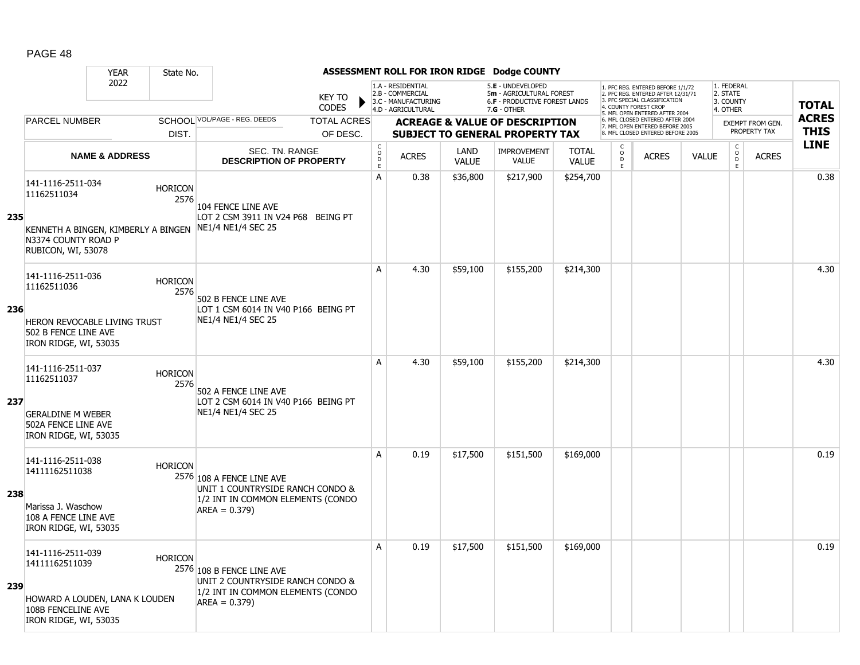|     |                                                                                                                      | <b>YEAR</b>               | State No.              |                                                                                                                      |                                |                                        |                                                                                    |                      | ASSESSMENT ROLL FOR IRON RIDGE Dodge COUNTY                                                            |                              |                                         |                                                                                                                                                                     |              |                                                 |                                         |                             |
|-----|----------------------------------------------------------------------------------------------------------------------|---------------------------|------------------------|----------------------------------------------------------------------------------------------------------------------|--------------------------------|----------------------------------------|------------------------------------------------------------------------------------|----------------------|--------------------------------------------------------------------------------------------------------|------------------------------|-----------------------------------------|---------------------------------------------------------------------------------------------------------------------------------------------------------------------|--------------|-------------------------------------------------|-----------------------------------------|-----------------------------|
|     |                                                                                                                      | 2022                      |                        |                                                                                                                      | <b>KEY TO</b><br><b>CODES</b>  |                                        | 1.A - RESIDENTIAL<br>2.B - COMMERCIAL<br>3.C - MANUFACTURING<br>4.D - AGRICULTURAL |                      | 5.E - UNDEVELOPED<br>5m - AGRICULTURAL FOREST<br><b>6.F - PRODUCTIVE FOREST LANDS</b><br>$7.G - OTHER$ |                              |                                         | 1. PFC REG. ENTERED BEFORE 1/1/72<br>2. PFC REG. ENTERED AFTER 12/31/71<br>3. PFC SPECIAL CLASSIFICATION<br>4. COUNTY FOREST CROP<br>5. MFL OPEN ENTERED AFTER 2004 |              | 1. FEDERAL<br>2. STATE<br>3. COUNTY<br>4. OTHER |                                         | <b>TOTAL</b>                |
|     | <b>PARCEL NUMBER</b>                                                                                                 |                           | DIST.                  | SCHOOL VOL/PAGE - REG. DEEDS                                                                                         | <b>TOTAL ACRES</b><br>OF DESC. |                                        |                                                                                    |                      | <b>ACREAGE &amp; VALUE OF DESCRIPTION</b><br><b>SUBJECT TO GENERAL PROPERTY TAX</b>                    |                              |                                         | 6. MFL CLOSED ENTERED AFTER 2004<br>7. MFL OPEN ENTERED BEFORE 2005<br>8. MFL CLOSED ENTERED BEFORE 2005                                                            |              |                                                 | <b>EXEMPT FROM GEN.</b><br>PROPERTY TAX | <b>ACRES</b><br><b>THIS</b> |
|     |                                                                                                                      | <b>NAME &amp; ADDRESS</b> |                        | SEC. TN. RANGE<br><b>DESCRIPTION OF PROPERTY</b>                                                                     |                                | $_{\rm o}^{\rm c}$<br>$\mathsf D$<br>E | <b>ACRES</b>                                                                       | LAND<br><b>VALUE</b> | <b>IMPROVEMENT</b><br>VALUE                                                                            | <b>TOTAL</b><br><b>VALUE</b> | C<br>$\overset{\circ}{\mathsf{D}}$<br>E | <b>ACRES</b>                                                                                                                                                        | <b>VALUE</b> | $\begin{array}{c} C \\ O \\ E \end{array}$      | <b>ACRES</b>                            | <b>LINE</b>                 |
| 235 | 141-1116-2511-034<br>11162511034<br>KENNETH A BINGEN, KIMBERLY A BINGEN<br>N3374 COUNTY ROAD P<br>RUBICON, WI, 53078 |                           | <b>HORICON</b><br>2576 | 104 FENCE LINE AVE<br>LOT 2 CSM 3911 IN V24 P68 BEING PT<br>NE1/4 NE1/4 SEC 25                                       |                                | $\overline{A}$                         | 0.38                                                                               | \$36,800             | \$217,900                                                                                              | \$254,700                    |                                         |                                                                                                                                                                     |              |                                                 |                                         | 0.38                        |
| 236 | 141-1116-2511-036<br>11162511036<br>HERON REVOCABLE LIVING TRUST<br>502 B FENCE LINE AVE<br>IRON RIDGE, WI, 53035    |                           | <b>HORICON</b><br>2576 | 502 B FENCE LINE AVE<br>LOT 1 CSM 6014 IN V40 P166 BEING PT<br>NE1/4 NE1/4 SEC 25                                    |                                | A                                      | 4.30                                                                               | \$59,100             | \$155,200                                                                                              | \$214,300                    |                                         |                                                                                                                                                                     |              |                                                 |                                         | 4.30                        |
| 237 | 141-1116-2511-037<br>11162511037<br><b>GERALDINE M WEBER</b><br>502A FENCE LINE AVE<br>IRON RIDGE, WI, 53035         |                           | <b>HORICON</b><br>2576 | 502 A FENCE LINE AVE<br>LOT 2 CSM 6014 IN V40 P166 BEING PT<br>NE1/4 NE1/4 SEC 25                                    |                                | A                                      | 4.30                                                                               | \$59,100             | \$155,200                                                                                              | \$214,300                    |                                         |                                                                                                                                                                     |              |                                                 |                                         | 4.30                        |
| 238 | 141-1116-2511-038<br>14111162511038<br>Marissa J. Waschow<br>108 A FENCE LINE AVE<br>IRON RIDGE, WI, 53035           |                           | <b>HORICON</b>         | 2576 108 A FENCE LINE AVE<br>UNIT 1 COUNTRYSIDE RANCH CONDO &<br>1/2 INT IN COMMON ELEMENTS (CONDO<br>$AREA = 0.379$ |                                | A                                      | 0.19                                                                               | \$17,500             | \$151,500                                                                                              | \$169,000                    |                                         |                                                                                                                                                                     |              |                                                 |                                         | 0.19                        |
| 239 | 141-1116-2511-039<br>14111162511039<br>HOWARD A LOUDEN, LANA K LOUDEN<br>108B FENCELINE AVE<br>IRON RIDGE, WI, 53035 |                           | <b>HORICON</b>         | 2576 108 B FENCE LINE AVE<br>UNIT 2 COUNTRYSIDE RANCH CONDO &<br>1/2 INT IN COMMON ELEMENTS (CONDO<br>$AREA = 0.379$ |                                | A                                      | 0.19                                                                               | \$17,500             | \$151,500                                                                                              | \$169,000                    |                                         |                                                                                                                                                                     |              |                                                 |                                         | 0.19                        |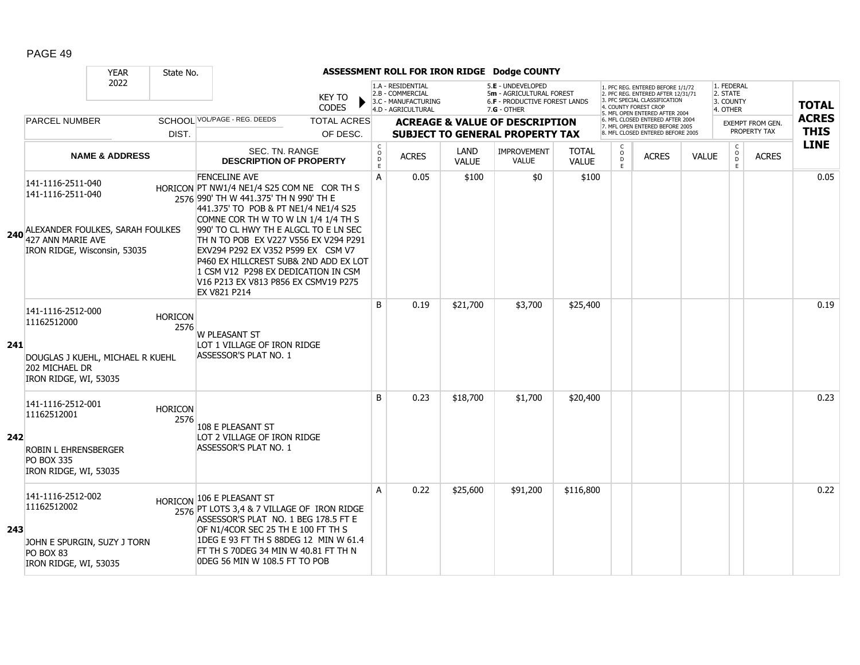|     |                                                                                                                 | <b>YEAR</b>               | State No.              |                                                                                                                                                                                                                                                                                                                                                                                                                                                             |                               |                        |                                                                                    |                      | ASSESSMENT ROLL FOR IRON RIDGE Dodge COUNTY                                                   |                              |                             |                                                                                                                                  |              |                                                 |                                         |                             |
|-----|-----------------------------------------------------------------------------------------------------------------|---------------------------|------------------------|-------------------------------------------------------------------------------------------------------------------------------------------------------------------------------------------------------------------------------------------------------------------------------------------------------------------------------------------------------------------------------------------------------------------------------------------------------------|-------------------------------|------------------------|------------------------------------------------------------------------------------|----------------------|-----------------------------------------------------------------------------------------------|------------------------------|-----------------------------|----------------------------------------------------------------------------------------------------------------------------------|--------------|-------------------------------------------------|-----------------------------------------|-----------------------------|
|     |                                                                                                                 | 2022                      |                        |                                                                                                                                                                                                                                                                                                                                                                                                                                                             | <b>KEY TO</b><br><b>CODES</b> |                        | 1.A - RESIDENTIAL<br>2.B - COMMERCIAL<br>3.C - MANUFACTURING<br>4.D - AGRICULTURAL |                      | 5.E - UNDEVELOPED<br>5m - AGRICULTURAL FOREST<br>6.F - PRODUCTIVE FOREST LANDS<br>7.G - OTHER |                              |                             | 1. PFC REG. ENTERED BEFORE 1/1/72<br>2. PFC REG. ENTERED AFTER 12/31/71<br>3. PFC SPECIAL CLASSIFICATION<br>. COUNTY FOREST CROP |              | 1. FEDERAL<br>2. STATE<br>3. COUNTY<br>4. OTHER |                                         | <b>TOTAL</b>                |
|     | <b>PARCEL NUMBER</b>                                                                                            |                           |                        | SCHOOL VOL/PAGE - REG. DEEDS                                                                                                                                                                                                                                                                                                                                                                                                                                | <b>TOTAL ACRES</b>            |                        |                                                                                    |                      | <b>ACREAGE &amp; VALUE OF DESCRIPTION</b>                                                     |                              |                             | 5. MFL OPEN ENTERED AFTER 2004<br>6. MFL CLOSED ENTERED AFTER 2004<br>7. MFL OPEN ENTERED BEFORE 2005                            |              |                                                 | <b>EXEMPT FROM GEN.</b><br>PROPERTY TAX | <b>ACRES</b><br><b>THIS</b> |
|     |                                                                                                                 |                           | DIST.                  |                                                                                                                                                                                                                                                                                                                                                                                                                                                             | OF DESC.                      |                        |                                                                                    |                      | <b>SUBJECT TO GENERAL PROPERTY TAX</b>                                                        |                              |                             | 8. MFL CLOSED ENTERED BEFORE 2005                                                                                                |              |                                                 |                                         | <b>LINE</b>                 |
|     |                                                                                                                 | <b>NAME &amp; ADDRESS</b> |                        | SEC. TN. RANGE<br><b>DESCRIPTION OF PROPERTY</b>                                                                                                                                                                                                                                                                                                                                                                                                            |                               | C<br>$\circ$<br>D<br>E | <b>ACRES</b>                                                                       | LAND<br><b>VALUE</b> | <b>IMPROVEMENT</b><br><b>VALUE</b>                                                            | <b>TOTAL</b><br><b>VALUE</b> | C<br>$\mathsf{o}$<br>D<br>E | <b>ACRES</b>                                                                                                                     | <b>VALUE</b> | C<br>$\circ$<br>D<br>E                          | <b>ACRES</b>                            |                             |
|     | 141-1116-2511-040<br>141-1116-2511-040<br>240 ALEXANDER FOULKES, SARAH FOULKES<br>IRON RIDGE, Wisconsin, 53035  |                           |                        | <b>FENCELINE AVE</b><br>HORICON PT NW1/4 NE1/4 S25 COM NE COR TH S<br>2576 990' TH W 441.375' TH N 990' TH E<br>441.375' TO POB & PT NE1/4 NE1/4 S25<br>COMNE COR TH W TO W LN 1/4 1/4 TH S<br>990' TO CL HWY TH E ALGCL TO E LN SEC<br>TH N TO POB EX V227 V556 EX V294 P291<br>EXV294 P292 EX V352 P599 EX CSM V7<br>P460 EX HILLCREST SUB& 2ND ADD EX LOT<br>1 CSM V12 P298 EX DEDICATION IN CSM<br>V16 P213 EX V813 P856 EX CSMV19 P275<br>EX V821 P214 |                               | A                      | 0.05                                                                               | \$100                | \$0                                                                                           | \$100                        |                             |                                                                                                                                  |              |                                                 |                                         | 0.05                        |
| 241 | 141-1116-2512-000<br>11162512000<br>DOUGLAS J KUEHL, MICHAEL R KUEHL<br>202 MICHAEL DR<br>IRON RIDGE, WI, 53035 |                           | <b>HORICON</b><br>2576 | <b>W PLEASANT ST</b><br>LOT 1 VILLAGE OF IRON RIDGE<br>ASSESSOR'S PLAT NO. 1                                                                                                                                                                                                                                                                                                                                                                                |                               | B                      | 0.19                                                                               | \$21,700             | \$3,700                                                                                       | \$25,400                     |                             |                                                                                                                                  |              |                                                 |                                         | 0.19                        |
| 242 | 141-1116-2512-001<br>11162512001<br>ROBIN L EHRENSBERGER<br><b>PO BOX 335</b><br>IRON RIDGE, WI, 53035          |                           | <b>HORICON</b><br>2576 | 108 E PLEASANT ST<br>LOT 2 VILLAGE OF IRON RIDGE<br>ASSESSOR'S PLAT NO. 1                                                                                                                                                                                                                                                                                                                                                                                   |                               | B                      | 0.23                                                                               | \$18,700             | \$1,700                                                                                       | \$20,400                     |                             |                                                                                                                                  |              |                                                 |                                         | 0.23                        |
| 243 | 141-1116-2512-002<br>11162512002<br>JOHN E SPURGIN, SUZY J TORN<br>PO BOX 83<br>IRON RIDGE, WI, 53035           |                           |                        | HORICON 106 E PLEASANT ST<br>2576 PT LOTS 3,4 & 7 VILLAGE OF IRON RIDGE<br>ASSESSOR'S PLAT NO. 1 BEG 178.5 FT E<br>OF N1/4COR SEC 25 TH E 100 FT TH S<br>1DEG E 93 FT TH S 88DEG 12 MIN W 61.4<br>FT TH S 70DEG 34 MIN W 40.81 FT TH N<br>ODEG 56 MIN W 108.5 FT TO POB                                                                                                                                                                                     |                               | A                      | 0.22                                                                               | \$25,600             | \$91,200                                                                                      | \$116,800                    |                             |                                                                                                                                  |              |                                                 |                                         | 0.22                        |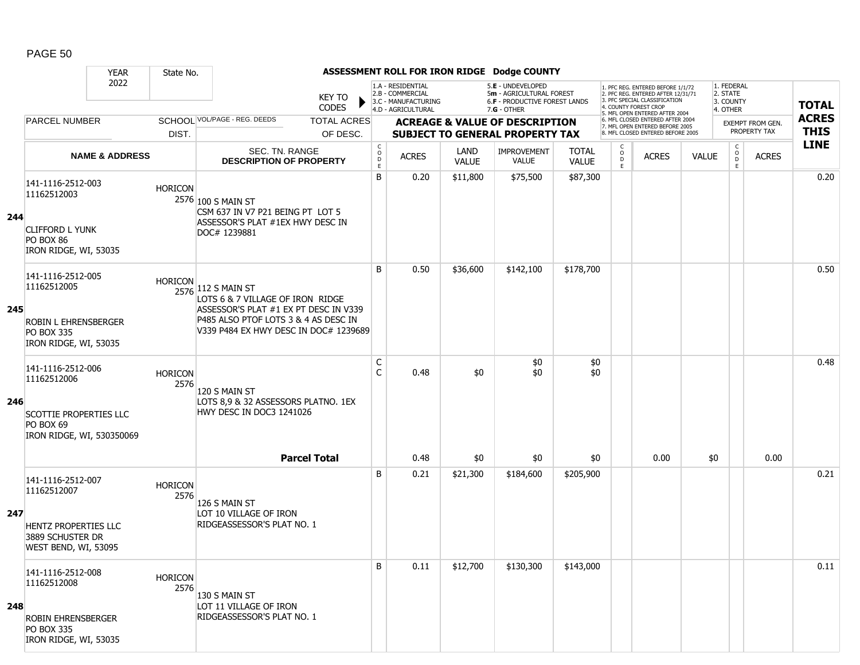|     |                                                                                                             | <b>YEAR</b>               | State No.              |                                                                                                                                                                                  |                                                |                                                              |                      | ASSESSMENT ROLL FOR IRON RIDGE Dodge COUNTY                                         |                              |                                                |                                                                                                                                  |              |                                     |                                         |              |
|-----|-------------------------------------------------------------------------------------------------------------|---------------------------|------------------------|----------------------------------------------------------------------------------------------------------------------------------------------------------------------------------|------------------------------------------------|--------------------------------------------------------------|----------------------|-------------------------------------------------------------------------------------|------------------------------|------------------------------------------------|----------------------------------------------------------------------------------------------------------------------------------|--------------|-------------------------------------|-----------------------------------------|--------------|
|     |                                                                                                             | 2022                      |                        | <b>KEY TO</b><br><b>CODES</b>                                                                                                                                                    |                                                | 1.A - RESIDENTIAL<br>2.B - COMMERCIAL<br>3.C - MANUFACTURING |                      | 5.E - UNDEVELOPED<br>5m - AGRICULTURAL FOREST<br>6.F - PRODUCTIVE FOREST LANDS      |                              |                                                | 1. PFC REG. ENTERED BEFORE 1/1/72<br>2. PFC REG. ENTERED AFTER 12/31/71<br>3. PFC SPECIAL CLASSIFICATION<br>. COUNTY FOREST CROF |              | 1. FEDERAL<br>2. STATE<br>3. COUNTY |                                         | <b>TOTAL</b> |
|     | <b>PARCEL NUMBER</b>                                                                                        |                           |                        | SCHOOL VOL/PAGE - REG. DEEDS                                                                                                                                                     |                                                | 4.D - AGRICULTURAL                                           |                      | $7.G - OTHER$                                                                       |                              |                                                | 5. MFL OPEN ENTERED AFTER 2004<br>6. MFL CLOSED ENTERED AFTER 2004                                                               |              | 4. OTHER                            |                                         | <b>ACRES</b> |
|     |                                                                                                             |                           | DIST.                  | <b>TOTAL ACRES</b><br>OF DESC.                                                                                                                                                   |                                                |                                                              |                      | <b>ACREAGE &amp; VALUE OF DESCRIPTION</b><br><b>SUBJECT TO GENERAL PROPERTY TAX</b> |                              |                                                | 7. MFL OPEN ENTERED BEFORE 2005<br>8. MFL CLOSED ENTERED BEFORE 2005                                                             |              |                                     | <b>EXEMPT FROM GEN.</b><br>PROPERTY TAX | <b>THIS</b>  |
|     |                                                                                                             | <b>NAME &amp; ADDRESS</b> |                        | SEC. TN. RANGE<br><b>DESCRIPTION OF PROPERTY</b>                                                                                                                                 | $\begin{matrix} 0 \\ 0 \\ D \end{matrix}$<br>E | <b>ACRES</b>                                                 | LAND<br><b>VALUE</b> | <b>IMPROVEMENT</b><br><b>VALUE</b>                                                  | <b>TOTAL</b><br><b>VALUE</b> | $\begin{matrix} 0 \\ 0 \\ 0 \end{matrix}$<br>E | <b>ACRES</b>                                                                                                                     | <b>VALUE</b> | $\mathsf{C}$<br>$\circ$<br>D<br>E.  | <b>ACRES</b>                            | <b>LINE</b>  |
| 244 | 141-1116-2512-003<br>11162512003<br><b>CLIFFORD L YUNK</b><br>PO BOX 86<br>IRON RIDGE, WI, 53035            |                           | <b>HORICON</b>         | 2576 100 S MAIN ST<br>CSM 637 IN V7 P21 BEING PT LOT 5<br>ASSESSOR'S PLAT #1EX HWY DESC IN<br>DOC# 1239881                                                                       | B                                              | 0.20                                                         | \$11,800             | \$75,500                                                                            | \$87,300                     |                                                |                                                                                                                                  |              |                                     |                                         | 0.20         |
| 245 | 141-1116-2512-005<br>11162512005<br>ROBIN L EHRENSBERGER<br><b>PO BOX 335</b><br>IRON RIDGE, WI, 53035      |                           | <b>HORICON</b>         | 2576 112 S MAIN ST<br>LOTS 6 & 7 VILLAGE OF IRON RIDGE<br>ASSESSOR'S PLAT #1 EX PT DESC IN V339<br>P485 ALSO PTOF LOTS 3 & 4 AS DESC IN<br>V339 P484 EX HWY DESC IN DOC# 1239689 | B                                              | 0.50                                                         | \$36,600             | \$142,100                                                                           | \$178,700                    |                                                |                                                                                                                                  |              |                                     |                                         | 0.50         |
| 246 | 141-1116-2512-006<br>11162512006<br><b>SCOTTIE PROPERTIES LLC</b><br>PO BOX 69<br>IRON RIDGE, WI, 530350069 |                           | <b>HORICON</b><br>2576 | 120 S MAIN ST<br>LOTS 8,9 & 32 ASSESSORS PLATNO. 1EX<br>HWY DESC IN DOC3 1241026                                                                                                 | C<br>C                                         | 0.48                                                         | \$0                  | \$0<br>\$0                                                                          | \$0<br>\$0                   |                                                |                                                                                                                                  |              |                                     |                                         | 0.48         |
|     |                                                                                                             |                           |                        | <b>Parcel Total</b>                                                                                                                                                              |                                                | 0.48                                                         | \$0                  | \$0                                                                                 | \$0                          |                                                | 0.00                                                                                                                             | \$0          |                                     | 0.00                                    |              |
| 247 | 141-1116-2512-007<br>11162512007<br>HENTZ PROPERTIES LLC<br>3889 SCHUSTER DR<br>WEST BEND, WI, 53095        |                           | <b>HORICON</b><br>2576 | 126 S MAIN ST<br>LOT 10 VILLAGE OF IRON<br>RIDGEASSESSOR'S PLAT NO. 1                                                                                                            | B                                              | 0.21                                                         | \$21,300             | \$184,600                                                                           | \$205,900                    |                                                |                                                                                                                                  |              |                                     |                                         | 0.21         |
| 248 | 141-1116-2512-008<br>11162512008<br>ROBIN EHRENSBERGER<br><b>PO BOX 335</b><br>IRON RIDGE, WI, 53035        |                           | <b>HORICON</b><br>2576 | 130 S MAIN ST<br>LOT 11 VILLAGE OF IRON<br>RIDGEASSESSOR'S PLAT NO. 1                                                                                                            | B                                              | 0.11                                                         | \$12,700             | \$130,300                                                                           | \$143,000                    |                                                |                                                                                                                                  |              |                                     |                                         | 0.11         |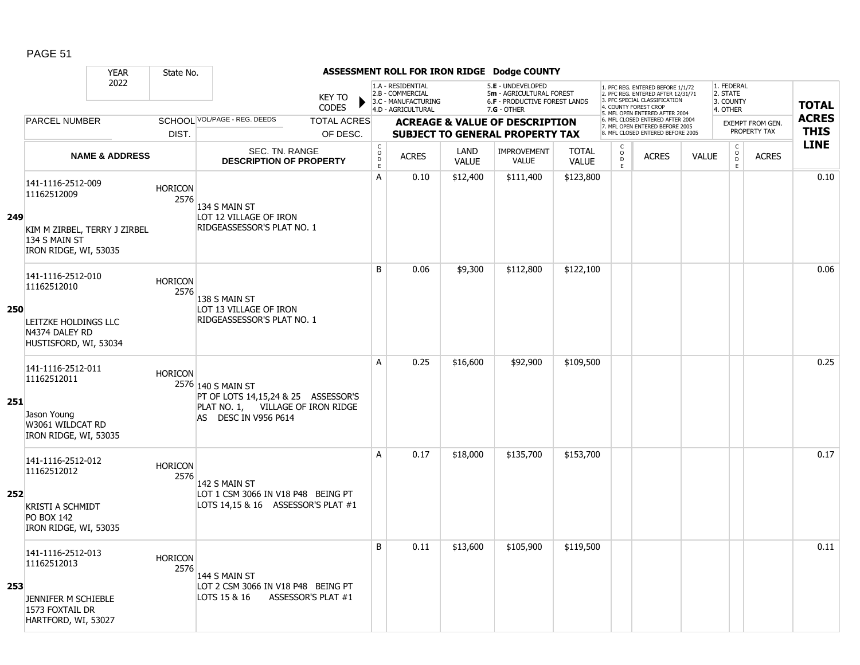|     |                                                                        | <b>YEAR</b>               | State No.              |                                                                                                |                               |                                            |                                                                                    |                             | ASSESSMENT ROLL FOR IRON RIDGE Dodge COUNTY                                                            |                              |                     |                                                                                                                                            |              |                                                 |                                         |                             |
|-----|------------------------------------------------------------------------|---------------------------|------------------------|------------------------------------------------------------------------------------------------|-------------------------------|--------------------------------------------|------------------------------------------------------------------------------------|-----------------------------|--------------------------------------------------------------------------------------------------------|------------------------------|---------------------|--------------------------------------------------------------------------------------------------------------------------------------------|--------------|-------------------------------------------------|-----------------------------------------|-----------------------------|
|     |                                                                        | 2022                      |                        |                                                                                                | <b>KEY TO</b><br><b>CODES</b> |                                            | 1.A - RESIDENTIAL<br>2.B - COMMERCIAL<br>3.C - MANUFACTURING<br>4.D - AGRICULTURAL |                             | 5.E - UNDEVELOPED<br>5m - AGRICULTURAL FOREST<br><b>6.F - PRODUCTIVE FOREST LANDS</b><br>$7.G - OTHER$ |                              |                     | 1. PFC REG. ENTERED BEFORE 1/1/72<br>2. PFC REG. ENTERED AFTER 12/31/71<br>3 PEC SPECIAL CLASSIFICATION<br>4. COUNTY FOREST CROP           |              | 1. FEDERAL<br>2. STATE<br>3. COUNTY<br>4. OTHER |                                         | <b>TOTAL</b>                |
|     | <b>PARCEL NUMBER</b>                                                   |                           | DIST.                  | SCHOOL VOL/PAGE - REG. DEEDS                                                                   | <b>TOTAL ACRES</b>            |                                            |                                                                                    |                             | <b>ACREAGE &amp; VALUE OF DESCRIPTION</b><br><b>SUBJECT TO GENERAL PROPERTY TAX</b>                    |                              |                     | 5. MFL OPEN ENTERED AFTER 2004<br>6. MFL CLOSED ENTERED AFTER 2004<br>7. MFL OPEN ENTERED BEFORE 2005<br>8. MFL CLOSED ENTERED BEFORE 2005 |              |                                                 | <b>EXEMPT FROM GEN.</b><br>PROPERTY TAX | <b>ACRES</b><br><b>THIS</b> |
|     |                                                                        | <b>NAME &amp; ADDRESS</b> |                        | SEC. TN. RANGE<br><b>DESCRIPTION OF PROPERTY</b>                                               | OF DESC.                      | $\begin{array}{c} C \\ O \\ D \end{array}$ | <b>ACRES</b>                                                                       | <b>LAND</b><br><b>VALUE</b> | <b>IMPROVEMENT</b><br><b>VALUE</b>                                                                     | <b>TOTAL</b><br><b>VALUE</b> | C<br>$\overline{D}$ | <b>ACRES</b>                                                                                                                               | <b>VALUE</b> | $\begin{matrix} 0 \\ 0 \\ 0 \end{matrix}$       | <b>ACRES</b>                            | <b>LINE</b>                 |
|     | 141-1116-2512-009<br>11162512009                                       |                           | <b>HORICON</b><br>2576 | 134 S MAIN ST                                                                                  |                               | E<br>А                                     | 0.10                                                                               | \$12,400                    | \$111,400                                                                                              | \$123,800                    | E.                  |                                                                                                                                            |              | E                                               |                                         | 0.10                        |
| 249 | KIM M ZIRBEL, TERRY J ZIRBEL<br>134 S MAIN ST<br>IRON RIDGE, WI, 53035 |                           |                        | LOT 12 VILLAGE OF IRON<br>RIDGEASSESSOR'S PLAT NO. 1                                           |                               |                                            |                                                                                    |                             |                                                                                                        |                              |                     |                                                                                                                                            |              |                                                 |                                         |                             |
|     | 141-1116-2512-010<br>11162512010                                       |                           | <b>HORICON</b><br>2576 | 138 S MAIN ST                                                                                  |                               | B                                          | 0.06                                                                               | \$9,300                     | \$112,800                                                                                              | \$122,100                    |                     |                                                                                                                                            |              |                                                 |                                         | 0.06                        |
| 250 | LEITZKE HOLDINGS LLC<br>N4374 DALEY RD<br>HUSTISFORD, WI, 53034        |                           |                        | LOT 13 VILLAGE OF IRON<br>RIDGEASSESSOR'S PLAT NO. 1                                           |                               |                                            |                                                                                    |                             |                                                                                                        |                              |                     |                                                                                                                                            |              |                                                 |                                         |                             |
| 251 | 141-1116-2512-011<br>11162512011                                       |                           | <b>HORICON</b>         | 2576 140 S MAIN ST<br>PT OF LOTS 14,15,24 & 25 ASSESSOR'S<br>PLAT NO. 1, VILLAGE OF IRON RIDGE |                               | A                                          | 0.25                                                                               | \$16,600                    | \$92,900                                                                                               | \$109,500                    |                     |                                                                                                                                            |              |                                                 |                                         | 0.25                        |
|     | Jason Young<br>W3061 WILDCAT RD<br>IRON RIDGE, WI, 53035               |                           |                        | <b>DESC IN V956 P614</b><br>AS                                                                 |                               |                                            |                                                                                    |                             |                                                                                                        |                              |                     |                                                                                                                                            |              |                                                 |                                         |                             |
|     | 141-1116-2512-012<br>11162512012                                       |                           | <b>HORICON</b><br>2576 | 142 S MAIN ST                                                                                  |                               | A                                          | 0.17                                                                               | \$18,000                    | \$135,700                                                                                              | \$153,700                    |                     |                                                                                                                                            |              |                                                 |                                         | 0.17                        |
| 252 | <b>KRISTI A SCHMIDT</b><br><b>PO BOX 142</b><br>IRON RIDGE, WI, 53035  |                           |                        | LOT 1 CSM 3066 IN V18 P48 BEING PT<br>LOTS 14,15 & 16 ASSESSOR'S PLAT #1                       |                               |                                            |                                                                                    |                             |                                                                                                        |                              |                     |                                                                                                                                            |              |                                                 |                                         |                             |
| 253 | 141-1116-2512-013<br>11162512013                                       |                           | <b>HORICON</b><br>2576 | 144 S MAIN ST<br>LOT 2 CSM 3066 IN V18 P48 BEING PT                                            |                               | B                                          | 0.11                                                                               | \$13,600                    | \$105,900                                                                                              | \$119,500                    |                     |                                                                                                                                            |              |                                                 |                                         | 0.11                        |
|     | JENNIFER M SCHIEBLE<br>1573 FOXTAIL DR<br>HARTFORD, WI, 53027          |                           |                        | LOTS 15 & 16                                                                                   | ASSESSOR'S PLAT #1            |                                            |                                                                                    |                             |                                                                                                        |                              |                     |                                                                                                                                            |              |                                                 |                                         |                             |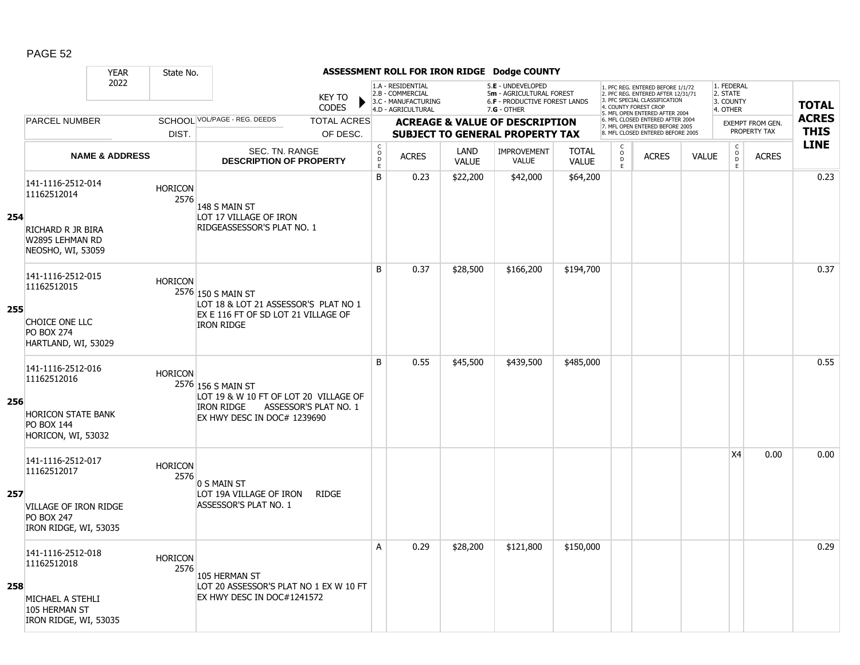|     |                                                                                                                | <b>YEAR</b>               | State No.              |                                                                                                          |                               |                                                  |                                                                                    |                      | ASSESSMENT ROLL FOR IRON RIDGE Dodge COUNTY                                                            |                              |                         |                                                                                                                                   |              |                                                 |                         |              |
|-----|----------------------------------------------------------------------------------------------------------------|---------------------------|------------------------|----------------------------------------------------------------------------------------------------------|-------------------------------|--------------------------------------------------|------------------------------------------------------------------------------------|----------------------|--------------------------------------------------------------------------------------------------------|------------------------------|-------------------------|-----------------------------------------------------------------------------------------------------------------------------------|--------------|-------------------------------------------------|-------------------------|--------------|
|     |                                                                                                                | 2022                      |                        |                                                                                                          | <b>KEY TO</b><br><b>CODES</b> |                                                  | 1.A - RESIDENTIAL<br>2.B - COMMERCIAL<br>3.C - MANUFACTURING<br>4.D - AGRICULTURAL |                      | 5.E - UNDEVELOPED<br>5m - AGRICULTURAL FOREST<br><b>6.F - PRODUCTIVE FOREST LANDS</b><br>$7.G - OTHER$ |                              |                         | 1. PFC REG. ENTERED BEFORE 1/1/72<br>2. PFC REG. ENTERED AFTER 12/31/71<br>3. PFC SPECIAL CLASSIFICATION<br>4. COUNTY FOREST CROP |              | 1. FEDERAL<br>2. STATE<br>3. COUNTY<br>4. OTHER |                         | <b>TOTAL</b> |
|     | <b>PARCEL NUMBER</b>                                                                                           |                           |                        | SCHOOL VOL/PAGE - REG. DEEDS                                                                             | <b>TOTAL ACRES</b>            |                                                  |                                                                                    |                      | <b>ACREAGE &amp; VALUE OF DESCRIPTION</b>                                                              |                              |                         | 5. MFL OPEN ENTERED AFTER 2004<br>6. MFL CLOSED ENTERED AFTER 2004<br>7. MFL OPEN ENTERED BEFORE 2005                             |              |                                                 | <b>EXEMPT FROM GEN.</b> | <b>ACRES</b> |
|     |                                                                                                                |                           | DIST.                  |                                                                                                          | OF DESC.                      |                                                  |                                                                                    |                      | <b>SUBJECT TO GENERAL PROPERTY TAX</b>                                                                 |                              |                         | 8. MFL CLOSED ENTERED BEFORE 2005                                                                                                 |              |                                                 | PROPERTY TAX            | <b>THIS</b>  |
|     |                                                                                                                | <b>NAME &amp; ADDRESS</b> |                        | SEC. TN. RANGE<br><b>DESCRIPTION OF PROPERTY</b>                                                         |                               | $_{\rm o}^{\rm c}$<br>$\mathsf D$<br>$\mathsf E$ | <b>ACRES</b>                                                                       | LAND<br><b>VALUE</b> | <b>IMPROVEMENT</b><br><b>VALUE</b>                                                                     | <b>TOTAL</b><br><b>VALUE</b> | C<br>$\circ$<br>D<br>E. | <b>ACRES</b>                                                                                                                      | <b>VALUE</b> | $\begin{matrix} 0 \\ 0 \\ 0 \end{matrix}$<br>E  | <b>ACRES</b>            | <b>LINE</b>  |
| 254 | 141-1116-2512-014<br>11162512014<br>RICHARD R JR BIRA<br>W2895 LEHMAN RD                                       |                           | <b>HORICON</b><br>2576 | 148 S MAIN ST<br>LOT 17 VILLAGE OF IRON<br>RIDGEASSESSOR'S PLAT NO. 1                                    |                               | B                                                | 0.23                                                                               | \$22,200             | \$42,000                                                                                               | \$64,200                     |                         |                                                                                                                                   |              |                                                 |                         | 0.23         |
| 255 | NEOSHO, WI, 53059<br>141-1116-2512-015<br>11162512015                                                          |                           | <b>HORICON</b>         | 2576 150 S MAIN ST<br>LOT 18 & LOT 21 ASSESSOR'S PLAT NO 1<br>EX E 116 FT OF SD LOT 21 VILLAGE OF        |                               | B                                                | 0.37                                                                               | \$28,500             | \$166,200                                                                                              | \$194,700                    |                         |                                                                                                                                   |              |                                                 |                         | 0.37         |
|     | CHOICE ONE LLC<br><b>PO BOX 274</b><br>HARTLAND, WI, 53029                                                     |                           |                        | <b>IRON RIDGE</b>                                                                                        |                               |                                                  |                                                                                    |                      |                                                                                                        |                              |                         |                                                                                                                                   |              |                                                 |                         |              |
| 256 | 141-1116-2512-016<br>11162512016<br><b>HORICON STATE BANK</b><br><b>PO BOX 144</b><br>HORICON, WI, 53032       |                           | <b>HORICON</b>         | 2576 156 S MAIN ST<br>LOT 19 & W 10 FT OF LOT 20 VILLAGE OF<br>IRON RIDGE<br>EX HWY DESC IN DOC# 1239690 | ASSESSOR'S PLAT NO. 1         | B                                                | 0.55                                                                               | \$45,500             | \$439,500                                                                                              | \$485,000                    |                         |                                                                                                                                   |              |                                                 |                         | 0.55         |
| 257 | 141-1116-2512-017<br>11162512017<br><b>VILLAGE OF IRON RIDGE</b><br><b>PO BOX 247</b><br>IRON RIDGE, WI, 53035 |                           | <b>HORICON</b><br>2576 | 0 S MAIN ST<br>LOT 19A VILLAGE OF IRON<br>ASSESSOR'S PLAT NO. 1                                          | <b>RIDGE</b>                  |                                                  |                                                                                    |                      |                                                                                                        |                              |                         |                                                                                                                                   |              | X4                                              | 0.00                    | 0.00         |
| 258 | 141-1116-2512-018<br>11162512018<br>MICHAEL A STEHLI<br>105 HERMAN ST<br>IRON RIDGE, WI, 53035                 |                           | <b>HORICON</b><br>2576 | 105 HERMAN ST<br>LOT 20 ASSESSOR'S PLAT NO 1 EX W 10 FT<br>EX HWY DESC IN DOC#1241572                    |                               | A                                                | 0.29                                                                               | \$28,200             | \$121,800                                                                                              | \$150,000                    |                         |                                                                                                                                   |              |                                                 |                         | 0.29         |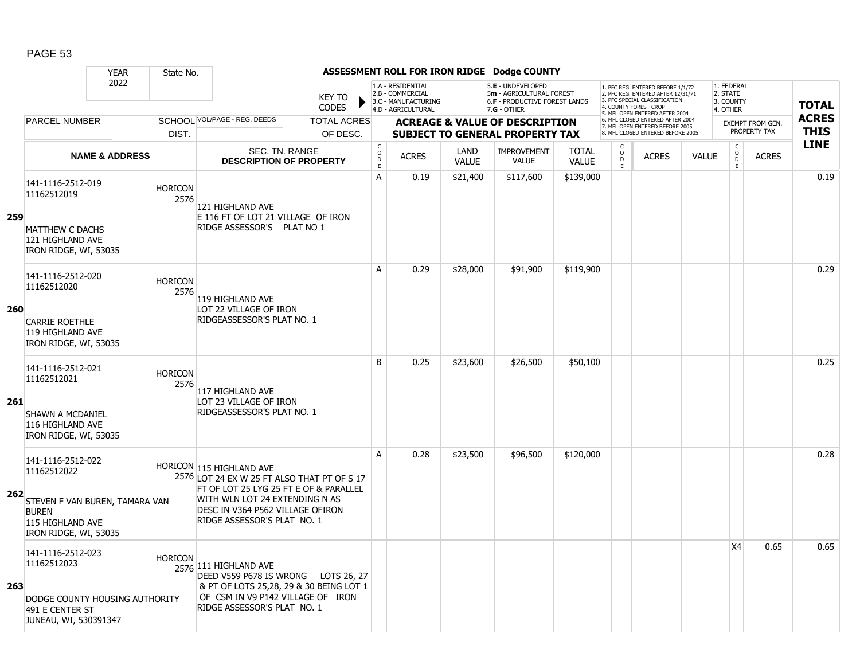|            |                                                                     | <b>YEAR</b>                    | State No.              |                                                                                                                   |                               |                                  |                                                                                    |                      | ASSESSMENT ROLL FOR IRON RIDGE Dodge COUNTY                                                     |                              |                         |                                                                                                                                   |              |                                                 |                                         |                             |
|------------|---------------------------------------------------------------------|--------------------------------|------------------------|-------------------------------------------------------------------------------------------------------------------|-------------------------------|----------------------------------|------------------------------------------------------------------------------------|----------------------|-------------------------------------------------------------------------------------------------|------------------------------|-------------------------|-----------------------------------------------------------------------------------------------------------------------------------|--------------|-------------------------------------------------|-----------------------------------------|-----------------------------|
|            |                                                                     | 2022                           |                        |                                                                                                                   | <b>KEY TO</b><br><b>CODES</b> |                                  | 1.A - RESIDENTIAL<br>2.B - COMMERCIAL<br>3.C - MANUFACTURING<br>4.D - AGRICULTURAL |                      | 5.E - UNDEVELOPED<br>5m - AGRICULTURAL FOREST<br>6.F - PRODUCTIVE FOREST LANDS<br>$7.G - OTHER$ |                              |                         | 1. PFC REG. ENTERED BEFORE 1/1/72<br>2. PFC REG. ENTERED AFTER 12/31/71<br>3. PFC SPECIAL CLASSIFICATION<br>4. COUNTY FOREST CROP |              | 1. FEDERAL<br>2. STATE<br>3. COUNTY<br>4. OTHER |                                         | <b>TOTAL</b>                |
|            | <b>PARCEL NUMBER</b>                                                |                                |                        | SCHOOL VOL/PAGE - REG. DEEDS                                                                                      | <b>TOTAL ACRES</b>            |                                  |                                                                                    |                      | <b>ACREAGE &amp; VALUE OF DESCRIPTION</b>                                                       |                              |                         | 5. MFL OPEN ENTERED AFTER 2004<br>6. MFL CLOSED ENTERED AFTER 2004<br>7. MFL OPEN ENTERED BEFORE 2005                             |              |                                                 | <b>EXEMPT FROM GEN.</b><br>PROPERTY TAX | <b>ACRES</b><br><b>THIS</b> |
|            |                                                                     |                                | DIST.                  |                                                                                                                   | OF DESC.                      | C                                |                                                                                    |                      | <b>SUBJECT TO GENERAL PROPERTY TAX</b>                                                          |                              | C                       | 8. MFL CLOSED ENTERED BEFORE 2005                                                                                                 |              |                                                 |                                         | <b>LINE</b>                 |
|            |                                                                     | <b>NAME &amp; ADDRESS</b>      |                        | SEC. TN. RANGE<br><b>DESCRIPTION OF PROPERTY</b>                                                                  |                               | $\mathsf{O}$<br>$\mathsf D$<br>E | <b>ACRES</b>                                                                       | LAND<br><b>VALUE</b> | <b>IMPROVEMENT</b><br><b>VALUE</b>                                                              | <b>TOTAL</b><br><b>VALUE</b> | $_{\rm D}^{\rm O}$<br>E | <b>ACRES</b>                                                                                                                      | <b>VALUE</b> | $\begin{matrix} 0 \\ 0 \\ D \end{matrix}$<br>E  | <b>ACRES</b>                            |                             |
| 259        | 141-1116-2512-019<br>11162512019                                    |                                | <b>HORICON</b><br>2576 | 121 HIGHLAND AVE<br>E 116 FT OF LOT 21 VILLAGE OF IRON                                                            |                               | A                                | 0.19                                                                               | \$21,400             | \$117,600                                                                                       | \$139,000                    |                         |                                                                                                                                   |              |                                                 |                                         | 0.19                        |
|            | <b>MATTHEW C DACHS</b><br>121 HIGHLAND AVE<br>IRON RIDGE, WI, 53035 |                                |                        | RIDGE ASSESSOR'S PLAT NO 1                                                                                        |                               |                                  |                                                                                    |                      |                                                                                                 |                              |                         |                                                                                                                                   |              |                                                 |                                         |                             |
|            | 141-1116-2512-020<br>11162512020                                    |                                | <b>HORICON</b><br>2576 | 119 HIGHLAND AVE                                                                                                  |                               | A                                | 0.29                                                                               | \$28,000             | \$91,900                                                                                        | \$119,900                    |                         |                                                                                                                                   |              |                                                 |                                         | 0.29                        |
| <b>260</b> | <b>CARRIE ROETHLE</b><br>119 HIGHLAND AVE<br>IRON RIDGE, WI, 53035  |                                |                        | LOT 22 VILLAGE OF IRON<br>RIDGEASSESSOR'S PLAT NO. 1                                                              |                               |                                  |                                                                                    |                      |                                                                                                 |                              |                         |                                                                                                                                   |              |                                                 |                                         |                             |
|            | 141-1116-2512-021<br>11162512021                                    |                                | <b>HORICON</b><br>2576 | 117 HIGHLAND AVE                                                                                                  |                               | B                                | 0.25                                                                               | \$23,600             | \$26,500                                                                                        | \$50,100                     |                         |                                                                                                                                   |              |                                                 |                                         | 0.25                        |
| 261        | SHAWN A MCDANIEL<br>116 HIGHLAND AVE<br>IRON RIDGE, WI, 53035       |                                |                        | LOT 23 VILLAGE OF IRON<br>RIDGEASSESSOR'S PLAT NO. 1                                                              |                               |                                  |                                                                                    |                      |                                                                                                 |                              |                         |                                                                                                                                   |              |                                                 |                                         |                             |
|            | 141-1116-2512-022<br>11162512022                                    |                                |                        | HORICON 115 HIGHLAND AVE<br>2576 LOT 24 EX W 25 FT ALSO THAT PT OF S 17<br>FT OF LOT 25 LYG 25 FT E OF & PARALLEL |                               | A                                | 0.28                                                                               | \$23,500             | \$96,500                                                                                        | \$120,000                    |                         |                                                                                                                                   |              |                                                 |                                         | 0.28                        |
| 262        | <b>BUREN</b><br>115 HIGHLAND AVE<br>IRON RIDGE, WI, 53035           | STEVEN F VAN BUREN, TAMARA VAN |                        | WITH WLN LOT 24 EXTENDING N AS<br>DESC IN V364 P562 VILLAGE OFIRON<br>RIDGE ASSESSOR'S PLAT NO. 1                 |                               |                                  |                                                                                    |                      |                                                                                                 |                              |                         |                                                                                                                                   |              |                                                 |                                         |                             |
| 263        | 141-1116-2512-023<br>11162512023                                    |                                | <b>HORICON</b>         | 2576 111 HIGHLAND AVE<br>DEED V559 P678 IS WRONG LOTS 26, 27<br>& PT OF LOTS 25,28, 29 & 30 BEING LOT 1           |                               |                                  |                                                                                    |                      |                                                                                                 |                              |                         |                                                                                                                                   |              | X4                                              | 0.65                                    | 0.65                        |
|            | 491 E CENTER ST<br>JUNEAU, WI, 530391347                            | DODGE COUNTY HOUSING AUTHORITY |                        | OF CSM IN V9 P142 VILLAGE OF IRON<br>RIDGE ASSESSOR'S PLAT NO. 1                                                  |                               |                                  |                                                                                    |                      |                                                                                                 |                              |                         |                                                                                                                                   |              |                                                 |                                         |                             |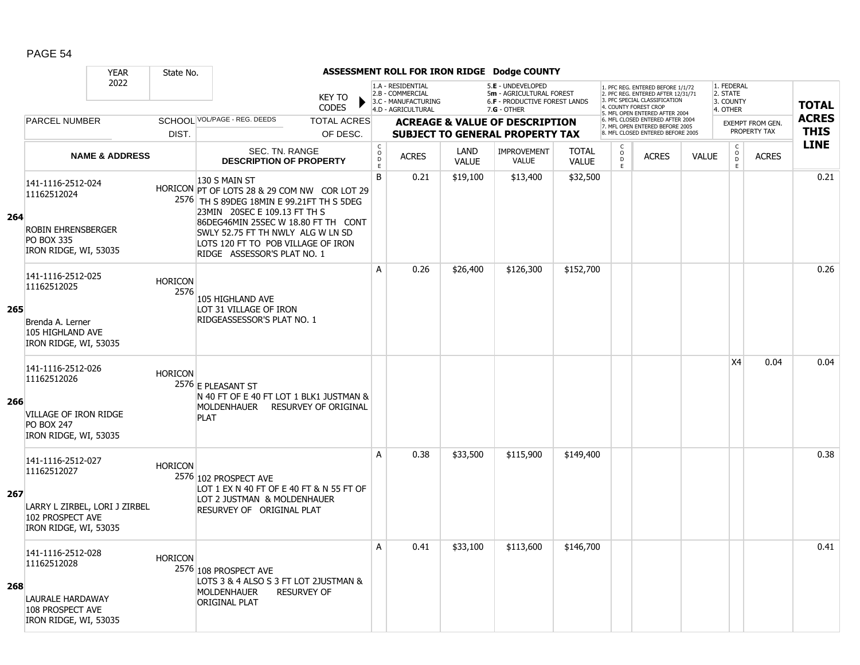|     |                                                                                                         | <b>YEAR</b>                   | State No.              |                                                                                                                                                                                                                                                              |                               |                                                 |                                                                                    |                      | ASSESSMENT ROLL FOR IRON RIDGE Dodge COUNTY                                                     |                              |                                    |                                                                                                                                  |              |                                                 |                         |              |
|-----|---------------------------------------------------------------------------------------------------------|-------------------------------|------------------------|--------------------------------------------------------------------------------------------------------------------------------------------------------------------------------------------------------------------------------------------------------------|-------------------------------|-------------------------------------------------|------------------------------------------------------------------------------------|----------------------|-------------------------------------------------------------------------------------------------|------------------------------|------------------------------------|----------------------------------------------------------------------------------------------------------------------------------|--------------|-------------------------------------------------|-------------------------|--------------|
|     |                                                                                                         | 2022                          |                        |                                                                                                                                                                                                                                                              | <b>KEY TO</b><br><b>CODES</b> |                                                 | 1.A - RESIDENTIAL<br>2.B - COMMERCIAL<br>3.C - MANUFACTURING<br>4.D - AGRICULTURAL |                      | 5.E - UNDEVELOPED<br>5m - AGRICULTURAL FOREST<br>6.F - PRODUCTIVE FOREST LANDS<br>$7.G - OTHER$ |                              |                                    | 1. PFC REG. ENTERED BEFORE 1/1/72<br>2. PFC REG. ENTERED AFTER 12/31/71<br>3 PEC SPECIAL CLASSIFICATION<br>4. COUNTY FOREST CROP |              | 1. FEDERAL<br>2. STATE<br>3. COUNTY<br>4. OTHER |                         | <b>TOTAL</b> |
|     | <b>PARCEL NUMBER</b>                                                                                    |                               |                        | SCHOOL VOL/PAGE - REG. DEEDS                                                                                                                                                                                                                                 | <b>TOTAL ACRES</b>            |                                                 |                                                                                    |                      | <b>ACREAGE &amp; VALUE OF DESCRIPTION</b>                                                       |                              |                                    | 5. MFL OPEN ENTERED AFTER 2004<br>6. MFL CLOSED ENTERED AFTER 2004                                                               |              |                                                 | <b>EXEMPT FROM GEN.</b> | <b>ACRES</b> |
|     |                                                                                                         |                               | DIST.                  |                                                                                                                                                                                                                                                              | OF DESC.                      |                                                 |                                                                                    |                      | <b>SUBJECT TO GENERAL PROPERTY TAX</b>                                                          |                              |                                    | 7. MFL OPEN ENTERED BEFORE 2005<br>8. MFL CLOSED ENTERED BEFORE 2005                                                             |              |                                                 | PROPERTY TAX            | <b>THIS</b>  |
|     |                                                                                                         | <b>NAME &amp; ADDRESS</b>     |                        | SEC. TN. RANGE<br><b>DESCRIPTION OF PROPERTY</b>                                                                                                                                                                                                             |                               | $\begin{array}{c} C \\ O \\ D \end{array}$<br>E | <b>ACRES</b>                                                                       | LAND<br><b>VALUE</b> | <b>IMPROVEMENT</b><br>VALUE                                                                     | <b>TOTAL</b><br><b>VALUE</b> | $\overset{\circ}{\mathsf{D}}$<br>E | <b>ACRES</b>                                                                                                                     | <b>VALUE</b> | $\begin{matrix} 0 \\ 0 \end{matrix}$<br>E       | <b>ACRES</b>            | <b>LINE</b>  |
| 264 | 141-1116-2512-024<br>11162512024<br><b>ROBIN EHRENSBERGER</b><br><b>PO BOX 335</b>                      |                               |                        | 130 S MAIN ST<br>HORICON PT OF LOTS 28 & 29 COM NW COR LOT 29<br>2576 TH S 89DEG 18MIN E 99.21FT TH S 5DEG<br>23MIN 20SEC E 109.13 FT TH S<br>86DEG46MIN 25SEC W 18.80 FT TH CONT<br>SWLY 52.75 FT TH NWLY ALG W LN SD<br>LOTS 120 FT TO POB VILLAGE OF IRON |                               | B                                               | 0.21                                                                               | \$19,100             | \$13,400                                                                                        | \$32,500                     |                                    |                                                                                                                                  |              |                                                 |                         | 0.21         |
|     | IRON RIDGE, WI, 53035<br>141-1116-2512-025<br>11162512025                                               |                               | <b>HORICON</b><br>2576 | RIDGE ASSESSOR'S PLAT NO. 1                                                                                                                                                                                                                                  |                               | A                                               | 0.26                                                                               | \$26,400             | \$126,300                                                                                       | \$152,700                    |                                    |                                                                                                                                  |              |                                                 |                         | 0.26         |
| 265 | Brenda A. Lerner<br>105 HIGHLAND AVE<br>IRON RIDGE, WI, 53035                                           |                               |                        | 105 HIGHLAND AVE<br>LOT 31 VILLAGE OF IRON<br>RIDGEASSESSOR'S PLAT NO. 1                                                                                                                                                                                     |                               |                                                 |                                                                                    |                      |                                                                                                 |                              |                                    |                                                                                                                                  |              |                                                 |                         |              |
| 266 | 141-1116-2512-026<br>11162512026<br>VILLAGE OF IRON RIDGE<br><b>PO BOX 247</b><br>IRON RIDGE, WI, 53035 |                               | <b>HORICON</b>         | 2576 E PLEASANT ST<br>N 40 FT OF E 40 FT LOT 1 BLK1 JUSTMAN &<br>MOLDENHAUER<br><b>PLAT</b>                                                                                                                                                                  | <b>RESURVEY OF ORIGINAL</b>   |                                                 |                                                                                    |                      |                                                                                                 |                              |                                    |                                                                                                                                  |              | <b>X4</b>                                       | 0.04                    | 0.04         |
| 267 | 141-1116-2512-027<br>11162512027<br>102 PROSPECT AVE<br>IRON RIDGE, WI, 53035                           | LARRY L ZIRBEL, LORI J ZIRBEL | <b>HORICON</b>         | 2576 102 PROSPECT AVE<br>LOT 1 EX N 40 FT OF E 40 FT & N 55 FT OF<br>LOT 2 JUSTMAN & MOLDENHAUER<br>RESURVEY OF ORIGINAL PLAT                                                                                                                                |                               | A                                               | 0.38                                                                               | \$33,500             | \$115,900                                                                                       | \$149,400                    |                                    |                                                                                                                                  |              |                                                 |                         | 0.38         |
| 268 | 141-1116-2512-028<br>11162512028<br>LAURALE HARDAWAY<br>108 PROSPECT AVE<br>IRON RIDGE, WI, 53035       |                               | <b>HORICON</b>         | 2576 108 PROSPECT AVE<br>LOTS 3 & 4 ALSO S 3 FT LOT 2JUSTMAN &<br><b>MOLDENHAUER</b><br><b>ORIGINAL PLAT</b>                                                                                                                                                 | <b>RESURVEY OF</b>            | A                                               | 0.41                                                                               | \$33,100             | \$113,600                                                                                       | \$146,700                    |                                    |                                                                                                                                  |              |                                                 |                         | 0.41         |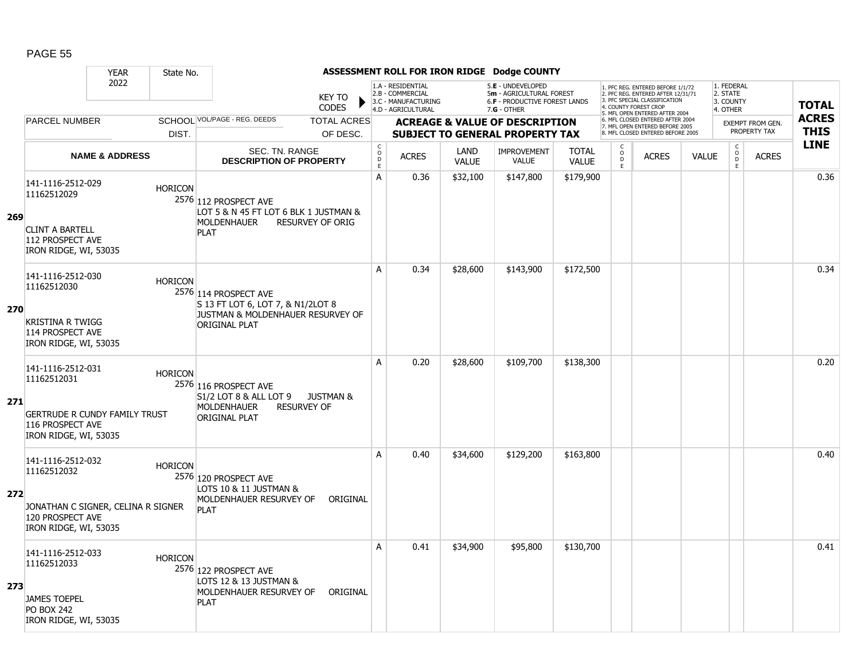|     |                                                                                                                       | <b>YEAR</b>               | State No.      |                                                                                                                  |                               |                             |                                                                                    |                      | ASSESSMENT ROLL FOR IRON RIDGE Dodge COUNTY                                                            |                              |                         |                                                                                                                                                                     |              |                                                 |                                         |                             |
|-----|-----------------------------------------------------------------------------------------------------------------------|---------------------------|----------------|------------------------------------------------------------------------------------------------------------------|-------------------------------|-----------------------------|------------------------------------------------------------------------------------|----------------------|--------------------------------------------------------------------------------------------------------|------------------------------|-------------------------|---------------------------------------------------------------------------------------------------------------------------------------------------------------------|--------------|-------------------------------------------------|-----------------------------------------|-----------------------------|
|     |                                                                                                                       | 2022                      |                |                                                                                                                  | <b>KEY TO</b><br><b>CODES</b> |                             | 1.A - RESIDENTIAL<br>2.B - COMMERCIAL<br>3.C - MANUFACTURING<br>4.D - AGRICULTURAL |                      | 5.E - UNDEVELOPED<br>5m - AGRICULTURAL FOREST<br><b>6.F - PRODUCTIVE FOREST LANDS</b><br>$7.G - OTHER$ |                              |                         | 1. PFC REG. ENTERED BEFORE 1/1/72<br>2. PFC REG. ENTERED AFTER 12/31/71<br>3. PFC SPECIAL CLASSIFICATION<br>4. COUNTY FOREST CROP<br>5. MFL OPEN ENTERED AFTER 2004 |              | 1. FEDERAL<br>2. STATE<br>3. COUNTY<br>4. OTHER |                                         | <b>TOTAL</b>                |
|     | <b>PARCEL NUMBER</b>                                                                                                  |                           |                | SCHOOL VOL/PAGE - REG. DEEDS                                                                                     | <b>TOTAL ACRES</b>            |                             |                                                                                    |                      | <b>ACREAGE &amp; VALUE OF DESCRIPTION</b>                                                              |                              |                         | 6. MFL CLOSED ENTERED AFTER 2004<br>7. MFL OPEN ENTERED BEFORE 2005<br>8. MFL CLOSED ENTERED BEFORE 2005                                                            |              |                                                 | <b>EXEMPT FROM GEN.</b><br>PROPERTY TAX | <b>ACRES</b><br><b>THIS</b> |
|     |                                                                                                                       |                           | DIST.          |                                                                                                                  | OF DESC.                      | C                           |                                                                                    |                      | <b>SUBJECT TO GENERAL PROPERTY TAX</b>                                                                 |                              | C                       |                                                                                                                                                                     |              |                                                 |                                         | <b>LINE</b>                 |
|     |                                                                                                                       | <b>NAME &amp; ADDRESS</b> |                | SEC. TN. RANGE<br><b>DESCRIPTION OF PROPERTY</b>                                                                 |                               | $\circ$<br>$\mathsf D$<br>E | <b>ACRES</b>                                                                       | LAND<br><b>VALUE</b> | <b>IMPROVEMENT</b><br><b>VALUE</b>                                                                     | <b>TOTAL</b><br><b>VALUE</b> | $_{\rm D}^{\rm O}$<br>E | <b>ACRES</b>                                                                                                                                                        | <b>VALUE</b> | $\begin{matrix} 0 \\ 0 \\ D \end{matrix}$<br>E  | <b>ACRES</b>                            |                             |
| 269 | 141-1116-2512-029<br>11162512029<br><b>CLINT A BARTELL</b><br>112 PROSPECT AVE<br>IRON RIDGE, WI, 53035               |                           | <b>HORICON</b> | 2576 112 PROSPECT AVE<br>LOT 5 & N 45 FT LOT 6 BLK 1 JUSTMAN &<br><b>MOLDENHAUER</b><br><b>PLAT</b>              | RESURVEY OF ORIG              | A                           | 0.36                                                                               | \$32,100             | \$147,800                                                                                              | \$179,900                    |                         |                                                                                                                                                                     |              |                                                 |                                         | 0.36                        |
| 270 | 141-1116-2512-030<br>11162512030<br><b>KRISTINA R TWIGG</b><br>114 PROSPECT AVE<br>IRON RIDGE, WI, 53035              |                           | <b>HORICON</b> | 2576 114 PROSPECT AVE<br>S 13 FT LOT 6, LOT 7, & N1/2LOT 8<br>JUSTMAN & MOLDENHAUER RESURVEY OF<br>ORIGINAL PLAT |                               | A                           | 0.34                                                                               | \$28,600             | \$143,900                                                                                              | \$172,500                    |                         |                                                                                                                                                                     |              |                                                 |                                         | 0.34                        |
| 271 | 141-1116-2512-031<br>11162512031<br><b>GERTRUDE R CUNDY FAMILY TRUST</b><br>116 PROSPECT AVE<br>IRON RIDGE, WI, 53035 |                           | <b>HORICON</b> | 2576 116 PROSPECT AVE<br>S1/2 LOT 8 & ALL LOT 9 JUSTMAN &<br><b>MOLDENHAUER</b><br><b>ORIGINAL PLAT</b>          | <b>RESURVEY OF</b>            | A                           | 0.20                                                                               | \$28,600             | \$109,700                                                                                              | \$138,300                    |                         |                                                                                                                                                                     |              |                                                 |                                         | 0.20                        |
| 272 | 141-1116-2512-032<br>11162512032<br>JONATHAN C SIGNER, CELINA R SIGNER<br>120 PROSPECT AVE<br>IRON RIDGE, WI, 53035   |                           | <b>HORICON</b> | 2576 120 PROSPECT AVE<br>LOTS 10 & 11 JUSTMAN &<br>MOLDENHAUER RESURVEY OF<br><b>PLAT</b>                        | ORIGINAL                      | A                           | 0.40                                                                               | \$34,600             | \$129,200                                                                                              | \$163,800                    |                         |                                                                                                                                                                     |              |                                                 |                                         | 0.40                        |
| 273 | 141-1116-2512-033<br>11162512033<br><b>JAMES TOEPEL</b><br><b>PO BOX 242</b><br>IRON RIDGE, WI, 53035                 |                           | <b>HORICON</b> | 2576 122 PROSPECT AVE<br>LOTS 12 & 13 JUSTMAN &<br>MOLDENHAUER RESURVEY OF<br><b>PLAT</b>                        | ORIGINAL                      | A                           | 0.41                                                                               | \$34,900             | \$95,800                                                                                               | \$130,700                    |                         |                                                                                                                                                                     |              |                                                 |                                         | 0.41                        |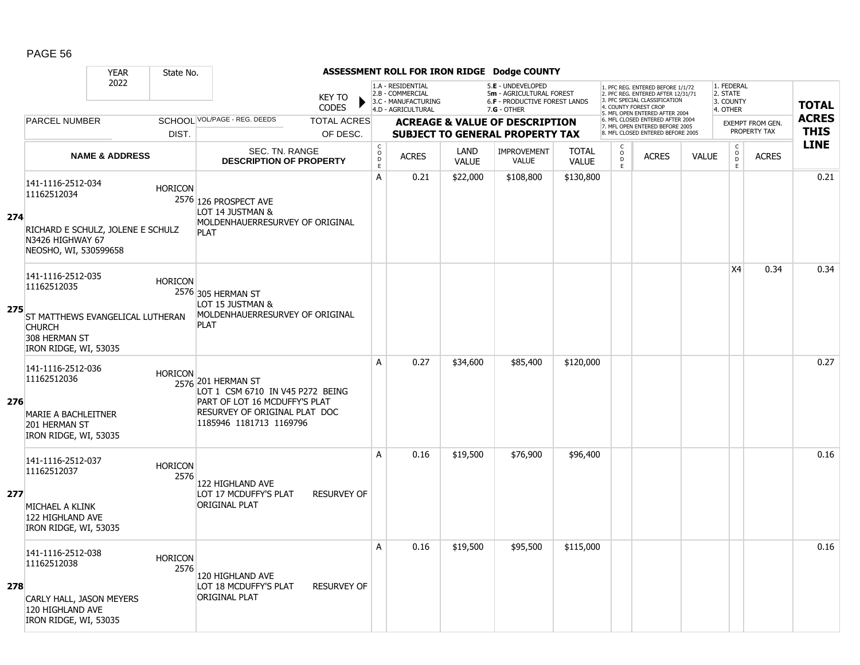|     |                                                                                                                                 | <b>YEAR</b>               | State No.              |                                                                                                                                                     |                                                 |                                                                                    |                      | ASSESSMENT ROLL FOR IRON RIDGE Dodge COUNTY                                                            |                              |                                                        |                                                                                                                                   |              |                                                 |                  |              |
|-----|---------------------------------------------------------------------------------------------------------------------------------|---------------------------|------------------------|-----------------------------------------------------------------------------------------------------------------------------------------------------|-------------------------------------------------|------------------------------------------------------------------------------------|----------------------|--------------------------------------------------------------------------------------------------------|------------------------------|--------------------------------------------------------|-----------------------------------------------------------------------------------------------------------------------------------|--------------|-------------------------------------------------|------------------|--------------|
|     |                                                                                                                                 | 2022                      |                        | <b>KEY TO</b><br><b>CODES</b>                                                                                                                       |                                                 | 1.A - RESIDENTIAL<br>2.B - COMMERCIAL<br>3.C - MANUFACTURING<br>4.D - AGRICULTURAL |                      | 5.E - UNDEVELOPED<br>5m - AGRICULTURAL FOREST<br><b>6.F - PRODUCTIVE FOREST LANDS</b><br>$7.G - OTHER$ |                              |                                                        | 1. PFC REG. ENTERED BEFORE 1/1/72<br>2. PFC REG. ENTERED AFTER 12/31/71<br>3. PFC SPECIAL CLASSIFICATION<br>4. COUNTY FOREST CROP |              | 1. FEDERAL<br>2. STATE<br>3. COUNTY<br>4. OTHER |                  | <b>TOTAL</b> |
|     | <b>PARCEL NUMBER</b>                                                                                                            |                           |                        | SCHOOL VOL/PAGE - REG. DEEDS<br><b>TOTAL ACRES</b>                                                                                                  |                                                 |                                                                                    |                      | <b>ACREAGE &amp; VALUE OF DESCRIPTION</b>                                                              |                              |                                                        | 5. MFL OPEN ENTERED AFTER 2004<br>6. MFL CLOSED ENTERED AFTER 2004                                                                |              |                                                 | EXEMPT FROM GEN. | <b>ACRES</b> |
|     |                                                                                                                                 |                           | DIST.                  | OF DESC.                                                                                                                                            |                                                 |                                                                                    |                      | <b>SUBJECT TO GENERAL PROPERTY TAX</b>                                                                 |                              |                                                        | 7. MFL OPEN ENTERED BEFORE 2005<br>8. MFL CLOSED ENTERED BEFORE 2005                                                              |              |                                                 | PROPERTY TAX     | <b>THIS</b>  |
|     |                                                                                                                                 | <b>NAME &amp; ADDRESS</b> |                        | SEC. TN. RANGE<br><b>DESCRIPTION OF PROPERTY</b>                                                                                                    | $_{\rm o}^{\rm c}$<br>$\mathsf{D}_{\mathsf{E}}$ | <b>ACRES</b>                                                                       | LAND<br><b>VALUE</b> | <b>IMPROVEMENT</b><br><b>VALUE</b>                                                                     | <b>TOTAL</b><br><b>VALUE</b> | $\begin{matrix} 0 \\ 0 \\ D \end{matrix}$<br>$\bar{E}$ | <b>ACRES</b>                                                                                                                      | <b>VALUE</b> | $\begin{matrix} 0 \\ 0 \\ 0 \end{matrix}$<br>E  | <b>ACRES</b>     | <b>LINE</b>  |
| 274 | 141-1116-2512-034<br>11162512034<br>RICHARD E SCHULZ, JOLENE E SCHULZ<br>N3426 HIGHWAY 67<br>NEOSHO, WI, 530599658              |                           | <b>HORICON</b>         | 2576 126 PROSPECT AVE<br>lot 14 Justman &<br>MOLDENHAUERRESURVEY OF ORIGINAL<br><b>PLAT</b>                                                         | А                                               | 0.21                                                                               | \$22,000             | \$108,800                                                                                              | \$130,800                    |                                                        |                                                                                                                                   |              |                                                 |                  | 0.21         |
| 275 | 141-1116-2512-035<br>11162512035<br>ST MATTHEWS EVANGELICAL LUTHERAN<br><b>CHURCH</b><br>308 HERMAN ST<br>IRON RIDGE, WI, 53035 |                           | <b>HORICON</b>         | 2576 305 HERMAN ST<br>LOT 15 JUSTMAN &<br>MOLDENHAUERRESURVEY OF ORIGINAL<br><b>PLAT</b>                                                            |                                                 |                                                                                    |                      |                                                                                                        |                              |                                                        |                                                                                                                                   |              | X4                                              | 0.34             | 0.34         |
| 276 | 141-1116-2512-036<br>11162512036<br><b>MARIE A BACHLEITNER</b><br>201 HERMAN ST<br>IRON RIDGE, WI, 53035                        |                           | <b>HORICON</b>         | 2576 201 HERMAN ST<br>LOT 1 CSM 6710 IN V45 P272 BEING<br>PART OF LOT 16 MCDUFFY'S PLAT<br>RESURVEY OF ORIGINAL PLAT DOC<br>1185946 1181713 1169796 | A                                               | 0.27                                                                               | \$34,600             | \$85,400                                                                                               | \$120,000                    |                                                        |                                                                                                                                   |              |                                                 |                  | 0.27         |
| 277 | 141-1116-2512-037<br>11162512037<br>MICHAEL A KLINK<br>122 HIGHLAND AVE<br>IRON RIDGE, WI, 53035                                |                           | <b>HORICON</b><br>2576 | 122 HIGHLAND AVE<br>LOT 17 MCDUFFY'S PLAT<br><b>RESURVEY OF</b><br><b>ORIGINAL PLAT</b>                                                             | A                                               | 0.16                                                                               | \$19,500             | \$76,900                                                                                               | \$96,400                     |                                                        |                                                                                                                                   |              |                                                 |                  | 0.16         |
| 278 | 141-1116-2512-038<br>11162512038<br>CARLY HALL, JASON MEYERS<br>120 HIGHLAND AVE<br>IRON RIDGE, WI, 53035                       |                           | <b>HORICON</b><br>2576 | 120 HIGHLAND AVE<br>LOT 18 MCDUFFY'S PLAT<br><b>RESURVEY OF</b><br><b>ORIGINAL PLAT</b>                                                             | A                                               | 0.16                                                                               | \$19,500             | \$95,500                                                                                               | \$115,000                    |                                                        |                                                                                                                                   |              |                                                 |                  | 0.16         |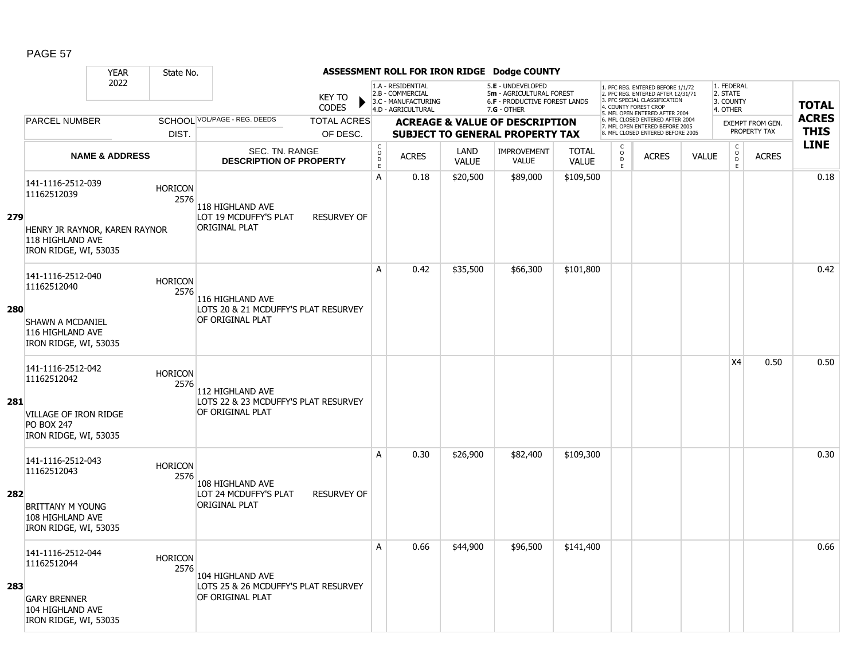|            |                                                                            | <b>YEAR</b>               | State No.              |                                                          |                               |                                     |                                                                                    |                      | ASSESSMENT ROLL FOR IRON RIDGE Dodge COUNTY                                                     |                              |                                                   |                                                                                                                                                                     |              |                                                 |                         |              |
|------------|----------------------------------------------------------------------------|---------------------------|------------------------|----------------------------------------------------------|-------------------------------|-------------------------------------|------------------------------------------------------------------------------------|----------------------|-------------------------------------------------------------------------------------------------|------------------------------|---------------------------------------------------|---------------------------------------------------------------------------------------------------------------------------------------------------------------------|--------------|-------------------------------------------------|-------------------------|--------------|
|            |                                                                            | 2022                      |                        |                                                          | <b>KEY TO</b><br><b>CODES</b> |                                     | 1.A - RESIDENTIAL<br>2.B - COMMERCIAL<br>3.C - MANUFACTURING<br>4.D - AGRICULTURAL |                      | 5.E - UNDEVELOPED<br>5m - AGRICULTURAL FOREST<br>6.F - PRODUCTIVE FOREST LANDS<br>$7.G - OTHER$ |                              |                                                   | 1. PFC REG. ENTERED BEFORE 1/1/72<br>2. PFC REG. ENTERED AFTER 12/31/71<br>3. PFC SPECIAL CLASSIFICATION<br>4. COUNTY FOREST CROP<br>5. MFL OPEN ENTERED AFTER 2004 |              | 1. FEDERAL<br>2. STATE<br>3. COUNTY<br>4. OTHER |                         | <b>TOTAL</b> |
|            | <b>PARCEL NUMBER</b>                                                       |                           |                        | SCHOOL VOL/PAGE - REG. DEEDS                             | <b>TOTAL ACRES</b>            |                                     |                                                                                    |                      | <b>ACREAGE &amp; VALUE OF DESCRIPTION</b>                                                       |                              |                                                   | 6. MFL CLOSED ENTERED AFTER 2004<br>7. MFL OPEN ENTERED BEFORE 2005                                                                                                 |              |                                                 | <b>EXEMPT FROM GEN.</b> | <b>ACRES</b> |
|            |                                                                            |                           | DIST.                  |                                                          | OF DESC.                      |                                     |                                                                                    |                      | <b>SUBJECT TO GENERAL PROPERTY TAX</b>                                                          |                              |                                                   | 8. MFL CLOSED ENTERED BEFORE 2005                                                                                                                                   |              |                                                 | PROPERTY TAX            | <b>THIS</b>  |
|            |                                                                            | <b>NAME &amp; ADDRESS</b> |                        | <b>SEC. TN. RANGE</b><br><b>DESCRIPTION OF PROPERTY</b>  |                               | $_{\rm o}^{\rm c}$<br>$\frac{D}{E}$ | <b>ACRES</b>                                                                       | LAND<br><b>VALUE</b> | <b>IMPROVEMENT</b><br><b>VALUE</b>                                                              | <b>TOTAL</b><br><b>VALUE</b> | $\begin{array}{c}\nC \\ O \\ D \\ E\n\end{array}$ | <b>ACRES</b>                                                                                                                                                        | <b>VALUE</b> | $\begin{array}{c} C \\ O \\ E \end{array}$      | <b>ACRES</b>            | <b>LINE</b>  |
|            | 141-1116-2512-039<br>11162512039                                           |                           | <b>HORICON</b><br>2576 | 118 HIGHLAND AVE                                         |                               | $\overline{A}$                      | 0.18                                                                               | \$20,500             | \$89,000                                                                                        | \$109,500                    |                                                   |                                                                                                                                                                     |              |                                                 |                         | 0.18         |
| 279        | HENRY JR RAYNOR, KAREN RAYNOR<br>118 HIGHLAND AVE<br>IRON RIDGE, WI, 53035 |                           |                        | LOT 19 MCDUFFY'S PLAT<br>ORIGINAL PLAT                   | <b>RESURVEY OF</b>            |                                     |                                                                                    |                      |                                                                                                 |                              |                                                   |                                                                                                                                                                     |              |                                                 |                         |              |
|            | 141-1116-2512-040<br>11162512040                                           |                           | <b>HORICON</b><br>2576 | 116 HIGHLAND AVE                                         |                               | A                                   | 0.42                                                                               | \$35,500             | \$66,300                                                                                        | \$101,800                    |                                                   |                                                                                                                                                                     |              |                                                 |                         | 0.42         |
| <b>280</b> | <b>SHAWN A MCDANIEL</b><br>116 HIGHLAND AVE<br>IRON RIDGE, WI, 53035       |                           |                        | LOTS 20 & 21 MCDUFFY'S PLAT RESURVEY<br>OF ORIGINAL PLAT |                               |                                     |                                                                                    |                      |                                                                                                 |                              |                                                   |                                                                                                                                                                     |              |                                                 |                         |              |
|            | 141-1116-2512-042<br>11162512042                                           |                           | <b>HORICON</b><br>2576 | 112 HIGHLAND AVE                                         |                               |                                     |                                                                                    |                      |                                                                                                 |                              |                                                   |                                                                                                                                                                     |              | <b>X4</b>                                       | 0.50                    | 0.50         |
| 281        | VILLAGE OF IRON RIDGE<br><b>PO BOX 247</b><br>IRON RIDGE, WI, 53035        |                           |                        | LOTS 22 & 23 MCDUFFY'S PLAT RESURVEY<br>OF ORIGINAL PLAT |                               |                                     |                                                                                    |                      |                                                                                                 |                              |                                                   |                                                                                                                                                                     |              |                                                 |                         |              |
|            | 141-1116-2512-043<br>11162512043                                           |                           | <b>HORICON</b><br>2576 | 108 HIGHLAND AVE                                         |                               | Α                                   | 0.30                                                                               | \$26,900             | \$82,400                                                                                        | \$109,300                    |                                                   |                                                                                                                                                                     |              |                                                 |                         | 0.30         |
| 282        | <b>BRITTANY M YOUNG</b><br>108 HIGHLAND AVE<br>IRON RIDGE, WI, 53035       |                           |                        | LOT 24 MCDUFFY'S PLAT<br>ORIGINAL PLAT                   | <b>RESURVEY OF</b>            |                                     |                                                                                    |                      |                                                                                                 |                              |                                                   |                                                                                                                                                                     |              |                                                 |                         |              |
|            | 141-1116-2512-044<br>11162512044                                           |                           | <b>HORICON</b><br>2576 | 104 HIGHLAND AVE                                         |                               | A                                   | 0.66                                                                               | \$44,900             | \$96,500                                                                                        | \$141,400                    |                                                   |                                                                                                                                                                     |              |                                                 |                         | 0.66         |
| 283        | <b>GARY BRENNER</b><br>104 HIGHLAND AVE<br>IRON RIDGE, WI, 53035           |                           |                        | LOTS 25 & 26 MCDUFFY'S PLAT RESURVEY<br>OF ORIGINAL PLAT |                               |                                     |                                                                                    |                      |                                                                                                 |                              |                                                   |                                                                                                                                                                     |              |                                                 |                         |              |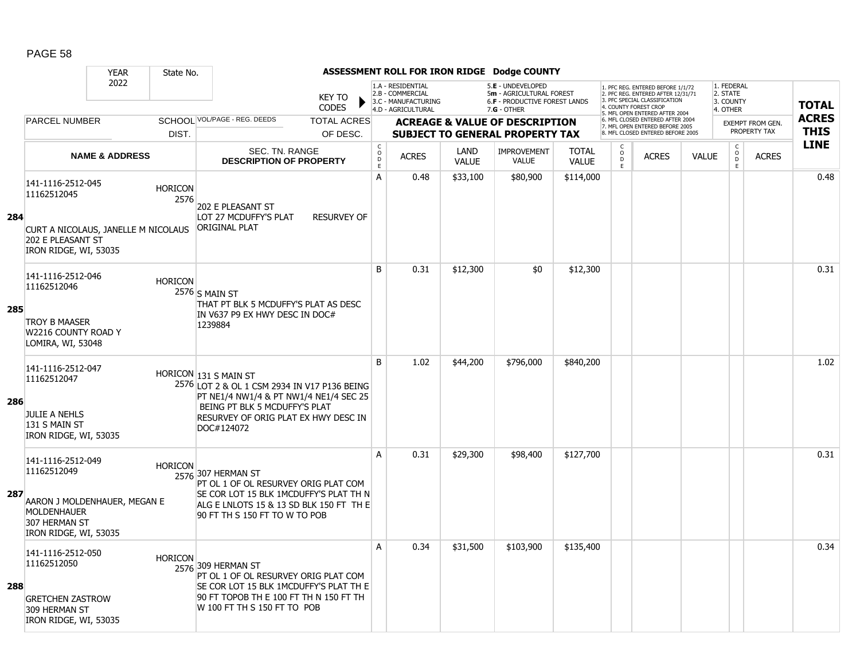|     |                                                                                                                                  | <b>YEAR</b><br>State No.                                      |                                                                                                                                                                                                        |                                        |                                                                                    |                      | ASSESSMENT ROLL FOR IRON RIDGE Dodge COUNTY                                                     |                              |                                              |                                                                                                                                                                     |              |                                                 |                                         |                             |
|-----|----------------------------------------------------------------------------------------------------------------------------------|---------------------------------------------------------------|--------------------------------------------------------------------------------------------------------------------------------------------------------------------------------------------------------|----------------------------------------|------------------------------------------------------------------------------------|----------------------|-------------------------------------------------------------------------------------------------|------------------------------|----------------------------------------------|---------------------------------------------------------------------------------------------------------------------------------------------------------------------|--------------|-------------------------------------------------|-----------------------------------------|-----------------------------|
|     |                                                                                                                                  | 2022                                                          | <b>KEY TO</b><br><b>CODES</b>                                                                                                                                                                          |                                        | 1.A - RESIDENTIAL<br>2.B - COMMERCIAL<br>3.C - MANUFACTURING<br>4.D - AGRICULTURAL |                      | 5.E - UNDEVELOPED<br>5m - AGRICULTURAL FOREST<br>6.F - PRODUCTIVE FOREST LANDS<br>$7.G - OTHER$ |                              |                                              | 1. PFC REG. ENTERED BEFORE 1/1/72<br>2. PFC REG. ENTERED AFTER 12/31/71<br>3. PFC SPECIAL CLASSIFICATION<br>4. COUNTY FOREST CROP<br>5. MFL OPEN ENTERED AFTER 2004 |              | 1. FEDERAL<br>2. STATE<br>3. COUNTY<br>4. OTHER |                                         | <b>TOTAL</b>                |
|     | <b>PARCEL NUMBER</b>                                                                                                             | DIST.                                                         | SCHOOL VOL/PAGE - REG. DEEDS<br><b>TOTAL ACRES</b><br>OF DESC.                                                                                                                                         |                                        |                                                                                    |                      | <b>ACREAGE &amp; VALUE OF DESCRIPTION</b><br><b>SUBJECT TO GENERAL PROPERTY TAX</b>             |                              |                                              | 6. MFL CLOSED ENTERED AFTER 2004<br>7. MFL OPEN ENTERED BEFORE 2005<br>8. MFL CLOSED ENTERED BEFORE 2005                                                            |              |                                                 | <b>EXEMPT FROM GEN.</b><br>PROPERTY TAX | <b>ACRES</b><br><b>THIS</b> |
|     |                                                                                                                                  | <b>NAME &amp; ADDRESS</b>                                     | SEC. TN. RANGE<br><b>DESCRIPTION OF PROPERTY</b>                                                                                                                                                       | $_{\rm o}^{\rm c}$<br>$\mathsf D$<br>E | <b>ACRES</b>                                                                       | LAND<br><b>VALUE</b> | <b>IMPROVEMENT</b><br><b>VALUE</b>                                                              | <b>TOTAL</b><br><b>VALUE</b> | C<br>$\overset{\circ}{\phantom{\circ}}$<br>E | <b>ACRES</b>                                                                                                                                                        | <b>VALUE</b> | $\begin{matrix} 0 \\ 0 \\ 0 \end{matrix}$<br>E  | <b>ACRES</b>                            | <b>LINE</b>                 |
| 284 | 141-1116-2512-045<br>11162512045<br>202 E PLEASANT ST<br>IRON RIDGE, WI, 53035                                                   | <b>HORICON</b><br>2576<br>CURT A NICOLAUS, JANELLE M NICOLAUS | 202 E PLEASANT ST<br>LOT 27 MCDUFFY'S PLAT<br><b>RESURVEY OF</b><br><b>ORIGINAL PLAT</b>                                                                                                               | A                                      | 0.48                                                                               | \$33,100             | \$80,900                                                                                        | \$114,000                    |                                              |                                                                                                                                                                     |              |                                                 |                                         | 0.48                        |
| 285 | 141-1116-2512-046<br>11162512046<br><b>TROY B MAASER</b><br>W2216 COUNTY ROAD Y<br>LOMIRA, WI, 53048                             | <b>HORICON</b>                                                | 2576 S MAIN ST<br>THAT PT BLK 5 MCDUFFY'S PLAT AS DESC<br>IN V637 P9 EX HWY DESC IN DOC#<br>1239884                                                                                                    | B                                      | 0.31                                                                               | \$12,300             | \$0                                                                                             | \$12,300                     |                                              |                                                                                                                                                                     |              |                                                 |                                         | 0.31                        |
| 286 | 141-1116-2512-047<br>11162512047<br><b>JULIE A NEHLS</b><br>131 S MAIN ST<br>IRON RIDGE, WI, 53035                               |                                                               | HORICON 131 S MAIN ST<br>2576 LOT 2 & OL 1 CSM 2934 IN V17 P136 BEING<br>PT NE1/4 NW1/4 & PT NW1/4 NE1/4 SEC 25<br>BEING PT BLK 5 MCDUFFY'S PLAT<br>RESURVEY OF ORIG PLAT EX HWY DESC IN<br>DOC#124072 | B                                      | 1.02                                                                               | \$44,200             | \$796,000                                                                                       | \$840,200                    |                                              |                                                                                                                                                                     |              |                                                 |                                         | 1.02                        |
| 287 | 141-1116-2512-049<br>11162512049<br>AARON J MOLDENHAUER, MEGAN E<br><b>MOLDENHAUER</b><br>307 HERMAN ST<br>IRON RIDGE, WI, 53035 | <b>HORICON</b>                                                | 2576 307 HERMAN ST<br>PT OL 1 OF OL RESURVEY ORIG PLAT COM<br>SE COR LOT 15 BLK 1MCDUFFY'S PLAT TH N<br>ALG E LNLOTS 15 & 13 SD BLK 150 FT TH E<br>90 FT TH S 150 FT TO W TO POB                       | A                                      | 0.31                                                                               | \$29,300             | \$98,400                                                                                        | \$127,700                    |                                              |                                                                                                                                                                     |              |                                                 |                                         | 0.31                        |
| 288 | 141-1116-2512-050<br>11162512050<br><b>GRETCHEN ZASTROW</b><br>309 HERMAN ST<br>IRON RIDGE, WI, 53035                            | <b>HORICON</b>                                                | 2576 309 HERMAN ST<br>PT OL 1 OF OL RESURVEY ORIG PLAT COM<br>SE COR LOT 15 BLK 1MCDUFFY'S PLAT TH E<br>90 FT TOPOB TH E 100 FT TH N 150 FT TH<br>W 100 FT TH S 150 FT TO POB                          | A                                      | 0.34                                                                               | \$31,500             | \$103,900                                                                                       | \$135,400                    |                                              |                                                                                                                                                                     |              |                                                 |                                         | 0.34                        |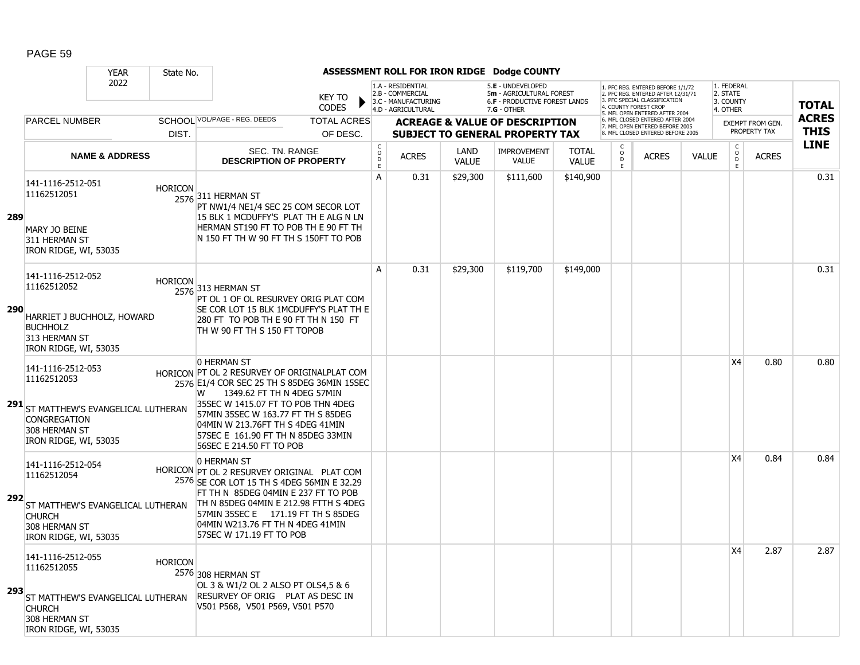|      |                                                                                                                                            | <b>YEAR</b>               | State No.      |                                                                                                                                                                                                                                                                                                                                 |                        |                              |                                                                                    |                      | ASSESSMENT ROLL FOR IRON RIDGE Dodge COUNTY                                                            |                              |                       |                                                                                                                                            |              |                                                 |                                         |                             |
|------|--------------------------------------------------------------------------------------------------------------------------------------------|---------------------------|----------------|---------------------------------------------------------------------------------------------------------------------------------------------------------------------------------------------------------------------------------------------------------------------------------------------------------------------------------|------------------------|------------------------------|------------------------------------------------------------------------------------|----------------------|--------------------------------------------------------------------------------------------------------|------------------------------|-----------------------|--------------------------------------------------------------------------------------------------------------------------------------------|--------------|-------------------------------------------------|-----------------------------------------|-----------------------------|
|      |                                                                                                                                            | 2022                      |                |                                                                                                                                                                                                                                                                                                                                 | KEY TO<br><b>CODES</b> |                              | 1.A - RESIDENTIAL<br>2.B - COMMERCIAL<br>3.C - MANUFACTURING<br>4.D - AGRICULTURAL |                      | 5.E - UNDEVELOPED<br>5m - AGRICULTURAL FOREST<br><b>6.F - PRODUCTIVE FOREST LANDS</b><br>$7.G - OTHER$ |                              | 4. COUNTY FOREST CROP | 1. PFC REG. ENTERED BEFORE 1/1/72<br>2. PFC REG. ENTERED AFTER 12/31/71<br>3. PFC SPECIAL CLASSIFICATION<br>5. MFL OPEN ENTERED AFTER 2004 |              | 1. FEDERAL<br>2. STATE<br>3. COUNTY<br>4. OTHER |                                         | <b>TOTAL</b>                |
|      | <b>PARCEL NUMBER</b>                                                                                                                       |                           |                | SCHOOL VOL/PAGE - REG. DEEDS                                                                                                                                                                                                                                                                                                    | <b>TOTAL ACRES</b>     |                              |                                                                                    |                      | <b>ACREAGE &amp; VALUE OF DESCRIPTION</b>                                                              |                              |                       | 6. MFL CLOSED ENTERED AFTER 2004<br>7. MFL OPEN ENTERED BEFORE 2005                                                                        |              |                                                 | <b>EXEMPT FROM GEN.</b><br>PROPERTY TAX | <b>ACRES</b><br><b>THIS</b> |
|      |                                                                                                                                            |                           | DIST.          |                                                                                                                                                                                                                                                                                                                                 | OF DESC.               |                              |                                                                                    |                      | <b>SUBJECT TO GENERAL PROPERTY TAX</b>                                                                 |                              | $\mathsf{C}$          | 8. MFL CLOSED ENTERED BEFORE 2005                                                                                                          |              | C                                               |                                         | <b>LINE</b>                 |
|      |                                                                                                                                            | <b>NAME &amp; ADDRESS</b> |                | SEC. TN. RANGE<br><b>DESCRIPTION OF PROPERTY</b>                                                                                                                                                                                                                                                                                |                        | $_{\rm o}^{\rm c}$<br>D<br>E | <b>ACRES</b>                                                                       | LAND<br><b>VALUE</b> | <b>IMPROVEMENT</b><br><b>VALUE</b>                                                                     | <b>TOTAL</b><br><b>VALUE</b> | $\circ$<br>D<br>E     | <b>ACRES</b>                                                                                                                               | <b>VALUE</b> | $\circ$<br>D<br>E                               | <b>ACRES</b>                            |                             |
| 289  | 141-1116-2512-051<br>11162512051<br>MARY JO BEINE<br>311 HERMAN ST<br>IRON RIDGE, WI, 53035                                                |                           | <b>HORICON</b> | 2576 311 HERMAN ST<br>PT NW1/4 NE1/4 SEC 25 COM SECOR LOT<br>15 BLK 1 MCDUFFY'S PLAT TH E ALG N LN<br>HERMAN ST190 FT TO POB TH E 90 FT TH<br>IN 150 FT TH W 90 FT TH S 150FT TO POB                                                                                                                                            |                        | A                            | 0.31                                                                               | \$29,300             | \$111,600                                                                                              | \$140,900                    |                       |                                                                                                                                            |              |                                                 |                                         | 0.31                        |
| 290  | 141-1116-2512-052<br>11162512052<br>HARRIET J BUCHHOLZ, HOWARD<br><b>BUCHHOLZ</b><br>313 HERMAN ST<br>IRON RIDGE, WI, 53035                |                           | <b>HORICON</b> | 2576 313 HERMAN ST<br>PT OL 1 OF OL RESURVEY ORIG PLAT COM<br>SE COR LOT 15 BLK 1MCDUFFY'S PLAT TH E<br>280 FT TO POB TH E 90 FT TH N 150 FT<br>TH W 90 FT TH S 150 FT TOPOB                                                                                                                                                    |                        | A                            | 0.31                                                                               | \$29,300             | \$119,700                                                                                              | \$149,000                    |                       |                                                                                                                                            |              |                                                 |                                         | 0.31                        |
|      | 141-1116-2512-053<br>11162512053<br>291 ST MATTHEW'S EVANGELICAL LUTHERAN<br><b>CONGREGATION</b><br>308 HERMAN ST<br>IRON RIDGE, WI, 53035 |                           |                | 0 HERMAN ST<br>HORICON PT OL 2 RESURVEY OF ORIGINALPLAT COM<br>2576 E1/4 COR SEC 25 TH S 85DEG 36MIN 15SEC<br>1349.62 FT TH N 4DEG 57MIN<br>W<br>35SEC W 1415.07 FT TO POB THN 4DEG<br>57MIN 35SEC W 163.77 FT TH S 85DEG<br>04MIN W 213.76FT TH S 4DEG 41MIN<br>57SEC E 161.90 FT TH N 85DEG 33MIN<br>56SEC E 214.50 FT TO POB |                        |                              |                                                                                    |                      |                                                                                                        |                              |                       |                                                                                                                                            |              | X4                                              | 0.80                                    | 0.80                        |
| 292  | 141-1116-2512-054<br>11162512054<br>ST MATTHEW'S EVANGELICAL LUTHERAN<br><b>CHURCH</b><br>308 HERMAN ST<br>IRON RIDGE, WI, 53035           |                           |                | 0 HERMAN ST<br>HORICON PT OL 2 RESURVEY ORIGINAL PLAT COM<br>2576 SE COR LOT 15 TH S 4DEG 56MIN E 32.29<br>FT TH N 85DEG 04MIN E 237 FT TO POB<br>TH N 85DEG 04MIN E 212.98 FTTH S 4DEG<br>57MIN 35SEC E 171.19 FT TH S 85DEG<br>04MIN W213.76 FT TH N 4DEG 41MIN<br>57SEC W 171.19 FT TO POB                                   |                        |                              |                                                                                    |                      |                                                                                                        |                              |                       |                                                                                                                                            |              | X4                                              | 0.84                                    | 0.84                        |
| -293 | 141-1116-2512-055<br>11162512055<br>ST MATTHEW'S EVANGELICAL LUTHERAN<br><b>CHURCH</b><br>308 HERMAN ST<br>IRON RIDGE, WI, 53035           |                           | <b>HORICON</b> | 2576 308 HERMAN ST<br>OL 3 & W1/2 OL 2 ALSO PT OLS4,5 & 6<br>RESURVEY OF ORIG PLAT AS DESC IN<br>V501 P568, V501 P569, V501 P570                                                                                                                                                                                                |                        |                              |                                                                                    |                      |                                                                                                        |                              |                       |                                                                                                                                            |              | X4                                              | 2.87                                    | 2.87                        |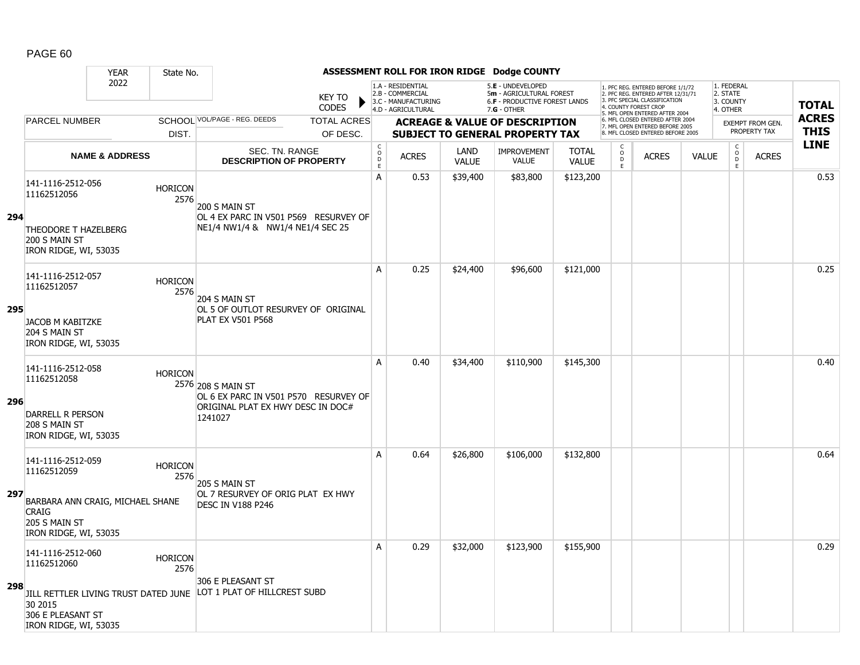|     |                                                                                               | <b>YEAR</b>               | State No.              |                                                                                                             |                               |                                              |                                                                                    |                      | ASSESSMENT ROLL FOR IRON RIDGE Dodge COUNTY                                                   |                              |                                                 |                                                                                                                                                                    |              |                                                 |                         |              |
|-----|-----------------------------------------------------------------------------------------------|---------------------------|------------------------|-------------------------------------------------------------------------------------------------------------|-------------------------------|----------------------------------------------|------------------------------------------------------------------------------------|----------------------|-----------------------------------------------------------------------------------------------|------------------------------|-------------------------------------------------|--------------------------------------------------------------------------------------------------------------------------------------------------------------------|--------------|-------------------------------------------------|-------------------------|--------------|
|     |                                                                                               | 2022                      |                        |                                                                                                             | <b>KEY TO</b><br><b>CODES</b> |                                              | 1.A - RESIDENTIAL<br>2.B - COMMERCIAL<br>3.C - MANUFACTURING<br>4.D - AGRICULTURAL |                      | 5.E - UNDEVELOPED<br>5m - AGRICULTURAL FOREST<br>6.F - PRODUCTIVE FOREST LANDS<br>7.G - OTHER |                              |                                                 | 1. PFC REG. ENTERED BEFORE 1/1/72<br>2. PFC REG. ENTERED AFTER 12/31/71<br>. PFC SPECIAL CLASSIFICATION<br>4. COUNTY FOREST CROP<br>5. MFL OPEN ENTERED AFTER 2004 |              | 1. FEDERAL<br>2. STATE<br>3. COUNTY<br>4. OTHER |                         | <b>TOTAL</b> |
|     | <b>PARCEL NUMBER</b>                                                                          |                           |                        | SCHOOL VOL/PAGE - REG. DEEDS                                                                                | <b>TOTAL ACRES</b>            |                                              |                                                                                    |                      | <b>ACREAGE &amp; VALUE OF DESCRIPTION</b>                                                     |                              |                                                 | 6. MFL CLOSED ENTERED AFTER 2004<br>7. MFL OPEN ENTERED BEFORE 2005                                                                                                |              |                                                 | <b>EXEMPT FROM GEN.</b> | <b>ACRES</b> |
|     |                                                                                               |                           | DIST.                  |                                                                                                             | OF DESC.                      |                                              |                                                                                    |                      | <b>SUBJECT TO GENERAL PROPERTY TAX</b>                                                        |                              |                                                 | 8. MFL CLOSED ENTERED BEFORE 2005                                                                                                                                  |              |                                                 | PROPERTY TAX            | <b>THIS</b>  |
|     |                                                                                               | <b>NAME &amp; ADDRESS</b> |                        | SEC. TN. RANGE<br><b>DESCRIPTION OF PROPERTY</b>                                                            |                               | $\mathsf C$<br>$\mathsf{O}$<br>$\frac{D}{E}$ | <b>ACRES</b>                                                                       | LAND<br><b>VALUE</b> | IMPROVEMENT<br><b>VALUE</b>                                                                   | <b>TOTAL</b><br><b>VALUE</b> | $\begin{matrix} 0 \\ 0 \\ D \end{matrix}$<br>E. | <b>ACRES</b>                                                                                                                                                       | <b>VALUE</b> | $\begin{matrix} 0 \\ 0 \\ D \end{matrix}$<br>E  | <b>ACRES</b>            | <b>LINE</b>  |
| 294 | 141-1116-2512-056<br>11162512056                                                              |                           | <b>HORICON</b><br>2576 | 200 S MAIN ST<br>OL 4 EX PARC IN V501 P569 RESURVEY OF                                                      |                               | A                                            | 0.53                                                                               | \$39,400             | \$83,800                                                                                      | \$123,200                    |                                                 |                                                                                                                                                                    |              |                                                 |                         | 0.53         |
|     | THEODORE T HAZELBERG<br>200 S MAIN ST<br>IRON RIDGE, WI, 53035                                |                           |                        | NE1/4 NW1/4 & NW1/4 NE1/4 SEC 25                                                                            |                               |                                              |                                                                                    |                      |                                                                                               |                              |                                                 |                                                                                                                                                                    |              |                                                 |                         |              |
|     | 141-1116-2512-057<br>11162512057                                                              |                           | <b>HORICON</b><br>2576 | 204 S MAIN ST                                                                                               |                               | A                                            | 0.25                                                                               | \$24,400             | \$96,600                                                                                      | \$121,000                    |                                                 |                                                                                                                                                                    |              |                                                 |                         | 0.25         |
| 295 | JACOB M KABITZKE<br>204 S MAIN ST<br>IRON RIDGE, WI, 53035                                    |                           |                        | OL 5 OF OUTLOT RESURVEY OF ORIGINAL<br><b>PLAT EX V501 P568</b>                                             |                               |                                              |                                                                                    |                      |                                                                                               |                              |                                                 |                                                                                                                                                                    |              |                                                 |                         |              |
| 296 | 141-1116-2512-058<br>11162512058<br><b>DARRELL R PERSON</b><br>208 S MAIN ST                  |                           | <b>HORICON</b>         | 2576 208 S MAIN ST<br>OL 6 EX PARC IN V501 P570 RESURVEY OF<br>ORIGINAL PLAT EX HWY DESC IN DOC#<br>1241027 |                               | A                                            | 0.40                                                                               | \$34,400             | \$110,900                                                                                     | \$145,300                    |                                                 |                                                                                                                                                                    |              |                                                 |                         | 0.40         |
|     | IRON RIDGE, WI, 53035                                                                         |                           |                        |                                                                                                             |                               |                                              |                                                                                    |                      |                                                                                               |                              |                                                 |                                                                                                                                                                    |              |                                                 |                         |              |
|     | 141-1116-2512-059<br>11162512059                                                              |                           | <b>HORICON</b><br>2576 | 205 S MAIN ST                                                                                               |                               | A                                            | 0.64                                                                               | \$26,800             | \$106,000                                                                                     | \$132,800                    |                                                 |                                                                                                                                                                    |              |                                                 |                         | 0.64         |
| 297 | BARBARA ANN CRAIG, MICHAEL SHANE<br><b>CRAIG</b><br>205 S MAIN ST<br>IRON RIDGE, WI, 53035    |                           |                        | OL 7 RESURVEY OF ORIG PLAT EX HWY<br><b>DESC IN V188 P246</b>                                               |                               |                                              |                                                                                    |                      |                                                                                               |                              |                                                 |                                                                                                                                                                    |              |                                                 |                         |              |
|     | 141-1116-2512-060<br>11162512060                                                              |                           | <b>HORICON</b><br>2576 |                                                                                                             |                               | Α                                            | 0.29                                                                               | \$32,000             | \$123,900                                                                                     | \$155,900                    |                                                 |                                                                                                                                                                    |              |                                                 |                         | 0.29         |
| 298 | JILL RETTLER LIVING TRUST DATED JUNE<br>30 2015<br>306 E PLEASANT ST<br>IRON RIDGE, WI, 53035 |                           |                        | 306 E PLEASANT ST<br>LOT 1 PLAT OF HILLCREST SUBD                                                           |                               |                                              |                                                                                    |                      |                                                                                               |                              |                                                 |                                                                                                                                                                    |              |                                                 |                         |              |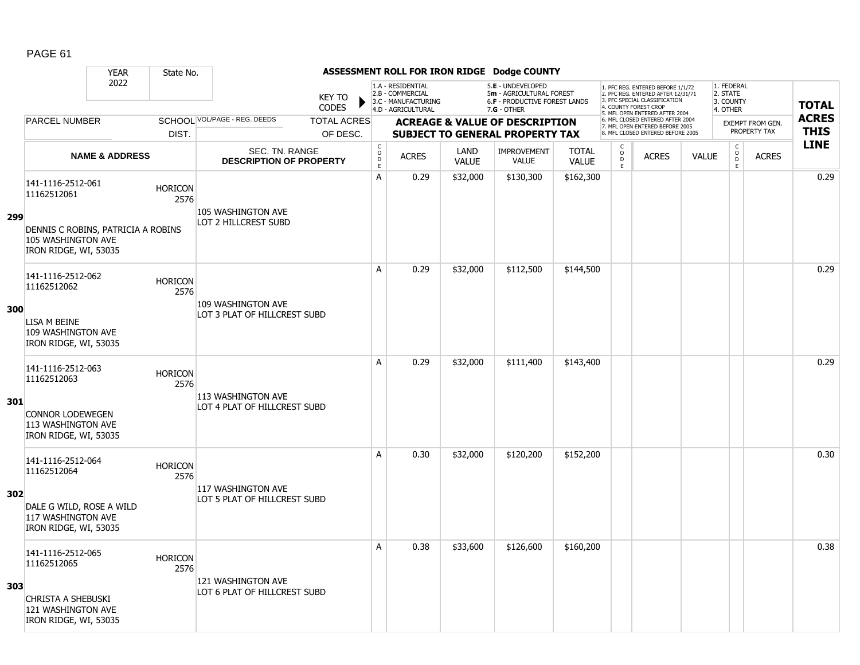|     |                                                                                   | <b>YEAR</b>               | State No.              |                                                         |                               |                                        |                                                                                    |                      | ASSESSMENT ROLL FOR IRON RIDGE Dodge COUNTY                                                          |                              |                                                |                                                                                                                                                                     |              |                                                 |                  |                            |
|-----|-----------------------------------------------------------------------------------|---------------------------|------------------------|---------------------------------------------------------|-------------------------------|----------------------------------------|------------------------------------------------------------------------------------|----------------------|------------------------------------------------------------------------------------------------------|------------------------------|------------------------------------------------|---------------------------------------------------------------------------------------------------------------------------------------------------------------------|--------------|-------------------------------------------------|------------------|----------------------------|
|     |                                                                                   | 2022                      |                        |                                                         | <b>KEY TO</b><br><b>CODES</b> |                                        | 1.A - RESIDENTIAL<br>2.B - COMMERCIAL<br>3.C - MANUFACTURING<br>4.D - AGRICULTURAL |                      | 5.E - UNDEVELOPED<br>5m - AGRICULTURAL FOREST<br><b>6.F - PRODUCTIVE FOREST LANDS</b><br>7.G - OTHER |                              |                                                | 1. PFC REG. ENTERED BEFORE 1/1/72<br>2. PFC REG. ENTERED AFTER 12/31/71<br>3. PFC SPECIAL CLASSIFICATION<br>4. COUNTY FOREST CROP<br>5. MFL OPEN ENTERED AFTER 2004 |              | 1. FEDERAL<br>2. STATE<br>3. COUNTY<br>4. OTHER |                  | <b>TOTAL</b>               |
|     | <b>PARCEL NUMBER</b>                                                              |                           |                        | SCHOOL VOL/PAGE - REG. DEEDS                            | <b>TOTAL ACRES</b>            |                                        |                                                                                    |                      | <b>ACREAGE &amp; VALUE OF DESCRIPTION</b>                                                            |                              |                                                | 6. MFL CLOSED ENTERED AFTER 2004<br>7. MFL OPEN ENTERED BEFORE 2005                                                                                                 |              |                                                 | EXEMPT FROM GEN. | <b>ACRES</b>               |
|     |                                                                                   |                           | DIST.                  |                                                         | OF DESC.                      |                                        |                                                                                    |                      | <b>SUBJECT TO GENERAL PROPERTY TAX</b>                                                               |                              |                                                | 8. MFL CLOSED ENTERED BEFORE 2005                                                                                                                                   |              |                                                 | PROPERTY TAX     | <b>THIS</b><br><b>LINE</b> |
|     |                                                                                   | <b>NAME &amp; ADDRESS</b> |                        | <b>SEC. TN. RANGE</b><br><b>DESCRIPTION OF PROPERTY</b> |                               | $_{\rm o}^{\rm c}$<br>$\mathsf D$<br>E | <b>ACRES</b>                                                                       | LAND<br><b>VALUE</b> | <b>IMPROVEMENT</b><br>VALUE                                                                          | <b>TOTAL</b><br><b>VALUE</b> | $\begin{matrix} 0 \\ 0 \\ 0 \end{matrix}$<br>E | <b>ACRES</b>                                                                                                                                                        | <b>VALUE</b> | $\begin{matrix} 0 \\ 0 \end{matrix}$<br>E       | <b>ACRES</b>     |                            |
|     | 141-1116-2512-061<br>11162512061                                                  |                           | <b>HORICON</b><br>2576 | 105 WASHINGTON AVE                                      |                               | А                                      | 0.29                                                                               | \$32,000             | \$130,300                                                                                            | \$162,300                    |                                                |                                                                                                                                                                     |              |                                                 |                  | 0.29                       |
| 299 | DENNIS C ROBINS, PATRICIA A ROBINS<br>105 WASHINGTON AVE<br>IRON RIDGE, WI, 53035 |                           |                        | <b>LOT 2 HILLCREST SUBD</b>                             |                               |                                        |                                                                                    |                      |                                                                                                      |                              |                                                |                                                                                                                                                                     |              |                                                 |                  |                            |
|     | 141-1116-2512-062<br>11162512062                                                  |                           | <b>HORICON</b><br>2576 |                                                         |                               | A                                      | 0.29                                                                               | \$32,000             | \$112,500                                                                                            | \$144,500                    |                                                |                                                                                                                                                                     |              |                                                 |                  | 0.29                       |
| 300 | LISA M BEINE<br>109 WASHINGTON AVE<br>IRON RIDGE, WI, 53035                       |                           |                        | 109 WASHINGTON AVE<br>LOT 3 PLAT OF HILLCREST SUBD      |                               |                                        |                                                                                    |                      |                                                                                                      |                              |                                                |                                                                                                                                                                     |              |                                                 |                  |                            |
|     | 141-1116-2512-063<br>11162512063                                                  |                           | <b>HORICON</b><br>2576 | 113 WASHINGTON AVE                                      |                               | A                                      | 0.29                                                                               | \$32,000             | \$111,400                                                                                            | \$143,400                    |                                                |                                                                                                                                                                     |              |                                                 |                  | 0.29                       |
| 301 | <b>CONNOR LODEWEGEN</b><br>113 WASHINGTON AVE<br>IRON RIDGE, WI, 53035            |                           |                        | LOT 4 PLAT OF HILLCREST SUBD                            |                               |                                        |                                                                                    |                      |                                                                                                      |                              |                                                |                                                                                                                                                                     |              |                                                 |                  |                            |
|     | 141-1116-2512-064<br>11162512064                                                  |                           | <b>HORICON</b><br>2576 |                                                         |                               | A                                      | 0.30                                                                               | \$32,000             | \$120,200                                                                                            | \$152,200                    |                                                |                                                                                                                                                                     |              |                                                 |                  | 0.30                       |
| 302 | DALE G WILD, ROSE A WILD<br>117 WASHINGTON AVE<br>IRON RIDGE, WI, 53035           |                           |                        | 117 WASHINGTON AVE<br>LOT 5 PLAT OF HILLCREST SUBD      |                               |                                        |                                                                                    |                      |                                                                                                      |                              |                                                |                                                                                                                                                                     |              |                                                 |                  |                            |
|     | 141-1116-2512-065<br>11162512065                                                  |                           | <b>HORICON</b><br>2576 | 121 WASHINGTON AVE                                      |                               | A                                      | 0.38                                                                               | \$33,600             | \$126,600                                                                                            | \$160,200                    |                                                |                                                                                                                                                                     |              |                                                 |                  | 0.38                       |
| 303 | <b>CHRISTA A SHEBUSKI</b><br>121 WASHINGTON AVE<br>IRON RIDGE, WI, 53035          |                           |                        | LOT 6 PLAT OF HILLCREST SUBD                            |                               |                                        |                                                                                    |                      |                                                                                                      |                              |                                                |                                                                                                                                                                     |              |                                                 |                  |                            |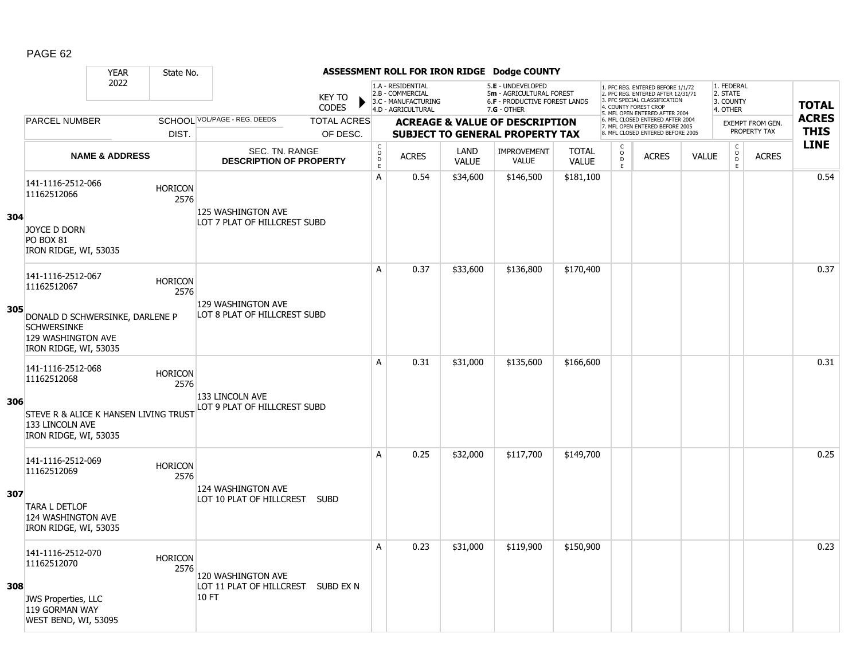|     |                                                                                                      | <b>YEAR</b>               | State No.              |                                                          |                               |                                     |                                                                                    |                      | ASSESSMENT ROLL FOR IRON RIDGE Dodge COUNTY                                                          |                              |                                                |                                                                                                                                   |              |                                                          |                         |              |
|-----|------------------------------------------------------------------------------------------------------|---------------------------|------------------------|----------------------------------------------------------|-------------------------------|-------------------------------------|------------------------------------------------------------------------------------|----------------------|------------------------------------------------------------------------------------------------------|------------------------------|------------------------------------------------|-----------------------------------------------------------------------------------------------------------------------------------|--------------|----------------------------------------------------------|-------------------------|--------------|
|     |                                                                                                      | 2022                      |                        |                                                          | <b>KEY TO</b><br><b>CODES</b> |                                     | 1.A - RESIDENTIAL<br>2.B - COMMERCIAL<br>3.C - MANUFACTURING<br>4.D - AGRICULTURAL |                      | 5.E - UNDEVELOPED<br>5m - AGRICULTURAL FOREST<br><b>6.F - PRODUCTIVE FOREST LANDS</b><br>7.G - OTHER |                              |                                                | 1. PFC REG. ENTERED BEFORE 1/1/72<br>2. PFC REG. ENTERED AFTER 12/31/71<br>3. PFC SPECIAL CLASSIFICATION<br>4. COUNTY FOREST CROP |              | 1. FEDERAL<br>2. STATE<br>3. COUNTY<br>4. OTHER          |                         | <b>TOTAL</b> |
|     | <b>PARCEL NUMBER</b>                                                                                 |                           |                        | SCHOOL VOL/PAGE - REG. DEEDS                             | <b>TOTAL ACRES</b>            |                                     |                                                                                    |                      | <b>ACREAGE &amp; VALUE OF DESCRIPTION</b>                                                            |                              |                                                | 5. MFL OPEN ENTERED AFTER 2004<br>6. MFL CLOSED ENTERED AFTER 2004                                                                |              |                                                          | <b>EXEMPT FROM GEN.</b> | <b>ACRES</b> |
|     |                                                                                                      |                           | DIST.                  |                                                          | OF DESC.                      |                                     |                                                                                    |                      | <b>SUBJECT TO GENERAL PROPERTY TAX</b>                                                               |                              |                                                | 7. MFL OPEN ENTERED BEFORE 2005<br>8. MFL CLOSED ENTERED BEFORE 2005                                                              |              |                                                          | PROPERTY TAX            | <b>THIS</b>  |
|     |                                                                                                      | <b>NAME &amp; ADDRESS</b> |                        | SEC. TN. RANGE<br><b>DESCRIPTION OF PROPERTY</b>         |                               | $_{\rm o}^{\rm c}$<br>$\frac{D}{E}$ | <b>ACRES</b>                                                                       | LAND<br><b>VALUE</b> | <b>IMPROVEMENT</b><br><b>VALUE</b>                                                                   | <b>TOTAL</b><br><b>VALUE</b> | $\begin{matrix} 0 \\ 0 \\ D \end{matrix}$<br>E | <b>ACRES</b>                                                                                                                      | <b>VALUE</b> | $\begin{matrix} 0 \\ 0 \\ 0 \end{matrix}$<br>$\mathsf E$ | <b>ACRES</b>            | <b>LINE</b>  |
| 304 | 141-1116-2512-066<br>11162512066<br>JOYCE D DORN                                                     |                           | <b>HORICON</b><br>2576 | 125 WASHINGTON AVE<br>LOT 7 PLAT OF HILLCREST SUBD       |                               | A                                   | 0.54                                                                               | \$34,600             | \$146,500                                                                                            | \$181,100                    |                                                |                                                                                                                                   |              |                                                          |                         | 0.54         |
|     | <b>PO BOX 81</b><br>IRON RIDGE, WI, 53035                                                            |                           |                        |                                                          |                               |                                     |                                                                                    |                      |                                                                                                      |                              |                                                |                                                                                                                                   |              |                                                          |                         |              |
|     | 141-1116-2512-067<br>11162512067                                                                     |                           | <b>HORICON</b><br>2576 |                                                          |                               | A                                   | 0.37                                                                               | \$33,600             | \$136,800                                                                                            | \$170,400                    |                                                |                                                                                                                                   |              |                                                          |                         | 0.37         |
| 305 | DONALD D SCHWERSINKE, DARLENE P<br><b>SCHWERSINKE</b><br>129 WASHINGTON AVE<br>IRON RIDGE, WI, 53035 |                           |                        | 129 WASHINGTON AVE<br>LOT 8 PLAT OF HILLCREST SUBD       |                               |                                     |                                                                                    |                      |                                                                                                      |                              |                                                |                                                                                                                                   |              |                                                          |                         |              |
|     | 141-1116-2512-068<br>11162512068                                                                     |                           | <b>HORICON</b><br>2576 | 133 LINCOLN AVE                                          |                               | A                                   | 0.31                                                                               | \$31,000             | \$135,600                                                                                            | \$166,600                    |                                                |                                                                                                                                   |              |                                                          |                         | 0.31         |
| 306 | STEVE R & ALICE K HANSEN LIVING TRUST<br>133 LINCOLN AVE<br>IRON RIDGE, WI, 53035                    |                           |                        | LOT 9 PLAT OF HILLCREST SUBD                             |                               |                                     |                                                                                    |                      |                                                                                                      |                              |                                                |                                                                                                                                   |              |                                                          |                         |              |
|     | 141-1116-2512-069<br>11162512069                                                                     |                           | <b>HORICON</b><br>2576 | 124 WASHINGTON AVE                                       |                               | А                                   | 0.25                                                                               | \$32,000             | \$117,700                                                                                            | \$149,700                    |                                                |                                                                                                                                   |              |                                                          |                         | 0.25         |
| 307 | <b>TARA L DETLOF</b><br>124 WASHINGTON AVE<br>IRON RIDGE, WI, 53035                                  |                           |                        | LOT 10 PLAT OF HILLCREST SUBD                            |                               |                                     |                                                                                    |                      |                                                                                                      |                              |                                                |                                                                                                                                   |              |                                                          |                         |              |
| 308 | 141-1116-2512-070<br>11162512070                                                                     |                           | <b>HORICON</b><br>2576 | 120 WASHINGTON AVE<br>LOT 11 PLAT OF HILLCREST SUBD EX N |                               | Α                                   | 0.23                                                                               | \$31,000             | \$119,900                                                                                            | \$150,900                    |                                                |                                                                                                                                   |              |                                                          |                         | 0.23         |
|     | <b>JWS Properties, LLC</b><br>119 GORMAN WAY<br>WEST BEND, WI, 53095                                 |                           |                        | 10 FT                                                    |                               |                                     |                                                                                    |                      |                                                                                                      |                              |                                                |                                                                                                                                   |              |                                                          |                         |              |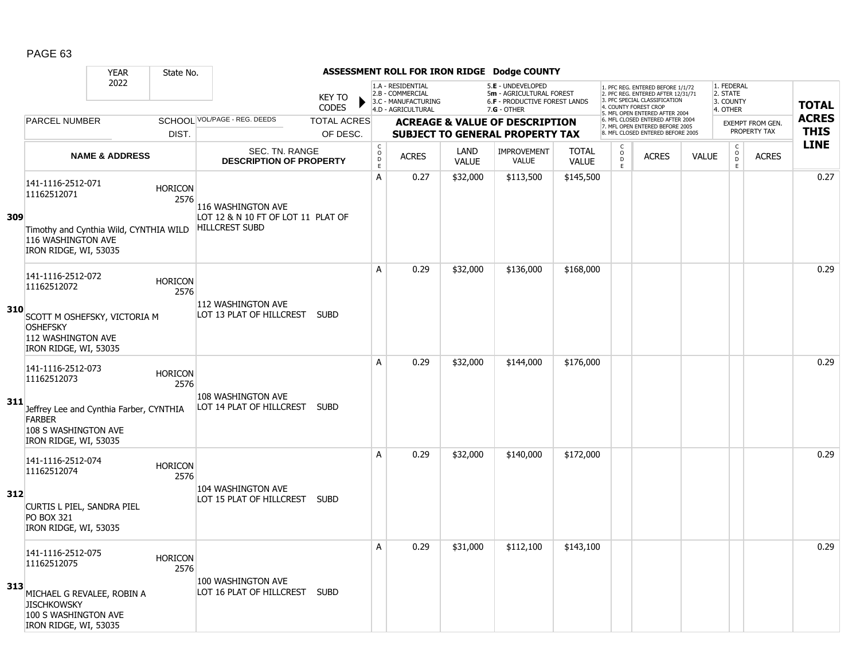|     |                                                                                                                                                                        | <b>YEAR</b>               | State No.              |                                                                                   |                                |                                  |                                                                                    |                      | ASSESSMENT ROLL FOR IRON RIDGE Dodge COUNTY                                                            |                              |                                               |                                                                                                                                                                     |              |                                                 |                                         |                             |
|-----|------------------------------------------------------------------------------------------------------------------------------------------------------------------------|---------------------------|------------------------|-----------------------------------------------------------------------------------|--------------------------------|----------------------------------|------------------------------------------------------------------------------------|----------------------|--------------------------------------------------------------------------------------------------------|------------------------------|-----------------------------------------------|---------------------------------------------------------------------------------------------------------------------------------------------------------------------|--------------|-------------------------------------------------|-----------------------------------------|-----------------------------|
|     |                                                                                                                                                                        | 2022                      |                        |                                                                                   | <b>KEY TO</b><br><b>CODES</b>  |                                  | 1.A - RESIDENTIAL<br>2.B - COMMERCIAL<br>3.C - MANUFACTURING<br>4.D - AGRICULTURAL |                      | 5.E - UNDEVELOPED<br>5m - AGRICULTURAL FOREST<br><b>6.F - PRODUCTIVE FOREST LANDS</b><br>$7.G - OTHER$ |                              |                                               | 1. PFC REG. ENTERED BEFORE 1/1/72<br>2. PFC REG. ENTERED AFTER 12/31/71<br>3. PFC SPECIAL CLASSIFICATION<br>4. COUNTY FOREST CROP<br>5. MFL OPEN ENTERED AFTER 2004 |              | 1. FEDERAL<br>2. STATE<br>3. COUNTY<br>4. OTHER |                                         | <b>TOTAL</b>                |
|     | <b>PARCEL NUMBER</b>                                                                                                                                                   |                           | DIST.                  | SCHOOL VOL/PAGE - REG. DEEDS                                                      | <b>TOTAL ACRES</b><br>OF DESC. |                                  |                                                                                    |                      | <b>ACREAGE &amp; VALUE OF DESCRIPTION</b><br><b>SUBJECT TO GENERAL PROPERTY TAX</b>                    |                              |                                               | 6. MFL CLOSED ENTERED AFTER 2004<br>7. MFL OPEN ENTERED BEFORE 2005<br>8. MFL CLOSED ENTERED BEFORE 2005                                                            |              |                                                 | <b>EXEMPT FROM GEN.</b><br>PROPERTY TAX | <b>ACRES</b><br><b>THIS</b> |
|     |                                                                                                                                                                        | <b>NAME &amp; ADDRESS</b> |                        | SEC. TN. RANGE<br><b>DESCRIPTION OF PROPERTY</b>                                  |                                | C<br>$\circ$<br>$\mathsf D$<br>E | <b>ACRES</b>                                                                       | LAND<br><b>VALUE</b> | <b>IMPROVEMENT</b><br><b>VALUE</b>                                                                     | <b>TOTAL</b><br><b>VALUE</b> | C<br>$\overset{\mathsf{O}}{\mathsf{D}}$<br>E. | <b>ACRES</b>                                                                                                                                                        | <b>VALUE</b> | $\begin{matrix} 0 \\ 0 \\ D \end{matrix}$<br>E  | <b>ACRES</b>                            | <b>LINE</b>                 |
| 309 | 141-1116-2512-071<br>11162512071<br>Timothy and Cynthia Wild, CYNTHIA WILD<br>116 WASHINGTON AVE                                                                       |                           | <b>HORICON</b><br>2576 | 116 WASHINGTON AVE<br>LOT 12 & N 10 FT OF LOT 11 PLAT OF<br><b>HILLCREST SUBD</b> |                                | А                                | 0.27                                                                               | \$32,000             | \$113,500                                                                                              | \$145,500                    |                                               |                                                                                                                                                                     |              |                                                 |                                         | 0.27                        |
| 310 | IRON RIDGE, WI, 53035<br>141-1116-2512-072<br>11162512072<br>SCOTT M OSHEFSKY, VICTORIA M<br><b>OSHEFSKY</b><br>112 WASHINGTON AVE                                     |                           | <b>HORICON</b><br>2576 | 112 WASHINGTON AVE<br>LOT 13 PLAT OF HILLCREST SUBD                               |                                | A                                | 0.29                                                                               | \$32,000             | \$136,000                                                                                              | \$168,000                    |                                               |                                                                                                                                                                     |              |                                                 |                                         | 0.29                        |
| 311 | IRON RIDGE, WI, 53035<br>141-1116-2512-073<br>11162512073<br>Jeffrey Lee and Cynthia Farber, CYNTHIA<br><b>FARBER</b><br>108 S WASHINGTON AVE<br>IRON RIDGE, WI, 53035 |                           | <b>HORICON</b><br>2576 | 108 WASHINGTON AVE<br>LOT 14 PLAT OF HILLCREST SUBD                               |                                | A                                | 0.29                                                                               | \$32,000             | \$144,000                                                                                              | \$176,000                    |                                               |                                                                                                                                                                     |              |                                                 |                                         | 0.29                        |
| 312 | 141-1116-2512-074<br>11162512074<br>CURTIS L PIEL, SANDRA PIEL<br><b>PO BOX 321</b><br>IRON RIDGE, WI, 53035                                                           |                           | <b>HORICON</b><br>2576 | 104 WASHINGTON AVE<br>LOT 15 PLAT OF HILLCREST SUBD                               |                                | A                                | 0.29                                                                               | \$32,000             | \$140,000                                                                                              | \$172,000                    |                                               |                                                                                                                                                                     |              |                                                 |                                         | 0.29                        |
| 313 | 141-1116-2512-075<br>11162512075<br>MICHAEL G REVALEE, ROBIN A<br><b>JISCHKOWSKY</b><br>100 S WASHINGTON AVE<br>IRON RIDGE, WI, 53035                                  |                           | <b>HORICON</b><br>2576 | 100 WASHINGTON AVE<br>LOT 16 PLAT OF HILLCREST SUBD                               |                                | Α                                | 0.29                                                                               | \$31,000             | \$112,100                                                                                              | \$143,100                    |                                               |                                                                                                                                                                     |              |                                                 |                                         | 0.29                        |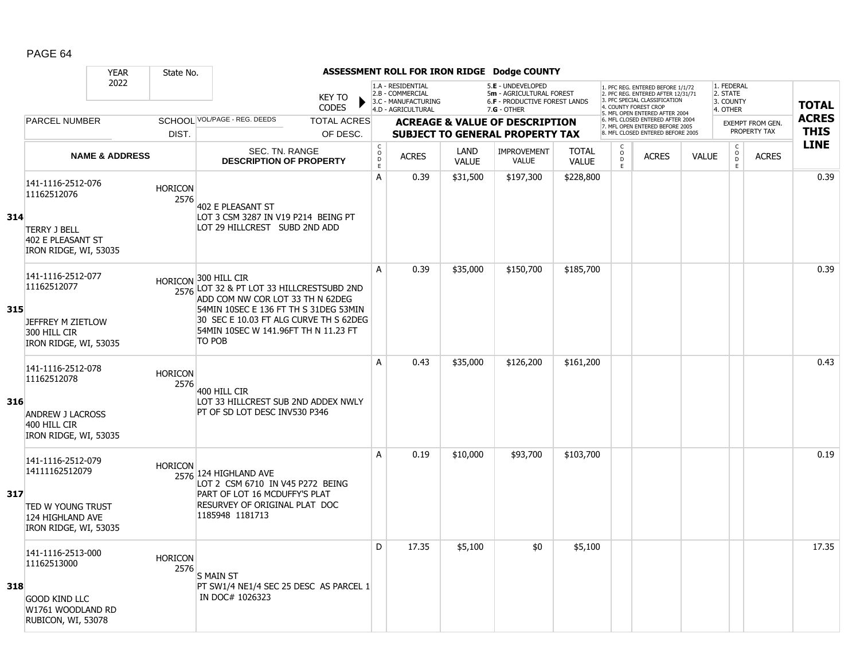|     |                                                                   | <b>YEAR</b>               | State No.              |                                                                                                                                   |                               |                         |                                                                                    |                             | ASSESSMENT ROLL FOR IRON RIDGE Dodge COUNTY                                                     |                              |                                          |                                                                                                                                  |              |                                                 |                                         |                             |
|-----|-------------------------------------------------------------------|---------------------------|------------------------|-----------------------------------------------------------------------------------------------------------------------------------|-------------------------------|-------------------------|------------------------------------------------------------------------------------|-----------------------------|-------------------------------------------------------------------------------------------------|------------------------------|------------------------------------------|----------------------------------------------------------------------------------------------------------------------------------|--------------|-------------------------------------------------|-----------------------------------------|-----------------------------|
|     |                                                                   | 2022                      |                        |                                                                                                                                   | <b>KEY TO</b><br><b>CODES</b> |                         | 1.A - RESIDENTIAL<br>2.B - COMMERCIAL<br>3.C - MANUFACTURING<br>4.D - AGRICULTURAL |                             | 5.E - UNDEVELOPED<br>5m - AGRICULTURAL FOREST<br>6.F - PRODUCTIVE FOREST LANDS<br>$7.G - OTHER$ |                              |                                          | 1. PFC REG. ENTERED BEFORE 1/1/72<br>2. PFC REG. ENTERED AFTER 12/31/71<br>3. PFC SPECIAL CLASSIFICATION<br>. COUNTY FOREST CROP |              | 1. FEDERAL<br>2. STATE<br>3. COUNTY<br>4. OTHER |                                         | <b>TOTAL</b>                |
|     | <b>PARCEL NUMBER</b>                                              |                           |                        | SCHOOL VOL/PAGE - REG. DEEDS                                                                                                      | <b>TOTAL ACRES</b>            |                         |                                                                                    |                             | <b>ACREAGE &amp; VALUE OF DESCRIPTION</b>                                                       |                              |                                          | 5. MFL OPEN ENTERED AFTER 2004<br>6. MFL CLOSED ENTERED AFTER 2004<br>7. MFL OPEN ENTERED BEFORE 2005                            |              |                                                 | <b>EXEMPT FROM GEN.</b><br>PROPERTY TAX | <b>ACRES</b><br><b>THIS</b> |
|     |                                                                   |                           | DIST.                  |                                                                                                                                   | OF DESC.                      | $\mathsf C$             |                                                                                    |                             | <b>SUBJECT TO GENERAL PROPERTY TAX</b>                                                          |                              | C                                        | 8. MFL CLOSED ENTERED BEFORE 2005                                                                                                |              |                                                 |                                         | <b>LINE</b>                 |
|     |                                                                   | <b>NAME &amp; ADDRESS</b> |                        | SEC. TN. RANGE<br><b>DESCRIPTION OF PROPERTY</b>                                                                                  |                               | $_{\rm D}^{\rm O}$<br>E | <b>ACRES</b>                                                                       | <b>LAND</b><br><b>VALUE</b> | <b>IMPROVEMENT</b><br><b>VALUE</b>                                                              | <b>TOTAL</b><br><b>VALUE</b> | $\overset{\circ}{\phantom{\circ}}$<br>F. | <b>ACRES</b>                                                                                                                     | <b>VALUE</b> | $\begin{matrix} 0 \\ 0 \\ D \end{matrix}$<br>E  | <b>ACRES</b>                            |                             |
|     | 141-1116-2512-076<br>11162512076                                  |                           | <b>HORICON</b><br>2576 | 402 E PLEASANT ST                                                                                                                 |                               | А                       | 0.39                                                                               | \$31,500                    | \$197,300                                                                                       | \$228,800                    |                                          |                                                                                                                                  |              |                                                 |                                         | 0.39                        |
| 314 | <b>TERRY J BELL</b><br>402 E PLEASANT ST<br>IRON RIDGE, WI, 53035 |                           |                        | LOT 3 CSM 3287 IN V19 P214 BEING PT<br>LOT 29 HILLCREST SUBD 2ND ADD                                                              |                               |                         |                                                                                    |                             |                                                                                                 |                              |                                          |                                                                                                                                  |              |                                                 |                                         |                             |
|     | 141-1116-2512-077<br>11162512077                                  |                           |                        | HORICON <sup>300</sup> HILL CIR<br>2576 LOT 32 & PT LOT 33 HILLCRESTSUBD 2ND<br>ADD COM NW COR LOT 33 TH N 62DEG                  |                               | $\mathsf{A}$            | 0.39                                                                               | \$35,000                    | \$150,700                                                                                       | \$185,700                    |                                          |                                                                                                                                  |              |                                                 |                                         | 0.39                        |
| 315 | JEFFREY M ZIETLOW<br>300 HILL CIR<br>IRON RIDGE, WI, 53035        |                           |                        | 54MIN 10SEC E 136 FT TH S 31DEG 53MIN<br>30 SEC E 10.03 FT ALG CURVE TH S 62DEG<br>54MIN 10SEC W 141.96FT TH N 11.23 FT<br>TO POB |                               |                         |                                                                                    |                             |                                                                                                 |                              |                                          |                                                                                                                                  |              |                                                 |                                         |                             |
|     | 141-1116-2512-078<br>11162512078                                  |                           | <b>HORICON</b><br>2576 | 400 HILL CIR                                                                                                                      |                               | A                       | 0.43                                                                               | \$35,000                    | \$126,200                                                                                       | \$161,200                    |                                          |                                                                                                                                  |              |                                                 |                                         | 0.43                        |
| 316 | <b>ANDREW J LACROSS</b><br>400 HILL CIR<br>IRON RIDGE, WI, 53035  |                           |                        | LOT 33 HILLCREST SUB 2ND ADDEX NWLY<br>PT OF SD LOT DESC INV530 P346                                                              |                               |                         |                                                                                    |                             |                                                                                                 |                              |                                          |                                                                                                                                  |              |                                                 |                                         |                             |
|     | 141-1116-2512-079<br>14111162512079                               |                           | <b>HORICON</b>         | 2576 124 HIGHLAND AVE<br>LOT 2 CSM 6710 IN V45 P272 BEING                                                                         |                               | A                       | 0.19                                                                               | \$10,000                    | \$93,700                                                                                        | \$103,700                    |                                          |                                                                                                                                  |              |                                                 |                                         | 0.19                        |
| 317 | TED W YOUNG TRUST<br>124 HIGHLAND AVE<br>IRON RIDGE, WI, 53035    |                           |                        | PART OF LOT 16 MCDUFFY'S PLAT<br>RESURVEY OF ORIGINAL PLAT DOC<br>1185948 1181713                                                 |                               |                         |                                                                                    |                             |                                                                                                 |                              |                                          |                                                                                                                                  |              |                                                 |                                         |                             |
|     | 141-1116-2513-000<br>11162513000                                  |                           | <b>HORICON</b><br>2576 | <b>S MAIN ST</b>                                                                                                                  |                               | D                       | 17.35                                                                              | \$5,100                     | \$0                                                                                             | \$5,100                      |                                          |                                                                                                                                  |              |                                                 |                                         | 17.35                       |
| 318 | <b>GOOD KIND LLC</b><br>W1761 WOODLAND RD<br>RUBICON, WI, 53078   |                           |                        | PT SW1/4 NE1/4 SEC 25 DESC AS PARCEL 1<br>IN DOC# 1026323                                                                         |                               |                         |                                                                                    |                             |                                                                                                 |                              |                                          |                                                                                                                                  |              |                                                 |                                         |                             |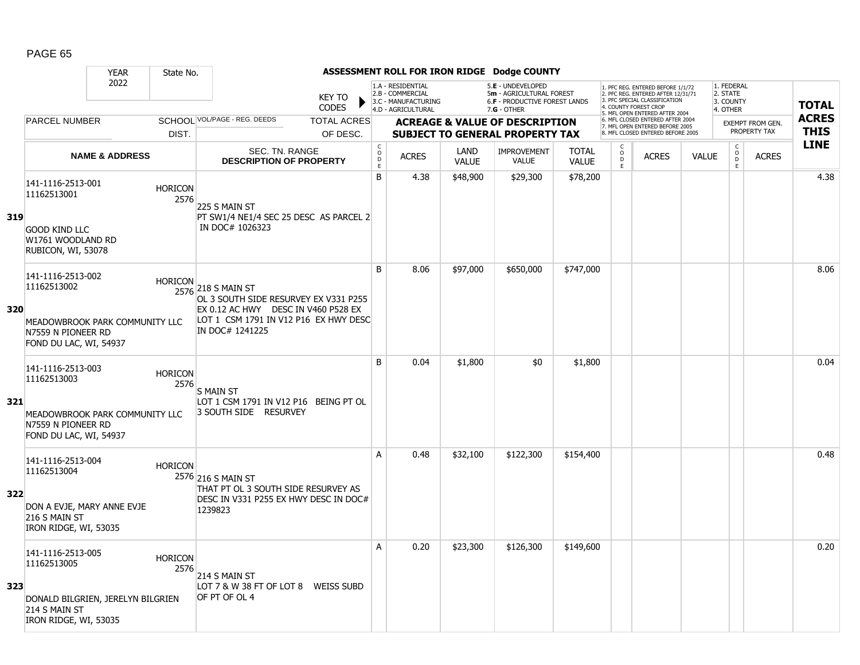|     |                                                                                | <b>YEAR</b>               | State No.              |                                                                                                 |                               |                                                  |                                                                                    |                      | ASSESSMENT ROLL FOR IRON RIDGE Dodge COUNTY                                                            |                              |                                                |                                                                                                          |              |                                                 |                         |                            |
|-----|--------------------------------------------------------------------------------|---------------------------|------------------------|-------------------------------------------------------------------------------------------------|-------------------------------|--------------------------------------------------|------------------------------------------------------------------------------------|----------------------|--------------------------------------------------------------------------------------------------------|------------------------------|------------------------------------------------|----------------------------------------------------------------------------------------------------------|--------------|-------------------------------------------------|-------------------------|----------------------------|
|     |                                                                                | 2022                      |                        |                                                                                                 | <b>KEY TO</b><br><b>CODES</b> |                                                  | 1.A - RESIDENTIAL<br>2.B - COMMERCIAL<br>3.C - MANUFACTURING<br>4.D - AGRICULTURAL |                      | 5.E - UNDEVELOPED<br>5m - AGRICULTURAL FOREST<br><b>6.F - PRODUCTIVE FOREST LANDS</b><br>$7.G - OTHER$ |                              | 4. COUNTY FOREST CROP                          | 1. PFC REG. ENTERED BEFORE 1/1/72<br>2. PFC REG. ENTERED AFTER 12/31/71<br>3. PFC SPECIAL CLASSIFICATION |              | 1. FEDERAL<br>2. STATE<br>3. COUNTY<br>4. OTHER |                         | <b>TOTAL</b>               |
|     | <b>PARCEL NUMBER</b>                                                           |                           |                        | SCHOOL VOL/PAGE - REG. DEEDS                                                                    | <b>TOTAL ACRES</b>            |                                                  |                                                                                    |                      | <b>ACREAGE &amp; VALUE OF DESCRIPTION</b>                                                              |                              |                                                | 5. MFL OPEN ENTERED AFTER 2004<br>6. MFL CLOSED ENTERED AFTER 2004<br>7. MFL OPEN ENTERED BEFORE 2005    |              |                                                 | <b>EXEMPT FROM GEN.</b> | <b>ACRES</b>               |
|     |                                                                                |                           | DIST.                  |                                                                                                 | OF DESC.                      |                                                  |                                                                                    |                      | <b>SUBJECT TO GENERAL PROPERTY TAX</b>                                                                 |                              |                                                | 8. MFL CLOSED ENTERED BEFORE 2005                                                                        |              |                                                 | PROPERTY TAX            | <b>THIS</b><br><b>LINE</b> |
|     |                                                                                | <b>NAME &amp; ADDRESS</b> |                        | <b>SEC. TN. RANGE</b><br><b>DESCRIPTION OF PROPERTY</b>                                         |                               | $\mathsf{C}$<br>$\mathsf{O}$<br>$\mathsf D$<br>E | <b>ACRES</b>                                                                       | LAND<br><b>VALUE</b> | <b>IMPROVEMENT</b><br>VALUE                                                                            | <b>TOTAL</b><br><b>VALUE</b> | $\begin{matrix} 0 \\ 0 \\ 0 \end{matrix}$<br>E | <b>ACRES</b>                                                                                             | <b>VALUE</b> | $\begin{matrix} 0 \\ 0 \\ 0 \end{matrix}$<br>E  | <b>ACRES</b>            |                            |
|     | 141-1116-2513-001<br>11162513001                                               |                           | <b>HORICON</b><br>2576 | 225 S MAIN ST                                                                                   |                               | B                                                | 4.38                                                                               | \$48,900             | \$29,300                                                                                               | \$78,200                     |                                                |                                                                                                          |              |                                                 |                         | 4.38                       |
| 319 | <b>GOOD KIND LLC</b><br>W1761 WOODLAND RD<br>RUBICON, WI, 53078                |                           |                        | PT SW1/4 NE1/4 SEC 25 DESC AS PARCEL 2<br>IN DOC# 1026323                                       |                               |                                                  |                                                                                    |                      |                                                                                                        |                              |                                                |                                                                                                          |              |                                                 |                         |                            |
|     | 141-1116-2513-002<br>11162513002                                               |                           | <b>HORICON</b>         | 2576 218 S MAIN ST<br>OL 3 SOUTH SIDE RESURVEY EX V331 P255                                     |                               | B                                                | 8.06                                                                               | \$97,000             | \$650,000                                                                                              | \$747,000                    |                                                |                                                                                                          |              |                                                 |                         | 8.06                       |
| 320 | MEADOWBROOK PARK COMMUNITY LLC<br>N7559 N PIONEER RD<br>FOND DU LAC, WI, 54937 |                           |                        | EX 0.12 AC HWY DESC IN V460 P528 EX<br>LOT 1 CSM 1791 IN V12 P16 EX HWY DESC<br>IN DOC# 1241225 |                               |                                                  |                                                                                    |                      |                                                                                                        |                              |                                                |                                                                                                          |              |                                                 |                         |                            |
|     | 141-1116-2513-003<br>11162513003                                               |                           | <b>HORICON</b><br>2576 | <b>S MAIN ST</b>                                                                                |                               | B                                                | 0.04                                                                               | \$1,800              | \$0                                                                                                    | \$1,800                      |                                                |                                                                                                          |              |                                                 |                         | 0.04                       |
| 321 | MEADOWBROOK PARK COMMUNITY LLC<br>N7559 N PIONEER RD<br>FOND DU LAC, WI, 54937 |                           |                        | LOT 1 CSM 1791 IN V12 P16 BEING PT OL<br>3 SOUTH SIDE RESURVEY                                  |                               |                                                  |                                                                                    |                      |                                                                                                        |                              |                                                |                                                                                                          |              |                                                 |                         |                            |
|     | 141-1116-2513-004<br>11162513004                                               |                           | <b>HORICON</b>         | 2576 216 S MAIN ST<br>THAT PT OL 3 SOUTH SIDE RESURVEY AS                                       |                               | A                                                | 0.48                                                                               | \$32,100             | \$122,300                                                                                              | \$154,400                    |                                                |                                                                                                          |              |                                                 |                         | 0.48                       |
| 322 | DON A EVJE, MARY ANNE EVJE<br>216 S MAIN ST<br>IRON RIDGE, WI, 53035           |                           |                        | DESC IN V331 P255 EX HWY DESC IN DOC#<br>1239823                                                |                               |                                                  |                                                                                    |                      |                                                                                                        |                              |                                                |                                                                                                          |              |                                                 |                         |                            |
|     | 141-1116-2513-005<br>11162513005                                               |                           | <b>HORICON</b><br>2576 | 214 S MAIN ST                                                                                   |                               | A                                                | 0.20                                                                               | \$23,300             | \$126,300                                                                                              | \$149,600                    |                                                |                                                                                                          |              |                                                 |                         | 0.20                       |
| 323 | DONALD BILGRIEN, JERELYN BILGRIEN<br>214 S MAIN ST<br>IRON RIDGE, WI, 53035    |                           |                        | LOT 7 & W 38 FT OF LOT 8 WEISS SUBD<br>OF PT OF OL 4                                            |                               |                                                  |                                                                                    |                      |                                                                                                        |                              |                                                |                                                                                                          |              |                                                 |                         |                            |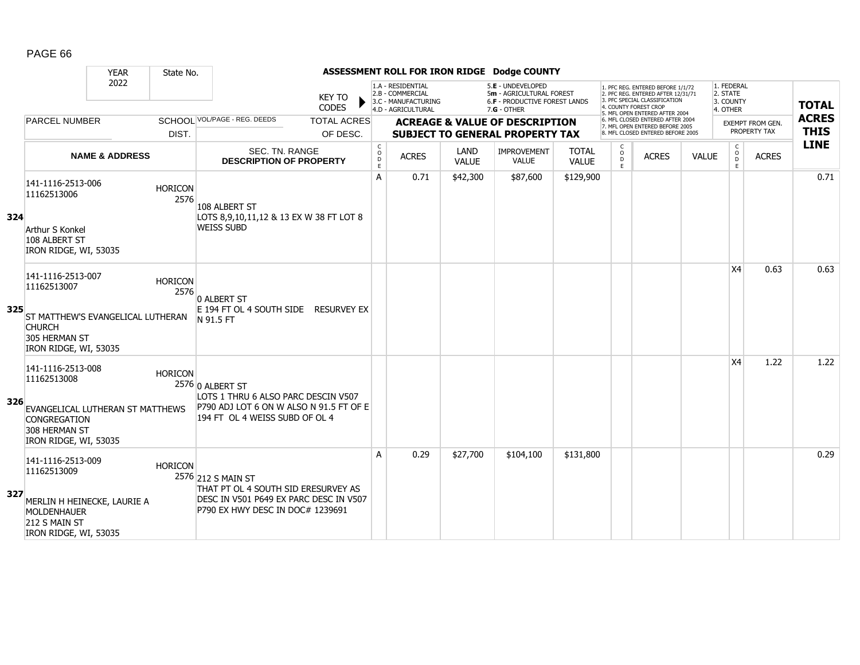|     |                                                                                                                                         | <b>YEAR</b>               | State No.              |                                                                                                                                         |                        |                         |                                                                                    |                      | ASSESSMENT ROLL FOR IRON RIDGE Dodge COUNTY                                                            |                              |                              |                                                                                                                                   |              |                                                 |                  |              |
|-----|-----------------------------------------------------------------------------------------------------------------------------------------|---------------------------|------------------------|-----------------------------------------------------------------------------------------------------------------------------------------|------------------------|-------------------------|------------------------------------------------------------------------------------|----------------------|--------------------------------------------------------------------------------------------------------|------------------------------|------------------------------|-----------------------------------------------------------------------------------------------------------------------------------|--------------|-------------------------------------------------|------------------|--------------|
|     |                                                                                                                                         | 2022                      |                        |                                                                                                                                         | <b>KEY TO</b><br>CODES |                         | 1.A - RESIDENTIAL<br>2.B - COMMERCIAL<br>3.C - MANUFACTURING<br>4.D - AGRICULTURAL |                      | 5.E - UNDEVELOPED<br>5m - AGRICULTURAL FOREST<br><b>6.F - PRODUCTIVE FOREST LANDS</b><br>$7.G - OTHER$ |                              |                              | 1. PFC REG. ENTERED BEFORE 1/1/72<br>2. PFC REG. ENTERED AFTER 12/31/71<br>3. PFC SPECIAL CLASSIFICATION<br>4. COUNTY FOREST CROP |              | 1. FEDERAL<br>2. STATE<br>3. COUNTY<br>4. OTHER |                  | <b>TOTAL</b> |
|     | <b>PARCEL NUMBER</b>                                                                                                                    |                           |                        | SCHOOL VOL/PAGE - REG. DEEDS                                                                                                            | <b>TOTAL ACRES</b>     |                         |                                                                                    |                      | <b>ACREAGE &amp; VALUE OF DESCRIPTION</b>                                                              |                              |                              | 5. MFL OPEN ENTERED AFTER 2004<br>6. MFL CLOSED ENTERED AFTER 2004<br>7. MFL OPEN ENTERED BEFORE 2005                             |              |                                                 | EXEMPT FROM GEN. | <b>ACRES</b> |
|     |                                                                                                                                         |                           | DIST.                  |                                                                                                                                         | OF DESC.               |                         |                                                                                    |                      | <b>SUBJECT TO GENERAL PROPERTY TAX</b>                                                                 |                              |                              | 8. MFL CLOSED ENTERED BEFORE 2005                                                                                                 |              |                                                 | PROPERTY TAX     | <b>THIS</b>  |
|     |                                                                                                                                         | <b>NAME &amp; ADDRESS</b> |                        | SEC. TN. RANGE<br><b>DESCRIPTION OF PROPERTY</b>                                                                                        |                        | C<br>$\circ$<br>D<br>E. | <b>ACRES</b>                                                                       | LAND<br><b>VALUE</b> | <b>IMPROVEMENT</b><br><b>VALUE</b>                                                                     | <b>TOTAL</b><br><b>VALUE</b> | $\circ$<br>$\mathsf D$<br>E. | <b>ACRES</b>                                                                                                                      | <b>VALUE</b> | $\mathsf{C}$<br>$\circ$<br>D<br>Ε               | <b>ACRES</b>     | <b>LINE</b>  |
| 324 | 141-1116-2513-006<br>11162513006<br>Arthur S Konkel<br>108 ALBERT ST<br>IRON RIDGE, WI, 53035                                           |                           | <b>HORICON</b><br>2576 | 108 ALBERT ST<br>LOTS 8,9,10,11,12 & 13 EX W 38 FT LOT 8<br><b>WEISS SUBD</b>                                                           |                        | A                       | 0.71                                                                               | \$42,300             | \$87,600                                                                                               | \$129,900                    |                              |                                                                                                                                   |              |                                                 |                  | 0.71         |
| 325 | 141-1116-2513-007<br>11162513007<br><b>ST MATTHEW'S EVANGELICAL LUTHERAN</b><br><b>CHURCH</b><br>305 HERMAN ST<br>IRON RIDGE, WI, 53035 |                           | <b>HORICON</b><br>2576 | 0 ALBERT ST<br>E 194 FT OL 4 SOUTH SIDE RESURVEY EX<br>N 91.5 FT                                                                        |                        |                         |                                                                                    |                      |                                                                                                        |                              |                              |                                                                                                                                   |              | X <sub>4</sub>                                  | 0.63             | 0.63         |
| 326 | 141-1116-2513-008<br>11162513008<br>EVANGELICAL LUTHERAN ST MATTHEWS<br><b>CONGREGATION</b><br>308 HERMAN ST<br>IRON RIDGE, WI, 53035   |                           | <b>HORICON</b>         | 2576 0 ALBERT ST<br>LOTS 1 THRU 6 ALSO PARC DESCIN V507<br>P790 ADJ LOT 6 ON W ALSO N 91.5 FT OF E<br>194 FT OL 4 WEISS SUBD OF OL 4    |                        |                         |                                                                                    |                      |                                                                                                        |                              |                              |                                                                                                                                   |              | X <sub>4</sub>                                  | 1.22             | 1.22         |
| 327 | 141-1116-2513-009<br>11162513009<br>MERLIN H HEINECKE, LAURIE A<br><b>MOLDENHAUER</b><br>212 S MAIN ST<br>IRON RIDGE, WI, 53035         |                           | <b>HORICON</b>         | 2576 212 S MAIN ST<br>THAT PT OL 4 SOUTH SID ERESURVEY AS<br>DESC IN V501 P649 EX PARC DESC IN V507<br>P790 EX HWY DESC IN DOC# 1239691 |                        | A                       | 0.29                                                                               | \$27,700             | \$104,100                                                                                              | \$131,800                    |                              |                                                                                                                                   |              |                                                 |                  | 0.29         |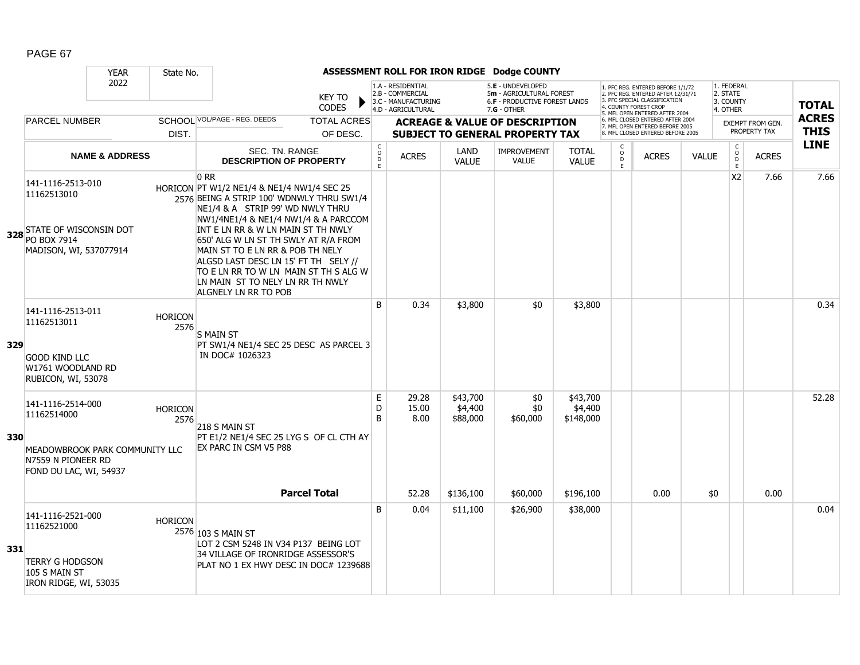|     |                                                                                                                    | <b>YEAR</b>               | State No.              |                                                                                                                                                                                                                                                                                                                                                                                                                                                       |                        |                                       |                                                                                    |                                 | ASSESSMENT ROLL FOR IRON RIDGE Dodge COUNTY                                                          |                                  |                        |                                                                                                                                       |              |                                     |                         |              |
|-----|--------------------------------------------------------------------------------------------------------------------|---------------------------|------------------------|-------------------------------------------------------------------------------------------------------------------------------------------------------------------------------------------------------------------------------------------------------------------------------------------------------------------------------------------------------------------------------------------------------------------------------------------------------|------------------------|---------------------------------------|------------------------------------------------------------------------------------|---------------------------------|------------------------------------------------------------------------------------------------------|----------------------------------|------------------------|---------------------------------------------------------------------------------------------------------------------------------------|--------------|-------------------------------------|-------------------------|--------------|
|     |                                                                                                                    | 2022                      |                        |                                                                                                                                                                                                                                                                                                                                                                                                                                                       | KEY TO<br><b>CODES</b> |                                       | 1.A - RESIDENTIAL<br>2.B - COMMERCIAL<br>3.C - MANUFACTURING<br>4.D - AGRICULTURAL |                                 | 5.E - UNDEVELOPED<br>5m - AGRICULTURAL FOREST<br><b>6.F - PRODUCTIVE FOREST LANDS</b><br>7.G - OTHER |                                  |                        | 1. PFC REG. ENTERED BEFORE 1/1/72<br>2. PFC REG. ENTERED AFTER 12/31/71<br>3. PFC SPECIAL CLASSIFICATION<br><b>COUNTY FOREST CROF</b> |              | 1. FEDERAL<br>2. STATE<br>3. COUNTY |                         | <b>TOTAL</b> |
|     | <b>PARCEL NUMBER</b>                                                                                               |                           |                        | SCHOOL VOL/PAGE - REG. DEEDS                                                                                                                                                                                                                                                                                                                                                                                                                          | <b>TOTAL ACRES</b>     |                                       |                                                                                    |                                 | <b>ACREAGE &amp; VALUE OF DESCRIPTION</b>                                                            |                                  |                        | 5. MFL OPEN ENTERED AFTER 2004<br>6. MFL CLOSED ENTERED AFTER 2004                                                                    |              | 4. OTHER                            | <b>EXEMPT FROM GEN.</b> | <b>ACRES</b> |
|     |                                                                                                                    |                           | DIST.                  |                                                                                                                                                                                                                                                                                                                                                                                                                                                       | OF DESC.               |                                       |                                                                                    |                                 | <b>SUBJECT TO GENERAL PROPERTY TAX</b>                                                               |                                  |                        | 7. MFL OPEN ENTERED BEFORE 2005<br>8. MFL CLOSED ENTERED BEFORE 2005                                                                  |              |                                     | PROPERTY TAX            | <b>THIS</b>  |
|     |                                                                                                                    | <b>NAME &amp; ADDRESS</b> |                        | <b>SEC. TN. RANGE</b><br><b>DESCRIPTION OF PROPERTY</b>                                                                                                                                                                                                                                                                                                                                                                                               |                        | C<br>$\mathsf{o}$<br>$\mathsf D$<br>E | <b>ACRES</b>                                                                       | LAND<br><b>VALUE</b>            | <b>IMPROVEMENT</b><br><b>VALUE</b>                                                                   | <b>TOTAL</b><br><b>VALUE</b>     | C<br>$\circ$<br>D<br>E | <b>ACRES</b>                                                                                                                          | <b>VALUE</b> | C<br>$\rm _D^O$<br>$\mathsf E$      | <b>ACRES</b>            | <b>LINE</b>  |
|     | 141-1116-2513-010<br>11162513010<br>328 STATE OF WISCONSIN DOT<br>MADISON, WI, 537077914                           |                           |                        | 0 <sub>RR</sub><br>HORICON PT W1/2 NE1/4 & NE1/4 NW1/4 SEC 25<br>2576 BEING A STRIP 100' WDNWLY THRU SW1/4<br>NE1/4 & A STRIP 99' WD NWLY THRU<br>NW1/4NE1/4 & NE1/4 NW1/4 & A PARCCOM<br>INT E LN RR & W LN MAIN ST TH NWLY<br>650' ALG W LN ST TH SWLY AT R/A FROM<br>MAIN ST TO E LN RR & POB TH NELY<br>ALGSD LAST DESC LN 15' FT TH SELY //<br>TO E LN RR TO W LN MAIN ST TH S ALG W<br>LN MAIN ST TO NELY LN RR TH NWLY<br>ALGNELY LN RR TO POB |                        |                                       |                                                                                    |                                 |                                                                                                      |                                  |                        |                                                                                                                                       |              | X <sub>2</sub>                      | 7.66                    | 7.66         |
| 329 | 141-1116-2513-011<br>11162513011<br><b>GOOD KIND LLC</b><br>W1761 WOODLAND RD<br>RUBICON, WI, 53078                |                           | <b>HORICON</b><br>2576 | <b>S MAIN ST</b><br>PT SW1/4 NE1/4 SEC 25 DESC AS PARCEL 3<br>IN DOC# 1026323                                                                                                                                                                                                                                                                                                                                                                         |                        | B                                     | 0.34                                                                               | \$3,800                         | \$0                                                                                                  | \$3,800                          |                        |                                                                                                                                       |              |                                     |                         | 0.34         |
| 330 | 141-1116-2514-000<br>11162514000<br>MEADOWBROOK PARK COMMUNITY LLC<br>N7559 N PIONEER RD<br>FOND DU LAC, WI, 54937 |                           | <b>HORICON</b><br>2576 | 218 S MAIN ST<br>PT E1/2 NE1/4 SEC 25 LYG S OF CL CTH AY<br>EX PARC IN CSM V5 P88                                                                                                                                                                                                                                                                                                                                                                     |                        | E<br>D<br>B                           | 29.28<br>15.00<br>8.00                                                             | \$43,700<br>\$4,400<br>\$88,000 | \$0<br>\$0<br>\$60,000                                                                               | \$43,700<br>\$4,400<br>\$148,000 |                        |                                                                                                                                       |              |                                     |                         | 52.28        |
|     |                                                                                                                    |                           |                        | <b>Parcel Total</b>                                                                                                                                                                                                                                                                                                                                                                                                                                   |                        |                                       | 52.28                                                                              | \$136,100                       | \$60,000                                                                                             | \$196,100                        |                        | 0.00                                                                                                                                  | \$0          |                                     | 0.00                    |              |
| 331 | 141-1116-2521-000<br>11162521000<br><b>TERRY G HODGSON</b><br>105 S MAIN ST<br>IRON RIDGE, WI, 53035               |                           | <b>HORICON</b>         | 2576 103 S MAIN ST<br>LOT 2 CSM 5248 IN V34 P137 BEING LOT<br>34 VILLAGE OF IRONRIDGE ASSESSOR'S<br>PLAT NO 1 EX HWY DESC IN DOC# 1239688                                                                                                                                                                                                                                                                                                             |                        | <sub>B</sub>                          | 0.04                                                                               | \$11,100                        | \$26,900                                                                                             | \$38,000                         |                        |                                                                                                                                       |              |                                     |                         | 0.04         |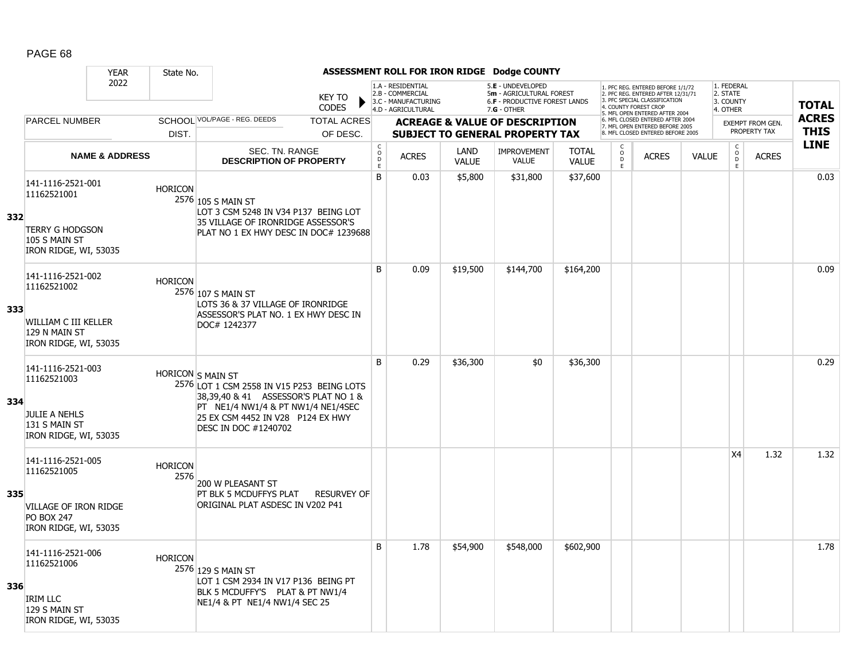|     |                                                                                                                | <b>YEAR</b>               | State No.              |                                                                                                                                                                                                                   |                                |                                             |                                                                                    |                      | ASSESSMENT ROLL FOR IRON RIDGE Dodge COUNTY                                                     |                              |                         |                                                                                                                                            |              |                                                 |                                         |                             |
|-----|----------------------------------------------------------------------------------------------------------------|---------------------------|------------------------|-------------------------------------------------------------------------------------------------------------------------------------------------------------------------------------------------------------------|--------------------------------|---------------------------------------------|------------------------------------------------------------------------------------|----------------------|-------------------------------------------------------------------------------------------------|------------------------------|-------------------------|--------------------------------------------------------------------------------------------------------------------------------------------|--------------|-------------------------------------------------|-----------------------------------------|-----------------------------|
|     |                                                                                                                | 2022                      |                        |                                                                                                                                                                                                                   | KEY TO<br><b>CODES</b>         |                                             | 1.A - RESIDENTIAL<br>2.B - COMMERCIAL<br>3.C - MANUFACTURING<br>4.D - AGRICULTURAL |                      | 5.E - UNDEVELOPED<br>5m - AGRICULTURAL FOREST<br>6.F - PRODUCTIVE FOREST LANDS<br>$7.G - OTHER$ |                              |                         | 1. PFC REG. ENTERED BEFORE 1/1/72<br>2. PFC REG. ENTERED AFTER 12/31/71<br>3. PFC SPECIAL CLASSIFICATION<br>4. COUNTY FOREST CROP          |              | 1. FEDERAL<br>2. STATE<br>3. COUNTY<br>4. OTHER |                                         | <b>TOTAL</b>                |
|     | <b>PARCEL NUMBER</b>                                                                                           |                           | DIST.                  | SCHOOL VOL/PAGE - REG. DEEDS                                                                                                                                                                                      | <b>TOTAL ACRES</b><br>OF DESC. |                                             |                                                                                    |                      | <b>ACREAGE &amp; VALUE OF DESCRIPTION</b><br><b>SUBJECT TO GENERAL PROPERTY TAX</b>             |                              |                         | 5. MFL OPEN ENTERED AFTER 2004<br>6. MFL CLOSED ENTERED AFTER 2004<br>7. MFL OPEN ENTERED BEFORE 2005<br>8. MFL CLOSED ENTERED BEFORE 2005 |              |                                                 | <b>EXEMPT FROM GEN.</b><br>PROPERTY TAX | <b>ACRES</b><br><b>THIS</b> |
|     |                                                                                                                | <b>NAME &amp; ADDRESS</b> |                        | SEC. TN. RANGE<br><b>DESCRIPTION OF PROPERTY</b>                                                                                                                                                                  |                                | $\mathsf C$<br>$\mathsf{o}$<br>$\mathsf{D}$ | <b>ACRES</b>                                                                       | LAND<br><b>VALUE</b> | <b>IMPROVEMENT</b><br><b>VALUE</b>                                                              | <b>TOTAL</b><br><b>VALUE</b> | C<br>$_{\rm D}^{\rm O}$ | <b>ACRES</b>                                                                                                                               | <b>VALUE</b> | $\mathsf C$<br>$\overset{\circ}{\mathsf{D}}$    | <b>ACRES</b>                            | <b>LINE</b>                 |
| 332 | 141-1116-2521-001<br>11162521001<br><b>TERRY G HODGSON</b><br>105 S MAIN ST<br>IRON RIDGE, WI, 53035           |                           | <b>HORICON</b>         | 2576 105 S MAIN ST<br>LOT 3 CSM 5248 IN V34 P137 BEING LOT<br>35 VILLAGE OF IRONRIDGE ASSESSOR'S<br>PLAT NO 1 EX HWY DESC IN DOC# 1239688                                                                         |                                | E<br>B                                      | 0.03                                                                               | \$5,800              | \$31,800                                                                                        | \$37,600                     | E                       |                                                                                                                                            |              | E.                                              |                                         | 0.03                        |
| 333 | 141-1116-2521-002<br>11162521002<br>WILLIAM C III KELLER<br>129 N MAIN ST<br>IRON RIDGE, WI, 53035             |                           | <b>HORICON</b>         | 2576 107 S MAIN ST<br>LOTS 36 & 37 VILLAGE OF IRONRIDGE<br>ASSESSOR'S PLAT NO. 1 EX HWY DESC IN<br>DOC# 1242377                                                                                                   |                                | B                                           | 0.09                                                                               | \$19,500             | \$144,700                                                                                       | \$164,200                    |                         |                                                                                                                                            |              |                                                 |                                         | 0.09                        |
| 334 | 141-1116-2521-003<br>11162521003<br>JULIE A NEHLS<br>131 S MAIN ST<br>IRON RIDGE, WI, 53035                    |                           |                        | HORICON S MAIN ST<br>2576 LOT 1 CSM 2558 IN V15 P253 BEING LOTS<br>38,39,40 & 41 ASSESSOR'S PLAT NO 1 &<br>PT NE1/4 NW1/4 & PT NW1/4 NE1/4SEC<br>25 EX CSM 4452 IN V28 P124 EX HWY<br><b>DESC IN DOC #1240702</b> |                                | <sub>B</sub>                                | 0.29                                                                               | \$36,300             | \$0                                                                                             | \$36,300                     |                         |                                                                                                                                            |              |                                                 |                                         | 0.29                        |
| 335 | 141-1116-2521-005<br>11162521005<br><b>VILLAGE OF IRON RIDGE</b><br><b>PO BOX 247</b><br>IRON RIDGE, WI, 53035 |                           | <b>HORICON</b><br>2576 | 200 W PLEASANT ST<br>PT BLK 5 MCDUFFYS PLAT<br>ORIGINAL PLAT ASDESC IN V202 P41                                                                                                                                   | <b>RESURVEY OF</b>             |                                             |                                                                                    |                      |                                                                                                 |                              |                         |                                                                                                                                            |              | X <sub>4</sub>                                  | 1.32                                    | 1.32                        |
| 336 | 141-1116-2521-006<br>11162521006<br><b>IRIM LLC</b><br>129 S MAIN ST<br>IRON RIDGE, WI, 53035                  |                           | <b>HORICON</b>         | 2576 129 S MAIN ST<br>LOT 1 CSM 2934 IN V17 P136 BEING PT<br>BLK 5 MCDUFFY'S PLAT & PT NW1/4<br>NE1/4 & PT NE1/4 NW1/4 SEC 25                                                                                     |                                | B                                           | 1.78                                                                               | \$54,900             | \$548,000                                                                                       | \$602,900                    |                         |                                                                                                                                            |              |                                                 |                                         | 1.78                        |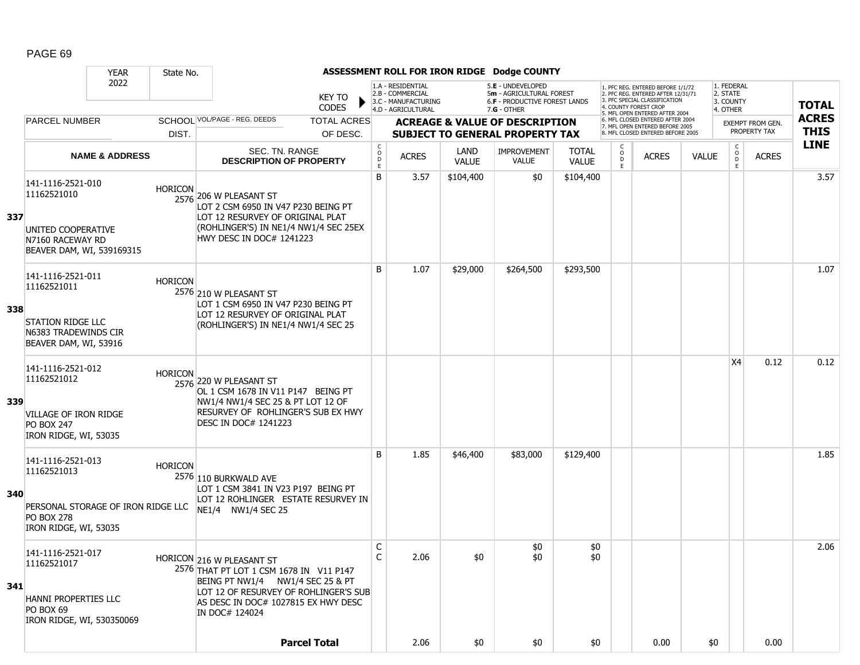|     |                                                                                                                      | <b>YEAR</b>               | State No.      |                                                                                                                                                                                                            |                                                          |                                                              |                             | ASSESSMENT ROLL FOR IRON RIDGE Dodge COUNTY                                    |                              |                          |                                                                                                                                   |              |                                                         |                                         |              |
|-----|----------------------------------------------------------------------------------------------------------------------|---------------------------|----------------|------------------------------------------------------------------------------------------------------------------------------------------------------------------------------------------------------------|----------------------------------------------------------|--------------------------------------------------------------|-----------------------------|--------------------------------------------------------------------------------|------------------------------|--------------------------|-----------------------------------------------------------------------------------------------------------------------------------|--------------|---------------------------------------------------------|-----------------------------------------|--------------|
|     |                                                                                                                      | 2022                      |                | KEY TO<br><b>CODES</b>                                                                                                                                                                                     |                                                          | 1.A - RESIDENTIAL<br>2.B - COMMERCIAL<br>3.C - MANUFACTURING |                             | 5.E - UNDEVELOPED<br>5m - AGRICULTURAL FOREST<br>6.F - PRODUCTIVE FOREST LANDS |                              |                          | 1. PFC REG. ENTERED BEFORE 1/1/72<br>2. PFC REG. ENTERED AFTER 12/31/71<br>3. PFC SPECIAL CLASSIFICATION<br>4. COUNTY FOREST CROP |              | 1. FEDERAL<br>2. STATE<br>3. COUNTY                     |                                         | <b>TOTAL</b> |
|     | <b>PARCEL NUMBER</b>                                                                                                 |                           |                | SCHOOL VOL/PAGE - REG. DEEDS<br><b>TOTAL ACRES</b>                                                                                                                                                         |                                                          | 4.D - AGRICULTURAL                                           |                             | $7.G - OTHER$<br><b>ACREAGE &amp; VALUE OF DESCRIPTION</b>                     |                              |                          | 5. MFL OPEN ENTERED AFTER 2004<br>6. MFL CLOSED ENTERED AFTER 2004                                                                |              | 4. OTHER                                                |                                         | <b>ACRES</b> |
|     |                                                                                                                      |                           | DIST.          | OF DESC.                                                                                                                                                                                                   |                                                          |                                                              |                             | <b>SUBJECT TO GENERAL PROPERTY TAX</b>                                         |                              |                          | 7. MFL OPEN ENTERED BEFORE 2005<br>8 MFL CLOSED ENTERED BEFORE 2005                                                               |              |                                                         | <b>EXEMPT FROM GEN.</b><br>PROPERTY TAX | <b>THIS</b>  |
|     |                                                                                                                      | <b>NAME &amp; ADDRESS</b> |                | SEC. TN. RANGE<br><b>DESCRIPTION OF PROPERTY</b>                                                                                                                                                           | $\begin{matrix} 0 \\ 0 \\ D \end{matrix}$<br>$\mathsf E$ | <b>ACRES</b>                                                 | <b>LAND</b><br><b>VALUE</b> | <b>IMPROVEMENT</b><br>VALUE                                                    | <b>TOTAL</b><br><b>VALUE</b> | C<br>$\overline{0}$<br>E | <b>ACRES</b>                                                                                                                      | <b>VALUE</b> | $\begin{smallmatrix} C\\O\\O\\D \end{smallmatrix}$<br>E | <b>ACRES</b>                            | <b>LINE</b>  |
| 337 | 141-1116-2521-010<br>11162521010<br>UNITED COOPERATIVE<br>N7160 RACEWAY RD<br>BEAVER DAM, WI, 539169315              |                           | <b>HORICON</b> | 2576 206 W PLEASANT ST<br>LOT 2 CSM 6950 IN V47 P230 BEING PT<br>LOT 12 RESURVEY OF ORIGINAL PLAT<br>(ROHLINGER'S) IN NE1/4 NW1/4 SEC 25EX<br>HWY DESC IN DOC# 1241223                                     | B                                                        | 3.57                                                         | \$104,400                   | \$0                                                                            | \$104,400                    |                          |                                                                                                                                   |              |                                                         |                                         | 3.57         |
| 338 | 141-1116-2521-011<br>11162521011<br><b>STATION RIDGE LLC</b><br>N6383 TRADEWINDS CIR<br>BEAVER DAM, WI, 53916        |                           | <b>HORICON</b> | 2576 210 W PLEASANT ST<br>LOT 1 CSM 6950 IN V47 P230 BEING PT<br>LOT 12 RESURVEY OF ORIGINAL PLAT<br>(ROHLINGER'S) IN NE1/4 NW1/4 SEC 25                                                                   | B                                                        | 1.07                                                         | \$29,000                    | \$264,500                                                                      | \$293,500                    |                          |                                                                                                                                   |              |                                                         |                                         | 1.07         |
| 339 | 141-1116-2521-012<br>11162521012<br><b>VILLAGE OF IRON RIDGE</b><br><b>PO BOX 247</b><br>IRON RIDGE, WI, 53035       |                           | Horicon        | 2576 220 W PLEASANT ST<br>OL 1 CSM 1678 IN V11 P147 BEING PT<br>NW1/4 NW1/4 SEC 25 & PT LOT 12 OF<br>RESURVEY OF ROHLINGER'S SUB EX HWY<br><b>DESC IN DOC# 1241223</b>                                     |                                                          |                                                              |                             |                                                                                |                              |                          |                                                                                                                                   |              | X4                                                      | 0.12                                    | 0.12         |
| 340 | 141-1116-2521-013<br>11162521013<br>PERSONAL STORAGE OF IRON RIDGE LLC<br><b>PO BOX 278</b><br>IRON RIDGE, WI, 53035 |                           | <b>HORICON</b> | 2576 110 BURKWALD AVE<br>LOT 1 CSM 3841 IN V23 P197 BEING PT<br>LOT 12 ROHLINGER ESTATE RESURVEY IN<br>NE1/4 NW1/4 SEC 25                                                                                  | B                                                        | 1.85                                                         | \$46,400                    | \$83,000                                                                       | \$129,400                    |                          |                                                                                                                                   |              |                                                         |                                         | 1.85         |
| 341 | 141-1116-2521-017<br>11162521017<br>HANNI PROPERTIES LLC<br>PO BOX 69<br>IRON RIDGE, WI, 530350069                   |                           |                | HORICON 216 W PLEASANT ST<br>2576 THAT PT LOT 1 CSM 1678 IN V11 P147<br>BEING PT NW1/4 NW1/4 SEC 25 & PT<br>LOT 12 OF RESURVEY OF ROHLINGER'S SUB<br>AS DESC IN DOC# 1027815 EX HWY DESC<br>IN DOC# 124024 | C<br>C                                                   | 2.06                                                         | \$0                         | \$0<br>\$0                                                                     | \$0<br>\$0                   |                          |                                                                                                                                   |              |                                                         |                                         | 2.06         |
|     |                                                                                                                      |                           |                | <b>Parcel Total</b>                                                                                                                                                                                        |                                                          | 2.06                                                         | \$0                         | \$0                                                                            | \$0                          |                          | 0.00                                                                                                                              | \$0          |                                                         | 0.00                                    |              |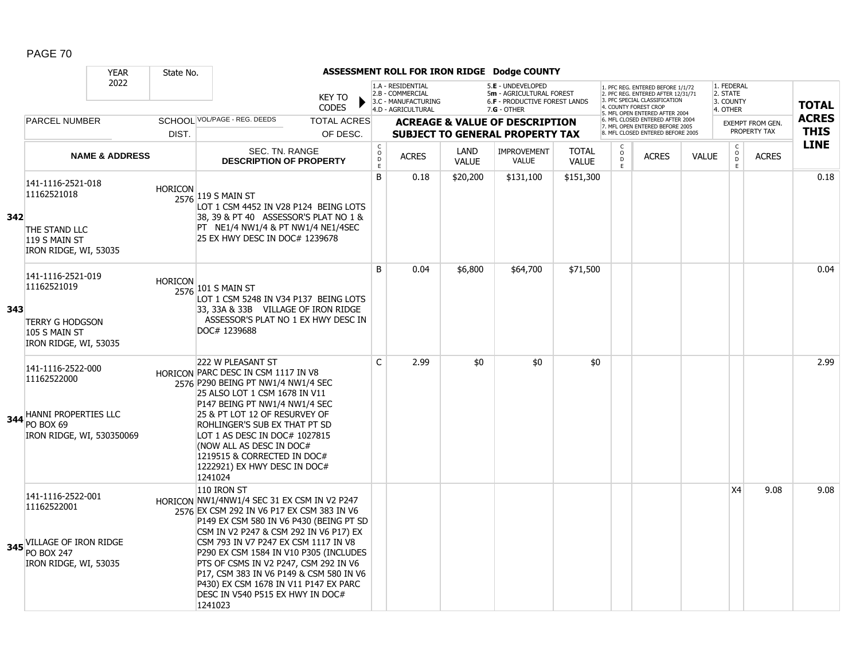|     |                                                                                                             | <b>YEAR</b>               | State No.      |                                                                                                                                                                                                                                                                                                                                                                                                                                                              |                                |                                                   |                                                                                    |                      | ASSESSMENT ROLL FOR IRON RIDGE Dodge COUNTY                                                     |                              |                         |                                                                                                                                            |              |                                                 |                                  |                             |
|-----|-------------------------------------------------------------------------------------------------------------|---------------------------|----------------|--------------------------------------------------------------------------------------------------------------------------------------------------------------------------------------------------------------------------------------------------------------------------------------------------------------------------------------------------------------------------------------------------------------------------------------------------------------|--------------------------------|---------------------------------------------------|------------------------------------------------------------------------------------|----------------------|-------------------------------------------------------------------------------------------------|------------------------------|-------------------------|--------------------------------------------------------------------------------------------------------------------------------------------|--------------|-------------------------------------------------|----------------------------------|-----------------------------|
|     |                                                                                                             | 2022                      |                |                                                                                                                                                                                                                                                                                                                                                                                                                                                              | KEY TO<br><b>CODES</b>         |                                                   | 1.A - RESIDENTIAL<br>2.B - COMMERCIAL<br>3.C - MANUFACTURING<br>4.D - AGRICULTURAL |                      | 5.E - UNDEVELOPED<br>5m - AGRICULTURAL FOREST<br>6.F - PRODUCTIVE FOREST LANDS<br>$7.G - OTHER$ |                              |                         | 1. PFC REG. ENTERED BEFORE 1/1/72<br>2. PFC REG. ENTERED AFTER 12/31/71<br>3. PFC SPECIAL CLASSIFICATION<br>4. COUNTY FOREST CROP          |              | 1. FEDERAL<br>2. STATE<br>3. COUNTY<br>4. OTHER |                                  | <b>TOTAL</b>                |
|     | <b>PARCEL NUMBER</b>                                                                                        |                           | DIST.          | SCHOOL VOL/PAGE - REG. DEEDS                                                                                                                                                                                                                                                                                                                                                                                                                                 | <b>TOTAL ACRES</b><br>OF DESC. |                                                   |                                                                                    |                      | <b>ACREAGE &amp; VALUE OF DESCRIPTION</b><br><b>SUBJECT TO GENERAL PROPERTY TAX</b>             |                              |                         | 5. MFL OPEN ENTERED AFTER 2004<br>6. MFL CLOSED ENTERED AFTER 2004<br>7. MFL OPEN ENTERED BEFORE 2005<br>8. MFL CLOSED ENTERED BEFORE 2005 |              |                                                 | EXEMPT FROM GEN.<br>PROPERTY TAX | <b>ACRES</b><br><b>THIS</b> |
|     |                                                                                                             | <b>NAME &amp; ADDRESS</b> |                | SEC. TN. RANGE<br><b>DESCRIPTION OF PROPERTY</b>                                                                                                                                                                                                                                                                                                                                                                                                             |                                | $\mathsf{C}$<br>$_{\rm D}^{\rm O}$<br>$\mathsf E$ | <b>ACRES</b>                                                                       | LAND<br><b>VALUE</b> | <b>IMPROVEMENT</b><br><b>VALUE</b>                                                              | <b>TOTAL</b><br><b>VALUE</b> | $_{\rm D}^{\rm O}$<br>E | <b>ACRES</b>                                                                                                                               | <b>VALUE</b> | $\mathsf{C}$<br>$_{\rm D}^{\rm O}$<br>F.        | <b>ACRES</b>                     | <b>LINE</b>                 |
| 342 | 141-1116-2521-018<br>11162521018<br>THE STAND LLC<br>119 S MAIN ST<br>IRON RIDGE, WI, 53035                 |                           | <b>HORICON</b> | 2576 119 S MAIN ST<br>LOT 1 CSM 4452 IN V28 P124 BEING LOTS<br>38, 39 & PT 40 ASSESSOR'S PLAT NO 1 &<br>PT NE1/4 NW1/4 & PT NW1/4 NE1/4SEC<br>25 EX HWY DESC IN DOC# 1239678                                                                                                                                                                                                                                                                                 |                                | B                                                 | 0.18                                                                               | \$20,200             | \$131,100                                                                                       | \$151,300                    |                         |                                                                                                                                            |              |                                                 |                                  | 0.18                        |
| 343 | 141-1116-2521-019<br>11162521019<br><b>TERRY G HODGSON</b><br>105 S MAIN ST<br>IRON RIDGE, WI, 53035        |                           | <b>HORICON</b> | 2576 101 S MAIN ST<br>LOT 1 CSM 5248 IN V34 P137 BEING LOTS<br>33, 33A & 33B VILLAGE OF IRON RIDGE<br>ASSESSOR'S PLAT NO 1 EX HWY DESC IN<br>DOC# 1239688                                                                                                                                                                                                                                                                                                    |                                | B                                                 | 0.04                                                                               | \$6,800              | \$64,700                                                                                        | \$71,500                     |                         |                                                                                                                                            |              |                                                 |                                  | 0.04                        |
| 344 | 141-1116-2522-000<br>11162522000<br>HANNI PROPERTIES LLC<br>PO BOX 69<br>IRON RIDGE, WI, 530350069          |                           |                | 222 W PLEASANT ST<br>HORICON PARC DESC IN CSM 1117 IN V8<br>2576 P290 BEING PT NW1/4 NW1/4 SEC<br>25 ALSO LOT 1 CSM 1678 IN V11<br>P147 BEING PT NW1/4 NW1/4 SEC<br>25 & PT LOT 12 OF RESURVEY OF<br>ROHLINGER'S SUB EX THAT PT SD<br>LOT 1 AS DESC IN DOC# 1027815<br>(NOW ALL AS DESC IN DOC#<br>1219515 & CORRECTED IN DOC#<br>1222921) EX HWY DESC IN DOC#<br>1241024                                                                                    |                                | C                                                 | 2.99                                                                               | \$0                  | \$0                                                                                             | \$0                          |                         |                                                                                                                                            |              |                                                 |                                  | 2.99                        |
|     | 141-1116-2522-001<br>11162522001<br>345 VILLAGE OF IRON RIDGE<br><b>PO BOX 247</b><br>IRON RIDGE, WI, 53035 |                           |                | 110 IRON ST<br>HORICON NW1/4NW1/4 SEC 31 EX CSM IN V2 P247<br>2576 EX CSM 292 IN V6 P17 EX CSM 383 IN V6<br>P149 EX CSM 580 IN V6 P430 (BEING PT SD<br>CSM IN V2 P247 & CSM 292 IN V6 P17) EX<br>ICSM 793 IN V7 P247 EX CSM 1117 IN V8<br>P290 EX CSM 1584 IN V10 P305 (INCLUDES<br>PTS OF CSMS IN V2 P247, CSM 292 IN V6<br>P17, CSM 383 IN V6 P149 & CSM 580 IN V6<br>P430) EX CSM 1678 IN V11 P147 EX PARC<br>DESC IN V540 P515 EX HWY IN DOC#<br>1241023 |                                |                                                   |                                                                                    |                      |                                                                                                 |                              |                         |                                                                                                                                            |              | <b>X4</b>                                       | 9.08                             | 9.08                        |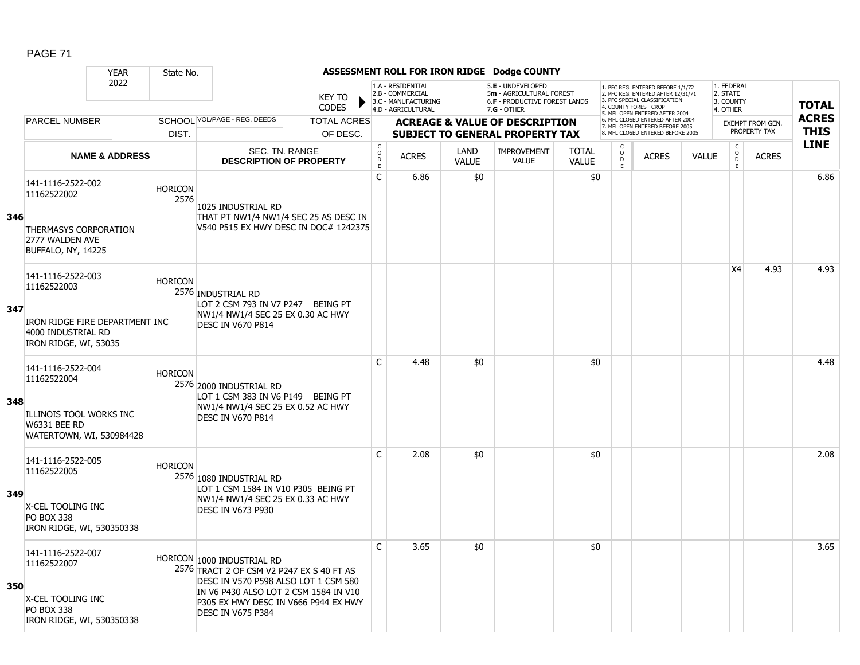|     |                                                                               | <b>YEAR</b>               | State No.              |                                                                                                                 |                               |                                                |                                                                                    |                      | ASSESSMENT ROLL FOR IRON RIDGE Dodge COUNTY                                                     |                              |                     |                                                                                                                               |              |                                                 |                  |              |
|-----|-------------------------------------------------------------------------------|---------------------------|------------------------|-----------------------------------------------------------------------------------------------------------------|-------------------------------|------------------------------------------------|------------------------------------------------------------------------------------|----------------------|-------------------------------------------------------------------------------------------------|------------------------------|---------------------|-------------------------------------------------------------------------------------------------------------------------------|--------------|-------------------------------------------------|------------------|--------------|
|     |                                                                               | 2022                      |                        |                                                                                                                 | <b>KEY TO</b><br><b>CODES</b> |                                                | 1.A - RESIDENTIAL<br>2.B - COMMERCIAL<br>3.C - MANUFACTURING<br>4.D - AGRICULTURAL |                      | 5.E - UNDEVELOPED<br>5m - AGRICULTURAL FOREST<br>6.F - PRODUCTIVE FOREST LANDS<br>$7.G - OTHER$ |                              |                     | 1. PFC REG. ENTERED BEFORE 1/1/72<br>2. PFC REG. ENTERED AFTER 12/31/71<br>3 PEC SPECIAL CLASSIFICATION<br>COUNTY FOREST CROP |              | 1. FEDERAL<br>2. STATE<br>3. COUNTY<br>4. OTHER |                  | <b>TOTAL</b> |
|     | <b>PARCEL NUMBER</b>                                                          |                           |                        | SCHOOL VOL/PAGE - REG. DEEDS                                                                                    | <b>TOTAL ACRES</b>            |                                                |                                                                                    |                      | <b>ACREAGE &amp; VALUE OF DESCRIPTION</b>                                                       |                              |                     | 5. MFL OPEN ENTERED AFTER 2004<br>6. MFL CLOSED ENTERED AFTER 2004<br>7. MFL OPEN ENTERED BEFORE 2005                         |              |                                                 | EXEMPT FROM GEN. | <b>ACRES</b> |
|     |                                                                               |                           | DIST.                  |                                                                                                                 | OF DESC.                      |                                                |                                                                                    |                      | <b>SUBJECT TO GENERAL PROPERTY TAX</b>                                                          |                              |                     | 8. MFL CLOSED ENTERED BEFORE 2005                                                                                             |              |                                                 | PROPERTY TAX     | <b>THIS</b>  |
|     |                                                                               | <b>NAME &amp; ADDRESS</b> |                        | SEC. TN. RANGE<br><b>DESCRIPTION OF PROPERTY</b>                                                                |                               | $\begin{matrix} 0 \\ 0 \\ D \end{matrix}$<br>E | <b>ACRES</b>                                                                       | LAND<br><b>VALUE</b> | <b>IMPROVEMENT</b><br><b>VALUE</b>                                                              | <b>TOTAL</b><br><b>VALUE</b> | $\overline{0}$<br>E | <b>ACRES</b>                                                                                                                  | <b>VALUE</b> | $\begin{matrix} 0 \\ 0 \end{matrix}$<br>E       | <b>ACRES</b>     | <b>LINE</b>  |
| 346 | 141-1116-2522-002<br>11162522002                                              |                           | <b>HORICON</b><br>2576 | 1025 INDUSTRIAL RD<br>THAT PT NW1/4 NW1/4 SEC 25 AS DESC IN                                                     |                               | C                                              | 6.86                                                                               | \$0                  |                                                                                                 | \$0                          |                     |                                                                                                                               |              |                                                 |                  | 6.86         |
|     | <b>THERMASYS CORPORATION</b><br>2777 WALDEN AVE<br><b>BUFFALO, NY, 14225</b>  |                           |                        | V540 P515 EX HWY DESC IN DOC# 1242375                                                                           |                               |                                                |                                                                                    |                      |                                                                                                 |                              |                     |                                                                                                                               |              |                                                 |                  |              |
| 347 | 141-1116-2522-003<br>11162522003                                              |                           | <b>HORICON</b>         | 2576 INDUSTRIAL RD<br>LOT 2 CSM 793 IN V7 P247 BEING PT                                                         |                               |                                                |                                                                                    |                      |                                                                                                 |                              |                     |                                                                                                                               |              | X4                                              | 4.93             | 4.93         |
|     | IRON RIDGE FIRE DEPARTMENT INC<br>4000 INDUSTRIAL RD<br>IRON RIDGE, WI, 53035 |                           |                        | NW1/4 NW1/4 SEC 25 EX 0.30 AC HWY<br><b>DESC IN V670 P814</b>                                                   |                               |                                                |                                                                                    |                      |                                                                                                 |                              |                     |                                                                                                                               |              |                                                 |                  |              |
| 348 | 141-1116-2522-004<br>11162522004                                              |                           | <b>HORICON</b>         | 2576 2000 INDUSTRIAL RD<br>LOT 1 CSM 383 IN V6 P149 BEING PT                                                    |                               | $\mathsf{C}$                                   | 4.48                                                                               | \$0                  |                                                                                                 | \$0                          |                     |                                                                                                                               |              |                                                 |                  | 4.48         |
|     | ILLINOIS TOOL WORKS INC<br><b>W6331 BEE RD</b><br>WATERTOWN, WI, 530984428    |                           |                        | NW1/4 NW1/4 SEC 25 EX 0.52 AC HWY<br><b>DESC IN V670 P814</b>                                                   |                               |                                                |                                                                                    |                      |                                                                                                 |                              |                     |                                                                                                                               |              |                                                 |                  |              |
|     | 141-1116-2522-005<br>11162522005                                              |                           | <b>HORICON</b>         | 2576 1080 INDUSTRIAL RD<br>LOT 1 CSM 1584 IN V10 P305 BEING PT                                                  |                               | $\mathsf{C}$                                   | 2.08                                                                               | \$0                  |                                                                                                 | \$0                          |                     |                                                                                                                               |              |                                                 |                  | 2.08         |
| 349 | X-CEL TOOLING INC<br><b>PO BOX 338</b><br>IRON RIDGE, WI, 530350338           |                           |                        | NW1/4 NW1/4 SEC 25 EX 0.33 AC HWY<br><b>DESC IN V673 P930</b>                                                   |                               |                                                |                                                                                    |                      |                                                                                                 |                              |                     |                                                                                                                               |              |                                                 |                  |              |
| 350 | 141-1116-2522-007<br>11162522007                                              |                           |                        | HORICON 1000 INDUSTRIAL RD<br>2576 TRACT 2 OF CSM V2 P247 EX S 40 FT AS<br>DESC IN V570 P598 ALSO LOT 1 CSM 580 |                               | $\mathsf{C}$                                   | 3.65                                                                               | \$0                  |                                                                                                 | \$0                          |                     |                                                                                                                               |              |                                                 |                  | 3.65         |
|     | X-CEL TOOLING INC<br><b>PO BOX 338</b><br>IRON RIDGE, WI, 530350338           |                           |                        | IN V6 P430 ALSO LOT 2 CSM 1584 IN V10<br>P305 EX HWY DESC IN V666 P944 EX HWY<br>DESC IN V675 P384              |                               |                                                |                                                                                    |                      |                                                                                                 |                              |                     |                                                                                                                               |              |                                                 |                  |              |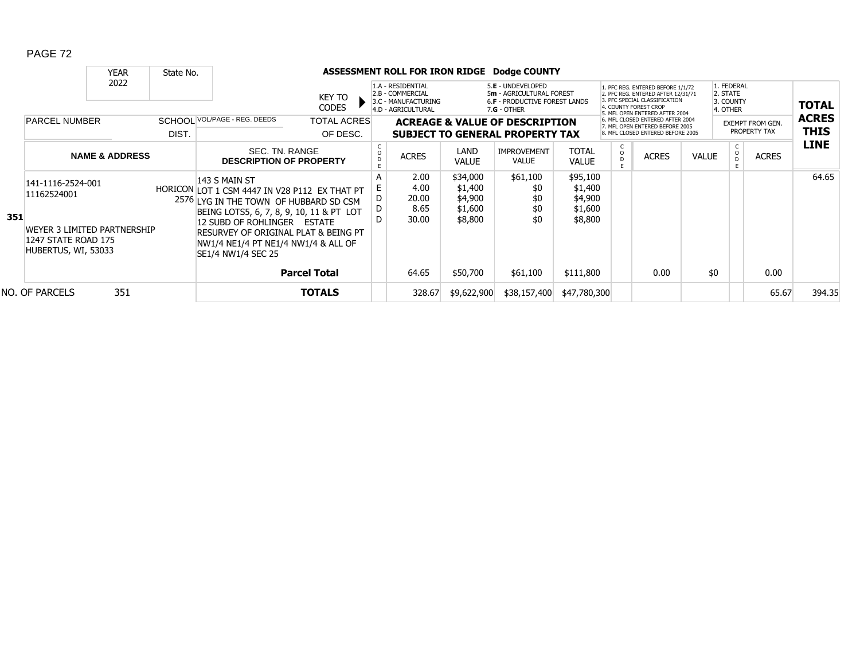|     |                                                                           | <b>YEAR</b>               | State No. |                                                                                                                                                                                         |                                |   |                                                                                    |                                | ASSESSMENT ROLL FOR IRON RIDGE Dodge COUNTY                                                     |                                |                    |                                                                                                                                                                     |              |                                                 |                                         |                             |
|-----|---------------------------------------------------------------------------|---------------------------|-----------|-----------------------------------------------------------------------------------------------------------------------------------------------------------------------------------------|--------------------------------|---|------------------------------------------------------------------------------------|--------------------------------|-------------------------------------------------------------------------------------------------|--------------------------------|--------------------|---------------------------------------------------------------------------------------------------------------------------------------------------------------------|--------------|-------------------------------------------------|-----------------------------------------|-----------------------------|
|     |                                                                           | 2022                      |           |                                                                                                                                                                                         | KEY TO<br><b>CODES</b>         |   | 1.A - RESIDENTIAL<br>2.B - COMMERCIAL<br>3.C - MANUFACTURING<br>4.D - AGRICULTURAL |                                | 5.E - UNDEVELOPED<br>5m - AGRICULTURAL FOREST<br>6.F - PRODUCTIVE FOREST LANDS<br>$7.G - OTHER$ |                                |                    | 1. PFC REG. ENTERED BEFORE 1/1/72<br>2. PFC REG. ENTERED AFTER 12/31/71<br>3. PFC SPECIAL CLASSIFICATION<br>4. COUNTY FOREST CROP<br>5. MFL OPEN ENTERED AFTER 2004 |              | 1. FEDERAL<br>2. STATE<br>3. COUNTY<br>4. OTHER |                                         | <b>TOTAL</b>                |
|     | <b>PARCEL NUMBER</b>                                                      |                           | DIST.     | SCHOOL VOL/PAGE - REG. DEEDS                                                                                                                                                            | <b>TOTAL ACRES</b><br>OF DESC. |   |                                                                                    |                                | <b>ACREAGE &amp; VALUE OF DESCRIPTION</b><br><b>SUBJECT TO GENERAL PROPERTY TAX</b>             |                                |                    | 6. MFL CLOSED ENTERED AFTER 2004<br>7. MFL OPEN ENTERED BEFORE 2005<br>8. MFL CLOSED ENTERED BEFORE 2005                                                            |              |                                                 | <b>EXEMPT FROM GEN.</b><br>PROPERTY TAX | <b>ACRES</b><br><b>THIS</b> |
|     |                                                                           | <b>NAME &amp; ADDRESS</b> |           | SEC. TN. RANGE<br><b>DESCRIPTION OF PROPERTY</b>                                                                                                                                        |                                |   | <b>ACRES</b>                                                                       | LAND<br>VALUE                  | <b>IMPROVEMENT</b><br><b>VALUE</b>                                                              | <b>TOTAL</b><br><b>VALUE</b>   | $\frac{c}{0}$<br>D | <b>ACRES</b>                                                                                                                                                        | <b>VALUE</b> | O                                               | <b>ACRES</b>                            | <b>LINE</b>                 |
|     | 141-1116-2524-001<br>11162524001                                          |                           |           | 143 S MAIN ST<br>HORICON LOT 1 CSM 4447 IN V28 P112 EX THAT PT<br>2576 LYG IN THE TOWN OF HUBBARD SD CSM                                                                                |                                | A | 2.00<br>4.00<br>20.00                                                              | \$34,000<br>\$1,400<br>\$4,900 | \$61,100<br>\$0<br>\$0                                                                          | \$95,100<br>\$1,400<br>\$4,900 |                    |                                                                                                                                                                     |              |                                                 |                                         | 64.65                       |
| 351 | WEYER 3 LIMITED PARTNERSHIP<br>1247 STATE ROAD 175<br>HUBERTUS, WI, 53033 |                           |           | BEING LOTS5, 6, 7, 8, 9, 10, 11 & PT LOT<br>12 SUBD OF ROHLINGER ESTATE<br><b>RESURVEY OF ORIGINAL PLAT &amp; BEING PT</b><br>NW1/4 NE1/4 PT NE1/4 NW1/4 & ALL OF<br>SE1/4 NW1/4 SEC 25 |                                | D | 8.65<br>30.00                                                                      | \$1,600<br>\$8,800             | \$0<br>\$0                                                                                      | \$1,600<br>\$8,800             |                    |                                                                                                                                                                     |              |                                                 |                                         |                             |
|     |                                                                           |                           |           | <b>Parcel Total</b>                                                                                                                                                                     |                                |   | 64.65                                                                              | \$50,700                       | \$61,100                                                                                        | \$111,800                      |                    | 0.00                                                                                                                                                                | \$0          |                                                 | 0.00                                    |                             |
|     | NO. OF PARCELS                                                            | 351                       |           |                                                                                                                                                                                         | <b>TOTALS</b>                  |   | 328.67                                                                             | \$9,622,900                    | \$38,157,400                                                                                    | \$47,780,300                   |                    |                                                                                                                                                                     |              |                                                 | 65.67                                   | 394.35                      |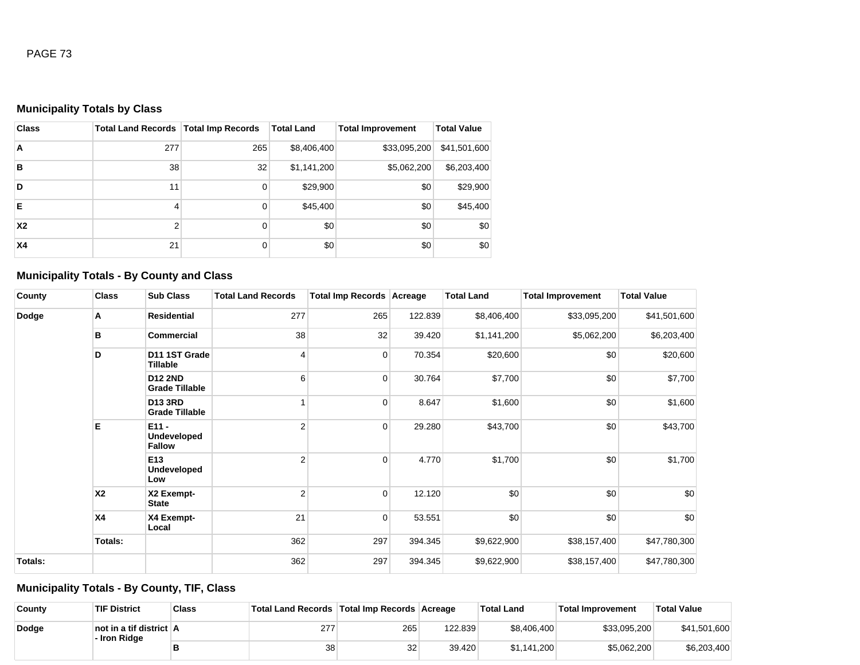## **Municipality Totals by Class**

| <b>Class</b> | <b>Total Land Records   Total Imp Records</b> |          | <b>Total Land</b> | <b>Total Improvement</b> | <b>Total Value</b> |
|--------------|-----------------------------------------------|----------|-------------------|--------------------------|--------------------|
| A            | 277                                           | 265      | \$8,406,400       | \$33,095,200             | \$41,501,600       |
| B            | 38                                            | 32       | \$1,141,200       | \$5,062,200              | \$6,203,400        |
| D            | 11                                            | 0        | \$29,900          | \$0                      | \$29,900           |
| Е            | 4                                             | 0        | \$45,400          | \$0                      | \$45,400           |
| <b>X2</b>    | $\overline{2}$                                | 0        | \$0               | \$0                      | \$0                |
| <b>X4</b>    | 21                                            | $\Omega$ | \$0               | \$0                      | \$0                |

### **Municipality Totals - By County and Class**

| County  | <b>Class</b>   | <b>Sub Class</b>                               | <b>Total Land Records</b> | Total Imp Records Acreage |         | <b>Total Land</b> | <b>Total Improvement</b> | <b>Total Value</b> |
|---------|----------------|------------------------------------------------|---------------------------|---------------------------|---------|-------------------|--------------------------|--------------------|
| Dodge   | А              | <b>Residential</b>                             | 277                       | 265                       | 122.839 | \$8,406,400       | \$33,095,200             | \$41,501,600       |
|         | в              | Commercial                                     | 38                        | 32                        | 39.420  | \$1,141,200       | \$5,062,200              | \$6,203,400        |
|         | D              | D11 1ST Grade<br>Tillable                      | $\overline{4}$            | $\overline{0}$            | 70.354  | \$20,600          | \$0                      | \$20,600           |
|         |                | <b>D12 2ND</b><br><b>Grade Tillable</b>        | 6                         | $\overline{0}$            | 30.764  | \$7,700           | \$0                      | \$7,700            |
|         |                | <b>D13 3RD</b><br><b>Grade Tillable</b>        |                           | $\overline{0}$            | 8.647   | \$1,600           | \$0                      | \$1,600            |
|         | E              | $E11 -$<br><b>Undeveloped</b><br><b>Fallow</b> | $\overline{2}$            | $\overline{0}$            | 29.280  | \$43,700          | \$0                      | \$43,700           |
|         |                | E <sub>13</sub><br><b>Undeveloped</b><br>Low   | $\overline{2}$            | $\mathbf 0$               | 4.770   | \$1,700           | \$0                      | \$1,700            |
|         | X <sub>2</sub> | X2 Exempt-<br><b>State</b>                     | $\overline{2}$            | $\overline{0}$            | 12.120  | \$0               | \$0                      | \$0                |
|         | <b>X4</b>      | X4 Exempt-<br>Local                            | 21                        | $\overline{0}$            | 53.551  | \$0               | \$0                      | \$0                |
|         | <b>Totals:</b> |                                                | 362                       | 297                       | 394.345 | \$9,622,900       | \$38,157,400             | \$47,780,300       |
| Totals: |                |                                                | 362                       | 297                       | 394.345 | \$9,622,900       | \$38,157,400             | \$47,780,300       |

### **Municipality Totals - By County, TIF, Class**

| County | <b>TIF District</b>                     | <b>Class</b> | Total Land Records Total Imp Records Acreage |     |         | <b>Total Land</b> | <b>Total Improvement</b> | <sup>∖</sup> Total Value |
|--------|-----------------------------------------|--------------|----------------------------------------------|-----|---------|-------------------|--------------------------|--------------------------|
| Dodge  | not in a tif district A<br>- Iron Ridge |              | 277                                          | 265 | 122.839 | \$8,406,400       | \$33,095,200             | \$41,501,600             |
|        |                                         |              | 38                                           | 32  | 39.420  | \$1.141.200       | \$5.062,200              | \$6,203,400              |